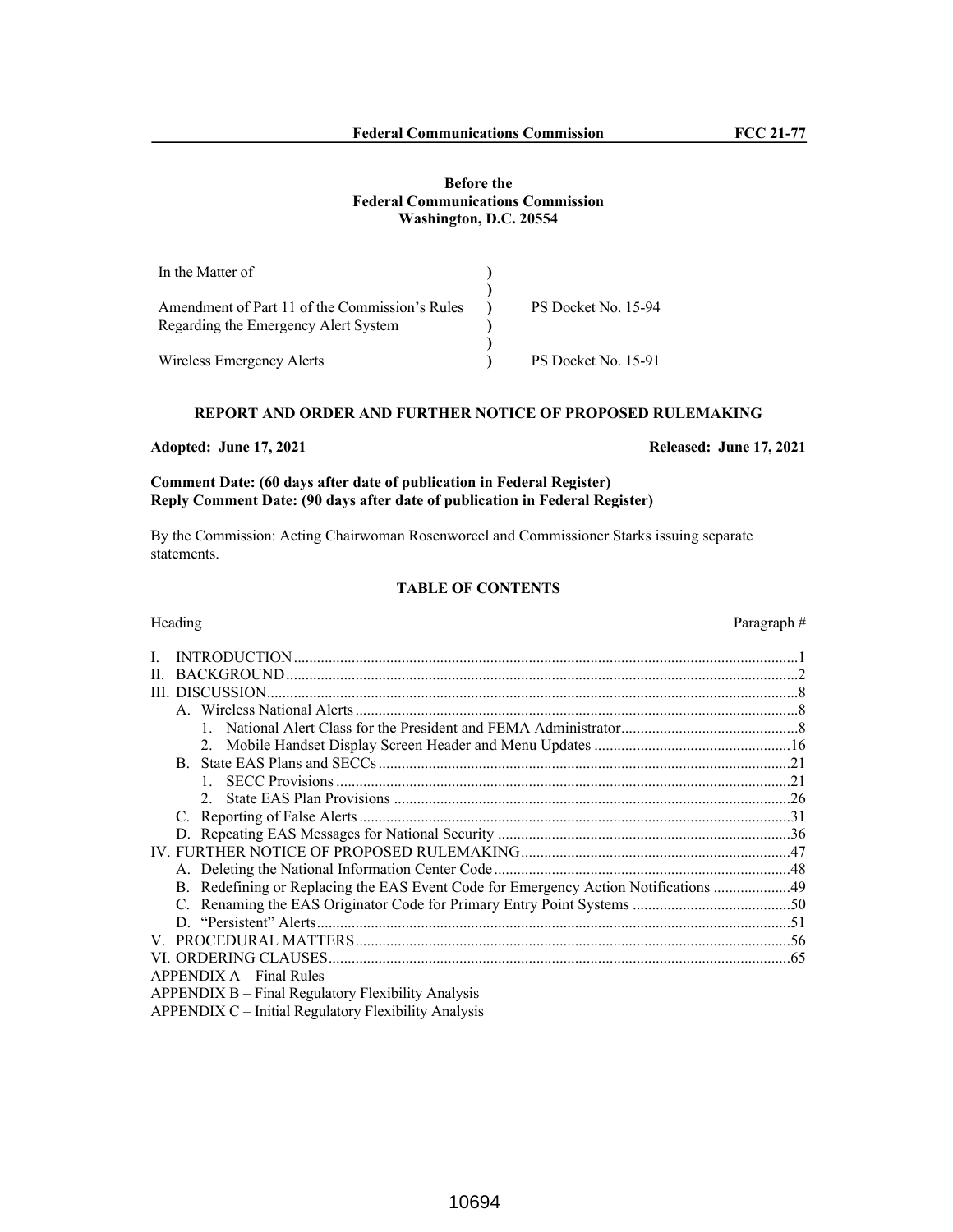# **Before the Federal Communications Commission Washington, D.C. 20554**

| In the Matter of                               |                     |
|------------------------------------------------|---------------------|
|                                                |                     |
| Amendment of Part 11 of the Commission's Rules | PS Docket No. 15-94 |
| Regarding the Emergency Alert System           |                     |
|                                                |                     |
| Wireless Emergency Alerts                      | PS Docket No. 15-91 |

# **REPORT AND ORDER AND FURTHER NOTICE OF PROPOSED RULEMAKING**

**Comment Date: (60 days after date of publication in Federal Register) Reply Comment Date: (90 days after date of publication in Federal Register)**

By the Commission: Acting Chairwoman Rosenworcel and Commissioner Starks issuing separate statements.

# **TABLE OF CONTENTS**

# Heading Paragraph #

| Н. |                                                                                     |  |
|----|-------------------------------------------------------------------------------------|--|
| Ш  | DISCUSSION.                                                                         |  |
|    |                                                                                     |  |
|    |                                                                                     |  |
|    |                                                                                     |  |
|    |                                                                                     |  |
|    |                                                                                     |  |
|    |                                                                                     |  |
|    |                                                                                     |  |
|    |                                                                                     |  |
|    |                                                                                     |  |
|    |                                                                                     |  |
|    | B. Redefining or Replacing the EAS Event Code for Emergency Action Notifications 49 |  |
|    |                                                                                     |  |
|    |                                                                                     |  |
|    |                                                                                     |  |
|    |                                                                                     |  |
|    | $APPENDIX A - Final Rules$                                                          |  |
|    | APPENDIX B – Final Regulatory Flexibility Analysis                                  |  |

APPENDIX C – Initial Regulatory Flexibility Analysis

**Adopted: June 17, 2021 Released: June 17, 2021**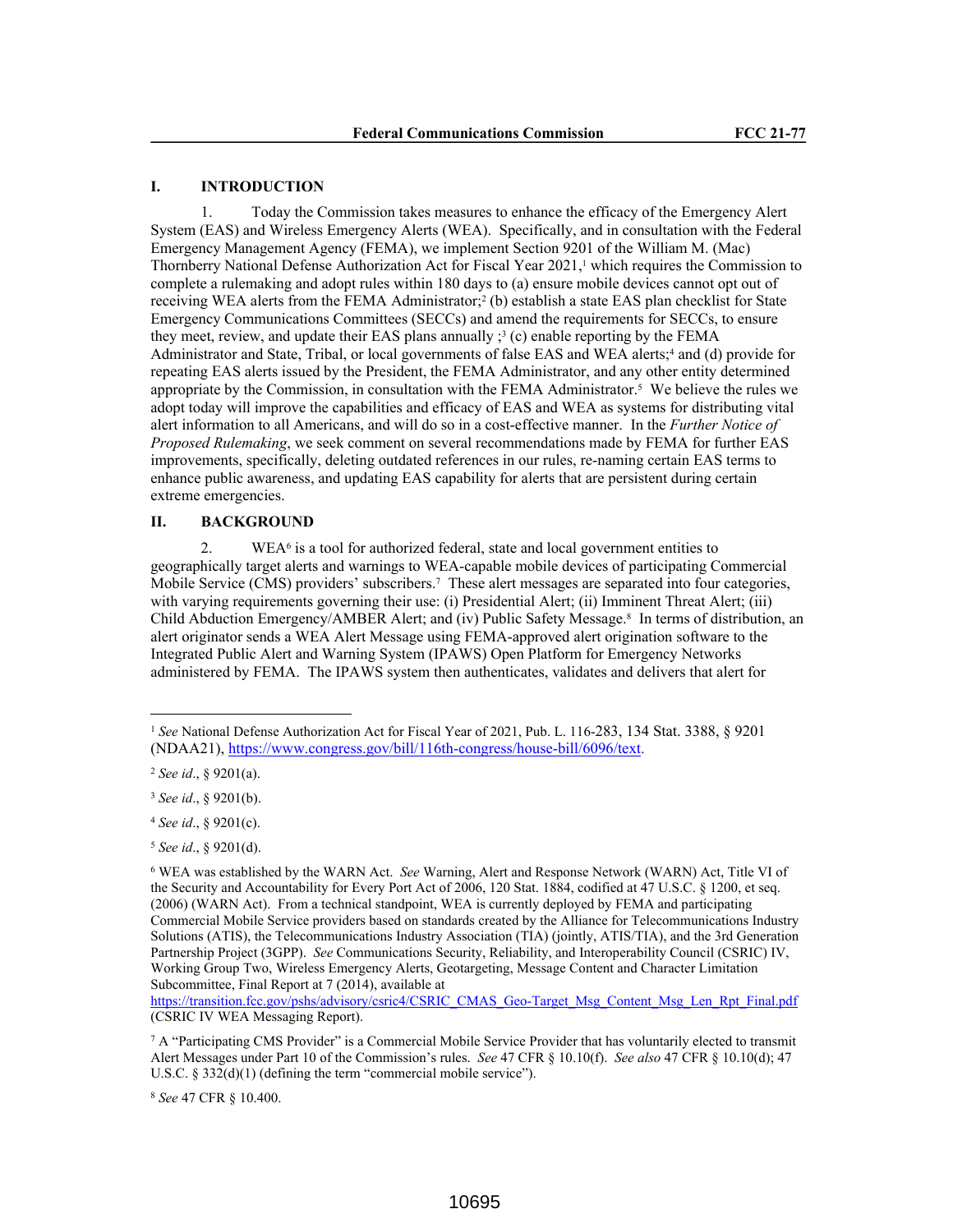# **I. INTRODUCTION**

1. Today the Commission takes measures to enhance the efficacy of the Emergency Alert System (EAS) and Wireless Emergency Alerts (WEA). Specifically, and in consultation with the Federal Emergency Management Agency (FEMA), we implement Section 9201 of the William M. (Mac) Thornberry National Defense Authorization Act for Fiscal Year 2021,<sup>1</sup> which requires the Commission to complete a rulemaking and adopt rules within 180 days to (a) ensure mobile devices cannot opt out of receiving WEA alerts from the FEMA Administrator;<sup>2</sup> (b) establish a state EAS plan checklist for State Emergency Communications Committees (SECCs) and amend the requirements for SECCs, to ensure they meet, review, and update their EAS plans annually  $\beta$  (c) enable reporting by the FEMA Administrator and State, Tribal, or local governments of false EAS and WEA alerts;<sup>4</sup> and (d) provide for repeating EAS alerts issued by the President, the FEMA Administrator, and any other entity determined appropriate by the Commission, in consultation with the FEMA Administrator.<sup>5</sup> We believe the rules we adopt today will improve the capabilities and efficacy of EAS and WEA as systems for distributing vital alert information to all Americans, and will do so in a cost-effective manner. In the *Further Notice of Proposed Rulemaking*, we seek comment on several recommendations made by FEMA for further EAS improvements, specifically, deleting outdated references in our rules, re-naming certain EAS terms to enhance public awareness, and updating EAS capability for alerts that are persistent during certain extreme emergencies.

# **II. BACKGROUND**

2. WEA<sup>6</sup> is a tool for authorized federal, state and local government entities to geographically target alerts and warnings to WEA-capable mobile devices of participating Commercial Mobile Service (CMS) providers' subscribers.<sup>7</sup> These alert messages are separated into four categories, with varying requirements governing their use: (i) Presidential Alert; (ii) Imminent Threat Alert; (iii) Child Abduction Emergency/AMBER Alert; and (iv) Public Safety Message.<sup>8</sup> In terms of distribution, an alert originator sends a WEA Alert Message using FEMA-approved alert origination software to the Integrated Public Alert and Warning System (IPAWS) Open Platform for Emergency Networks administered by FEMA. The IPAWS system then authenticates, validates and delivers that alert for

<sup>1</sup> *See* National Defense Authorization Act for Fiscal Year of 2021, Pub. L. 116-283, 134 Stat. 3388, § 9201 (NDAA21), https://www.congress.gov/bill/116th-congress/house-bill/6096/text.

<sup>2</sup> *See id*., § 9201(a).

<sup>3</sup> *See id*., § 9201(b).

<sup>4</sup> *See id*., § 9201(c).

<sup>5</sup> *See id*., § 9201(d).

<sup>6</sup> WEA was established by the WARN Act. *See* Warning, Alert and Response Network (WARN) Act, Title VI of the Security and Accountability for Every Port Act of 2006, 120 Stat. 1884, codified at 47 U.S.C. § 1200, et seq. (2006) (WARN Act). From a technical standpoint, WEA is currently deployed by FEMA and participating Commercial Mobile Service providers based on standards created by the Alliance for Telecommunications Industry Solutions (ATIS), the Telecommunications Industry Association (TIA) (jointly, ATIS/TIA), and the 3rd Generation Partnership Project (3GPP). *See* Communications Security, Reliability, and Interoperability Council (CSRIC) IV, Working Group Two, Wireless Emergency Alerts, Geotargeting, Message Content and Character Limitation Subcommittee, Final Report at 7 (2014), available at

https://transition.fcc.gov/pshs/advisory/csric4/CSRIC\_CMAS\_Geo-Target\_Msg\_Content\_Msg\_Len\_Rpt\_Final.pdf (CSRIC IV WEA Messaging Report).

<sup>7</sup> A "Participating CMS Provider" is a Commercial Mobile Service Provider that has voluntarily elected to transmit Alert Messages under Part 10 of the Commission's rules. *See* 47 CFR § 10.10(f). *See also* 47 CFR § 10.10(d); 47 U.S.C. § 332(d)(1) (defining the term "commercial mobile service").

<sup>8</sup> *See* 47 CFR § 10.400.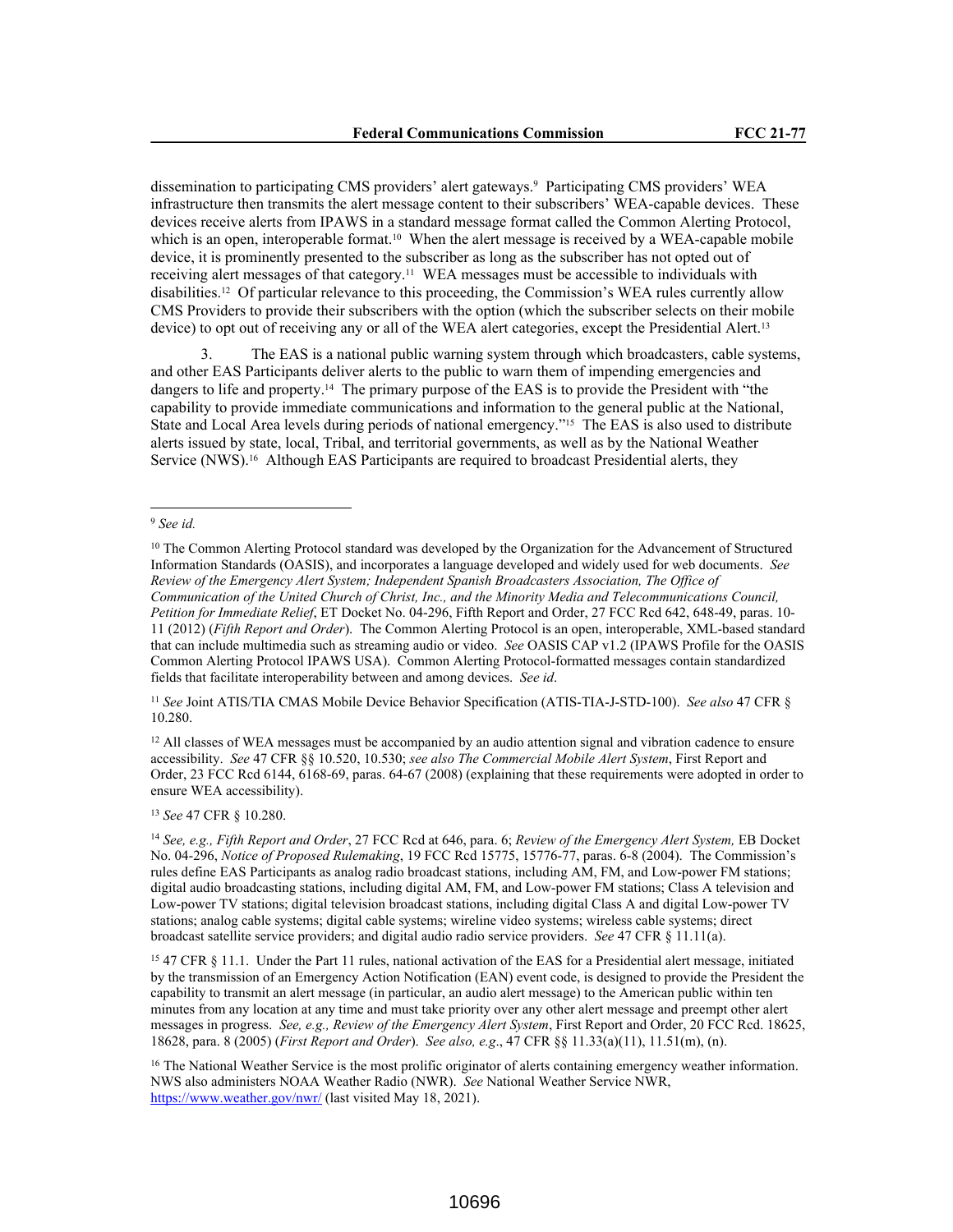dissemination to participating CMS providers' alert gateways.<sup>9</sup> Participating CMS providers' WEA infrastructure then transmits the alert message content to their subscribers' WEA-capable devices. These devices receive alerts from IPAWS in a standard message format called the Common Alerting Protocol, which is an open, interoperable format.<sup>10</sup> When the alert message is received by a WEA-capable mobile device, it is prominently presented to the subscriber as long as the subscriber has not opted out of receiving alert messages of that category.11 WEA messages must be accessible to individuals with disabilities.12 Of particular relevance to this proceeding, the Commission's WEA rules currently allow CMS Providers to provide their subscribers with the option (which the subscriber selects on their mobile device) to opt out of receiving any or all of the WEA alert categories, except the Presidential Alert.<sup>13</sup>

3. The EAS is a national public warning system through which broadcasters, cable systems, and other EAS Participants deliver alerts to the public to warn them of impending emergencies and dangers to life and property.14 The primary purpose of the EAS is to provide the President with "the capability to provide immediate communications and information to the general public at the National, State and Local Area levels during periods of national emergency."15 The EAS is also used to distribute alerts issued by state, local, Tribal, and territorial governments, as well as by the National Weather Service (NWS).<sup>16</sup> Although EAS Participants are required to broadcast Presidential alerts, they

<sup>11</sup> *See* Joint ATIS/TIA CMAS Mobile Device Behavior Specification (ATIS-TIA-J-STD-100). *See also* 47 CFR § 10.280.

<sup>12</sup> All classes of WEA messages must be accompanied by an audio attention signal and vibration cadence to ensure accessibility. *See* 47 CFR §§ 10.520, 10.530; *see also The Commercial Mobile Alert System*, First Report and Order, 23 FCC Rcd 6144, 6168-69, paras. 64-67 (2008) (explaining that these requirements were adopted in order to ensure WEA accessibility).

<sup>13</sup> *See* 47 CFR § 10.280.

<sup>9</sup> *See id.*

<sup>&</sup>lt;sup>10</sup> The Common Alerting Protocol standard was developed by the Organization for the Advancement of Structured Information Standards (OASIS), and incorporates a language developed and widely used for web documents. *See Review of the Emergency Alert System; Independent Spanish Broadcasters Association, The Office of Communication of the United Church of Christ, Inc., and the Minority Media and Telecommunications Council, Petition for Immediate Relief*, ET Docket No. 04-296, Fifth Report and Order, 27 FCC Rcd 642, 648-49, paras. 10- 11 (2012) (*Fifth Report and Order*). The Common Alerting Protocol is an open, interoperable, XML-based standard that can include multimedia such as streaming audio or video. *See* OASIS CAP v1.2 (IPAWS Profile for the OASIS Common Alerting Protocol IPAWS USA). Common Alerting Protocol-formatted messages contain standardized fields that facilitate interoperability between and among devices. *See id*.

<sup>14</sup> *See, e.g., Fifth Report and Order*, 27 FCC Rcd at 646, para. 6; *Review of the Emergency Alert System,* EB Docket No. 04-296, *Notice of Proposed Rulemaking*, 19 FCC Rcd 15775, 15776-77, paras. 6-8 (2004). The Commission's rules define EAS Participants as analog radio broadcast stations, including AM, FM, and Low-power FM stations; digital audio broadcasting stations, including digital AM, FM, and Low-power FM stations; Class A television and Low-power TV stations; digital television broadcast stations, including digital Class A and digital Low-power TV stations; analog cable systems; digital cable systems; wireline video systems; wireless cable systems; direct broadcast satellite service providers; and digital audio radio service providers. *See* 47 CFR § 11.11(a).

<sup>15</sup> 47 CFR § 11.1. Under the Part 11 rules, national activation of the EAS for a Presidential alert message, initiated by the transmission of an Emergency Action Notification (EAN) event code, is designed to provide the President the capability to transmit an alert message (in particular, an audio alert message) to the American public within ten minutes from any location at any time and must take priority over any other alert message and preempt other alert messages in progress. *See, e.g., Review of the Emergency Alert System*, First Report and Order, 20 FCC Rcd. 18625, 18628, para. 8 (2005) (*First Report and Order*). *See also, e.g*., 47 CFR §§ 11.33(a)(11), 11.51(m), (n).

<sup>&</sup>lt;sup>16</sup> The National Weather Service is the most prolific originator of alerts containing emergency weather information. NWS also administers NOAA Weather Radio (NWR). *See* National Weather Service NWR, https://www.weather.gov/nwr/ (last visited May 18, 2021).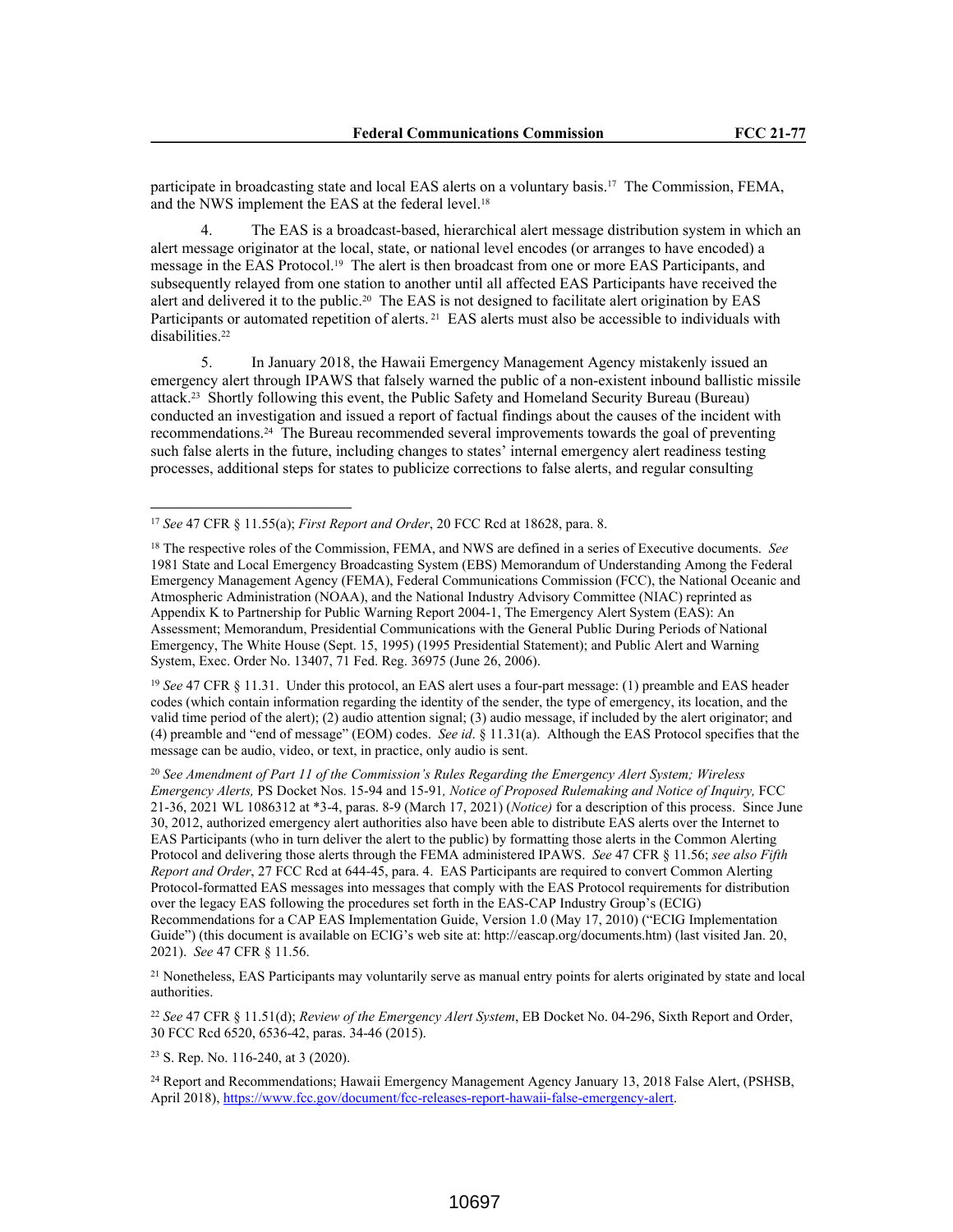participate in broadcasting state and local EAS alerts on a voluntary basis.17 The Commission, FEMA, and the NWS implement the EAS at the federal level.<sup>18</sup>

4. The EAS is a broadcast-based, hierarchical alert message distribution system in which an alert message originator at the local, state, or national level encodes (or arranges to have encoded) a message in the EAS Protocol.19 The alert is then broadcast from one or more EAS Participants, and subsequently relayed from one station to another until all affected EAS Participants have received the alert and delivered it to the public.<sup>20</sup> The EAS is not designed to facilitate alert origination by EAS Participants or automated repetition of alerts.<sup>21</sup> EAS alerts must also be accessible to individuals with disabilities.<sup>22</sup>

5. In January 2018, the Hawaii Emergency Management Agency mistakenly issued an emergency alert through IPAWS that falsely warned the public of a non-existent inbound ballistic missile attack.23 Shortly following this event, the Public Safety and Homeland Security Bureau (Bureau) conducted an investigation and issued a report of factual findings about the causes of the incident with recommendations.24 The Bureau recommended several improvements towards the goal of preventing such false alerts in the future, including changes to states' internal emergency alert readiness testing processes, additional steps for states to publicize corrections to false alerts, and regular consulting

<sup>19</sup> See 47 CFR § 11.31. Under this protocol, an EAS alert uses a four-part message: (1) preamble and EAS header codes (which contain information regarding the identity of the sender, the type of emergency, its location, and the valid time period of the alert); (2) audio attention signal; (3) audio message, if included by the alert originator; and (4) preamble and "end of message" (EOM) codes. *See id*. § 11.31(a). Although the EAS Protocol specifies that the message can be audio, video, or text, in practice, only audio is sent.

<sup>20</sup> *See Amendment of Part 11 of the Commission's Rules Regarding the Emergency Alert System; Wireless Emergency Alerts,* PS Docket Nos. 15-94 and 15-91*, Notice of Proposed Rulemaking and Notice of Inquiry,* FCC 21-36, 2021 WL 1086312 at \*3-4, paras. 8-9 (March 17, 2021) (*Notice)* for a description of this process. Since June 30, 2012, authorized emergency alert authorities also have been able to distribute EAS alerts over the Internet to EAS Participants (who in turn deliver the alert to the public) by formatting those alerts in the Common Alerting Protocol and delivering those alerts through the FEMA administered IPAWS. *See* 47 CFR § 11.56; *see also Fifth Report and Order*, 27 FCC Rcd at 644-45, para. 4. EAS Participants are required to convert Common Alerting Protocol-formatted EAS messages into messages that comply with the EAS Protocol requirements for distribution over the legacy EAS following the procedures set forth in the EAS-CAP Industry Group's (ECIG) Recommendations for a CAP EAS Implementation Guide, Version 1.0 (May 17, 2010) ("ECIG Implementation Guide") (this document is available on ECIG's web site at: http://eascap.org/documents.htm) (last visited Jan. 20, 2021). *See* 47 CFR § 11.56.

<sup>21</sup> Nonetheless, EAS Participants may voluntarily serve as manual entry points for alerts originated by state and local authorities.

<sup>22</sup> *See* 47 CFR § 11.51(d); *Review of the Emergency Alert System*, EB Docket No. 04-296, Sixth Report and Order, 30 FCC Rcd 6520, 6536-42, paras. 34-46 (2015).

<sup>23</sup> S. Rep. No. 116-240, at 3 (2020).

<sup>24</sup> Report and Recommendations; Hawaii Emergency Management Agency January 13, 2018 False Alert, (PSHSB, April 2018), https://www.fcc.gov/document/fcc-releases-report-hawaii-false-emergency-alert.

<sup>17</sup> *See* 47 CFR § 11.55(a); *First Report and Order*, 20 FCC Rcd at 18628, para. 8.

<sup>18</sup> The respective roles of the Commission, FEMA, and NWS are defined in a series of Executive documents. *See* 1981 State and Local Emergency Broadcasting System (EBS) Memorandum of Understanding Among the Federal Emergency Management Agency (FEMA), Federal Communications Commission (FCC), the National Oceanic and Atmospheric Administration (NOAA), and the National Industry Advisory Committee (NIAC) reprinted as Appendix K to Partnership for Public Warning Report 2004-1, The Emergency Alert System (EAS): An Assessment; Memorandum, Presidential Communications with the General Public During Periods of National Emergency, The White House (Sept. 15, 1995) (1995 Presidential Statement); and Public Alert and Warning System, Exec. Order No. 13407, 71 Fed. Reg. 36975 (June 26, 2006).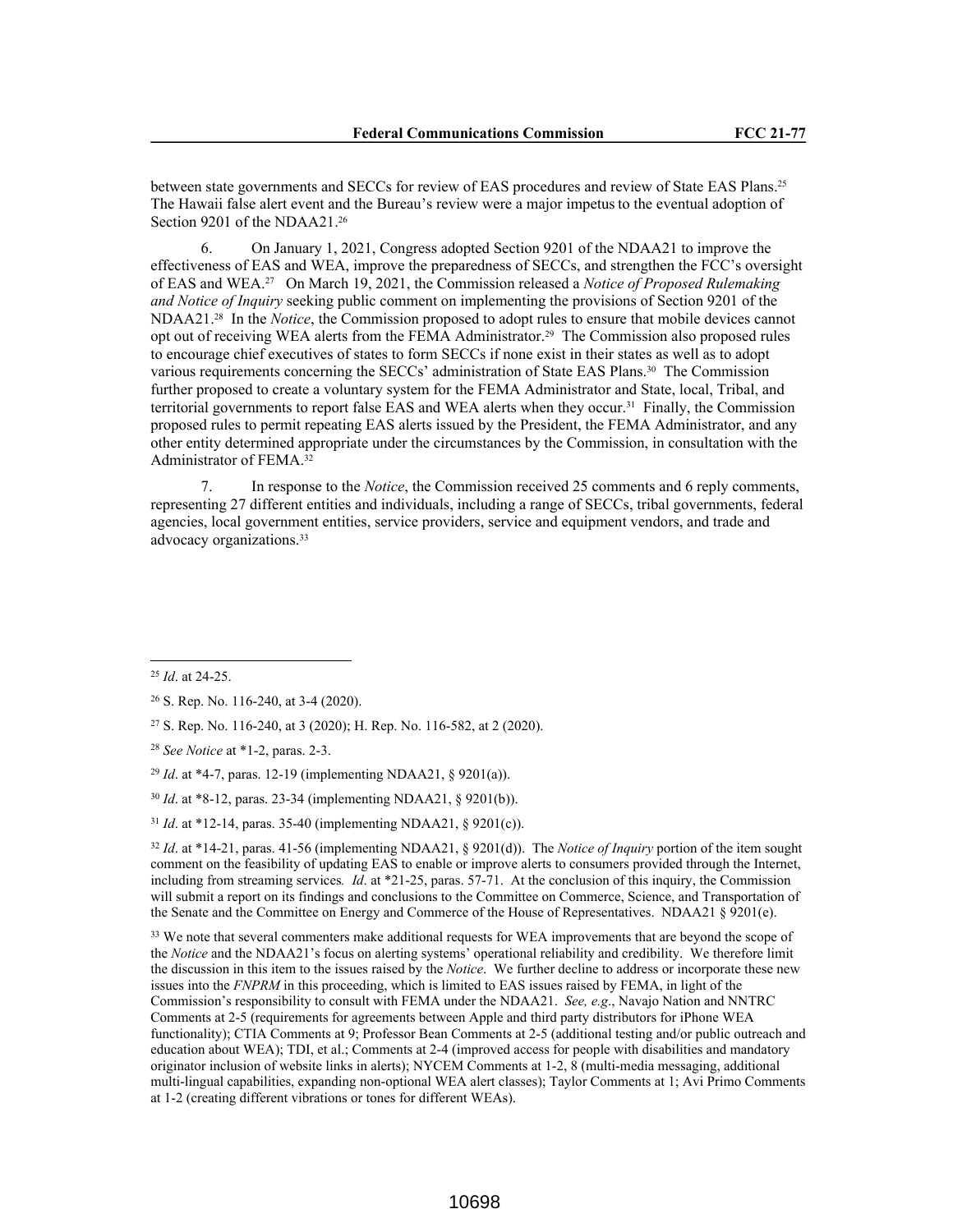between state governments and SECCs for review of EAS procedures and review of State EAS Plans.<sup>25</sup> The Hawaii false alert event and the Bureau's review were a major impetus to the eventual adoption of Section 9201 of the NDAA21.<sup>26</sup>

6. On January 1, 2021, Congress adopted Section 9201 of the NDAA21 to improve the effectiveness of EAS and WEA, improve the preparedness of SECCs, and strengthen the FCC's oversight of EAS and WEA.27 On March 19, 2021, the Commission released a *Notice of Proposed Rulemaking and Notice of Inquiry* seeking public comment on implementing the provisions of Section 9201 of the NDAA21.28 In the *Notice*, the Commission proposed to adopt rules to ensure that mobile devices cannot opt out of receiving WEA alerts from the FEMA Administrator.29 The Commission also proposed rules to encourage chief executives of states to form SECCs if none exist in their states as well as to adopt various requirements concerning the SECCs' administration of State EAS Plans.30 The Commission further proposed to create a voluntary system for the FEMA Administrator and State, local, Tribal, and territorial governments to report false EAS and WEA alerts when they occur.31 Finally, the Commission proposed rules to permit repeating EAS alerts issued by the President, the FEMA Administrator, and any other entity determined appropriate under the circumstances by the Commission, in consultation with the Administrator of FEMA.<sup>32</sup>

In response to the *Notice*, the Commission received 25 comments and 6 reply comments, representing 27 different entities and individuals, including a range of SECCs, tribal governments, federal agencies, local government entities, service providers, service and equipment vendors, and trade and advocacy organizations.<sup>33</sup>

<sup>27</sup> S. Rep. No. 116-240, at 3 (2020); H. Rep. No. 116-582, at 2 (2020).

<sup>32</sup> *Id*. at \*14-21, paras. 41-56 (implementing NDAA21, § 9201(d)). The *Notice of Inquiry* portion of the item sought comment on the feasibility of updating EAS to enable or improve alerts to consumers provided through the Internet, including from streaming services*. Id*. at \*21-25, paras. 57-71. At the conclusion of this inquiry, the Commission will submit a report on its findings and conclusions to the Committee on Commerce, Science, and Transportation of the Senate and the Committee on Energy and Commerce of the House of Representatives. NDAA21 § 9201(e).

<sup>33</sup> We note that several commenters make additional requests for WEA improvements that are beyond the scope of the *Notice* and the NDAA21's focus on alerting systems' operational reliability and credibility. We therefore limit the discussion in this item to the issues raised by the *Notice*. We further decline to address or incorporate these new issues into the *FNPRM* in this proceeding, which is limited to EAS issues raised by FEMA, in light of the Commission's responsibility to consult with FEMA under the NDAA21. *See, e.g*., Navajo Nation and NNTRC Comments at 2-5 (requirements for agreements between Apple and third party distributors for iPhone WEA functionality); CTIA Comments at 9; Professor Bean Comments at 2-5 (additional testing and/or public outreach and education about WEA); TDI, et al.; Comments at 2-4 (improved access for people with disabilities and mandatory originator inclusion of website links in alerts); NYCEM Comments at 1-2, 8 (multi-media messaging, additional multi-lingual capabilities, expanding non-optional WEA alert classes); Taylor Comments at 1; Avi Primo Comments at 1-2 (creating different vibrations or tones for different WEAs).

<sup>25</sup> *Id*. at 24-25.

<sup>26</sup> S. Rep. No. 116-240, at 3-4 (2020).

<sup>28</sup> *See Notice* at \*1-2, paras. 2-3.

<sup>29</sup> *Id*. at \*4-7, paras. 12-19 (implementing NDAA21, § 9201(a)).

<sup>30</sup> *Id*. at \*8-12, paras. 23-34 (implementing NDAA21, § 9201(b)).

<sup>31</sup> *Id*. at \*12-14, paras. 35-40 (implementing NDAA21, § 9201(c)).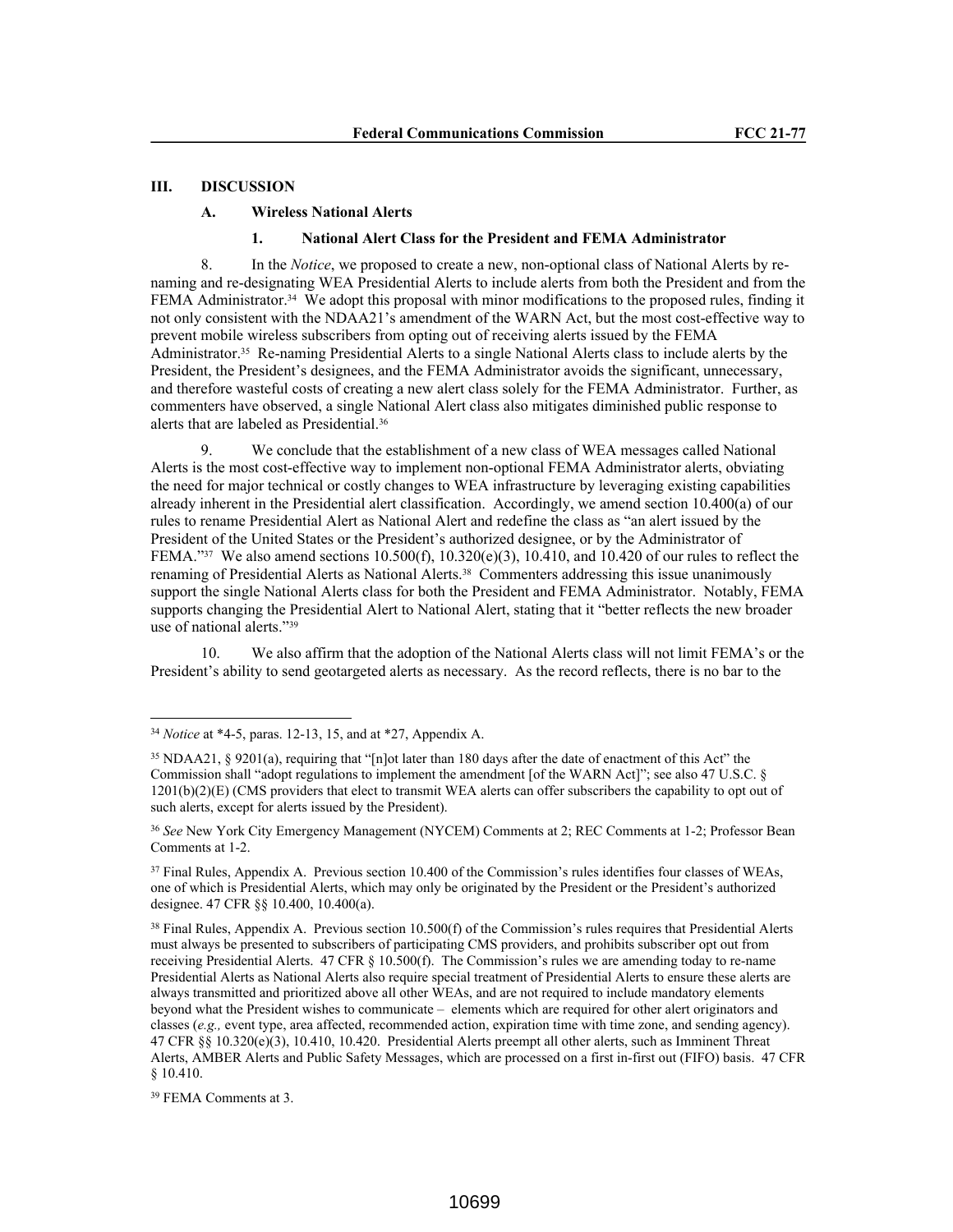# **III. DISCUSSION**

### **A. Wireless National Alerts**

# **1. National Alert Class for the President and FEMA Administrator**

8. In the *Notice*, we proposed to create a new, non-optional class of National Alerts by renaming and re-designating WEA Presidential Alerts to include alerts from both the President and from the FEMA Administrator.34 We adopt this proposal with minor modifications to the proposed rules, finding it not only consistent with the NDAA21's amendment of the WARN Act, but the most cost-effective way to prevent mobile wireless subscribers from opting out of receiving alerts issued by the FEMA Administrator.35 Re-naming Presidential Alerts to a single National Alerts class to include alerts by the President, the President's designees, and the FEMA Administrator avoids the significant, unnecessary, and therefore wasteful costs of creating a new alert class solely for the FEMA Administrator. Further, as commenters have observed, a single National Alert class also mitigates diminished public response to alerts that are labeled as Presidential.<sup>36</sup>

We conclude that the establishment of a new class of WEA messages called National Alerts is the most cost-effective way to implement non-optional FEMA Administrator alerts, obviating the need for major technical or costly changes to WEA infrastructure by leveraging existing capabilities already inherent in the Presidential alert classification. Accordingly, we amend section 10.400(a) of our rules to rename Presidential Alert as National Alert and redefine the class as "an alert issued by the President of the United States or the President's authorized designee, or by the Administrator of FEMA."<sup>37</sup> We also amend sections 10.500(f), 10.320(e)(3), 10.410, and 10.420 of our rules to reflect the renaming of Presidential Alerts as National Alerts.<sup>38</sup> Commenters addressing this issue unanimously support the single National Alerts class for both the President and FEMA Administrator. Notably, FEMA supports changing the Presidential Alert to National Alert, stating that it "better reflects the new broader use of national alerts."<sup>39</sup>

10. We also affirm that the adoption of the National Alerts class will not limit FEMA's or the President's ability to send geotargeted alerts as necessary. As the record reflects, there is no bar to the

<sup>34</sup> *Notice* at \*4-5, paras. 12-13, 15, and at \*27, Appendix A.

<sup>35</sup> NDAA21, § 9201(a), requiring that "[n]ot later than 180 days after the date of enactment of this Act" the Commission shall "adopt regulations to implement the amendment [of the WARN Act]"; see also 47 U.S.C. §  $1201(b)(2)(E)$  (CMS providers that elect to transmit WEA alerts can offer subscribers the capability to opt out of such alerts, except for alerts issued by the President).

<sup>36</sup> *See* New York City Emergency Management (NYCEM) Comments at 2; REC Comments at 1-2; Professor Bean Comments at 1-2.

<sup>&</sup>lt;sup>37</sup> Final Rules, Appendix A. Previous section 10.400 of the Commission's rules identifies four classes of WEAs, one of which is Presidential Alerts, which may only be originated by the President or the President's authorized designee. 47 CFR §§ 10.400, 10.400(a).

<sup>38</sup> Final Rules, Appendix A. Previous section 10.500(f) of the Commission's rules requires that Presidential Alerts must always be presented to subscribers of participating CMS providers, and prohibits subscriber opt out from receiving Presidential Alerts. 47 CFR § 10.500(f). The Commission's rules we are amending today to re-name Presidential Alerts as National Alerts also require special treatment of Presidential Alerts to ensure these alerts are always transmitted and prioritized above all other WEAs, and are not required to include mandatory elements beyond what the President wishes to communicate – elements which are required for other alert originators and classes (*e.g.,* event type, area affected, recommended action, expiration time with time zone, and sending agency). 47 CFR §§ 10.320(e)(3), 10.410, 10.420. Presidential Alerts preempt all other alerts, such as Imminent Threat Alerts, AMBER Alerts and Public Safety Messages, which are processed on a first in-first out (FIFO) basis. 47 CFR § 10.410.

<sup>39</sup> FEMA Comments at 3.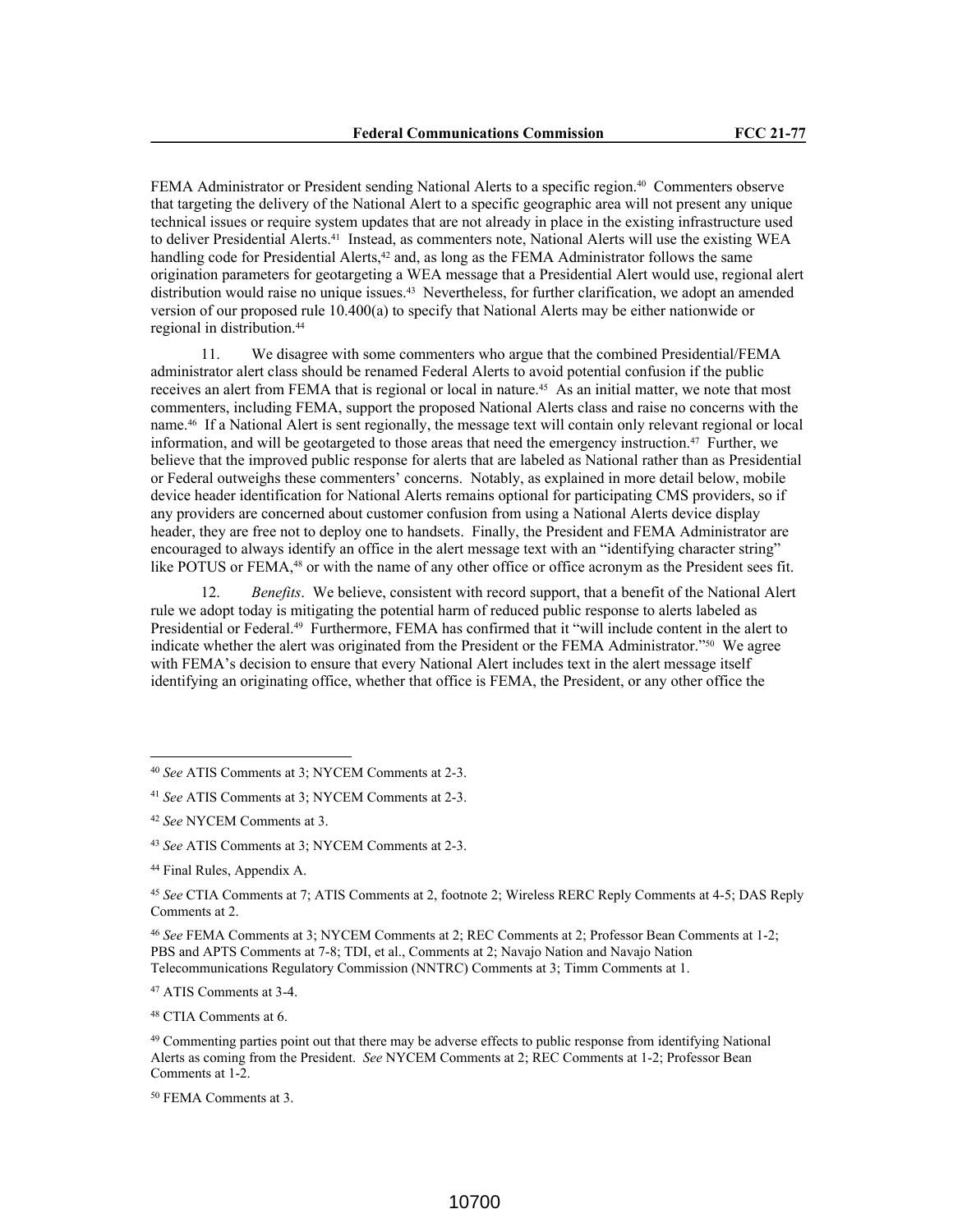FEMA Administrator or President sending National Alerts to a specific region.<sup>40</sup> Commenters observe that targeting the delivery of the National Alert to a specific geographic area will not present any unique technical issues or require system updates that are not already in place in the existing infrastructure used to deliver Presidential Alerts.41 Instead, as commenters note, National Alerts will use the existing WEA handling code for Presidential Alerts, $42$  and, as long as the FEMA Administrator follows the same origination parameters for geotargeting a WEA message that a Presidential Alert would use, regional alert distribution would raise no unique issues.43 Nevertheless, for further clarification, we adopt an amended version of our proposed rule 10.400(a) to specify that National Alerts may be either nationwide or regional in distribution.<sup>44</sup>

11. We disagree with some commenters who argue that the combined Presidential/FEMA administrator alert class should be renamed Federal Alerts to avoid potential confusion if the public receives an alert from FEMA that is regional or local in nature.<sup>45</sup> As an initial matter, we note that most commenters, including FEMA, support the proposed National Alerts class and raise no concerns with the name.46 If a National Alert is sent regionally, the message text will contain only relevant regional or local information, and will be geotargeted to those areas that need the emergency instruction.47 Further, we believe that the improved public response for alerts that are labeled as National rather than as Presidential or Federal outweighs these commenters' concerns. Notably, as explained in more detail below, mobile device header identification for National Alerts remains optional for participating CMS providers, so if any providers are concerned about customer confusion from using a National Alerts device display header, they are free not to deploy one to handsets. Finally, the President and FEMA Administrator are encouraged to always identify an office in the alert message text with an "identifying character string" like POTUS or FEMA,<sup>48</sup> or with the name of any other office or office acronym as the President sees fit.

12. *Benefits*. We believe, consistent with record support, that a benefit of the National Alert rule we adopt today is mitigating the potential harm of reduced public response to alerts labeled as Presidential or Federal.49 Furthermore, FEMA has confirmed that it "will include content in the alert to indicate whether the alert was originated from the President or the FEMA Administrator."50 We agree with FEMA's decision to ensure that every National Alert includes text in the alert message itself identifying an originating office, whether that office is FEMA, the President, or any other office the

<sup>46</sup> *See* FEMA Comments at 3; NYCEM Comments at 2; REC Comments at 2; Professor Bean Comments at 1-2; PBS and APTS Comments at 7-8; TDI, et al., Comments at 2; Navajo Nation and Navajo Nation Telecommunications Regulatory Commission (NNTRC) Comments at 3; Timm Comments at 1.

<sup>47</sup> ATIS Comments at 3-4.

<sup>48</sup> CTIA Comments at 6.

<sup>50</sup> FEMA Comments at 3.

<sup>40</sup> *See* ATIS Comments at 3; NYCEM Comments at 2-3.

<sup>41</sup> *See* ATIS Comments at 3; NYCEM Comments at 2-3.

<sup>42</sup> *See* NYCEM Comments at 3.

<sup>43</sup> *See* ATIS Comments at 3; NYCEM Comments at 2-3.

<sup>44</sup> Final Rules, Appendix A.

<sup>45</sup> *See* CTIA Comments at 7; ATIS Comments at 2, footnote 2; Wireless RERC Reply Comments at 4-5; DAS Reply Comments at 2.

<sup>49</sup> Commenting parties point out that there may be adverse effects to public response from identifying National Alerts as coming from the President. *See* NYCEM Comments at 2; REC Comments at 1-2; Professor Bean Comments at 1-2.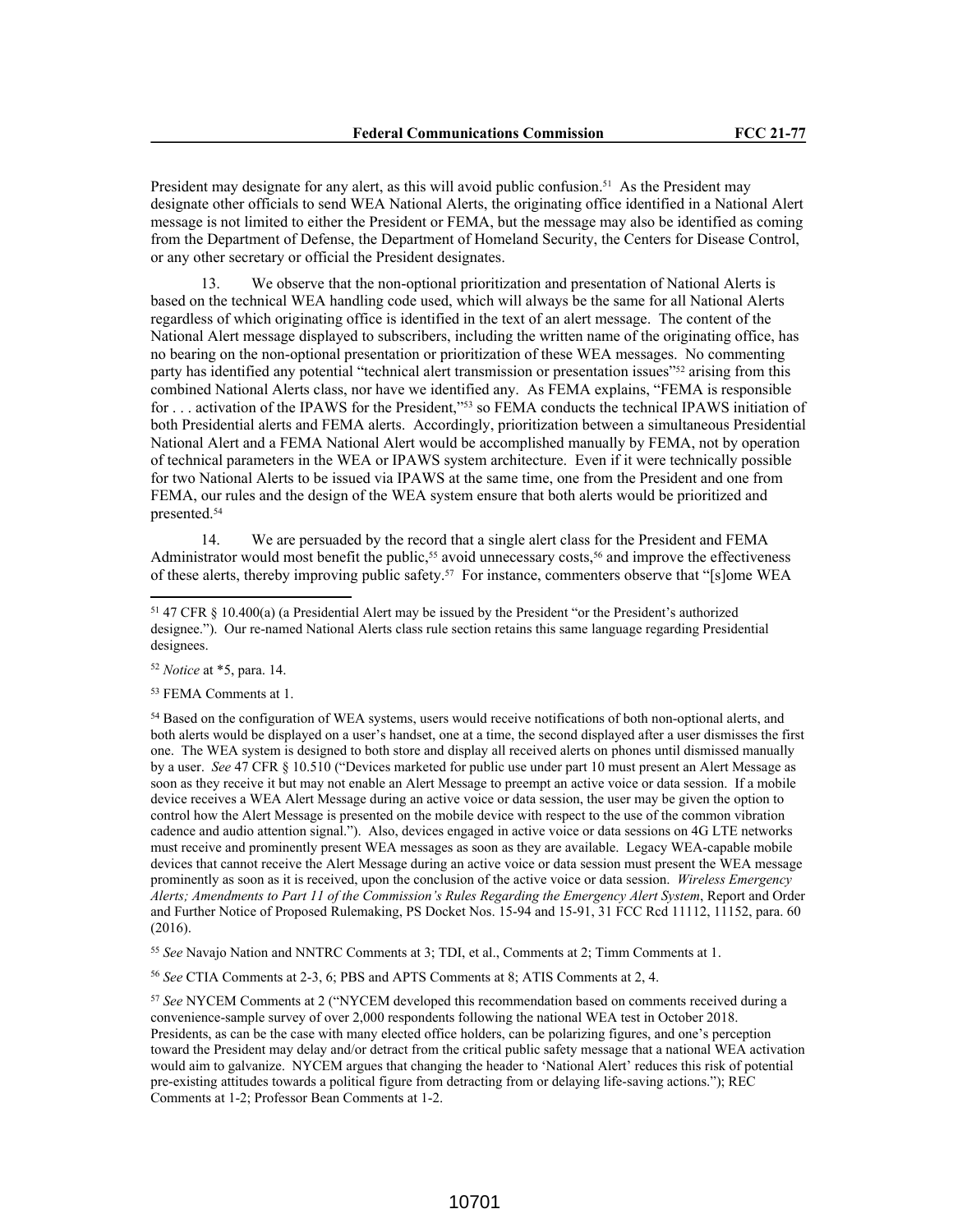President may designate for any alert, as this will avoid public confusion.<sup>51</sup> As the President may designate other officials to send WEA National Alerts, the originating office identified in a National Alert message is not limited to either the President or FEMA, but the message may also be identified as coming from the Department of Defense, the Department of Homeland Security, the Centers for Disease Control, or any other secretary or official the President designates.

13. We observe that the non-optional prioritization and presentation of National Alerts is based on the technical WEA handling code used, which will always be the same for all National Alerts regardless of which originating office is identified in the text of an alert message. The content of the National Alert message displayed to subscribers, including the written name of the originating office, has no bearing on the non-optional presentation or prioritization of these WEA messages. No commenting party has identified any potential "technical alert transmission or presentation issues"52 arising from this combined National Alerts class, nor have we identified any. As FEMA explains, "FEMA is responsible for . . . activation of the IPAWS for the President,"53 so FEMA conducts the technical IPAWS initiation of both Presidential alerts and FEMA alerts. Accordingly, prioritization between a simultaneous Presidential National Alert and a FEMA National Alert would be accomplished manually by FEMA, not by operation of technical parameters in the WEA or IPAWS system architecture. Even if it were technically possible for two National Alerts to be issued via IPAWS at the same time, one from the President and one from FEMA, our rules and the design of the WEA system ensure that both alerts would be prioritized and presented.<sup>54</sup>

14. We are persuaded by the record that a single alert class for the President and FEMA Administrator would most benefit the public,<sup>55</sup> avoid unnecessary costs,<sup>56</sup> and improve the effectiveness of these alerts, thereby improving public safety.57 For instance, commenters observe that "[s]ome WEA

<sup>55</sup> *See* Navajo Nation and NNTRC Comments at 3; TDI, et al., Comments at 2; Timm Comments at 1.

<sup>56</sup> *See* CTIA Comments at 2-3, 6; PBS and APTS Comments at 8; ATIS Comments at 2, 4.

<sup>51</sup> 47 CFR § 10.400(a) (a Presidential Alert may be issued by the President "or the President's authorized designee."). Our re-named National Alerts class rule section retains this same language regarding Presidential designees.

<sup>52</sup> *Notice* at \*5, para. 14.

<sup>53</sup> FEMA Comments at 1.

<sup>54</sup> Based on the configuration of WEA systems, users would receive notifications of both non-optional alerts, and both alerts would be displayed on a user's handset, one at a time, the second displayed after a user dismisses the first one. The WEA system is designed to both store and display all received alerts on phones until dismissed manually by a user. *See* 47 CFR § 10.510 ("Devices marketed for public use under part 10 must present an Alert Message as soon as they receive it but may not enable an Alert Message to preempt an active voice or data session. If a mobile device receives a WEA Alert Message during an active voice or data session, the user may be given the option to control how the Alert Message is presented on the mobile device with respect to the use of the common vibration cadence and audio attention signal."). Also, devices engaged in active voice or data sessions on 4G LTE networks must receive and prominently present WEA messages as soon as they are available. Legacy WEA-capable mobile devices that cannot receive the Alert Message during an active voice or data session must present the WEA message prominently as soon as it is received, upon the conclusion of the active voice or data session. *Wireless Emergency Alerts; Amendments to Part 11 of the Commission's Rules Regarding the Emergency Alert System*, Report and Order and Further Notice of Proposed Rulemaking, PS Docket Nos. 15-94 and 15-91, 31 FCC Rcd 11112, 11152, para. 60 (2016).

<sup>57</sup> *See* NYCEM Comments at 2 ("NYCEM developed this recommendation based on comments received during a convenience-sample survey of over 2,000 respondents following the national WEA test in October 2018. Presidents, as can be the case with many elected office holders, can be polarizing figures, and one's perception toward the President may delay and/or detract from the critical public safety message that a national WEA activation would aim to galvanize. NYCEM argues that changing the header to 'National Alert' reduces this risk of potential pre-existing attitudes towards a political figure from detracting from or delaying life-saving actions."); REC Comments at 1-2; Professor Bean Comments at 1-2.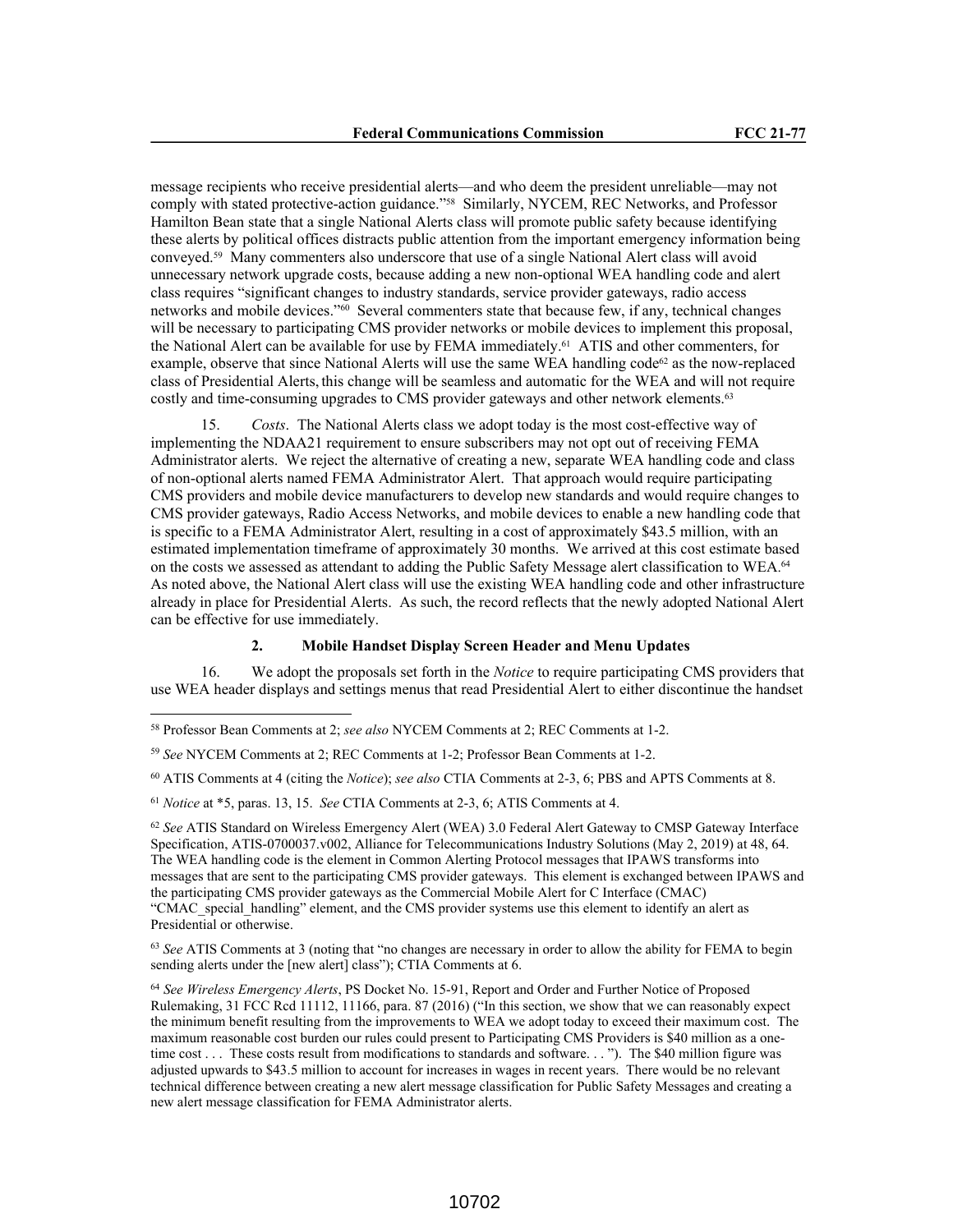message recipients who receive presidential alerts—and who deem the president unreliable—may not comply with stated protective-action guidance."58 Similarly, NYCEM, REC Networks, and Professor Hamilton Bean state that a single National Alerts class will promote public safety because identifying these alerts by political offices distracts public attention from the important emergency information being conveyed.59 Many commenters also underscore that use of a single National Alert class will avoid unnecessary network upgrade costs, because adding a new non-optional WEA handling code and alert class requires "significant changes to industry standards, service provider gateways, radio access networks and mobile devices."60 Several commenters state that because few, if any, technical changes will be necessary to participating CMS provider networks or mobile devices to implement this proposal, the National Alert can be available for use by FEMA immediately.61 ATIS and other commenters, for example, observe that since National Alerts will use the same WEA handling code $62$  as the now-replaced class of Presidential Alerts, this change will be seamless and automatic for the WEA and will not require costly and time-consuming upgrades to CMS provider gateways and other network elements.<sup>63</sup>

15. *Costs*. The National Alerts class we adopt today is the most cost-effective way of implementing the NDAA21 requirement to ensure subscribers may not opt out of receiving FEMA Administrator alerts. We reject the alternative of creating a new, separate WEA handling code and class of non-optional alerts named FEMA Administrator Alert. That approach would require participating CMS providers and mobile device manufacturers to develop new standards and would require changes to CMS provider gateways, Radio Access Networks, and mobile devices to enable a new handling code that is specific to a FEMA Administrator Alert, resulting in a cost of approximately \$43.5 million, with an estimated implementation timeframe of approximately 30 months. We arrived at this cost estimate based on the costs we assessed as attendant to adding the Public Safety Message alert classification to WEA.<sup>64</sup> As noted above, the National Alert class will use the existing WEA handling code and other infrastructure already in place for Presidential Alerts. As such, the record reflects that the newly adopted National Alert can be effective for use immediately.

#### **2. Mobile Handset Display Screen Header and Menu Updates**

16. We adopt the proposals set forth in the *Notice* to require participating CMS providers that use WEA header displays and settings menus that read Presidential Alert to either discontinue the handset

<sup>63</sup> *See* ATIS Comments at 3 (noting that "no changes are necessary in order to allow the ability for FEMA to begin sending alerts under the [new alert] class"); CTIA Comments at 6.

<sup>58</sup> Professor Bean Comments at 2; *see also* NYCEM Comments at 2; REC Comments at 1-2.

<sup>59</sup> *See* NYCEM Comments at 2; REC Comments at 1-2; Professor Bean Comments at 1-2.

<sup>60</sup> ATIS Comments at 4 (citing the *Notice*); *see also* CTIA Comments at 2-3, 6; PBS and APTS Comments at 8.

<sup>61</sup> *Notice* at \*5, paras. 13, 15. *See* CTIA Comments at 2-3, 6; ATIS Comments at 4.

<sup>62</sup> *See* ATIS Standard on Wireless Emergency Alert (WEA) 3.0 Federal Alert Gateway to CMSP Gateway Interface Specification, ATIS-0700037.v002, Alliance for Telecommunications Industry Solutions (May 2, 2019) at 48, 64. The WEA handling code is the element in Common Alerting Protocol messages that IPAWS transforms into messages that are sent to the participating CMS provider gateways. This element is exchanged between IPAWS and the participating CMS provider gateways as the Commercial Mobile Alert for C Interface (CMAC) "CMAC\_special\_handling" element, and the CMS provider systems use this element to identify an alert as Presidential or otherwise.

<sup>64</sup> *See Wireless Emergency Alerts*, PS Docket No. 15-91, Report and Order and Further Notice of Proposed Rulemaking, 31 FCC Rcd 11112, 11166, para. 87 (2016) ("In this section, we show that we can reasonably expect the minimum benefit resulting from the improvements to WEA we adopt today to exceed their maximum cost. The maximum reasonable cost burden our rules could present to Participating CMS Providers is \$40 million as a onetime cost . . . These costs result from modifications to standards and software. . . "). The \$40 million figure was adjusted upwards to \$43.5 million to account for increases in wages in recent years. There would be no relevant technical difference between creating a new alert message classification for Public Safety Messages and creating a new alert message classification for FEMA Administrator alerts.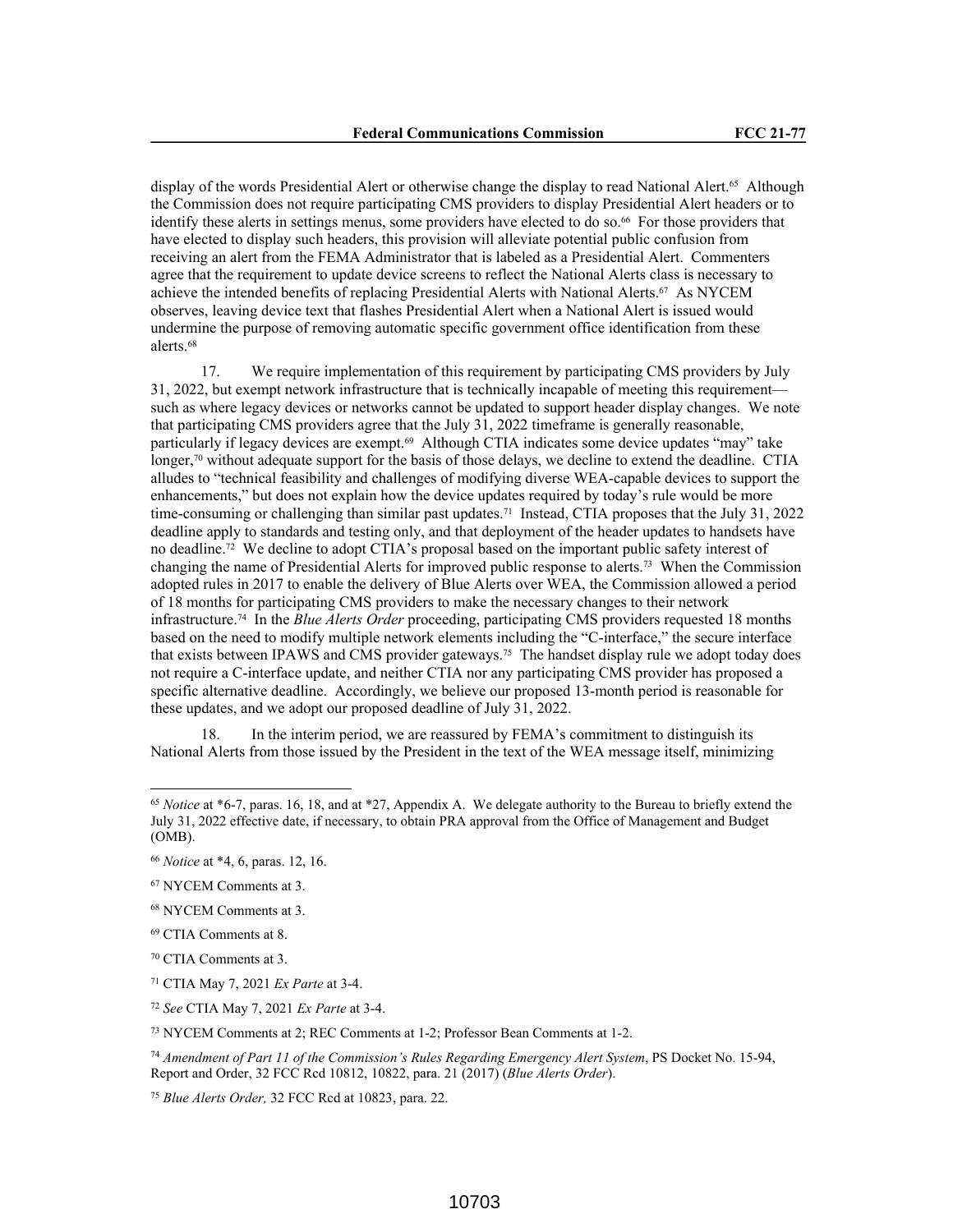display of the words Presidential Alert or otherwise change the display to read National Alert.<sup>65</sup> Although the Commission does not require participating CMS providers to display Presidential Alert headers or to identify these alerts in settings menus, some providers have elected to do so.66 For those providers that have elected to display such headers, this provision will alleviate potential public confusion from receiving an alert from the FEMA Administrator that is labeled as a Presidential Alert. Commenters agree that the requirement to update device screens to reflect the National Alerts class is necessary to achieve the intended benefits of replacing Presidential Alerts with National Alerts.67 As NYCEM observes, leaving device text that flashes Presidential Alert when a National Alert is issued would undermine the purpose of removing automatic specific government office identification from these alerts.<sup>68</sup>

17. We require implementation of this requirement by participating CMS providers by July 31, 2022, but exempt network infrastructure that is technically incapable of meeting this requirement such as where legacy devices or networks cannot be updated to support header display changes. We note that participating CMS providers agree that the July 31, 2022 timeframe is generally reasonable, particularly if legacy devices are exempt.<sup>69</sup> Although CTIA indicates some device updates "may" take longer, $\frac{70}{1}$  without adequate support for the basis of those delays, we decline to extend the deadline. CTIA alludes to "technical feasibility and challenges of modifying diverse WEA-capable devices to support the enhancements," but does not explain how the device updates required by today's rule would be more time-consuming or challenging than similar past updates.71 Instead, CTIA proposes that the July 31, 2022 deadline apply to standards and testing only, and that deployment of the header updates to handsets have no deadline.72 We decline to adopt CTIA's proposal based on the important public safety interest of changing the name of Presidential Alerts for improved public response to alerts.73 When the Commission adopted rules in 2017 to enable the delivery of Blue Alerts over WEA, the Commission allowed a period of 18 months for participating CMS providers to make the necessary changes to their network infrastructure.74 In the *Blue Alerts Order* proceeding, participating CMS providers requested 18 months based on the need to modify multiple network elements including the "C-interface," the secure interface that exists between IPAWS and CMS provider gateways.75 The handset display rule we adopt today does not require a C-interface update, and neither CTIA nor any participating CMS provider has proposed a specific alternative deadline. Accordingly, we believe our proposed 13-month period is reasonable for these updates, and we adopt our proposed deadline of July 31, 2022.

18. In the interim period, we are reassured by FEMA's commitment to distinguish its National Alerts from those issued by the President in the text of the WEA message itself, minimizing

<sup>73</sup> NYCEM Comments at 2; REC Comments at 1-2; Professor Bean Comments at 1-2.

<sup>65</sup> *Notice* at \*6-7, paras. 16, 18, and at \*27, Appendix A. We delegate authority to the Bureau to briefly extend the July 31, 2022 effective date, if necessary, to obtain PRA approval from the Office of Management and Budget (OMB).

<sup>66</sup> *Notice* at \*4, 6, paras. 12, 16.

<sup>67</sup> NYCEM Comments at 3.

<sup>68</sup> NYCEM Comments at 3.

<sup>69</sup> CTIA Comments at 8.

<sup>70</sup> CTIA Comments at 3.

<sup>71</sup> CTIA May 7, 2021 *Ex Parte* at 3-4.

<sup>72</sup> *See* CTIA May 7, 2021 *Ex Parte* at 3-4.

<sup>74</sup> *Amendment of Part 11 of the Commission's Rules Regarding Emergency Alert System*, PS Docket No. 15-94, Report and Order, 32 FCC Rcd 10812, 10822, para. 21 (2017) (*Blue Alerts Order*).

<sup>75</sup> *Blue Alerts Order,* 32 FCC Rcd at 10823, para. 22.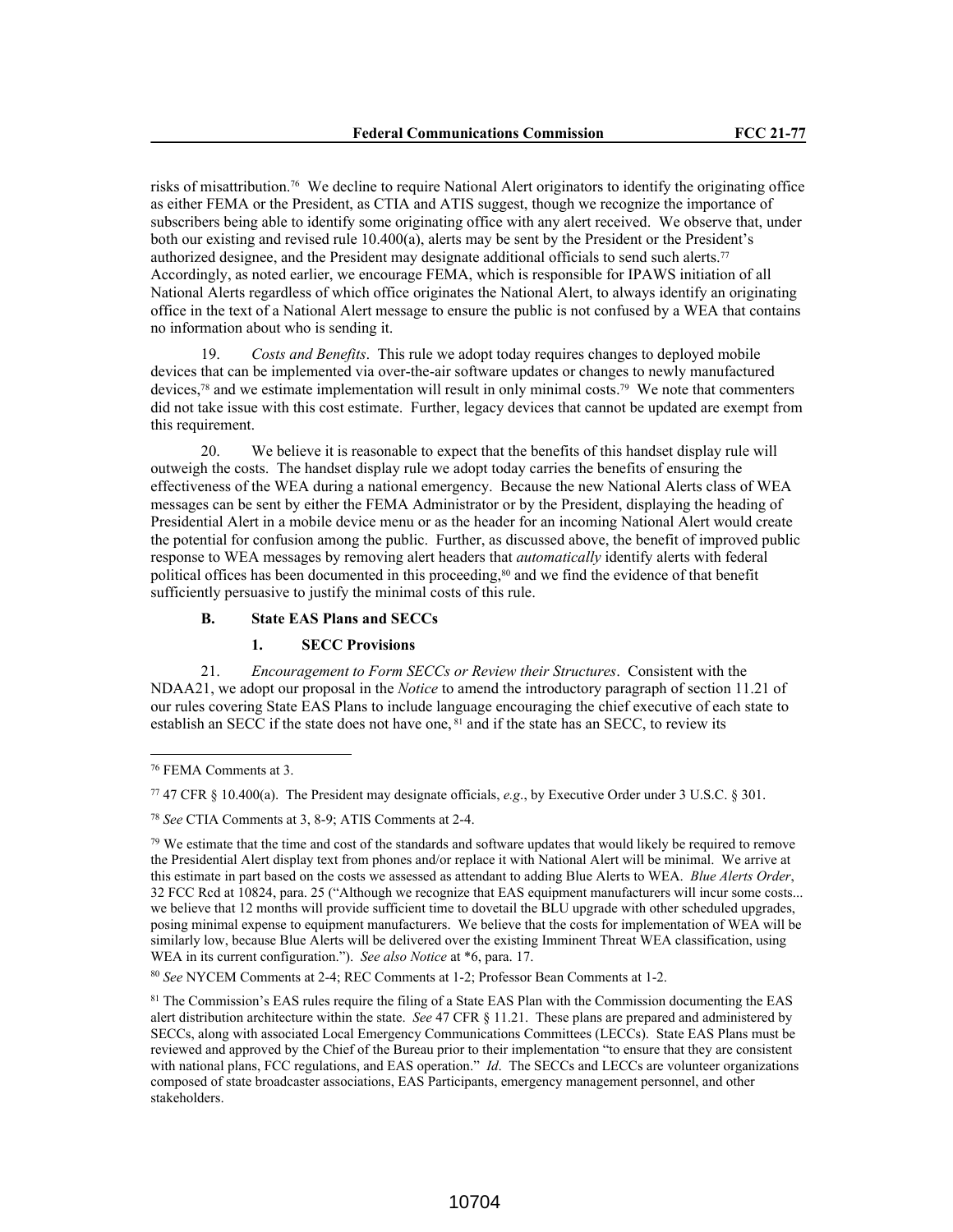risks of misattribution.76 We decline to require National Alert originators to identify the originating office as either FEMA or the President, as CTIA and ATIS suggest, though we recognize the importance of subscribers being able to identify some originating office with any alert received. We observe that, under both our existing and revised rule 10.400(a), alerts may be sent by the President or the President's authorized designee, and the President may designate additional officials to send such alerts.<sup>77</sup> Accordingly, as noted earlier, we encourage FEMA, which is responsible for IPAWS initiation of all National Alerts regardless of which office originates the National Alert, to always identify an originating office in the text of a National Alert message to ensure the public is not confused by a WEA that contains no information about who is sending it.

19. *Costs and Benefits*. This rule we adopt today requires changes to deployed mobile devices that can be implemented via over-the-air software updates or changes to newly manufactured devices,78 and we estimate implementation will result in only minimal costs.79 We note that commenters did not take issue with this cost estimate. Further, legacy devices that cannot be updated are exempt from this requirement.

20. We believe it is reasonable to expect that the benefits of this handset display rule will outweigh the costs. The handset display rule we adopt today carries the benefits of ensuring the effectiveness of the WEA during a national emergency. Because the new National Alerts class of WEA messages can be sent by either the FEMA Administrator or by the President, displaying the heading of Presidential Alert in a mobile device menu or as the header for an incoming National Alert would create the potential for confusion among the public. Further, as discussed above, the benefit of improved public response to WEA messages by removing alert headers that *automatically* identify alerts with federal political offices has been documented in this proceeding,<sup>80</sup> and we find the evidence of that benefit sufficiently persuasive to justify the minimal costs of this rule.

# **B. State EAS Plans and SECCs**

#### **1. SECC Provisions**

21. *Encouragement to Form SECCs or Review their Structures*. Consistent with the NDAA21, we adopt our proposal in the *Notice* to amend the introductory paragraph of section 11.21 of our rules covering State EAS Plans to include language encouraging the chief executive of each state to establish an SECC if the state does not have one, <sup>81</sup> and if the state has an SECC, to review its

<sup>76</sup> FEMA Comments at 3.

<sup>77</sup> 47 CFR § 10.400(a). The President may designate officials, *e.g*., by Executive Order under 3 U.S.C. § 301.

<sup>78</sup> *See* CTIA Comments at 3, 8-9; ATIS Comments at 2-4.

 $79$  We estimate that the time and cost of the standards and software updates that would likely be required to remove the Presidential Alert display text from phones and/or replace it with National Alert will be minimal. We arrive at this estimate in part based on the costs we assessed as attendant to adding Blue Alerts to WEA. *Blue Alerts Order*, 32 FCC Rcd at 10824, para. 25 ("Although we recognize that EAS equipment manufacturers will incur some costs... we believe that 12 months will provide sufficient time to dovetail the BLU upgrade with other scheduled upgrades, posing minimal expense to equipment manufacturers. We believe that the costs for implementation of WEA will be similarly low, because Blue Alerts will be delivered over the existing Imminent Threat WEA classification, using WEA in its current configuration."). *See also Notice* at \*6, para. 17.

<sup>80</sup> *See* NYCEM Comments at 2-4; REC Comments at 1-2; Professor Bean Comments at 1-2.

<sup>&</sup>lt;sup>81</sup> The Commission's EAS rules require the filing of a State EAS Plan with the Commission documenting the EAS alert distribution architecture within the state. *See* 47 CFR § 11.21. These plans are prepared and administered by SECCs, along with associated Local Emergency Communications Committees (LECCs). State EAS Plans must be reviewed and approved by the Chief of the Bureau prior to their implementation "to ensure that they are consistent with national plans, FCC regulations, and EAS operation." *Id.* The SECCs and LECCs are volunteer organizations composed of state broadcaster associations, EAS Participants, emergency management personnel, and other stakeholders.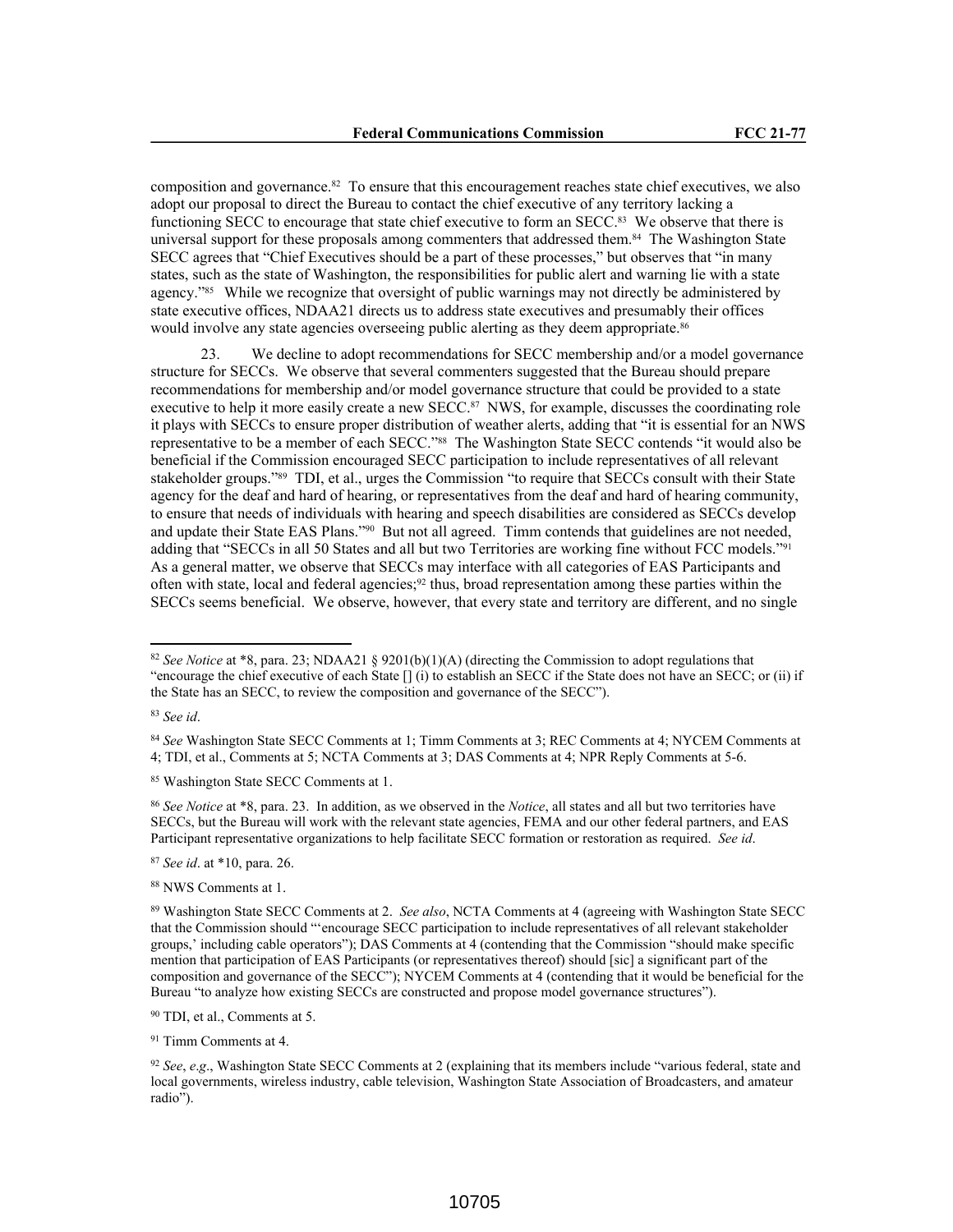composition and governance.82 To ensure that this encouragement reaches state chief executives, we also adopt our proposal to direct the Bureau to contact the chief executive of any territory lacking a functioning SECC to encourage that state chief executive to form an SECC.<sup>83</sup> We observe that there is universal support for these proposals among commenters that addressed them.<sup>84</sup> The Washington State SECC agrees that "Chief Executives should be a part of these processes," but observes that "in many states, such as the state of Washington, the responsibilities for public alert and warning lie with a state agency."85 While we recognize that oversight of public warnings may not directly be administered by state executive offices, NDAA21 directs us to address state executives and presumably their offices would involve any state agencies overseeing public alerting as they deem appropriate.<sup>86</sup>

23. We decline to adopt recommendations for SECC membership and/or a model governance structure for SECCs. We observe that several commenters suggested that the Bureau should prepare recommendations for membership and/or model governance structure that could be provided to a state executive to help it more easily create a new SECC.<sup>87</sup> NWS, for example, discusses the coordinating role it plays with SECCs to ensure proper distribution of weather alerts, adding that "it is essential for an NWS representative to be a member of each SECC."88 The Washington State SECC contends "it would also be beneficial if the Commission encouraged SECC participation to include representatives of all relevant stakeholder groups."89 TDI, et al., urges the Commission "to require that SECCs consult with their State agency for the deaf and hard of hearing, or representatives from the deaf and hard of hearing community, to ensure that needs of individuals with hearing and speech disabilities are considered as SECCs develop and update their State EAS Plans."90 But not all agreed. Timm contends that guidelines are not needed, adding that "SECCs in all 50 States and all but two Territories are working fine without FCC models."<sup>91</sup> As a general matter, we observe that SECCs may interface with all categories of EAS Participants and often with state, local and federal agencies; $92$  thus, broad representation among these parties within the SECCs seems beneficial. We observe, however, that every state and territory are different, and no single

<sup>83</sup> *See id*.

<sup>84</sup> *See* Washington State SECC Comments at 1; Timm Comments at 3; REC Comments at 4; NYCEM Comments at 4; TDI, et al., Comments at 5; NCTA Comments at 3; DAS Comments at 4; NPR Reply Comments at 5-6.

<sup>85</sup> Washington State SECC Comments at 1.

<sup>86</sup> *See Notice* at \*8, para. 23. In addition, as we observed in the *Notice*, all states and all but two territories have SECCs, but the Bureau will work with the relevant state agencies, FEMA and our other federal partners, and EAS Participant representative organizations to help facilitate SECC formation or restoration as required. *See id*.

<sup>87</sup> *See id*. at \*10, para. 26.

<sup>88</sup> NWS Comments at 1.

<sup>90</sup> TDI, et al., Comments at 5.

<sup>91</sup> Timm Comments at 4.

<sup>82</sup> *See Notice* at \*8, para. 23; NDAA21 § 9201(b)(1)(A) (directing the Commission to adopt regulations that "encourage the chief executive of each State [] (i) to establish an SECC if the State does not have an SECC; or (ii) if the State has an SECC, to review the composition and governance of the SECC").

<sup>89</sup> Washington State SECC Comments at 2. *See also*, NCTA Comments at 4 (agreeing with Washington State SECC that the Commission should "'encourage SECC participation to include representatives of all relevant stakeholder groups,' including cable operators"); DAS Comments at 4 (contending that the Commission "should make specific mention that participation of EAS Participants (or representatives thereof) should [sic] a significant part of the composition and governance of the SECC"); NYCEM Comments at 4 (contending that it would be beneficial for the Bureau "to analyze how existing SECCs are constructed and propose model governance structures").

<sup>92</sup> *See*, *e*.*g*., Washington State SECC Comments at 2 (explaining that its members include "various federal, state and local governments, wireless industry, cable television, Washington State Association of Broadcasters, and amateur radio").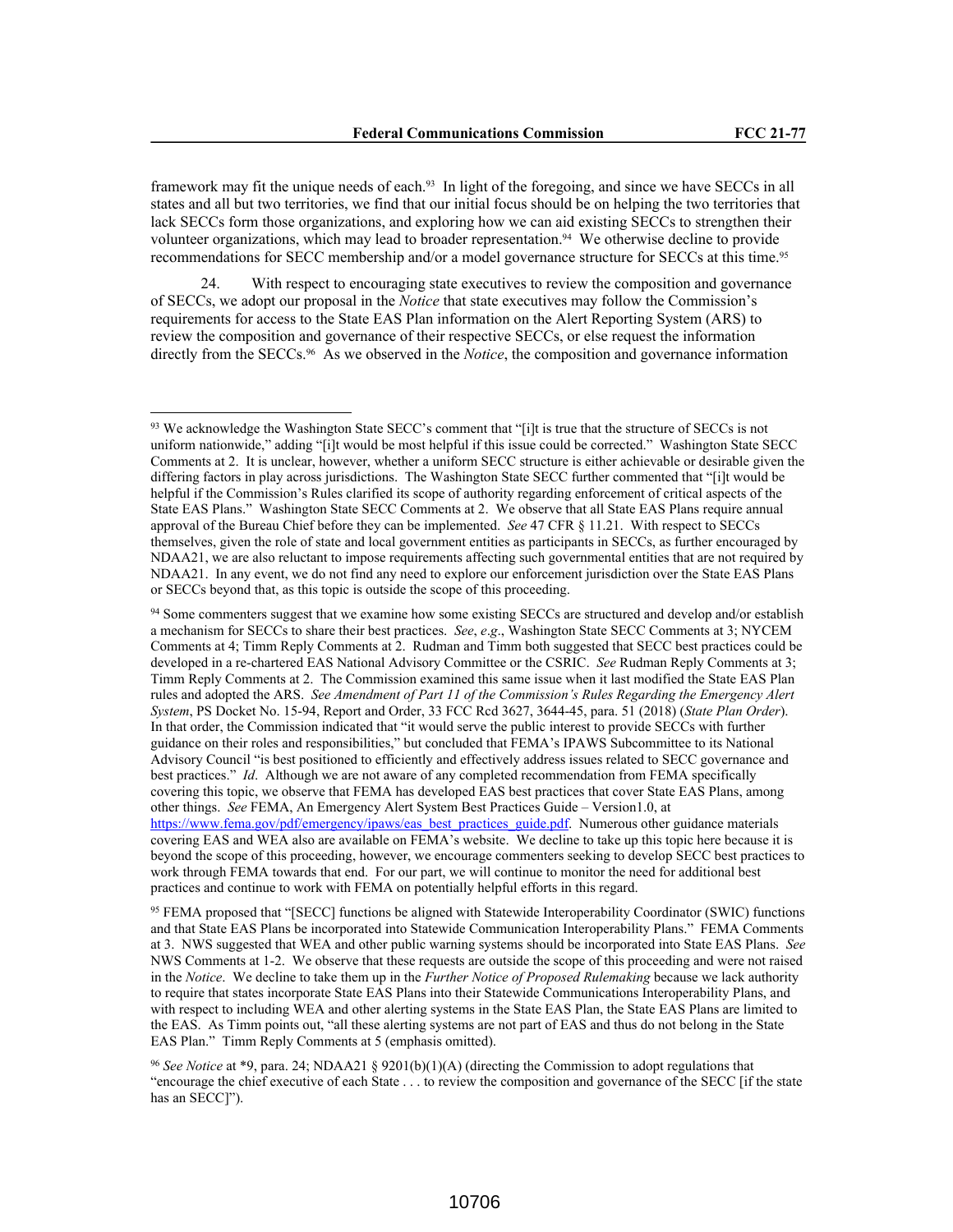framework may fit the unique needs of each.93 In light of the foregoing, and since we have SECCs in all states and all but two territories, we find that our initial focus should be on helping the two territories that lack SECCs form those organizations, and exploring how we can aid existing SECCs to strengthen their volunteer organizations, which may lead to broader representation.<sup>94</sup> We otherwise decline to provide recommendations for SECC membership and/or a model governance structure for SECCs at this time.<sup>95</sup>

24. With respect to encouraging state executives to review the composition and governance of SECCs, we adopt our proposal in the *Notice* that state executives may follow the Commission's requirements for access to the State EAS Plan information on the Alert Reporting System (ARS) to review the composition and governance of their respective SECCs, or else request the information directly from the SECCs.96 As we observed in the *Notice*, the composition and governance information

<sup>94</sup> Some commenters suggest that we examine how some existing SECCs are structured and develop and/or establish a mechanism for SECCs to share their best practices. *See*, *e*.*g*., Washington State SECC Comments at 3; NYCEM Comments at 4; Timm Reply Comments at 2. Rudman and Timm both suggested that SECC best practices could be developed in a re-chartered EAS National Advisory Committee or the CSRIC. *See* Rudman Reply Comments at 3; Timm Reply Comments at 2. The Commission examined this same issue when it last modified the State EAS Plan rules and adopted the ARS. *See Amendment of Part 11 of the Commission's Rules Regarding the Emergency Alert System*, PS Docket No. 15-94, Report and Order, 33 FCC Rcd 3627, 3644-45, para. 51 (2018) (*State Plan Order*). In that order, the Commission indicated that "it would serve the public interest to provide SECCs with further guidance on their roles and responsibilities," but concluded that FEMA's IPAWS Subcommittee to its National Advisory Council "is best positioned to efficiently and effectively address issues related to SECC governance and best practices." *Id*. Although we are not aware of any completed recommendation from FEMA specifically covering this topic, we observe that FEMA has developed EAS best practices that cover State EAS Plans, among other things. *See* FEMA, An Emergency Alert System Best Practices Guide – Version1.0, at https://www.fema.gov/pdf/emergency/ipaws/eas\_best\_practices\_guide.pdf. Numerous other guidance materials covering EAS and WEA also are available on FEMA's website. We decline to take up this topic here because it is beyond the scope of this proceeding, however, we encourage commenters seeking to develop SECC best practices to work through FEMA towards that end. For our part, we will continue to monitor the need for additional best practices and continue to work with FEMA on potentially helpful efforts in this regard.

<sup>95</sup> FEMA proposed that "[SECC] functions be aligned with Statewide Interoperability Coordinator (SWIC) functions and that State EAS Plans be incorporated into Statewide Communication Interoperability Plans." FEMA Comments at 3. NWS suggested that WEA and other public warning systems should be incorporated into State EAS Plans. *See* NWS Comments at 1-2. We observe that these requests are outside the scope of this proceeding and were not raised in the *Notice*. We decline to take them up in the *Further Notice of Proposed Rulemaking* because we lack authority to require that states incorporate State EAS Plans into their Statewide Communications Interoperability Plans, and with respect to including WEA and other alerting systems in the State EAS Plan, the State EAS Plans are limited to the EAS. As Timm points out, "all these alerting systems are not part of EAS and thus do not belong in the State EAS Plan." Timm Reply Comments at 5 (emphasis omitted).

<sup>96</sup> *See Notice* at \*9, para. 24; NDAA21 § 9201(b)(1)(A) (directing the Commission to adopt regulations that "encourage the chief executive of each State . . . to review the composition and governance of the SECC [if the state has an SECC]").

<sup>93</sup> We acknowledge the Washington State SECC's comment that "[i]t is true that the structure of SECCs is not uniform nationwide," adding "[i]t would be most helpful if this issue could be corrected." Washington State SECC Comments at 2. It is unclear, however, whether a uniform SECC structure is either achievable or desirable given the differing factors in play across jurisdictions. The Washington State SECC further commented that "[i]t would be helpful if the Commission's Rules clarified its scope of authority regarding enforcement of critical aspects of the State EAS Plans." Washington State SECC Comments at 2. We observe that all State EAS Plans require annual approval of the Bureau Chief before they can be implemented. *See* 47 CFR § 11.21. With respect to SECCs themselves, given the role of state and local government entities as participants in SECCs, as further encouraged by NDAA21, we are also reluctant to impose requirements affecting such governmental entities that are not required by NDAA21. In any event, we do not find any need to explore our enforcement jurisdiction over the State EAS Plans or SECCs beyond that, as this topic is outside the scope of this proceeding.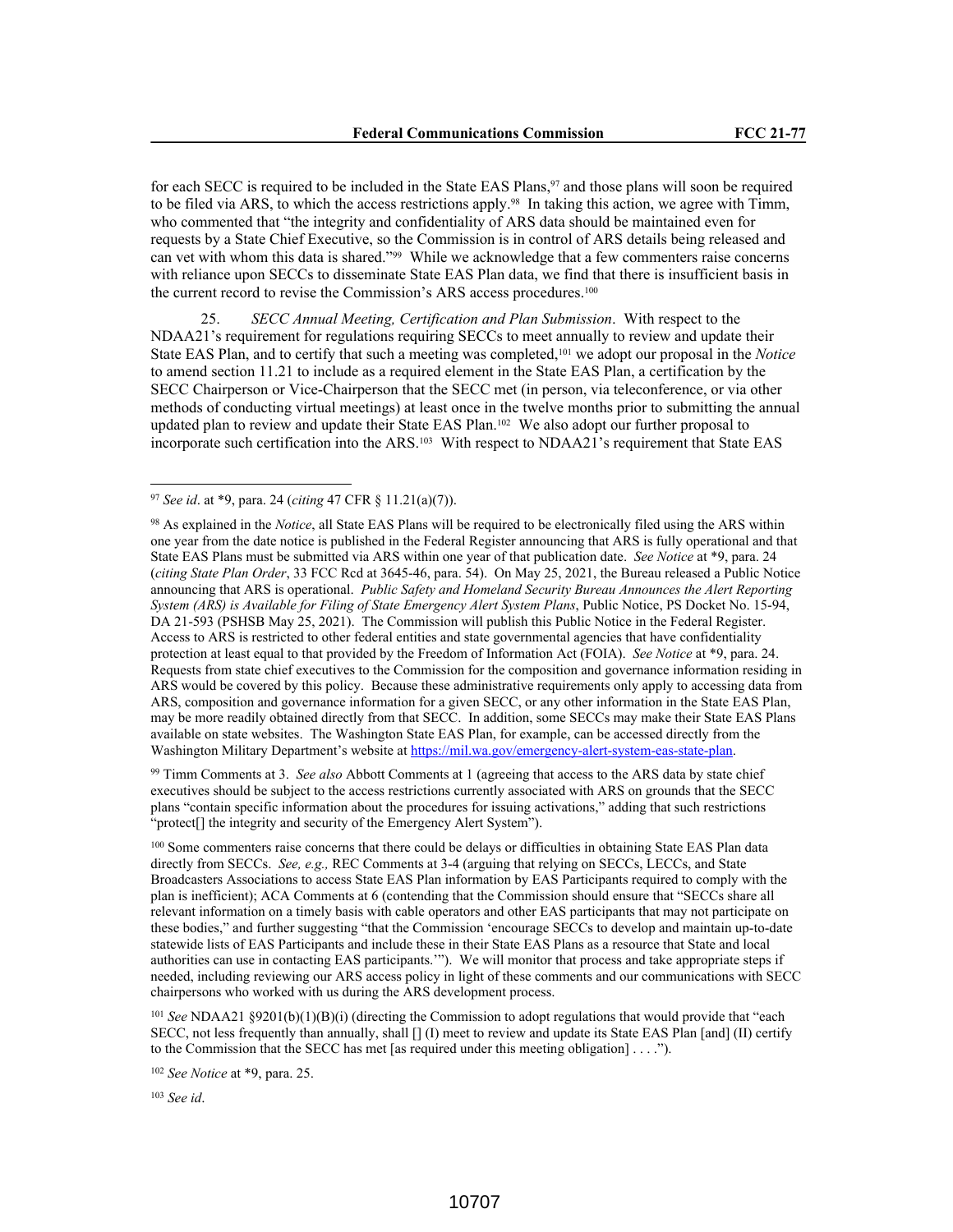for each SECC is required to be included in the State EAS Plans,  $97$  and those plans will soon be required to be filed via ARS, to which the access restrictions apply.<sup>98</sup> In taking this action, we agree with Timm, who commented that "the integrity and confidentiality of ARS data should be maintained even for requests by a State Chief Executive, so the Commission is in control of ARS details being released and can vet with whom this data is shared."99 While we acknowledge that a few commenters raise concerns with reliance upon SECCs to disseminate State EAS Plan data, we find that there is insufficient basis in the current record to revise the Commission's ARS access procedures.<sup>100</sup>

25. *SECC Annual Meeting, Certification and Plan Submission*. With respect to the NDAA21's requirement for regulations requiring SECCs to meet annually to review and update their State EAS Plan, and to certify that such a meeting was completed,101 we adopt our proposal in the *Notice* to amend section 11.21 to include as a required element in the State EAS Plan, a certification by the SECC Chairperson or Vice-Chairperson that the SECC met (in person, via teleconference, or via other methods of conducting virtual meetings) at least once in the twelve months prior to submitting the annual updated plan to review and update their State EAS Plan.102 We also adopt our further proposal to incorporate such certification into the ARS.103 With respect to NDAA21's requirement that State EAS

<sup>99</sup> Timm Comments at 3. *See also* Abbott Comments at 1 (agreeing that access to the ARS data by state chief executives should be subject to the access restrictions currently associated with ARS on grounds that the SECC plans "contain specific information about the procedures for issuing activations," adding that such restrictions "protect[] the integrity and security of the Emergency Alert System").

<sup>100</sup> Some commenters raise concerns that there could be delays or difficulties in obtaining State EAS Plan data directly from SECCs. *See, e.g.,* REC Comments at 3-4 (arguing that relying on SECCs, LECCs, and State Broadcasters Associations to access State EAS Plan information by EAS Participants required to comply with the plan is inefficient); ACA Comments at 6 (contending that the Commission should ensure that "SECCs share all relevant information on a timely basis with cable operators and other EAS participants that may not participate on these bodies," and further suggesting "that the Commission 'encourage SECCs to develop and maintain up-to-date statewide lists of EAS Participants and include these in their State EAS Plans as a resource that State and local authorities can use in contacting EAS participants.'"). We will monitor that process and take appropriate steps if needed, including reviewing our ARS access policy in light of these comments and our communications with SECC chairpersons who worked with us during the ARS development process.

<sup>101</sup> *See* NDAA21 §9201(b)(1)(B)(i) (directing the Commission to adopt regulations that would provide that "each SECC, not less frequently than annually, shall [] (I) meet to review and update its State EAS Plan [and] (II) certify to the Commission that the SECC has met [as required under this meeting obligation] . . . .").

<sup>102</sup> *See Notice* at \*9, para. 25.

<sup>103</sup> *See id*.

<sup>97</sup> *See id*. at \*9, para. 24 (*citing* 47 CFR § 11.21(a)(7)).

<sup>98</sup> As explained in the *Notice*, all State EAS Plans will be required to be electronically filed using the ARS within one year from the date notice is published in the Federal Register announcing that ARS is fully operational and that State EAS Plans must be submitted via ARS within one year of that publication date. *See Notice* at \*9, para. 24 (*citing State Plan Order*, 33 FCC Rcd at 3645-46, para. 54). On May 25, 2021, the Bureau released a Public Notice announcing that ARS is operational. *Public Safety and Homeland Security Bureau Announces the Alert Reporting System (ARS) is Available for Filing of State Emergency Alert System Plans*, Public Notice, PS Docket No. 15-94, DA 21-593 (PSHSB May 25, 2021). The Commission will publish this Public Notice in the Federal Register. Access to ARS is restricted to other federal entities and state governmental agencies that have confidentiality protection at least equal to that provided by the Freedom of Information Act (FOIA). *See Notice* at \*9, para. 24. Requests from state chief executives to the Commission for the composition and governance information residing in ARS would be covered by this policy. Because these administrative requirements only apply to accessing data from ARS, composition and governance information for a given SECC, or any other information in the State EAS Plan, may be more readily obtained directly from that SECC. In addition, some SECCs may make their State EAS Plans available on state websites. The Washington State EAS Plan, for example, can be accessed directly from the Washington Military Department's website at https://mil.wa.gov/emergency-alert-system-eas-state-plan.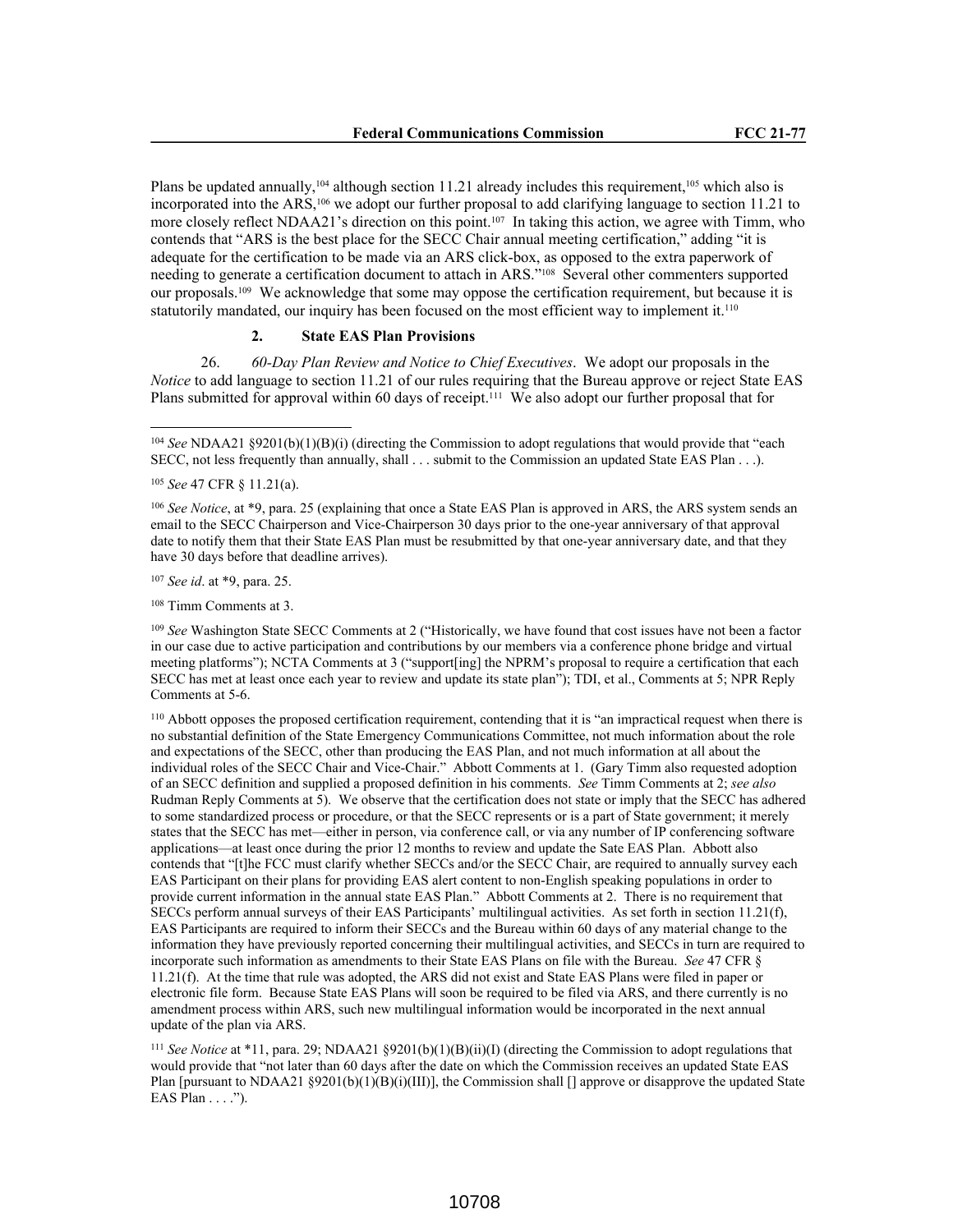Plans be updated annually,<sup>104</sup> although section 11.21 already includes this requirement,<sup>105</sup> which also is incorporated into the ARS,106 we adopt our further proposal to add clarifying language to section 11.21 to more closely reflect NDAA21's direction on this point.107 In taking this action, we agree with Timm, who contends that "ARS is the best place for the SECC Chair annual meeting certification," adding "it is adequate for the certification to be made via an ARS click-box, as opposed to the extra paperwork of needing to generate a certification document to attach in ARS."108 Several other commenters supported our proposals.109 We acknowledge that some may oppose the certification requirement, but because it is statutorily mandated, our inquiry has been focused on the most efficient way to implement it.<sup>110</sup>

#### **2. State EAS Plan Provisions**

26. *60-Day Plan Review and Notice to Chief Executives*. We adopt our proposals in the *Notice* to add language to section 11.21 of our rules requiring that the Bureau approve or reject State EAS Plans submitted for approval within 60 days of receipt.111 We also adopt our further proposal that for

<sup>107</sup> *See id*. at \*9, para. 25.

<sup>108</sup> Timm Comments at 3.

<sup>109</sup> *See* Washington State SECC Comments at 2 ("Historically, we have found that cost issues have not been a factor in our case due to active participation and contributions by our members via a conference phone bridge and virtual meeting platforms"); NCTA Comments at 3 ("support[ing] the NPRM's proposal to require a certification that each SECC has met at least once each year to review and update its state plan"); TDI, et al., Comments at 5; NPR Reply Comments at 5-6.

<sup>110</sup> Abbott opposes the proposed certification requirement, contending that it is "an impractical request when there is no substantial definition of the State Emergency Communications Committee, not much information about the role and expectations of the SECC, other than producing the EAS Plan, and not much information at all about the individual roles of the SECC Chair and Vice-Chair." Abbott Comments at 1. (Gary Timm also requested adoption of an SECC definition and supplied a proposed definition in his comments. *See* Timm Comments at 2; *see also* Rudman Reply Comments at 5). We observe that the certification does not state or imply that the SECC has adhered to some standardized process or procedure, or that the SECC represents or is a part of State government; it merely states that the SECC has met—either in person, via conference call, or via any number of IP conferencing software applications—at least once during the prior 12 months to review and update the Sate EAS Plan. Abbott also contends that "[t]he FCC must clarify whether SECCs and/or the SECC Chair, are required to annually survey each EAS Participant on their plans for providing EAS alert content to non-English speaking populations in order to provide current information in the annual state EAS Plan." Abbott Comments at 2. There is no requirement that SECCs perform annual surveys of their EAS Participants' multilingual activities. As set forth in section 11.21(f), EAS Participants are required to inform their SECCs and the Bureau within 60 days of any material change to the information they have previously reported concerning their multilingual activities, and SECCs in turn are required to incorporate such information as amendments to their State EAS Plans on file with the Bureau. *See* 47 CFR § 11.21(f). At the time that rule was adopted, the ARS did not exist and State EAS Plans were filed in paper or electronic file form. Because State EAS Plans will soon be required to be filed via ARS, and there currently is no amendment process within ARS, such new multilingual information would be incorporated in the next annual update of the plan via ARS.

<sup>111</sup> *See Notice* at \*11, para. 29; NDAA21 §9201(b)(1)(B)(ii)(I) (directing the Commission to adopt regulations that would provide that "not later than 60 days after the date on which the Commission receives an updated State EAS Plan [pursuant to NDAA21 §9201(b)(1)(B)(i)(III)], the Commission shall [] approve or disapprove the updated State EAS  $\overline{P}$ lan . . . .").

<sup>104</sup> *See* NDAA21 §9201(b)(1)(B)(i) (directing the Commission to adopt regulations that would provide that "each SECC, not less frequently than annually, shall . . . submit to the Commission an updated State EAS Plan . . .).

<sup>105</sup> *See* 47 CFR § 11.21(a).

<sup>106</sup> *See Notice*, at \*9, para. 25 (explaining that once a State EAS Plan is approved in ARS, the ARS system sends an email to the SECC Chairperson and Vice-Chairperson 30 days prior to the one-year anniversary of that approval date to notify them that their State EAS Plan must be resubmitted by that one-year anniversary date, and that they have 30 days before that deadline arrives).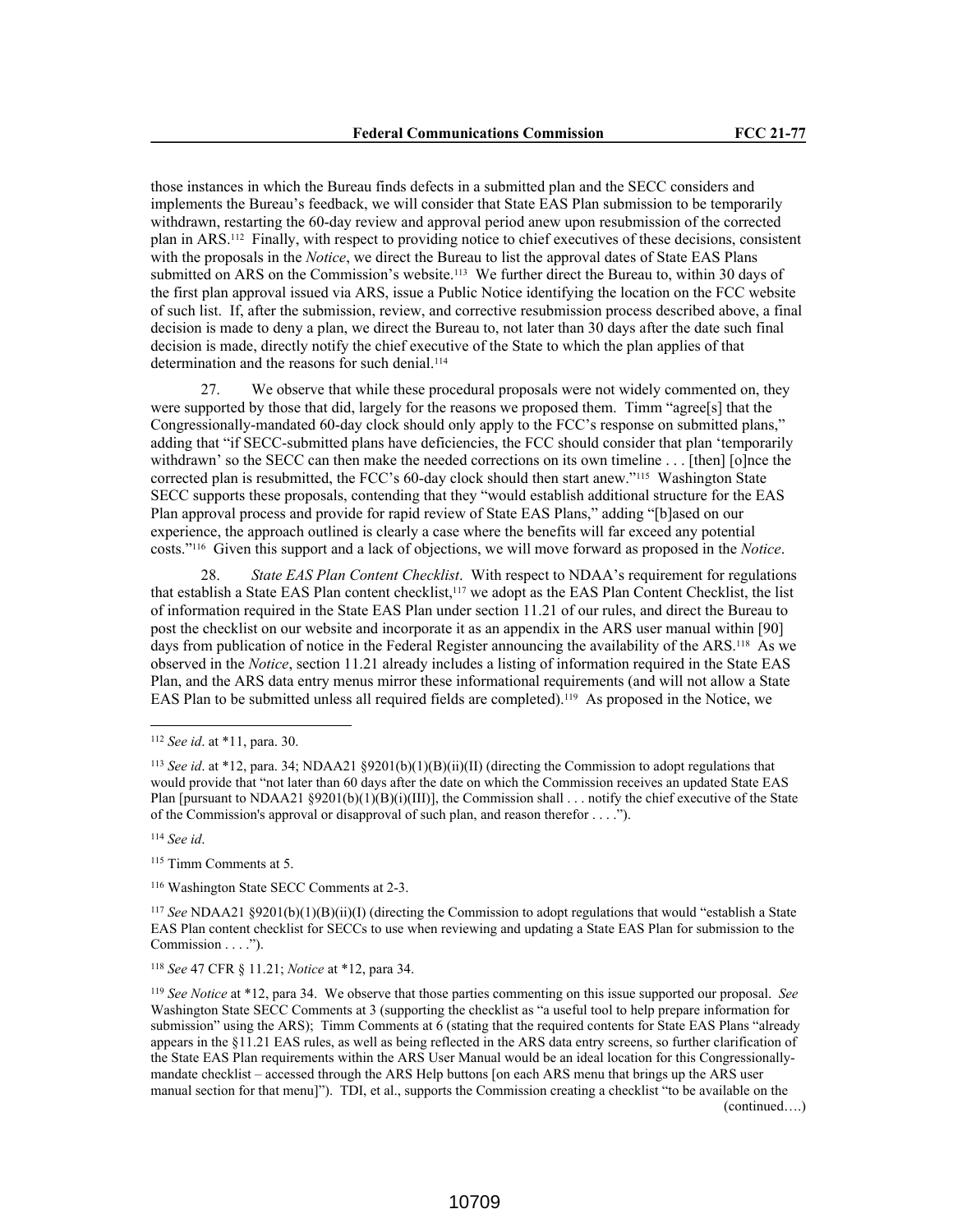those instances in which the Bureau finds defects in a submitted plan and the SECC considers and implements the Bureau's feedback, we will consider that State EAS Plan submission to be temporarily withdrawn, restarting the 60-day review and approval period anew upon resubmission of the corrected plan in ARS.112 Finally, with respect to providing notice to chief executives of these decisions, consistent with the proposals in the *Notice*, we direct the Bureau to list the approval dates of State EAS Plans submitted on ARS on the Commission's website.<sup>113</sup> We further direct the Bureau to, within 30 days of the first plan approval issued via ARS, issue a Public Notice identifying the location on the FCC website of such list. If, after the submission, review, and corrective resubmission process described above, a final decision is made to deny a plan, we direct the Bureau to, not later than 30 days after the date such final decision is made, directly notify the chief executive of the State to which the plan applies of that determination and the reasons for such denial.<sup>114</sup>

27. We observe that while these procedural proposals were not widely commented on, they were supported by those that did, largely for the reasons we proposed them. Timm "agree[s] that the Congressionally-mandated 60-day clock should only apply to the FCC's response on submitted plans," adding that "if SECC-submitted plans have deficiencies, the FCC should consider that plan 'temporarily withdrawn' so the SECC can then make the needed corrections on its own timeline . . . [then] [o]nce the corrected plan is resubmitted, the FCC's 60-day clock should then start anew."115 Washington State SECC supports these proposals, contending that they "would establish additional structure for the EAS Plan approval process and provide for rapid review of State EAS Plans," adding "[b]ased on our experience, the approach outlined is clearly a case where the benefits will far exceed any potential costs."116 Given this support and a lack of objections, we will move forward as proposed in the *Notice*.

28. *State EAS Plan Content Checklist*. With respect to NDAA's requirement for regulations that establish a State EAS Plan content checklist,117 we adopt as the EAS Plan Content Checklist, the list of information required in the State EAS Plan under section 11.21 of our rules, and direct the Bureau to post the checklist on our website and incorporate it as an appendix in the ARS user manual within [90] days from publication of notice in the Federal Register announcing the availability of the ARS.118 As we observed in the *Notice*, section 11.21 already includes a listing of information required in the State EAS Plan, and the ARS data entry menus mirror these informational requirements (and will not allow a State EAS Plan to be submitted unless all required fields are completed).119 As proposed in the Notice, we

<sup>114</sup> *See id*.

<sup>115</sup> Timm Comments at 5.

<sup>116</sup> Washington State SECC Comments at 2-3.

<sup>117</sup> *See* NDAA21 §9201(b)(1)(B)(ii)(I) (directing the Commission to adopt regulations that would "establish a State EAS Plan content checklist for SECCs to use when reviewing and updating a State EAS Plan for submission to the Commission . . . .").

<sup>118</sup> *See* 47 CFR § 11.21; *Notice* at \*12, para 34.

<sup>119</sup> *See Notice* at \*12, para 34. We observe that those parties commenting on this issue supported our proposal. *See* Washington State SECC Comments at 3 (supporting the checklist as "a useful tool to help prepare information for submission" using the ARS); Timm Comments at 6 (stating that the required contents for State EAS Plans "already appears in the §11.21 EAS rules, as well as being reflected in the ARS data entry screens, so further clarification of the State EAS Plan requirements within the ARS User Manual would be an ideal location for this Congressionallymandate checklist – accessed through the ARS Help buttons [on each ARS menu that brings up the ARS user manual section for that menu]"). TDI, et al., supports the Commission creating a checklist "to be available on the (continued….)

<sup>112</sup> *See id*. at \*11, para. 30.

<sup>113</sup> *See id*. at \*12, para. 34; NDAA21 §9201(b)(1)(B)(ii)(II) (directing the Commission to adopt regulations that would provide that "not later than 60 days after the date on which the Commission receives an updated State EAS Plan [pursuant to NDAA21 §9201(b)(1)(B)(i)(III)], the Commission shall . . . notify the chief executive of the State of the Commission's approval or disapproval of such plan, and reason therefor . . . .").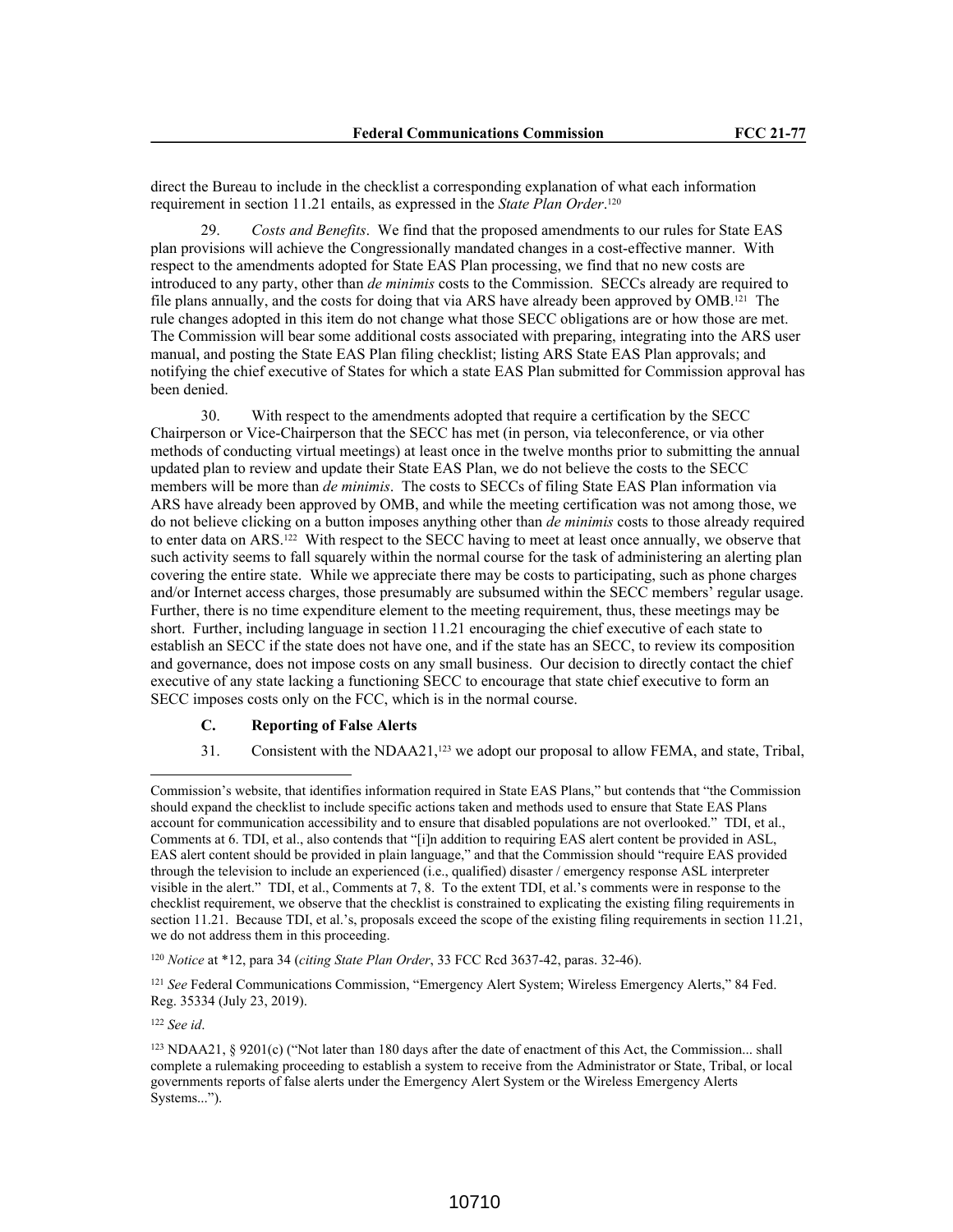direct the Bureau to include in the checklist a corresponding explanation of what each information requirement in section 11.21 entails, as expressed in the *State Plan Order*. 120

29. *Costs and Benefits*. We find that the proposed amendments to our rules for State EAS plan provisions will achieve the Congressionally mandated changes in a cost-effective manner. With respect to the amendments adopted for State EAS Plan processing, we find that no new costs are introduced to any party, other than *de minimis* costs to the Commission. SECCs already are required to file plans annually, and the costs for doing that via ARS have already been approved by OMB.121 The rule changes adopted in this item do not change what those SECC obligations are or how those are met. The Commission will bear some additional costs associated with preparing, integrating into the ARS user manual, and posting the State EAS Plan filing checklist; listing ARS State EAS Plan approvals; and notifying the chief executive of States for which a state EAS Plan submitted for Commission approval has been denied.

30. With respect to the amendments adopted that require a certification by the SECC Chairperson or Vice-Chairperson that the SECC has met (in person, via teleconference, or via other methods of conducting virtual meetings) at least once in the twelve months prior to submitting the annual updated plan to review and update their State EAS Plan, we do not believe the costs to the SECC members will be more than *de minimis*. The costs to SECCs of filing State EAS Plan information via ARS have already been approved by OMB, and while the meeting certification was not among those, we do not believe clicking on a button imposes anything other than *de minimis* costs to those already required to enter data on ARS.122 With respect to the SECC having to meet at least once annually, we observe that such activity seems to fall squarely within the normal course for the task of administering an alerting plan covering the entire state. While we appreciate there may be costs to participating, such as phone charges and/or Internet access charges, those presumably are subsumed within the SECC members' regular usage. Further, there is no time expenditure element to the meeting requirement, thus, these meetings may be short. Further, including language in section 11.21 encouraging the chief executive of each state to establish an SECC if the state does not have one, and if the state has an SECC, to review its composition and governance, does not impose costs on any small business. Our decision to directly contact the chief executive of any state lacking a functioning SECC to encourage that state chief executive to form an SECC imposes costs only on the FCC, which is in the normal course.

# **C. Reporting of False Alerts**

31. Consistent with the NDAA21, $^{123}$  we adopt our proposal to allow FEMA, and state, Tribal,

121 See Federal Communications Commission, "Emergency Alert System; Wireless Emergency Alerts," 84 Fed. Reg. 35334 (July 23, 2019).

<sup>122</sup> *See id*.

Commission's website, that identifies information required in State EAS Plans," but contends that "the Commission should expand the checklist to include specific actions taken and methods used to ensure that State EAS Plans account for communication accessibility and to ensure that disabled populations are not overlooked." TDI, et al., Comments at 6. TDI, et al., also contends that "[i]n addition to requiring EAS alert content be provided in ASL, EAS alert content should be provided in plain language," and that the Commission should "require EAS provided through the television to include an experienced (i.e., qualified) disaster / emergency response ASL interpreter visible in the alert." TDI, et al., Comments at 7, 8. To the extent TDI, et al.'s comments were in response to the checklist requirement, we observe that the checklist is constrained to explicating the existing filing requirements in section 11.21. Because TDI, et al.'s, proposals exceed the scope of the existing filing requirements in section 11.21, we do not address them in this proceeding.

<sup>120</sup> *Notice* at \*12, para 34 (*citing State Plan Order*, 33 FCC Rcd 3637-42, paras. 32-46).

<sup>123</sup> NDAA21, § 9201(c) ("Not later than 180 days after the date of enactment of this Act, the Commission... shall complete a rulemaking proceeding to establish a system to receive from the Administrator or State, Tribal, or local governments reports of false alerts under the Emergency Alert System or the Wireless Emergency Alerts Systems...").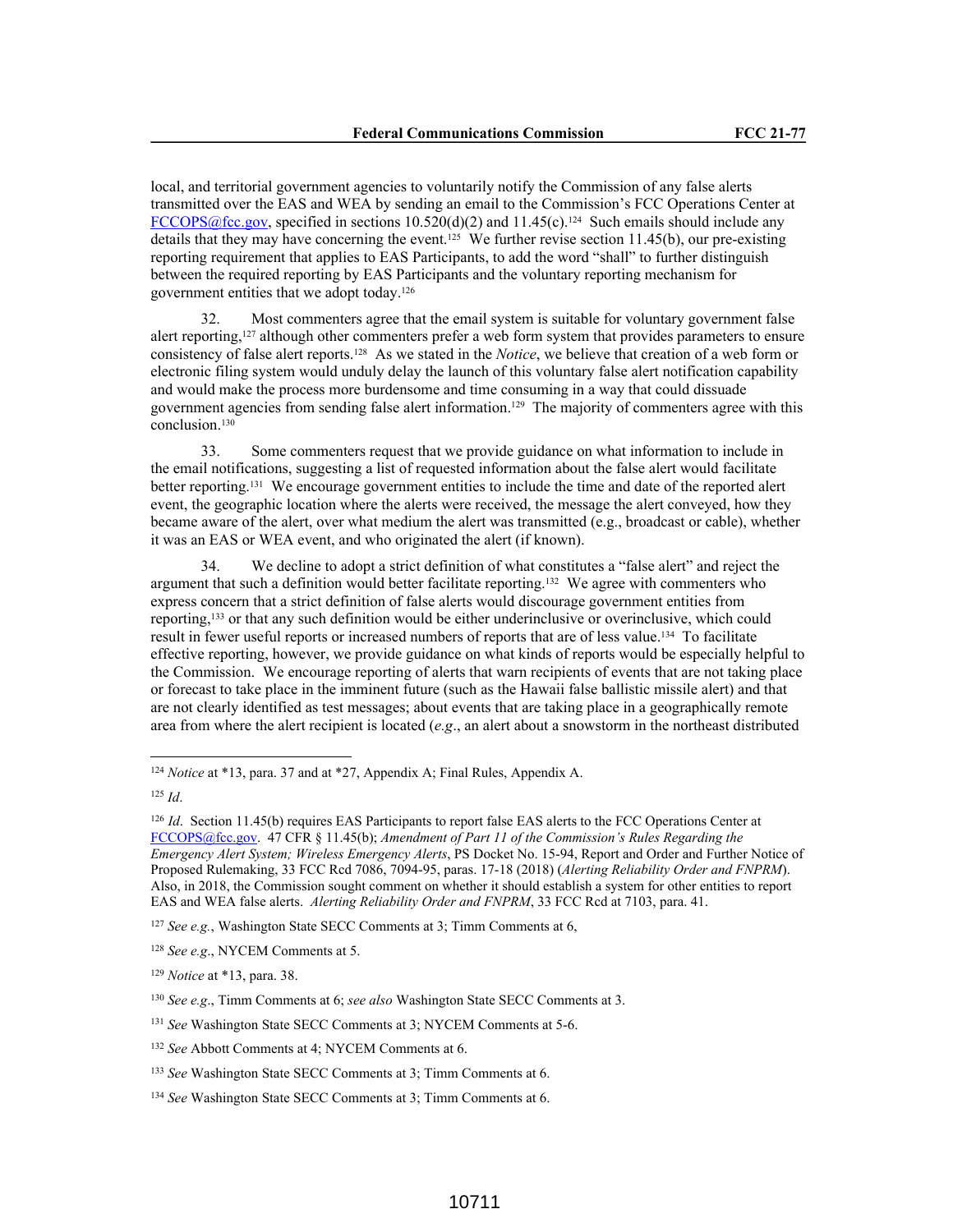local, and territorial government agencies to voluntarily notify the Commission of any false alerts transmitted over the EAS and WEA by sending an email to the Commission's FCC Operations Center at FCCOPS@fcc.gov, specified in sections  $10.520(d)(2)$  and  $11.45(c)$ .<sup>124</sup> Such emails should include any details that they may have concerning the event.<sup>125</sup> We further revise section 11.45(b), our pre-existing reporting requirement that applies to EAS Participants, to add the word "shall" to further distinguish between the required reporting by EAS Participants and the voluntary reporting mechanism for government entities that we adopt today.<sup>126</sup>

32. Most commenters agree that the email system is suitable for voluntary government false alert reporting,127 although other commenters prefer a web form system that provides parameters to ensure consistency of false alert reports.128 As we stated in the *Notice*, we believe that creation of a web form or electronic filing system would unduly delay the launch of this voluntary false alert notification capability and would make the process more burdensome and time consuming in a way that could dissuade government agencies from sending false alert information.129 The majority of commenters agree with this conclusion.<sup>130</sup>

33. Some commenters request that we provide guidance on what information to include in the email notifications, suggesting a list of requested information about the false alert would facilitate better reporting.131 We encourage government entities to include the time and date of the reported alert event, the geographic location where the alerts were received, the message the alert conveyed, how they became aware of the alert, over what medium the alert was transmitted (e.g., broadcast or cable), whether it was an EAS or WEA event, and who originated the alert (if known).

34. We decline to adopt a strict definition of what constitutes a "false alert" and reject the argument that such a definition would better facilitate reporting.132 We agree with commenters who express concern that a strict definition of false alerts would discourage government entities from reporting,133 or that any such definition would be either underinclusive or overinclusive, which could result in fewer useful reports or increased numbers of reports that are of less value.134 To facilitate effective reporting, however, we provide guidance on what kinds of reports would be especially helpful to the Commission. We encourage reporting of alerts that warn recipients of events that are not taking place or forecast to take place in the imminent future (such as the Hawaii false ballistic missile alert) and that are not clearly identified as test messages; about events that are taking place in a geographically remote area from where the alert recipient is located (*e.g*., an alert about a snowstorm in the northeast distributed

<sup>124</sup> *Notice* at \*13, para. 37 and at \*27, Appendix A; Final Rules, Appendix A.

<sup>125</sup> *Id*.

<sup>&</sup>lt;sup>126</sup> *Id.* Section 11.45(b) requires EAS Participants to report false EAS alerts to the FCC Operations Center at FCCOPS@fcc.gov. 47 CFR § 11.45(b); *Amendment of Part 11 of the Commission's Rules Regarding the Emergency Alert System; Wireless Emergency Alerts*, PS Docket No. 15-94, Report and Order and Further Notice of Proposed Rulemaking, 33 FCC Rcd 7086, 7094-95, paras. 17-18 (2018) (*Alerting Reliability Order and FNPRM*). Also, in 2018, the Commission sought comment on whether it should establish a system for other entities to report EAS and WEA false alerts. *Alerting Reliability Order and FNPRM*, 33 FCC Rcd at 7103, para. 41.

<sup>127</sup> *See e.g.*, Washington State SECC Comments at 3; Timm Comments at 6,

<sup>128</sup> *See e.g*., NYCEM Comments at 5.

<sup>129</sup> *Notice* at \*13, para. 38.

<sup>130</sup> *See e.g*., Timm Comments at 6; *see also* Washington State SECC Comments at 3.

<sup>131</sup> *See* Washington State SECC Comments at 3; NYCEM Comments at 5-6.

<sup>132</sup> *See* Abbott Comments at 4; NYCEM Comments at 6.

<sup>133</sup> *See* Washington State SECC Comments at 3; Timm Comments at 6.

<sup>134</sup> *See* Washington State SECC Comments at 3; Timm Comments at 6.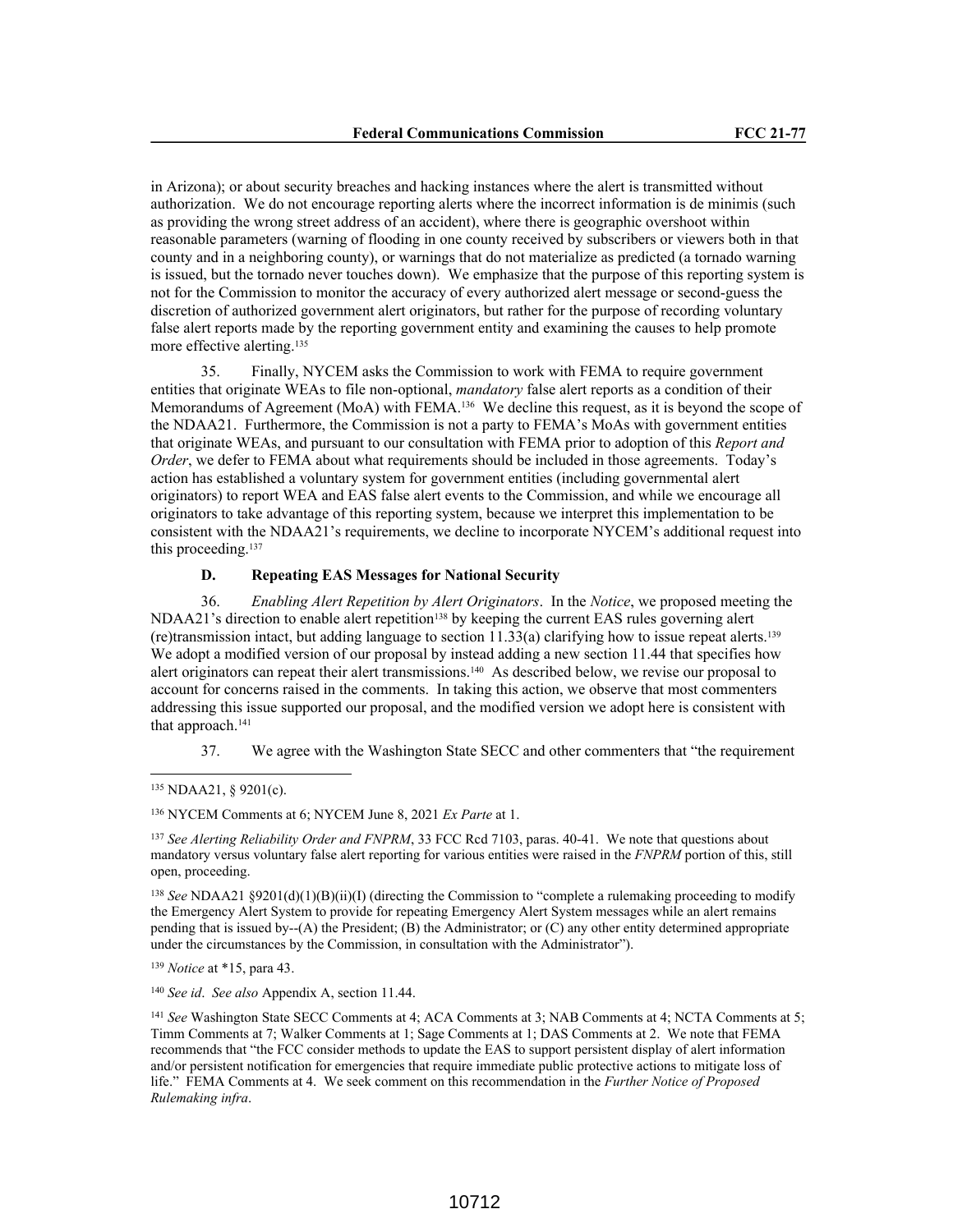in Arizona); or about security breaches and hacking instances where the alert is transmitted without authorization. We do not encourage reporting alerts where the incorrect information is de minimis (such as providing the wrong street address of an accident), where there is geographic overshoot within reasonable parameters (warning of flooding in one county received by subscribers or viewers both in that county and in a neighboring county), or warnings that do not materialize as predicted (a tornado warning is issued, but the tornado never touches down). We emphasize that the purpose of this reporting system is not for the Commission to monitor the accuracy of every authorized alert message or second-guess the discretion of authorized government alert originators, but rather for the purpose of recording voluntary false alert reports made by the reporting government entity and examining the causes to help promote more effective alerting.<sup>135</sup>

35. Finally, NYCEM asks the Commission to work with FEMA to require government entities that originate WEAs to file non-optional, *mandatory* false alert reports as a condition of their Memorandums of Agreement (MoA) with FEMA.<sup>136</sup> We decline this request, as it is beyond the scope of the NDAA21. Furthermore, the Commission is not a party to FEMA's MoAs with government entities that originate WEAs, and pursuant to our consultation with FEMA prior to adoption of this *Report and Order*, we defer to FEMA about what requirements should be included in those agreements. Today's action has established a voluntary system for government entities (including governmental alert originators) to report WEA and EAS false alert events to the Commission, and while we encourage all originators to take advantage of this reporting system, because we interpret this implementation to be consistent with the NDAA21's requirements, we decline to incorporate NYCEM's additional request into this proceeding.<sup>137</sup>

# **D. Repeating EAS Messages for National Security**

36. *Enabling Alert Repetition by Alert Originators*. In the *Notice*, we proposed meeting the  $NDAA21$ 's direction to enable alert repetition<sup>138</sup> by keeping the current EAS rules governing alert (re)transmission intact, but adding language to section 11.33(a) clarifying how to issue repeat alerts.<sup>139</sup> We adopt a modified version of our proposal by instead adding a new section 11.44 that specifies how alert originators can repeat their alert transmissions.140 As described below, we revise our proposal to account for concerns raised in the comments. In taking this action, we observe that most commenters addressing this issue supported our proposal, and the modified version we adopt here is consistent with that approach.<sup>141</sup>

37. We agree with the Washington State SECC and other commenters that "the requirement

<sup>137</sup> *See Alerting Reliability Order and FNPRM*, 33 FCC Rcd 7103, paras. 40-41. We note that questions about mandatory versus voluntary false alert reporting for various entities were raised in the *FNPRM* portion of this, still open, proceeding.

<sup>138</sup> *See* NDAA21 §9201(d)(1)(B)(ii)(I) (directing the Commission to "complete a rulemaking proceeding to modify the Emergency Alert System to provide for repeating Emergency Alert System messages while an alert remains pending that is issued by--(A) the President; (B) the Administrator; or  $(C)$  any other entity determined appropriate under the circumstances by the Commission, in consultation with the Administrator").

<sup>139</sup> *Notice* at \*15, para 43.

<sup>140</sup> *See id*. *See also* Appendix A, section 11.44.

<sup>135</sup> NDAA21, § 9201(c).

<sup>136</sup> NYCEM Comments at 6; NYCEM June 8, 2021 *Ex Parte* at 1.

<sup>141</sup> *See* Washington State SECC Comments at 4; ACA Comments at 3; NAB Comments at 4; NCTA Comments at 5; Timm Comments at 7; Walker Comments at 1; Sage Comments at 1; DAS Comments at 2. We note that FEMA recommends that "the FCC consider methods to update the EAS to support persistent display of alert information and/or persistent notification for emergencies that require immediate public protective actions to mitigate loss of life." FEMA Comments at 4. We seek comment on this recommendation in the *Further Notice of Proposed Rulemaking infra*.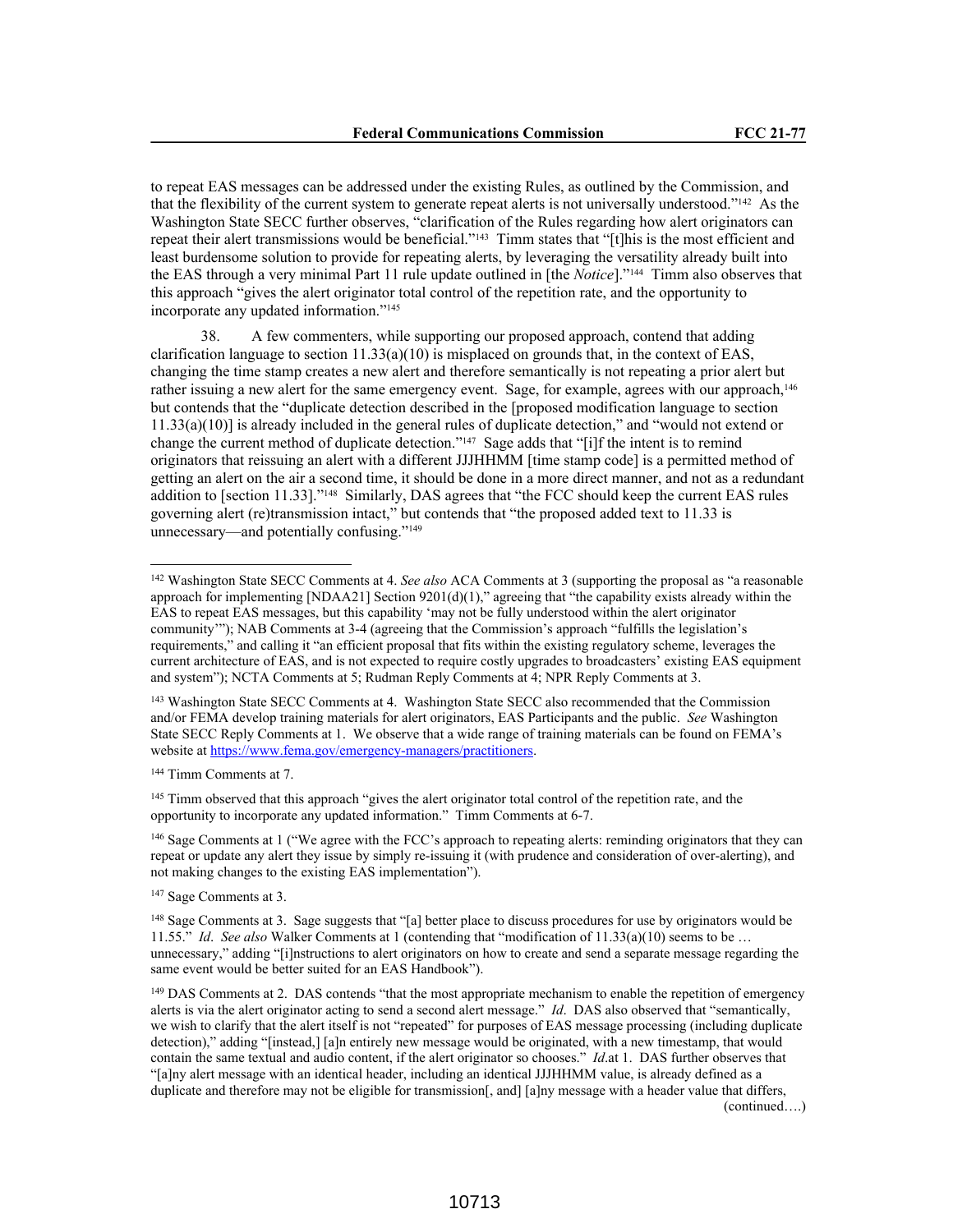to repeat EAS messages can be addressed under the existing Rules, as outlined by the Commission, and that the flexibility of the current system to generate repeat alerts is not universally understood."142 As the Washington State SECC further observes, "clarification of the Rules regarding how alert originators can repeat their alert transmissions would be beneficial."143 Timm states that "[t]his is the most efficient and least burdensome solution to provide for repeating alerts, by leveraging the versatility already built into the EAS through a very minimal Part 11 rule update outlined in [the *Notice*]."144 Timm also observes that this approach "gives the alert originator total control of the repetition rate, and the opportunity to incorporate any updated information."<sup>145</sup>

38. A few commenters, while supporting our proposed approach, contend that adding clarification language to section  $11.33(a)(10)$  is misplaced on grounds that, in the context of EAS, changing the time stamp creates a new alert and therefore semantically is not repeating a prior alert but rather issuing a new alert for the same emergency event. Sage, for example, agrees with our approach,<sup>146</sup> but contends that the "duplicate detection described in the [proposed modification language to section 11.33(a)(10)] is already included in the general rules of duplicate detection," and "would not extend or change the current method of duplicate detection."<sup>147</sup> Sage adds that "[i]f the intent is to remind originators that reissuing an alert with a different JJJHHMM [time stamp code] is a permitted method of getting an alert on the air a second time, it should be done in a more direct manner, and not as a redundant addition to [section 11.33]."148 Similarly, DAS agrees that "the FCC should keep the current EAS rules governing alert (re)transmission intact," but contends that "the proposed added text to 11.33 is unnecessary—and potentially confusing."<sup>149</sup>

<sup>143</sup> Washington State SECC Comments at 4. Washington State SECC also recommended that the Commission and/or FEMA develop training materials for alert originators, EAS Participants and the public. *See* Washington State SECC Reply Comments at 1. We observe that a wide range of training materials can be found on FEMA's website at https://www.fema.gov/emergency-managers/practitioners.

<sup>144</sup> Timm Comments at 7.

<sup>145</sup> Timm observed that this approach "gives the alert originator total control of the repetition rate, and the opportunity to incorporate any updated information." Timm Comments at 6-7.

<sup>146</sup> Sage Comments at 1 ("We agree with the FCC's approach to repeating alerts: reminding originators that they can repeat or update any alert they issue by simply re-issuing it (with prudence and consideration of over-alerting), and not making changes to the existing EAS implementation").

<sup>147</sup> Sage Comments at 3.

<sup>142</sup> Washington State SECC Comments at 4. *See also* ACA Comments at 3 (supporting the proposal as "a reasonable approach for implementing [NDAA21] Section 9201(d)(1)," agreeing that "the capability exists already within the EAS to repeat EAS messages, but this capability 'may not be fully understood within the alert originator community'"); NAB Comments at 3-4 (agreeing that the Commission's approach "fulfills the legislation's requirements," and calling it "an efficient proposal that fits within the existing regulatory scheme, leverages the current architecture of EAS, and is not expected to require costly upgrades to broadcasters' existing EAS equipment and system"); NCTA Comments at 5; Rudman Reply Comments at 4; NPR Reply Comments at 3.

<sup>148</sup> Sage Comments at 3. Sage suggests that "[a] better place to discuss procedures for use by originators would be 11.55." *Id*. *See also* Walker Comments at 1 (contending that "modification of 11.33(a)(10) seems to be … unnecessary," adding "[i]nstructions to alert originators on how to create and send a separate message regarding the same event would be better suited for an EAS Handbook").

<sup>&</sup>lt;sup>149</sup> DAS Comments at 2. DAS contends "that the most appropriate mechanism to enable the repetition of emergency alerts is via the alert originator acting to send a second alert message." *Id*. DAS also observed that "semantically, we wish to clarify that the alert itself is not "repeated" for purposes of EAS message processing (including duplicate detection)," adding "[instead,] [a]n entirely new message would be originated, with a new timestamp, that would contain the same textual and audio content, if the alert originator so chooses." *Id*.at 1. DAS further observes that "[a]ny alert message with an identical header, including an identical JJJHHMM value, is already defined as a duplicate and therefore may not be eligible for transmission[, and] [a]ny message with a header value that differs, (continued….)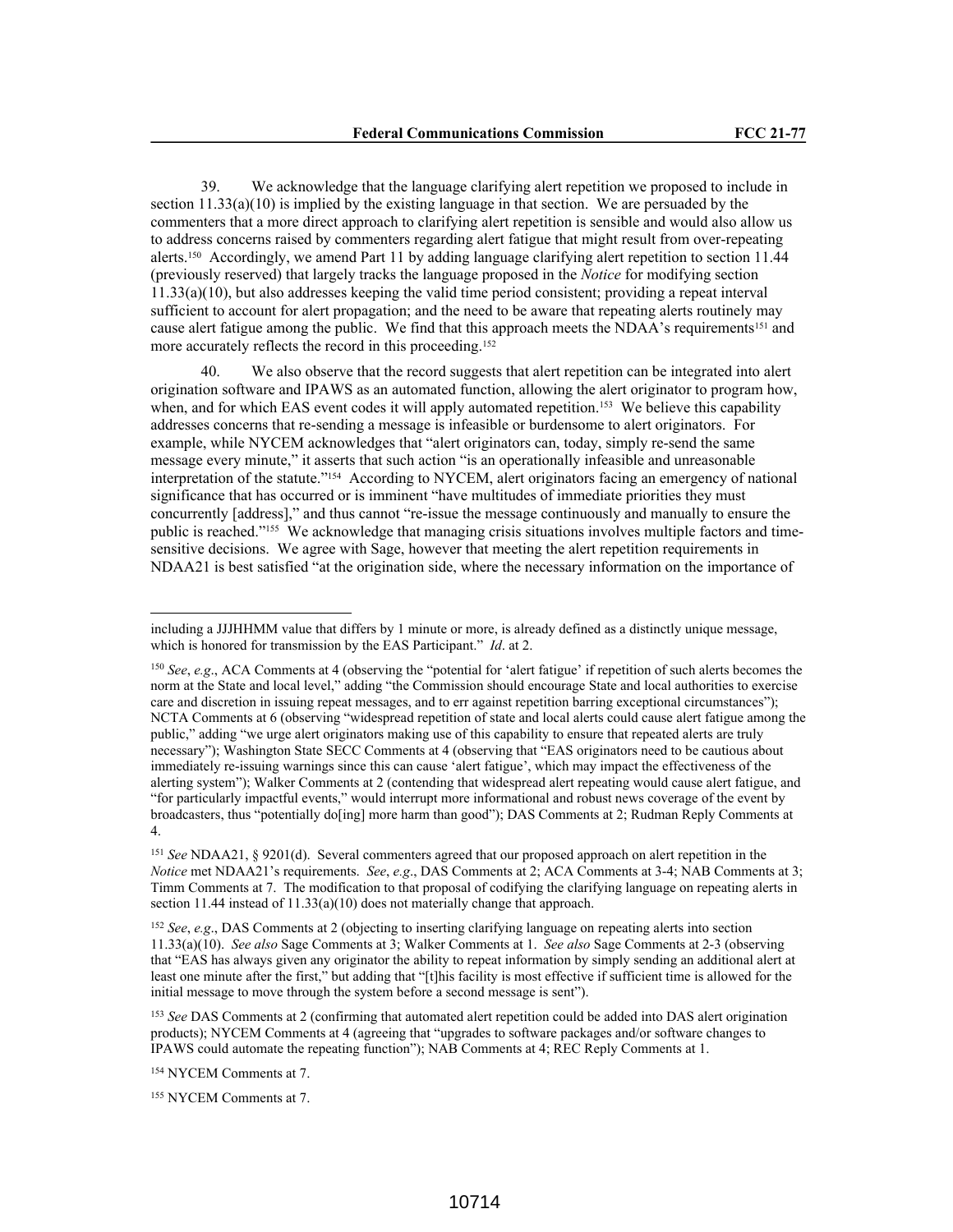39. We acknowledge that the language clarifying alert repetition we proposed to include in section  $11.33(a)(10)$  is implied by the existing language in that section. We are persuaded by the commenters that a more direct approach to clarifying alert repetition is sensible and would also allow us to address concerns raised by commenters regarding alert fatigue that might result from over-repeating alerts.150 Accordingly, we amend Part 11 by adding language clarifying alert repetition to section 11.44 (previously reserved) that largely tracks the language proposed in the *Notice* for modifying section 11.33(a)(10), but also addresses keeping the valid time period consistent; providing a repeat interval sufficient to account for alert propagation; and the need to be aware that repeating alerts routinely may cause alert fatigue among the public. We find that this approach meets the NDAA's requirements<sup>151</sup> and more accurately reflects the record in this proceeding.<sup>152</sup>

40. We also observe that the record suggests that alert repetition can be integrated into alert origination software and IPAWS as an automated function, allowing the alert originator to program how, when, and for which EAS event codes it will apply automated repetition.<sup>153</sup> We believe this capability addresses concerns that re-sending a message is infeasible or burdensome to alert originators. For example, while NYCEM acknowledges that "alert originators can, today, simply re-send the same message every minute," it asserts that such action "is an operationally infeasible and unreasonable interpretation of the statute."154 According to NYCEM, alert originators facing an emergency of national significance that has occurred or is imminent "have multitudes of immediate priorities they must concurrently [address]," and thus cannot "re-issue the message continuously and manually to ensure the public is reached."155 We acknowledge that managing crisis situations involves multiple factors and timesensitive decisions. We agree with Sage, however that meeting the alert repetition requirements in NDAA21 is best satisfied "at the origination side, where the necessary information on the importance of

<sup>152</sup> *See*, *e.g*., DAS Comments at 2 (objecting to inserting clarifying language on repeating alerts into section 11.33(a)(10). *See also* Sage Comments at 3; Walker Comments at 1. *See also* Sage Comments at 2-3 (observing that "EAS has always given any originator the ability to repeat information by simply sending an additional alert at least one minute after the first," but adding that "[t]his facility is most effective if sufficient time is allowed for the initial message to move through the system before a second message is sent").

<sup>153</sup> *See* DAS Comments at 2 (confirming that automated alert repetition could be added into DAS alert origination products); NYCEM Comments at 4 (agreeing that "upgrades to software packages and/or software changes to IPAWS could automate the repeating function"); NAB Comments at 4; REC Reply Comments at 1.

<sup>154</sup> NYCEM Comments at 7.

<sup>155</sup> NYCEM Comments at 7.

including a JJJHHMM value that differs by 1 minute or more, is already defined as a distinctly unique message, which is honored for transmission by the EAS Participant." *Id*. at 2.

<sup>150</sup> *See*, *e.g*., ACA Comments at 4 (observing the "potential for 'alert fatigue' if repetition of such alerts becomes the norm at the State and local level," adding "the Commission should encourage State and local authorities to exercise care and discretion in issuing repeat messages, and to err against repetition barring exceptional circumstances"); NCTA Comments at 6 (observing "widespread repetition of state and local alerts could cause alert fatigue among the public," adding "we urge alert originators making use of this capability to ensure that repeated alerts are truly necessary"); Washington State SECC Comments at 4 (observing that "EAS originators need to be cautious about immediately re-issuing warnings since this can cause 'alert fatigue', which may impact the effectiveness of the alerting system"); Walker Comments at 2 (contending that widespread alert repeating would cause alert fatigue, and "for particularly impactful events," would interrupt more informational and robust news coverage of the event by broadcasters, thus "potentially do[ing] more harm than good"); DAS Comments at 2; Rudman Reply Comments at 4.

<sup>151</sup> *See* NDAA21, § 9201(d). Several commenters agreed that our proposed approach on alert repetition in the *Notice* met NDAA21's requirements. *See*, *e.g*., DAS Comments at 2; ACA Comments at 3-4; NAB Comments at 3; Timm Comments at 7. The modification to that proposal of codifying the clarifying language on repeating alerts in section 11.44 instead of 11.33(a)(10) does not materially change that approach.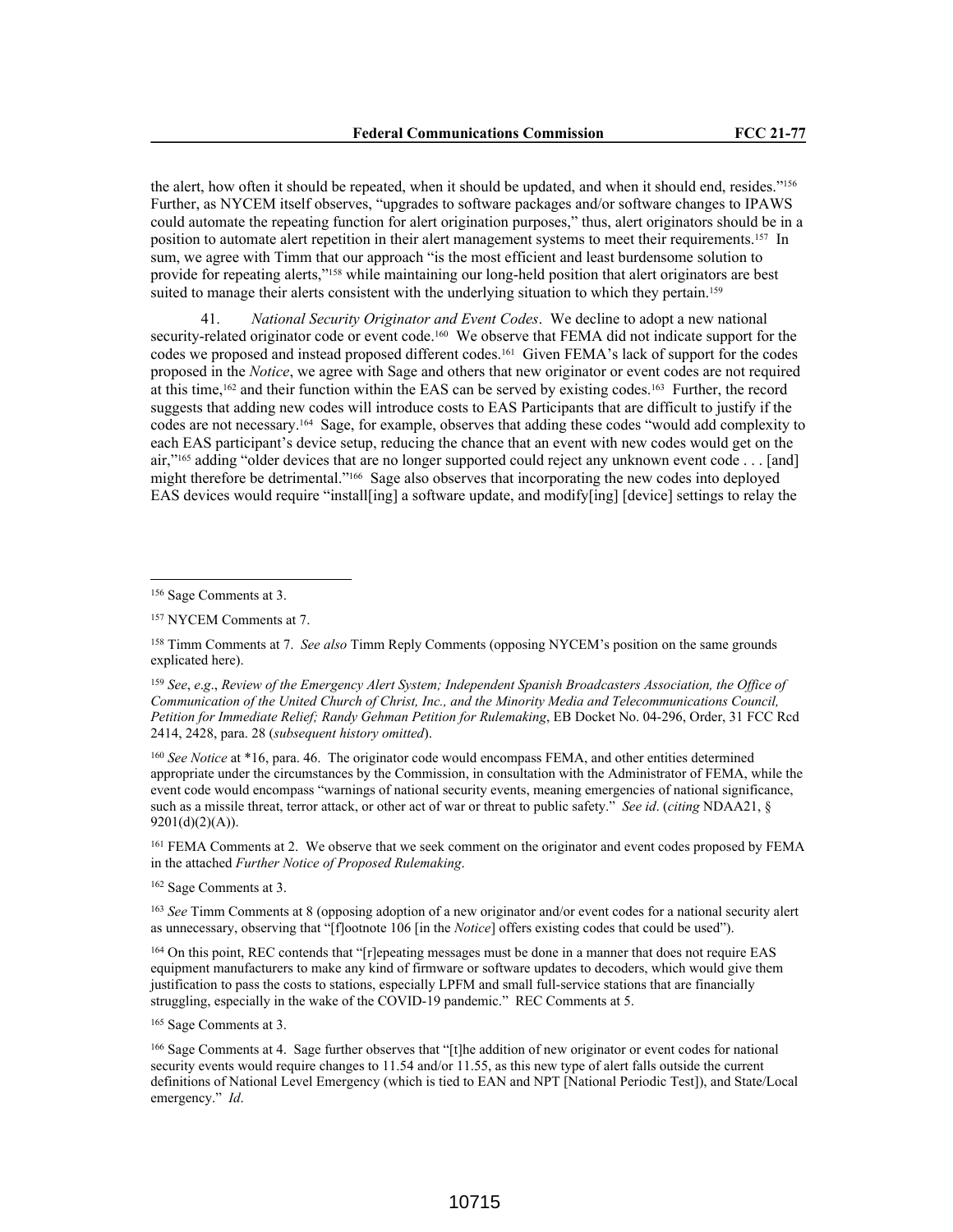the alert, how often it should be repeated, when it should be updated, and when it should end, resides."<sup>156</sup> Further, as NYCEM itself observes, "upgrades to software packages and/or software changes to IPAWS could automate the repeating function for alert origination purposes," thus, alert originators should be in a position to automate alert repetition in their alert management systems to meet their requirements.<sup>157</sup> In sum, we agree with Timm that our approach "is the most efficient and least burdensome solution to provide for repeating alerts,"158 while maintaining our long-held position that alert originators are best suited to manage their alerts consistent with the underlying situation to which they pertain.<sup>159</sup>

41. *National Security Originator and Event Codes*. We decline to adopt a new national security-related originator code or event code.<sup>160</sup> We observe that FEMA did not indicate support for the codes we proposed and instead proposed different codes.161 Given FEMA's lack of support for the codes proposed in the *Notice*, we agree with Sage and others that new originator or event codes are not required at this time,162 and their function within the EAS can be served by existing codes.163 Further, the record suggests that adding new codes will introduce costs to EAS Participants that are difficult to justify if the codes are not necessary.164 Sage, for example, observes that adding these codes "would add complexity to each EAS participant's device setup, reducing the chance that an event with new codes would get on the air,"165 adding "older devices that are no longer supported could reject any unknown event code . . . [and] might therefore be detrimental."166 Sage also observes that incorporating the new codes into deployed EAS devices would require "install[ing] a software update, and modify[ing] [device] settings to relay the

<sup>160</sup> *See Notice* at \*16, para. 46. The originator code would encompass FEMA, and other entities determined appropriate under the circumstances by the Commission, in consultation with the Administrator of FEMA, while the event code would encompass "warnings of national security events, meaning emergencies of national significance, such as a missile threat, terror attack, or other act of war or threat to public safety." *See id*. (*citing* NDAA21, §  $9201(d)(2)(A)).$ 

<sup>161</sup> FEMA Comments at 2. We observe that we seek comment on the originator and event codes proposed by FEMA in the attached *Further Notice of Proposed Rulemaking*.

<sup>162</sup> Sage Comments at 3.

<sup>163</sup> *See* Timm Comments at 8 (opposing adoption of a new originator and/or event codes for a national security alert as unnecessary, observing that "[f]ootnote 106 [in the *Notice*] offers existing codes that could be used").

<sup>164</sup> On this point, REC contends that "[r]epeating messages must be done in a manner that does not require EAS equipment manufacturers to make any kind of firmware or software updates to decoders, which would give them justification to pass the costs to stations, especially LPFM and small full-service stations that are financially struggling, especially in the wake of the COVID-19 pandemic." REC Comments at 5.

<sup>165</sup> Sage Comments at 3.

<sup>156</sup> Sage Comments at 3.

<sup>157</sup> NYCEM Comments at 7.

<sup>158</sup> Timm Comments at 7. *See also* Timm Reply Comments (opposing NYCEM's position on the same grounds explicated here).

<sup>159</sup> *See*, *e*.*g*., *Review of the Emergency Alert System; Independent Spanish Broadcasters Association, the Office of Communication of the United Church of Christ, Inc., and the Minority Media and Telecommunications Council, Petition for Immediate Relief; Randy Gehman Petition for Rulemaking*, EB Docket No. 04-296, Order, 31 FCC Rcd 2414, 2428, para. 28 (*subsequent history omitted*).

<sup>166</sup> Sage Comments at 4. Sage further observes that "[t]he addition of new originator or event codes for national security events would require changes to 11.54 and/or 11.55, as this new type of alert falls outside the current definitions of National Level Emergency (which is tied to EAN and NPT [National Periodic Test]), and State/Local emergency." *Id*.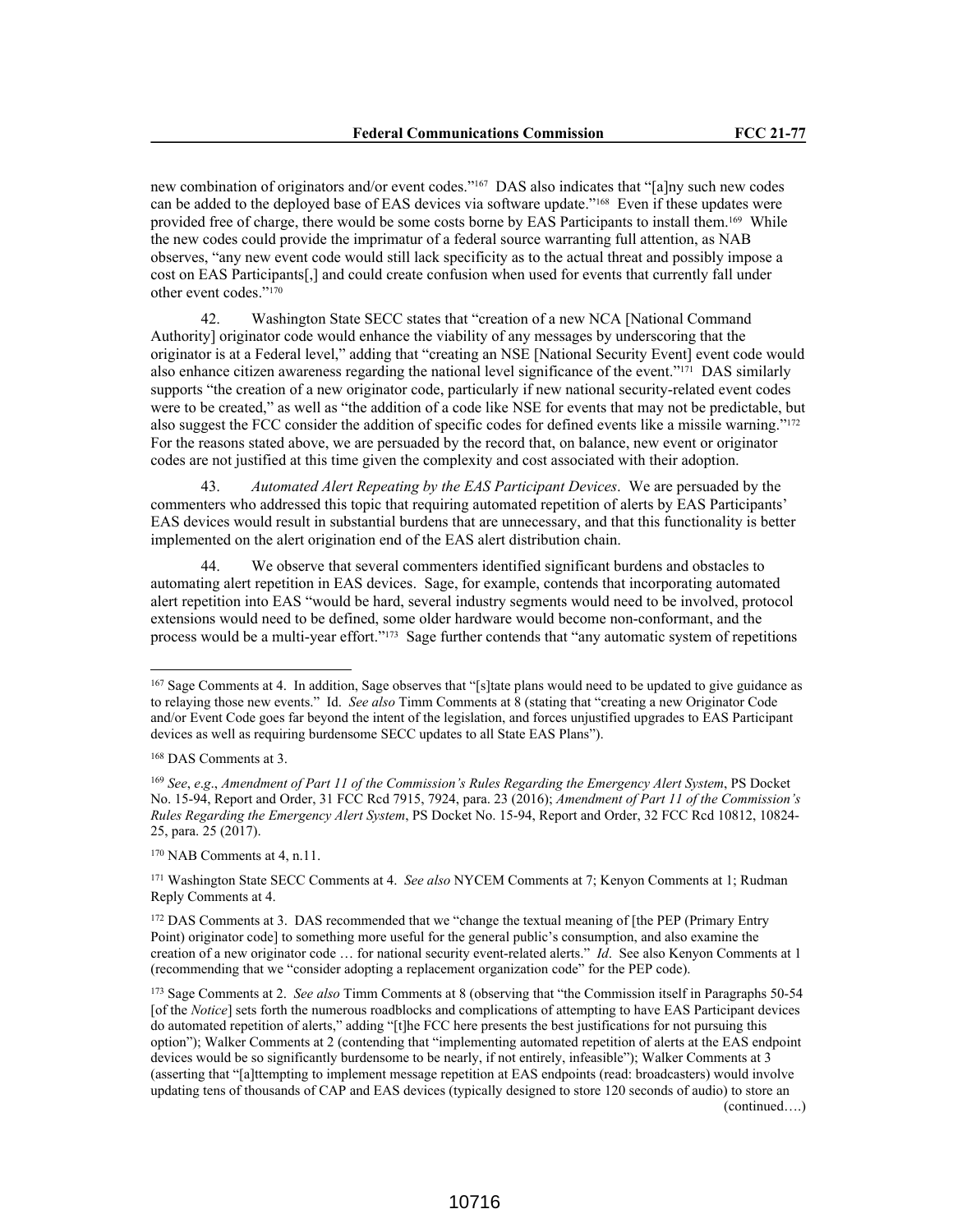new combination of originators and/or event codes."167 DAS also indicates that "[a]ny such new codes can be added to the deployed base of EAS devices via software update."168 Even if these updates were provided free of charge, there would be some costs borne by EAS Participants to install them.169 While the new codes could provide the imprimatur of a federal source warranting full attention, as NAB observes, "any new event code would still lack specificity as to the actual threat and possibly impose a cost on EAS Participants[,] and could create confusion when used for events that currently fall under other event codes."<sup>170</sup>

42. Washington State SECC states that "creation of a new NCA [National Command Authority] originator code would enhance the viability of any messages by underscoring that the originator is at a Federal level," adding that "creating an NSE [National Security Event] event code would also enhance citizen awareness regarding the national level significance of the event."171 DAS similarly supports "the creation of a new originator code, particularly if new national security-related event codes were to be created," as well as "the addition of a code like NSE for events that may not be predictable, but also suggest the FCC consider the addition of specific codes for defined events like a missile warning."<sup>172</sup> For the reasons stated above, we are persuaded by the record that, on balance, new event or originator codes are not justified at this time given the complexity and cost associated with their adoption.

43. *Automated Alert Repeating by the EAS Participant Devices*. We are persuaded by the commenters who addressed this topic that requiring automated repetition of alerts by EAS Participants' EAS devices would result in substantial burdens that are unnecessary, and that this functionality is better implemented on the alert origination end of the EAS alert distribution chain.

44. We observe that several commenters identified significant burdens and obstacles to automating alert repetition in EAS devices. Sage, for example, contends that incorporating automated alert repetition into EAS "would be hard, several industry segments would need to be involved, protocol extensions would need to be defined, some older hardware would become non-conformant, and the process would be a multi-year effort."173 Sage further contends that "any automatic system of repetitions

<sup>170</sup> NAB Comments at 4, n.11.

<sup>171</sup> Washington State SECC Comments at 4. *See also* NYCEM Comments at 7; Kenyon Comments at 1; Rudman Reply Comments at 4.

<sup>172</sup> DAS Comments at 3. DAS recommended that we "change the textual meaning of [the PEP (Primary Entry Point) originator code] to something more useful for the general public's consumption, and also examine the creation of a new originator code … for national security event-related alerts." *Id*. See also Kenyon Comments at 1 (recommending that we "consider adopting a replacement organization code" for the PEP code).

<sup>173</sup> Sage Comments at 2. *See also* Timm Comments at 8 (observing that "the Commission itself in Paragraphs 50-54 [of the *Notice*] sets forth the numerous roadblocks and complications of attempting to have EAS Participant devices do automated repetition of alerts," adding "[t]he FCC here presents the best justifications for not pursuing this option"); Walker Comments at 2 (contending that "implementing automated repetition of alerts at the EAS endpoint devices would be so significantly burdensome to be nearly, if not entirely, infeasible"); Walker Comments at 3 (asserting that "[a]ttempting to implement message repetition at EAS endpoints (read: broadcasters) would involve updating tens of thousands of CAP and EAS devices (typically designed to store 120 seconds of audio) to store an (continued….)

<sup>167</sup> Sage Comments at 4. In addition, Sage observes that "[s]tate plans would need to be updated to give guidance as to relaying those new events." Id. *See also* Timm Comments at 8 (stating that "creating a new Originator Code and/or Event Code goes far beyond the intent of the legislation, and forces unjustified upgrades to EAS Participant devices as well as requiring burdensome SECC updates to all State EAS Plans").

<sup>168</sup> DAS Comments at 3.

<sup>169</sup> *See*, *e*.*g*., *Amendment of Part 11 of the Commission's Rules Regarding the Emergency Alert System*, PS Docket No. 15-94, Report and Order, 31 FCC Rcd 7915, 7924, para. 23 (2016); *Amendment of Part 11 of the Commission's Rules Regarding the Emergency Alert System*, PS Docket No. 15-94, Report and Order, 32 FCC Rcd 10812, 10824- 25, para. 25 (2017).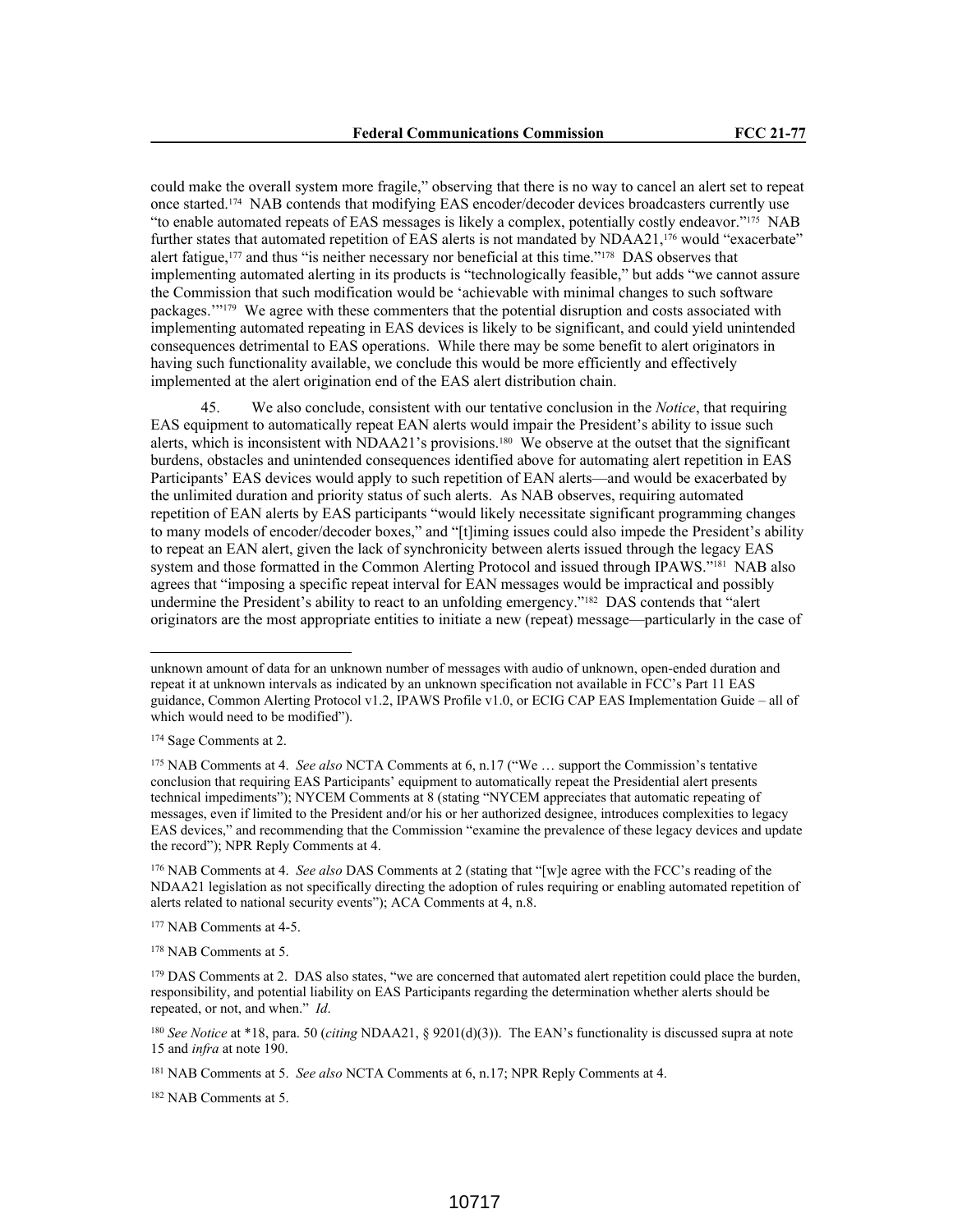could make the overall system more fragile," observing that there is no way to cancel an alert set to repeat once started.174 NAB contends that modifying EAS encoder/decoder devices broadcasters currently use "to enable automated repeats of EAS messages is likely a complex, potentially costly endeavor."<sup>175</sup> NAB further states that automated repetition of EAS alerts is not mandated by NDAA21,176 would "exacerbate" alert fatigue,<sup>177</sup> and thus "is neither necessary nor beneficial at this time."<sup>178</sup> DAS observes that implementing automated alerting in its products is "technologically feasible," but adds "we cannot assure the Commission that such modification would be 'achievable with minimal changes to such software packages.'"179 We agree with these commenters that the potential disruption and costs associated with implementing automated repeating in EAS devices is likely to be significant, and could yield unintended consequences detrimental to EAS operations. While there may be some benefit to alert originators in having such functionality available, we conclude this would be more efficiently and effectively implemented at the alert origination end of the EAS alert distribution chain.

45. We also conclude, consistent with our tentative conclusion in the *Notice*, that requiring EAS equipment to automatically repeat EAN alerts would impair the President's ability to issue such alerts, which is inconsistent with NDAA21's provisions.180 We observe at the outset that the significant burdens, obstacles and unintended consequences identified above for automating alert repetition in EAS Participants' EAS devices would apply to such repetition of EAN alerts—and would be exacerbated by the unlimited duration and priority status of such alerts. As NAB observes, requiring automated repetition of EAN alerts by EAS participants "would likely necessitate significant programming changes to many models of encoder/decoder boxes," and "[t]iming issues could also impede the President's ability to repeat an EAN alert, given the lack of synchronicity between alerts issued through the legacy EAS system and those formatted in the Common Alerting Protocol and issued through IPAWS."<sup>181</sup> NAB also agrees that "imposing a specific repeat interval for EAN messages would be impractical and possibly undermine the President's ability to react to an unfolding emergency."182 DAS contends that "alert originators are the most appropriate entities to initiate a new (repeat) message—particularly in the case of

unknown amount of data for an unknown number of messages with audio of unknown, open-ended duration and repeat it at unknown intervals as indicated by an unknown specification not available in FCC's Part 11 EAS guidance, Common Alerting Protocol v1.2, IPAWS Profile v1.0, or ECIG CAP EAS Implementation Guide – all of which would need to be modified").

<sup>174</sup> Sage Comments at 2.

<sup>175</sup> NAB Comments at 4. *See also* NCTA Comments at 6, n.17 ("We … support the Commission's tentative conclusion that requiring EAS Participants' equipment to automatically repeat the Presidential alert presents technical impediments"); NYCEM Comments at 8 (stating "NYCEM appreciates that automatic repeating of messages, even if limited to the President and/or his or her authorized designee, introduces complexities to legacy EAS devices," and recommending that the Commission "examine the prevalence of these legacy devices and update the record"); NPR Reply Comments at 4.

<sup>176</sup> NAB Comments at 4. *See also* DAS Comments at 2 (stating that "[w]e agree with the FCC's reading of the NDAA21 legislation as not specifically directing the adoption of rules requiring or enabling automated repetition of alerts related to national security events"); ACA Comments at 4, n.8.

<sup>&</sup>lt;sup>177</sup> NAB Comments at 4-5.

<sup>178</sup> NAB Comments at 5.

<sup>&</sup>lt;sup>179</sup> DAS Comments at 2. DAS also states, "we are concerned that automated alert repetition could place the burden, responsibility, and potential liability on EAS Participants regarding the determination whether alerts should be repeated, or not, and when." *Id*.

<sup>180</sup> *See Notice* at \*18, para. 50 (*citing* NDAA21, § 9201(d)(3)). The EAN's functionality is discussed supra at note 15 and *infra* at note 190.

<sup>181</sup> NAB Comments at 5. *See also* NCTA Comments at 6, n.17; NPR Reply Comments at 4.

<sup>182</sup> NAB Comments at 5.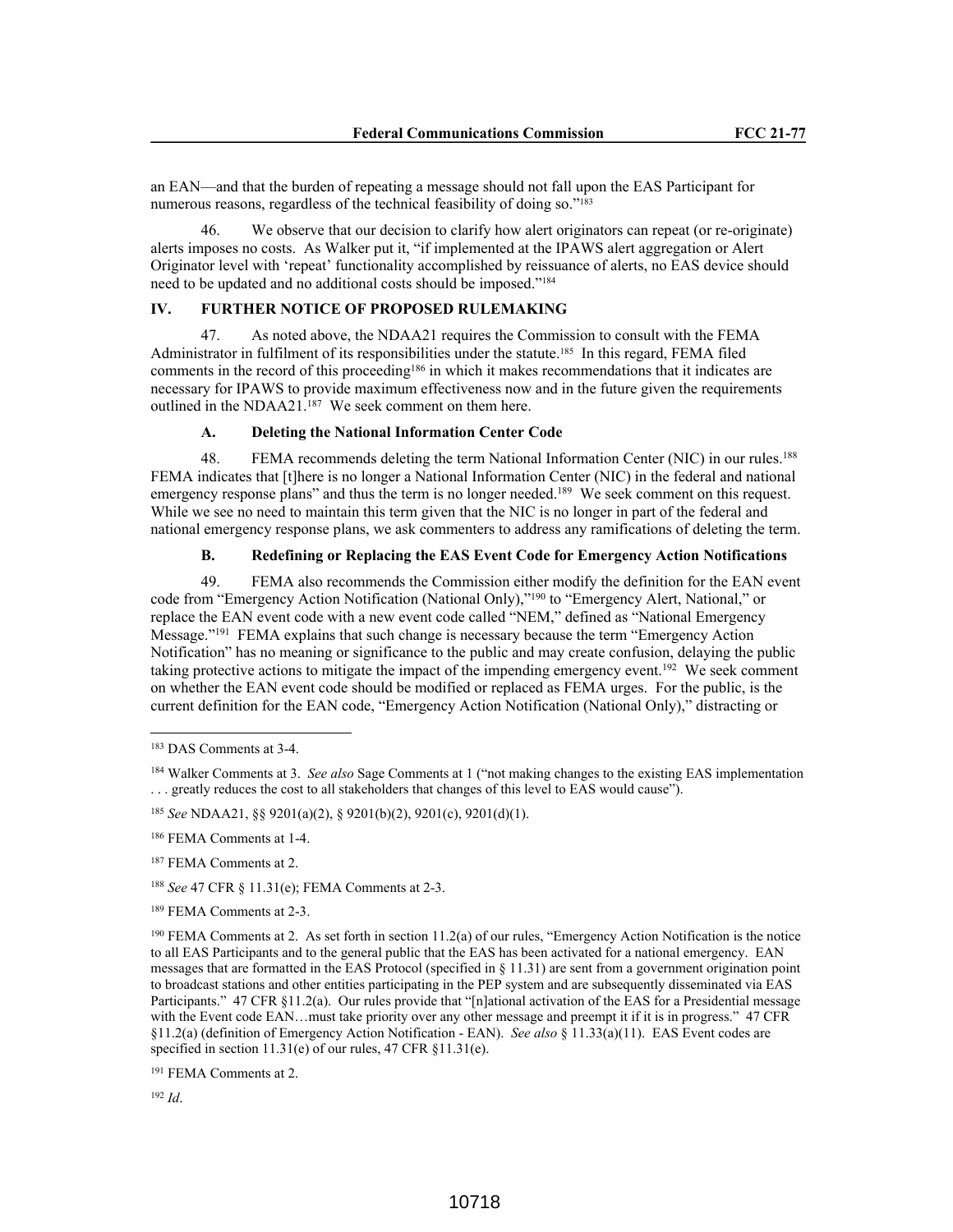an EAN—and that the burden of repeating a message should not fall upon the EAS Participant for numerous reasons, regardless of the technical feasibility of doing so."<sup>183</sup>

46. We observe that our decision to clarify how alert originators can repeat (or re-originate) alerts imposes no costs. As Walker put it, "if implemented at the IPAWS alert aggregation or Alert Originator level with 'repeat' functionality accomplished by reissuance of alerts, no EAS device should need to be updated and no additional costs should be imposed."<sup>184</sup>

# **IV. FURTHER NOTICE OF PROPOSED RULEMAKING**

47. As noted above, the NDAA21 requires the Commission to consult with the FEMA Administrator in fulfilment of its responsibilities under the statute.185 In this regard, FEMA filed comments in the record of this proceeding<sup>186</sup> in which it makes recommendations that it indicates are necessary for IPAWS to provide maximum effectiveness now and in the future given the requirements outlined in the NDAA21.<sup>187</sup> We seek comment on them here.

# **A. Deleting the National Information Center Code**

48. FEMA recommends deleting the term National Information Center (NIC) in our rules.<sup>188</sup> FEMA indicates that [t]here is no longer a National Information Center (NIC) in the federal and national emergency response plans" and thus the term is no longer needed.<sup>189</sup> We seek comment on this request. While we see no need to maintain this term given that the NIC is no longer in part of the federal and national emergency response plans, we ask commenters to address any ramifications of deleting the term.

# **B. Redefining or Replacing the EAS Event Code for Emergency Action Notifications**

49. FEMA also recommends the Commission either modify the definition for the EAN event code from "Emergency Action Notification (National Only),"<sup>190</sup> to "Emergency Alert, National," or replace the EAN event code with a new event code called "NEM," defined as "National Emergency Message."<sup>191</sup> FEMA explains that such change is necessary because the term "Emergency Action Notification" has no meaning or significance to the public and may create confusion, delaying the public taking protective actions to mitigate the impact of the impending emergency event.<sup>192</sup> We seek comment on whether the EAN event code should be modified or replaced as FEMA urges. For the public, is the current definition for the EAN code, "Emergency Action Notification (National Only)," distracting or

<sup>185</sup> *See* NDAA21, §§ 9201(a)(2), § 9201(b)(2), 9201(c), 9201(d)(1).

<sup>186</sup> FEMA Comments at 1-4.

<sup>187</sup> FEMA Comments at 2.

<sup>188</sup> *See* 47 CFR § 11.31(e); FEMA Comments at 2-3.

<sup>189</sup> FEMA Comments at 2-3.

<sup>190</sup> FEMA Comments at 2. As set forth in section 11.2(a) of our rules, "Emergency Action Notification is the notice to all EAS Participants and to the general public that the EAS has been activated for a national emergency. EAN messages that are formatted in the EAS Protocol (specified in § 11.31) are sent from a government origination point to broadcast stations and other entities participating in the PEP system and are subsequently disseminated via EAS Participants." 47 CFR §11.2(a). Our rules provide that "[n]ational activation of the EAS for a Presidential message with the Event code EAN...must take priority over any other message and preempt it if it is in progress." 47 CFR §11.2(a) (definition of Emergency Action Notification - EAN). *See also* § 11.33(a)(11). EAS Event codes are specified in section 11.31(e) of our rules, 47 CFR §11.31(e).

<sup>191</sup> FEMA Comments at 2.

<sup>183</sup> DAS Comments at 3-4.

<sup>184</sup> Walker Comments at 3. *See also* Sage Comments at 1 ("not making changes to the existing EAS implementation ... greatly reduces the cost to all stakeholders that changes of this level to EAS would cause").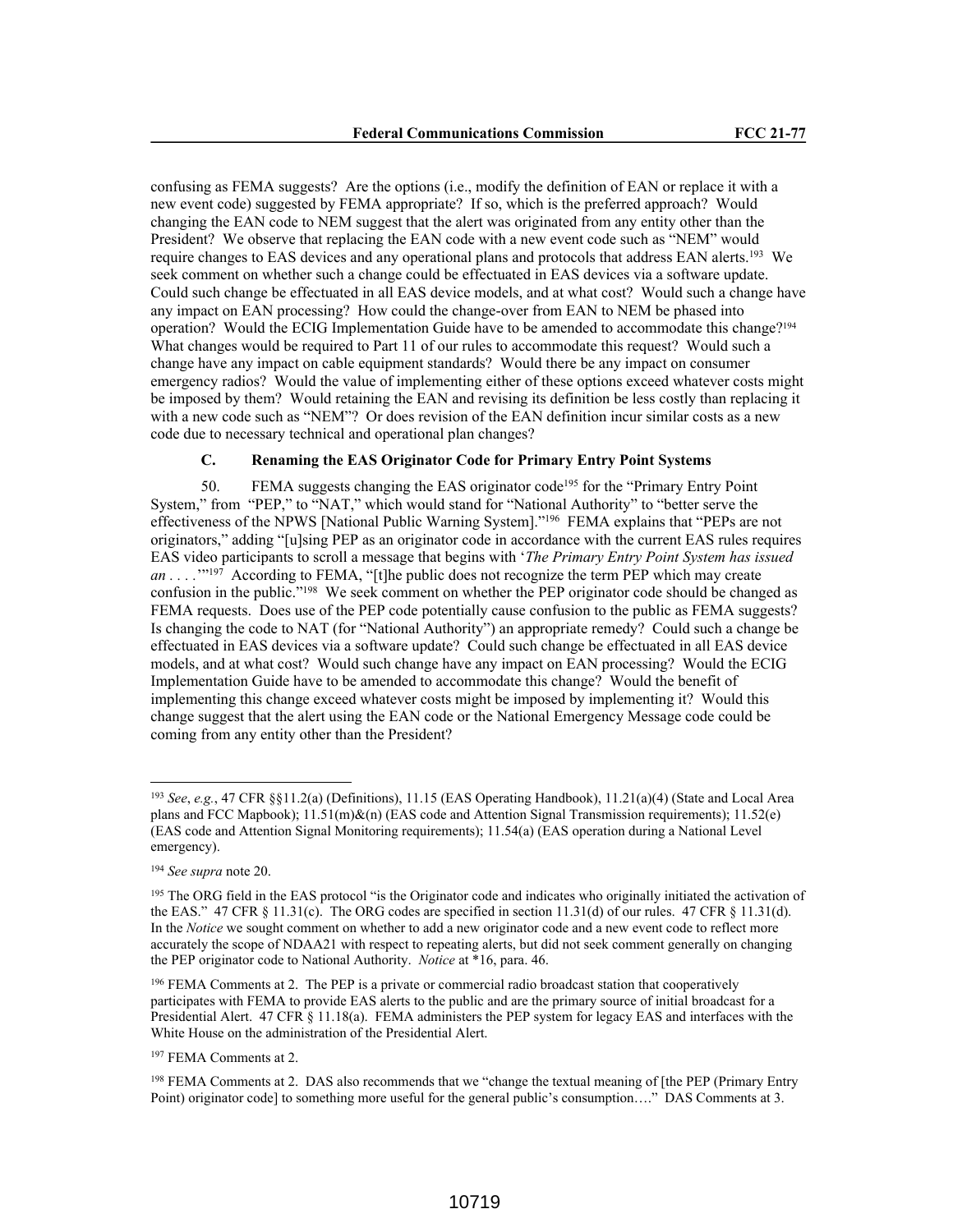confusing as FEMA suggests? Are the options (i.e., modify the definition of EAN or replace it with a new event code) suggested by FEMA appropriate? If so, which is the preferred approach? Would changing the EAN code to NEM suggest that the alert was originated from any entity other than the President? We observe that replacing the EAN code with a new event code such as "NEM" would require changes to EAS devices and any operational plans and protocols that address EAN alerts.<sup>193</sup> We seek comment on whether such a change could be effectuated in EAS devices via a software update. Could such change be effectuated in all EAS device models, and at what cost? Would such a change have any impact on EAN processing? How could the change-over from EAN to NEM be phased into operation? Would the ECIG Implementation Guide have to be amended to accommodate this change?<sup>194</sup> What changes would be required to Part 11 of our rules to accommodate this request? Would such a change have any impact on cable equipment standards? Would there be any impact on consumer emergency radios? Would the value of implementing either of these options exceed whatever costs might be imposed by them? Would retaining the EAN and revising its definition be less costly than replacing it with a new code such as "NEM"? Or does revision of the EAN definition incur similar costs as a new code due to necessary technical and operational plan changes?

# **C. Renaming the EAS Originator Code for Primary Entry Point Systems**

50. FEMA suggests changing the EAS originator code<sup>195</sup> for the "Primary Entry Point System," from "PEP," to "NAT," which would stand for "National Authority" to "better serve the effectiveness of the NPWS [National Public Warning System]."<sup>196</sup> FEMA explains that "PEPs are not originators," adding "[u]sing PEP as an originator code in accordance with the current EAS rules requires EAS video participants to scroll a message that begins with '*The Primary Entry Point System has issued an* . . . .<sup>'"197</sup> According to FEMA, "[t]he public does not recognize the term PEP which may create confusion in the public."<sup>198</sup> We seek comment on whether the PEP originator code should be changed as FEMA requests. Does use of the PEP code potentially cause confusion to the public as FEMA suggests? Is changing the code to NAT (for "National Authority") an appropriate remedy? Could such a change be effectuated in EAS devices via a software update? Could such change be effectuated in all EAS device models, and at what cost? Would such change have any impact on EAN processing? Would the ECIG Implementation Guide have to be amended to accommodate this change? Would the benefit of implementing this change exceed whatever costs might be imposed by implementing it? Would this change suggest that the alert using the EAN code or the National Emergency Message code could be coming from any entity other than the President?

<sup>193</sup> *See*, *e.g.*, 47 CFR §§11.2(a) (Definitions), 11.15 (EAS Operating Handbook), 11.21(a)(4) (State and Local Area plans and FCC Mapbook); 11.51(m)&(n) (EAS code and Attention Signal Transmission requirements); 11.52(e) (EAS code and Attention Signal Monitoring requirements); 11.54(a) (EAS operation during a National Level emergency).

<sup>194</sup> *See supra* note 20.

<sup>&</sup>lt;sup>195</sup> The ORG field in the EAS protocol "is the Originator code and indicates who originally initiated the activation of the EAS." 47 CFR  $\S 11.31(c)$ . The ORG codes are specified in section 11.31(d) of our rules. 47 CFR  $\S 11.31(d)$ . In the *Notice* we sought comment on whether to add a new originator code and a new event code to reflect more accurately the scope of NDAA21 with respect to repeating alerts, but did not seek comment generally on changing the PEP originator code to National Authority. *Notice* at \*16, para. 46.

<sup>&</sup>lt;sup>196</sup> FEMA Comments at 2. The PEP is a private or commercial radio broadcast station that cooperatively participates with FEMA to provide EAS alerts to the public and are the primary source of initial broadcast for a Presidential Alert. 47 CFR § 11.18(a). FEMA administers the PEP system for legacy EAS and interfaces with the White House on the administration of the Presidential Alert.

<sup>197</sup> FEMA Comments at 2.

<sup>198</sup> FEMA Comments at 2. DAS also recommends that we "change the textual meaning of [the PEP (Primary Entry Point) originator code] to something more useful for the general public's consumption…." DAS Comments at 3.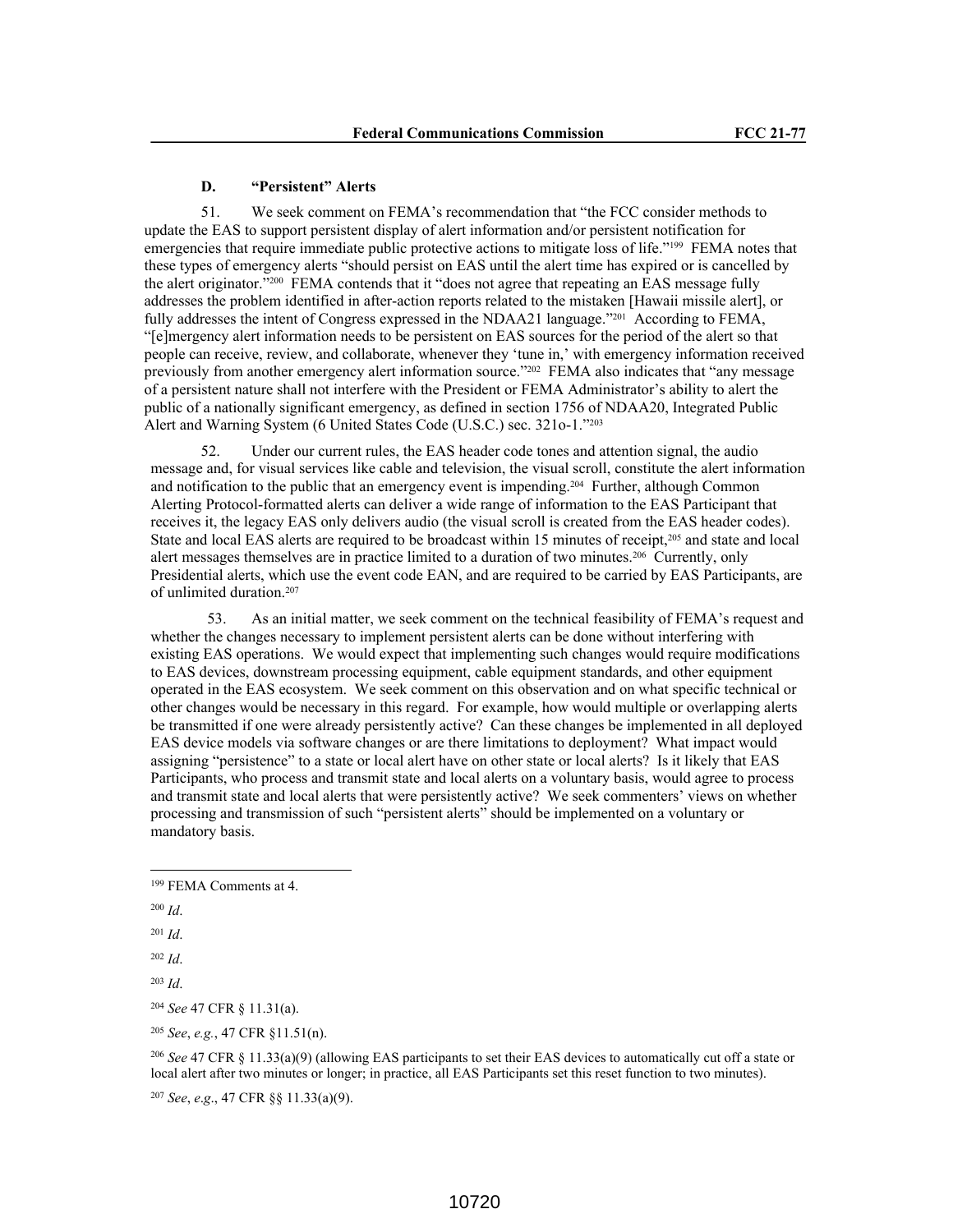#### **D. "Persistent" Alerts**

51. We seek comment on FEMA's recommendation that "the FCC consider methods to update the EAS to support persistent display of alert information and/or persistent notification for emergencies that require immediate public protective actions to mitigate loss of life."<sup>199</sup> FEMA notes that these types of emergency alerts "should persist on EAS until the alert time has expired or is cancelled by the alert originator."200 FEMA contends that it "does not agree that repeating an EAS message fully addresses the problem identified in after-action reports related to the mistaken [Hawaii missile alert], or fully addresses the intent of Congress expressed in the NDAA21 language."201 According to FEMA, "[e]mergency alert information needs to be persistent on EAS sources for the period of the alert so that people can receive, review, and collaborate, whenever they 'tune in,' with emergency information received previously from another emergency alert information source."202 FEMA also indicates that "any message of a persistent nature shall not interfere with the President or FEMA Administrator's ability to alert the public of a nationally significant emergency, as defined in section 1756 of NDAA20, Integrated Public Alert and Warning System (6 United States Code (U.S.C.) sec. 321o-1."<sup>203</sup>

52. Under our current rules, the EAS header code tones and attention signal, the audio message and, for visual services like cable and television, the visual scroll, constitute the alert information and notification to the public that an emergency event is impending.204 Further, although Common Alerting Protocol-formatted alerts can deliver a wide range of information to the EAS Participant that receives it, the legacy EAS only delivers audio (the visual scroll is created from the EAS header codes). State and local EAS alerts are required to be broadcast within 15 minutes of receipt,<sup>205</sup> and state and local alert messages themselves are in practice limited to a duration of two minutes.206 Currently, only Presidential alerts, which use the event code EAN, and are required to be carried by EAS Participants, are of unlimited duration.<sup>207</sup>

53. As an initial matter, we seek comment on the technical feasibility of FEMA's request and whether the changes necessary to implement persistent alerts can be done without interfering with existing EAS operations. We would expect that implementing such changes would require modifications to EAS devices, downstream processing equipment, cable equipment standards, and other equipment operated in the EAS ecosystem. We seek comment on this observation and on what specific technical or other changes would be necessary in this regard. For example, how would multiple or overlapping alerts be transmitted if one were already persistently active? Can these changes be implemented in all deployed EAS device models via software changes or are there limitations to deployment? What impact would assigning "persistence" to a state or local alert have on other state or local alerts? Is it likely that EAS Participants, who process and transmit state and local alerts on a voluntary basis, would agree to process and transmit state and local alerts that were persistently active? We seek commenters' views on whether processing and transmission of such "persistent alerts" should be implemented on a voluntary or mandatory basis.

- <sup>200</sup> *Id*.
- <sup>201</sup> *Id*.

<sup>202</sup> *Id*.

<sup>203</sup> *Id*.

<sup>205</sup> *See*, *e.g.*, 47 CFR §11.51(n).

<sup>206</sup> *See* 47 CFR § 11.33(a)(9) (allowing EAS participants to set their EAS devices to automatically cut off a state or local alert after two minutes or longer; in practice, all EAS Participants set this reset function to two minutes).

<sup>207</sup> *See*, *e*.*g*., 47 CFR §§ 11.33(a)(9).

<sup>199</sup> FEMA Comments at 4.

<sup>204</sup> *See* 47 CFR § 11.31(a).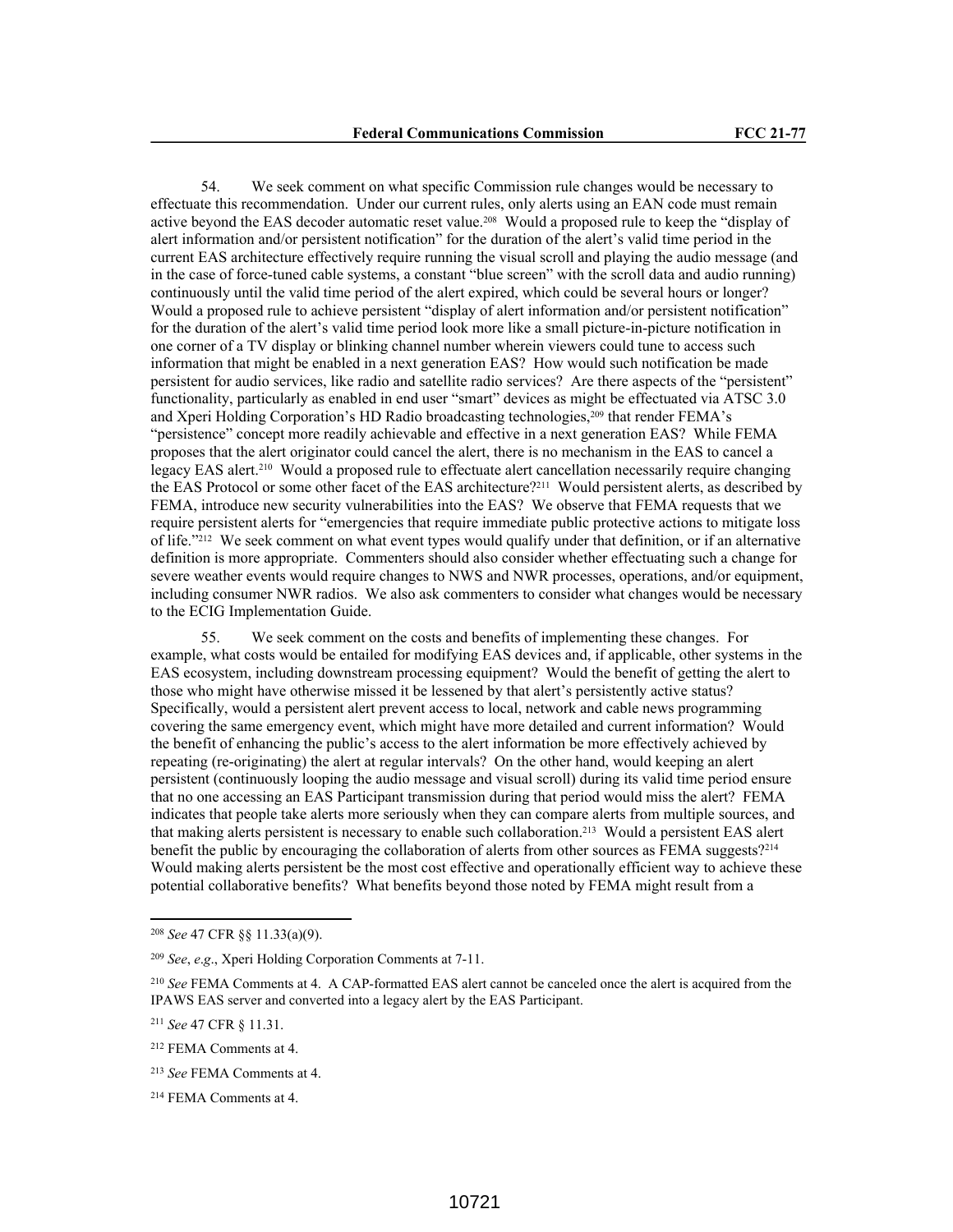54. We seek comment on what specific Commission rule changes would be necessary to effectuate this recommendation. Under our current rules, only alerts using an EAN code must remain active beyond the EAS decoder automatic reset value.208 Would a proposed rule to keep the "display of alert information and/or persistent notification" for the duration of the alert's valid time period in the current EAS architecture effectively require running the visual scroll and playing the audio message (and in the case of force-tuned cable systems, a constant "blue screen" with the scroll data and audio running) continuously until the valid time period of the alert expired, which could be several hours or longer? Would a proposed rule to achieve persistent "display of alert information and/or persistent notification" for the duration of the alert's valid time period look more like a small picture-in-picture notification in one corner of a TV display or blinking channel number wherein viewers could tune to access such information that might be enabled in a next generation EAS? How would such notification be made persistent for audio services, like radio and satellite radio services? Are there aspects of the "persistent" functionality, particularly as enabled in end user "smart" devices as might be effectuated via ATSC 3.0 and Xperi Holding Corporation's HD Radio broadcasting technologies,209 that render FEMA's "persistence" concept more readily achievable and effective in a next generation EAS? While FEMA proposes that the alert originator could cancel the alert, there is no mechanism in the EAS to cancel a legacy EAS alert.<sup>210</sup> Would a proposed rule to effectuate alert cancellation necessarily require changing the EAS Protocol or some other facet of the EAS architecture?211 Would persistent alerts, as described by FEMA, introduce new security vulnerabilities into the EAS? We observe that FEMA requests that we require persistent alerts for "emergencies that require immediate public protective actions to mitigate loss of life."212 We seek comment on what event types would qualify under that definition, or if an alternative definition is more appropriate. Commenters should also consider whether effectuating such a change for severe weather events would require changes to NWS and NWR processes, operations, and/or equipment, including consumer NWR radios. We also ask commenters to consider what changes would be necessary to the ECIG Implementation Guide.

55. We seek comment on the costs and benefits of implementing these changes. For example, what costs would be entailed for modifying EAS devices and, if applicable, other systems in the EAS ecosystem, including downstream processing equipment? Would the benefit of getting the alert to those who might have otherwise missed it be lessened by that alert's persistently active status? Specifically, would a persistent alert prevent access to local, network and cable news programming covering the same emergency event, which might have more detailed and current information? Would the benefit of enhancing the public's access to the alert information be more effectively achieved by repeating (re-originating) the alert at regular intervals? On the other hand, would keeping an alert persistent (continuously looping the audio message and visual scroll) during its valid time period ensure that no one accessing an EAS Participant transmission during that period would miss the alert? FEMA indicates that people take alerts more seriously when they can compare alerts from multiple sources, and that making alerts persistent is necessary to enable such collaboration.213 Would a persistent EAS alert benefit the public by encouraging the collaboration of alerts from other sources as FEMA suggests?<sup>214</sup> Would making alerts persistent be the most cost effective and operationally efficient way to achieve these potential collaborative benefits? What benefits beyond those noted by FEMA might result from a

<sup>208</sup> *See* 47 CFR §§ 11.33(a)(9).

<sup>209</sup> *See*, *e*.*g*., Xperi Holding Corporation Comments at 7-11.

<sup>210</sup> *See* FEMA Comments at 4. A CAP-formatted EAS alert cannot be canceled once the alert is acquired from the IPAWS EAS server and converted into a legacy alert by the EAS Participant.

<sup>211</sup> *See* 47 CFR § 11.31.

<sup>212</sup> FEMA Comments at 4.

<sup>213</sup> *See* FEMA Comments at 4.

<sup>214</sup> FEMA Comments at 4.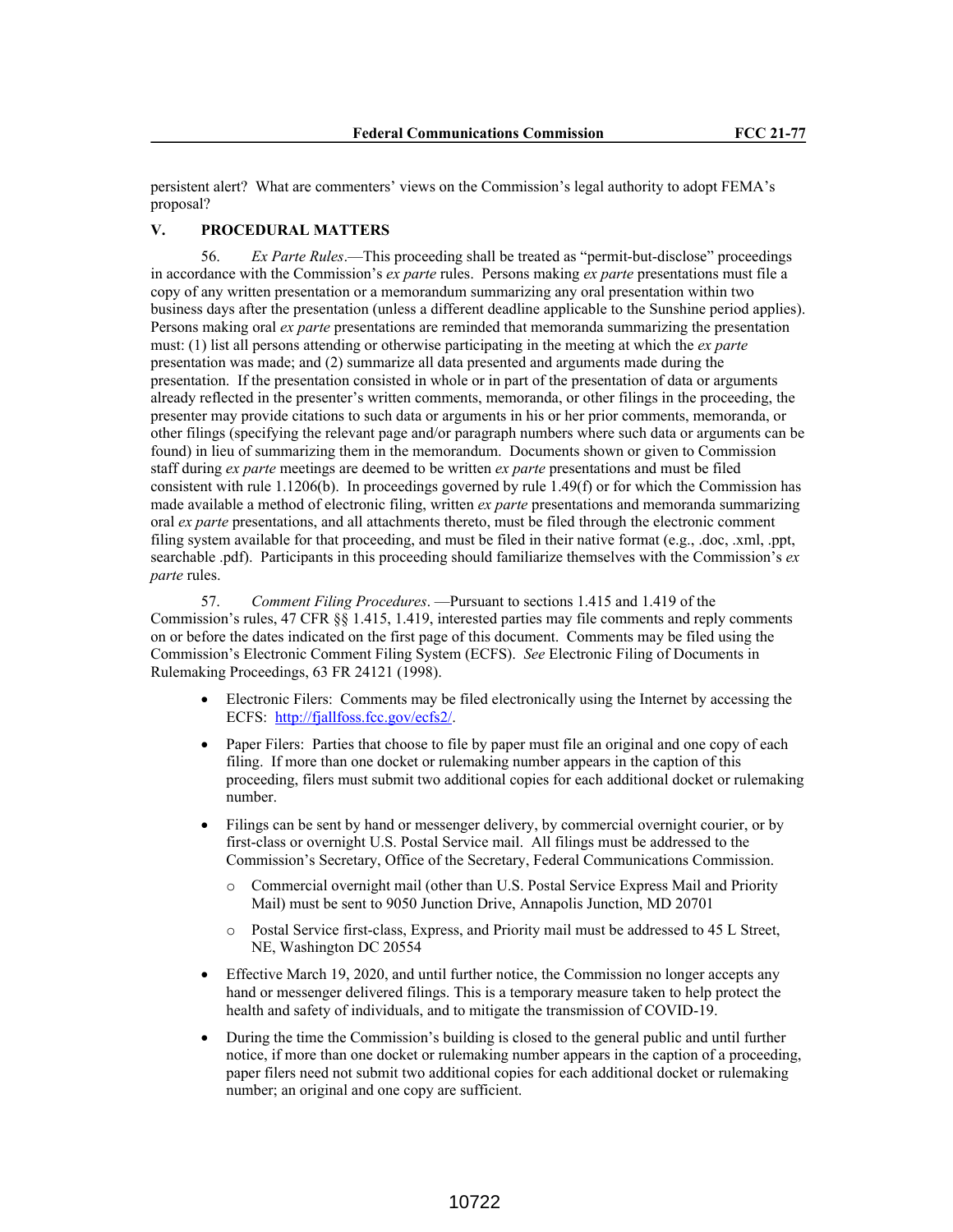persistent alert? What are commenters' views on the Commission's legal authority to adopt FEMA's proposal?

# **V. PROCEDURAL MATTERS**

56. *Ex Parte Rules*.—This proceeding shall be treated as "permit-but-disclose" proceedings in accordance with the Commission's *ex parte* rules. Persons making *ex parte* presentations must file a copy of any written presentation or a memorandum summarizing any oral presentation within two business days after the presentation (unless a different deadline applicable to the Sunshine period applies). Persons making oral *ex parte* presentations are reminded that memoranda summarizing the presentation must: (1) list all persons attending or otherwise participating in the meeting at which the *ex parte* presentation was made; and (2) summarize all data presented and arguments made during the presentation. If the presentation consisted in whole or in part of the presentation of data or arguments already reflected in the presenter's written comments, memoranda, or other filings in the proceeding, the presenter may provide citations to such data or arguments in his or her prior comments, memoranda, or other filings (specifying the relevant page and/or paragraph numbers where such data or arguments can be found) in lieu of summarizing them in the memorandum. Documents shown or given to Commission staff during *ex parte* meetings are deemed to be written *ex parte* presentations and must be filed consistent with rule 1.1206(b). In proceedings governed by rule 1.49(f) or for which the Commission has made available a method of electronic filing, written *ex parte* presentations and memoranda summarizing oral *ex parte* presentations, and all attachments thereto, must be filed through the electronic comment filing system available for that proceeding, and must be filed in their native format (e.g., .doc, .xml, .ppt, searchable .pdf). Participants in this proceeding should familiarize themselves with the Commission's *ex parte* rules.

57. *Comment Filing Procedures*. —Pursuant to sections 1.415 and 1.419 of the Commission's rules, 47 CFR §§ 1.415, 1.419, interested parties may file comments and reply comments on or before the dates indicated on the first page of this document. Comments may be filed using the Commission's Electronic Comment Filing System (ECFS). *See* Electronic Filing of Documents in Rulemaking Proceedings, 63 FR 24121 (1998).

- Electronic Filers: Comments may be filed electronically using the Internet by accessing the ECFS: http://fjallfoss.fcc.gov/ecfs2/.
- Paper Filers: Parties that choose to file by paper must file an original and one copy of each filing. If more than one docket or rulemaking number appears in the caption of this proceeding, filers must submit two additional copies for each additional docket or rulemaking number.
- Filings can be sent by hand or messenger delivery, by commercial overnight courier, or by first-class or overnight U.S. Postal Service mail. All filings must be addressed to the Commission's Secretary, Office of the Secretary, Federal Communications Commission.
	- Commercial overnight mail (other than U.S. Postal Service Express Mail and Priority Mail) must be sent to 9050 Junction Drive, Annapolis Junction, MD 20701
	- o Postal Service first-class, Express, and Priority mail must be addressed to 45 L Street, NE, Washington DC 20554
- Effective March 19, 2020, and until further notice, the Commission no longer accepts any hand or messenger delivered filings. This is a temporary measure taken to help protect the health and safety of individuals, and to mitigate the transmission of COVID-19.
- During the time the Commission's building is closed to the general public and until further notice, if more than one docket or rulemaking number appears in the caption of a proceeding, paper filers need not submit two additional copies for each additional docket or rulemaking number; an original and one copy are sufficient.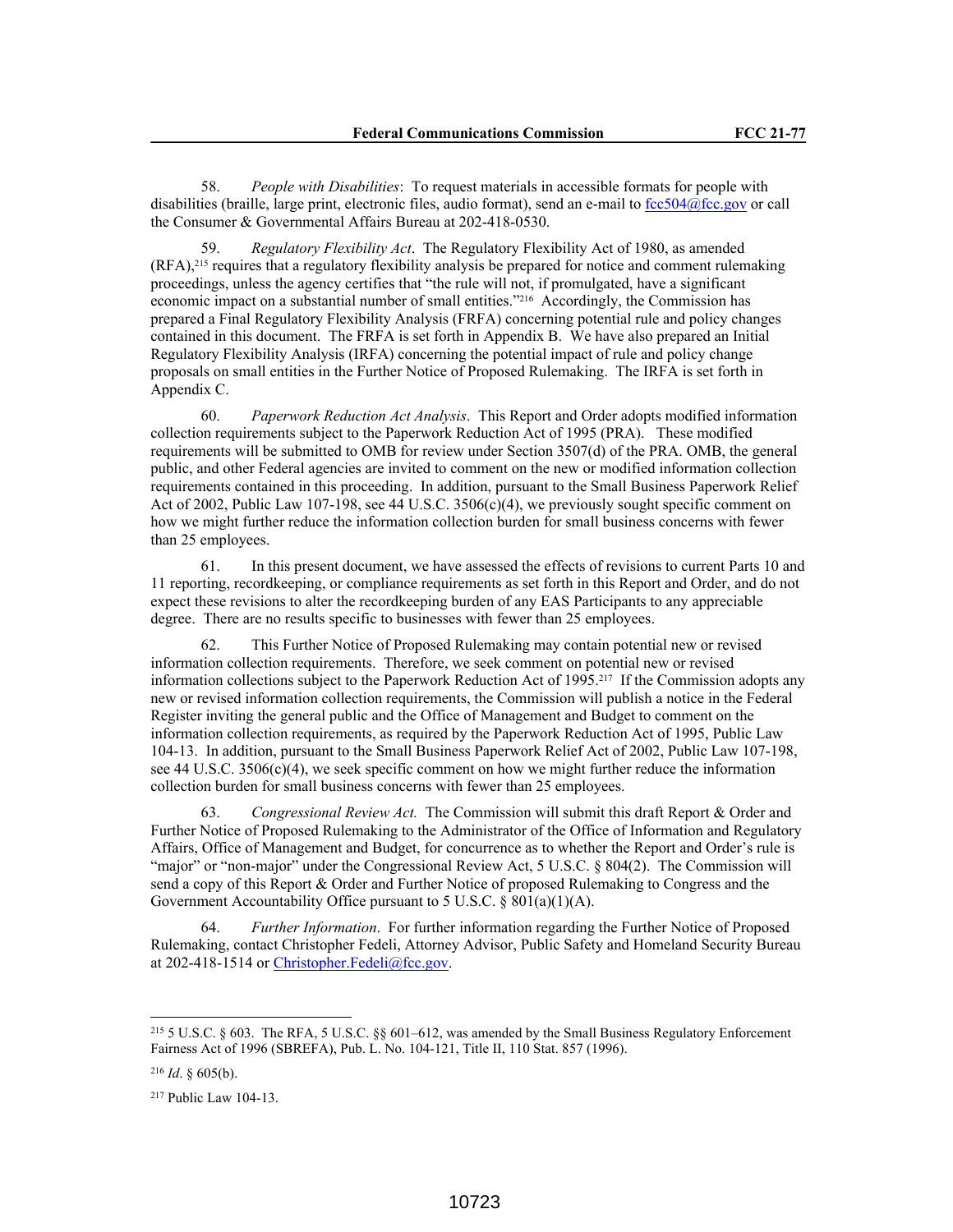58. *People with Disabilities*: To request materials in accessible formats for people with disabilities (braille, large print, electronic files, audio format), send an e-mail to fcc504@fcc.gov or call the Consumer & Governmental Affairs Bureau at 202-418-0530.

59. *Regulatory Flexibility Act*. The Regulatory Flexibility Act of 1980, as amended (RFA),215 requires that a regulatory flexibility analysis be prepared for notice and comment rulemaking proceedings, unless the agency certifies that "the rule will not, if promulgated, have a significant economic impact on a substantial number of small entities."216 Accordingly, the Commission has prepared a Final Regulatory Flexibility Analysis (FRFA) concerning potential rule and policy changes contained in this document. The FRFA is set forth in Appendix B. We have also prepared an Initial Regulatory Flexibility Analysis (IRFA) concerning the potential impact of rule and policy change proposals on small entities in the Further Notice of Proposed Rulemaking. The IRFA is set forth in Appendix C.

60. *Paperwork Reduction Act Analysis*. This Report and Order adopts modified information collection requirements subject to the Paperwork Reduction Act of 1995 (PRA). These modified requirements will be submitted to OMB for review under Section 3507(d) of the PRA. OMB, the general public, and other Federal agencies are invited to comment on the new or modified information collection requirements contained in this proceeding. In addition, pursuant to the Small Business Paperwork Relief Act of 2002, Public Law 107-198, see 44 U.S.C. 3506(c)(4), we previously sought specific comment on how we might further reduce the information collection burden for small business concerns with fewer than 25 employees.

61. In this present document, we have assessed the effects of revisions to current Parts 10 and 11 reporting, recordkeeping, or compliance requirements as set forth in this Report and Order, and do not expect these revisions to alter the recordkeeping burden of any EAS Participants to any appreciable degree. There are no results specific to businesses with fewer than 25 employees.

62. This Further Notice of Proposed Rulemaking may contain potential new or revised information collection requirements. Therefore, we seek comment on potential new or revised information collections subject to the Paperwork Reduction Act of 1995.217 If the Commission adopts any new or revised information collection requirements, the Commission will publish a notice in the Federal Register inviting the general public and the Office of Management and Budget to comment on the information collection requirements, as required by the Paperwork Reduction Act of 1995, Public Law 104-13. In addition, pursuant to the Small Business Paperwork Relief Act of 2002, Public Law 107-198, see 44 U.S.C. 3506(c)(4), we seek specific comment on how we might further reduce the information collection burden for small business concerns with fewer than 25 employees.

63. *Congressional Review Act.* The Commission will submit this draft Report & Order and Further Notice of Proposed Rulemaking to the Administrator of the Office of Information and Regulatory Affairs, Office of Management and Budget, for concurrence as to whether the Report and Order's rule is "major" or "non-major" under the Congressional Review Act, 5 U.S.C. § 804(2). The Commission will send a copy of this Report & Order and Further Notice of proposed Rulemaking to Congress and the Government Accountability Office pursuant to 5 U.S.C. § 801(a)(1)(A).

64. *Further Information*. For further information regarding the Further Notice of Proposed Rulemaking, contact Christopher Fedeli, Attorney Advisor, Public Safety and Homeland Security Bureau at 202-418-1514 or Christopher.Fedeli@fcc.gov.

<sup>215</sup> 5 U.S.C. § 603. The RFA, 5 U.S.C. §§ 601–612, was amended by the Small Business Regulatory Enforcement Fairness Act of 1996 (SBREFA), Pub. L. No. 104-121, Title II, 110 Stat. 857 (1996).

<sup>216</sup> *Id*. § 605(b).

<sup>217</sup> Public Law 104-13.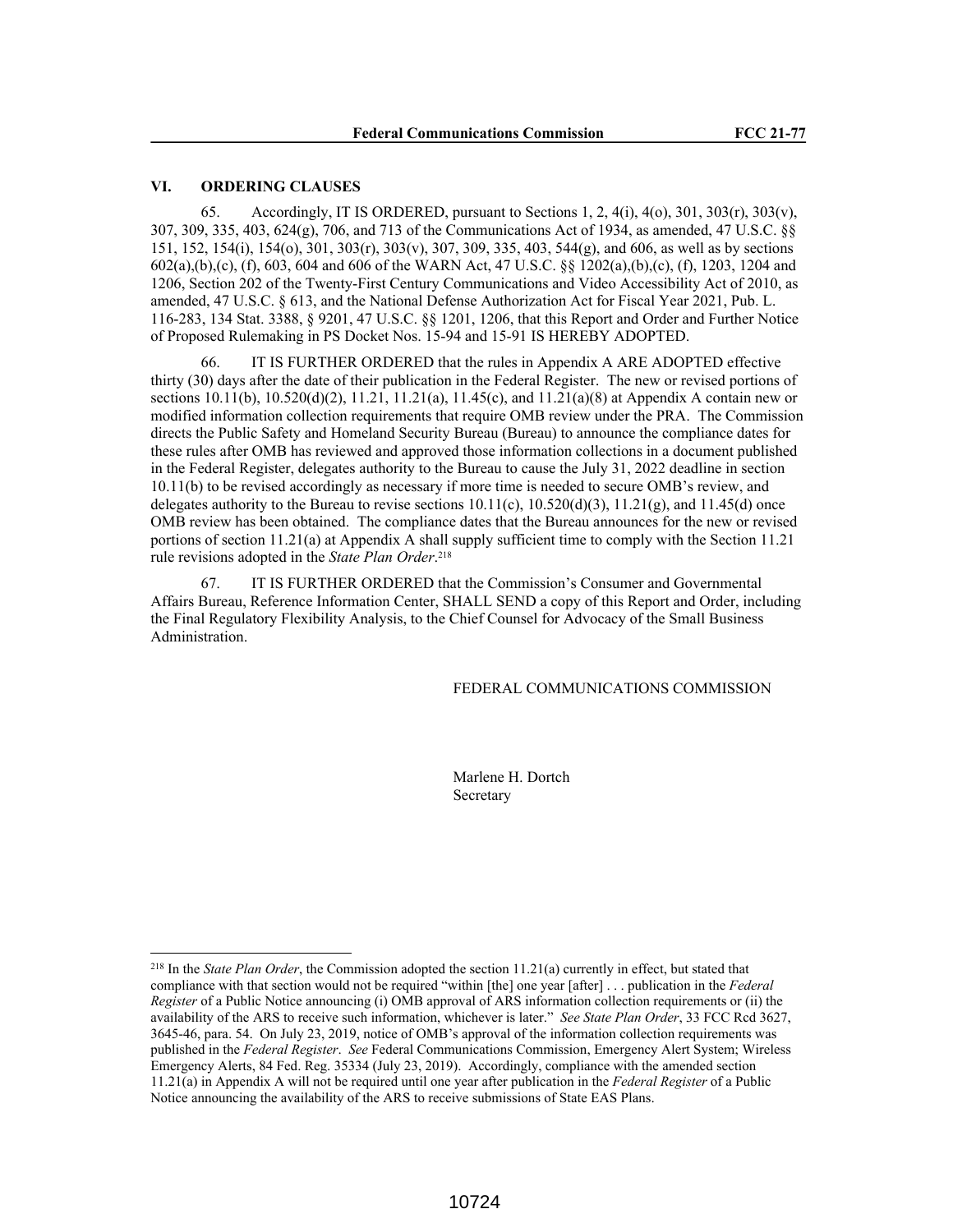### **VI. ORDERING CLAUSES**

65. Accordingly, IT IS ORDERED, pursuant to Sections 1, 2, 4(i), 4(o), 301, 303(r), 303(v), 307, 309, 335, 403, 624(g), 706, and 713 of the Communications Act of 1934, as amended, 47 U.S.C. §§ 151, 152, 154(i), 154(o), 301, 303(r), 303(v), 307, 309, 335, 403, 544(g), and 606, as well as by sections 602(a),(b),(c), (f), 603, 604 and 606 of the WARN Act, 47 U.S.C. §§ 1202(a),(b),(c), (f), 1203, 1204 and 1206, Section 202 of the Twenty-First Century Communications and Video Accessibility Act of 2010, as amended, 47 U.S.C. § 613, and the National Defense Authorization Act for Fiscal Year 2021, Pub. L. 116-283, 134 Stat. 3388, § 9201, 47 U.S.C. §§ 1201, 1206, that this Report and Order and Further Notice of Proposed Rulemaking in PS Docket Nos. 15-94 and 15-91 IS HEREBY ADOPTED.

66. IT IS FURTHER ORDERED that the rules in Appendix A ARE ADOPTED effective thirty (30) days after the date of their publication in the Federal Register. The new or revised portions of sections  $10.11(b)$ ,  $10.520(d)(2)$ ,  $11.21$ ,  $11.21(a)$ ,  $11.45(c)$ , and  $11.21(a)(8)$  at Appendix A contain new or modified information collection requirements that require OMB review under the PRA. The Commission directs the Public Safety and Homeland Security Bureau (Bureau) to announce the compliance dates for these rules after OMB has reviewed and approved those information collections in a document published in the Federal Register, delegates authority to the Bureau to cause the July 31, 2022 deadline in section 10.11(b) to be revised accordingly as necessary if more time is needed to secure OMB's review, and delegates authority to the Bureau to revise sections  $10.11(c)$ ,  $10.520(d)(3)$ ,  $11.21(g)$ , and  $11.45(d)$  once OMB review has been obtained. The compliance dates that the Bureau announces for the new or revised portions of section 11.21(a) at Appendix A shall supply sufficient time to comply with the Section 11.21 rule revisions adopted in the *State Plan Order*. 218

67. IT IS FURTHER ORDERED that the Commission's Consumer and Governmental Affairs Bureau, Reference Information Center, SHALL SEND a copy of this Report and Order, including the Final Regulatory Flexibility Analysis, to the Chief Counsel for Advocacy of the Small Business Administration.

#### FEDERAL COMMUNICATIONS COMMISSION

Marlene H. Dortch Secretary

<sup>218</sup> In the *State Plan Order*, the Commission adopted the section 11.21(a) currently in effect, but stated that compliance with that section would not be required "within [the] one year [after] . . . publication in the *Federal Register* of a Public Notice announcing (i) OMB approval of ARS information collection requirements or (ii) the availability of the ARS to receive such information, whichever is later." *See State Plan Order*, 33 FCC Rcd 3627, 3645-46, para. 54. On July 23, 2019, notice of OMB's approval of the information collection requirements was published in the *Federal Register*. *See* Federal Communications Commission, Emergency Alert System; Wireless Emergency Alerts, 84 Fed. Reg. 35334 (July 23, 2019). Accordingly, compliance with the amended section 11.21(a) in Appendix A will not be required until one year after publication in the *Federal Register* of a Public Notice announcing the availability of the ARS to receive submissions of State EAS Plans.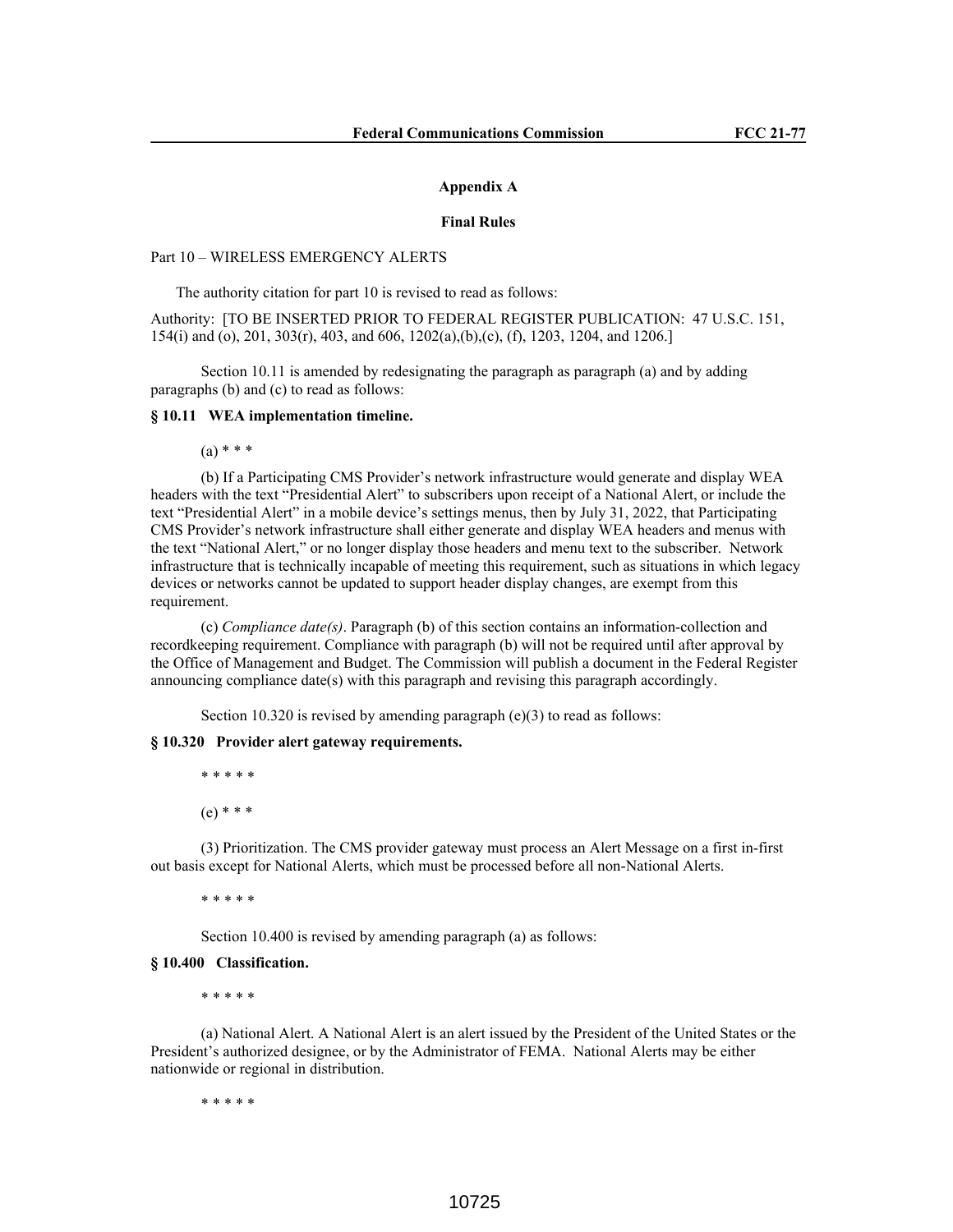#### **Appendix A**

#### **Final Rules**

# Part 10 – WIRELESS EMERGENCY ALERTS

The authority citation for part 10 is revised to read as follows:

Authority: [TO BE INSERTED PRIOR TO FEDERAL REGISTER PUBLICATION: 47 U.S.C. 151, 154(i) and (o), 201, 303(r), 403, and 606, 1202(a),(b),(c), (f), 1203, 1204, and 1206.]

Section 10.11 is amended by redesignating the paragraph as paragraph (a) and by adding paragraphs (b) and (c) to read as follows:

#### **§ 10.11 WEA implementation timeline.**

 $(a) * * * *$ 

(b) If a Participating CMS Provider's network infrastructure would generate and display WEA headers with the text "Presidential Alert" to subscribers upon receipt of a National Alert, or include the text "Presidential Alert" in a mobile device's settings menus, then by July 31, 2022, that Participating CMS Provider's network infrastructure shall either generate and display WEA headers and menus with the text "National Alert," or no longer display those headers and menu text to the subscriber. Network infrastructure that is technically incapable of meeting this requirement, such as situations in which legacy devices or networks cannot be updated to support header display changes, are exempt from this requirement.

(c) *Compliance date(s)*. Paragraph (b) of this section contains an information-collection and recordkeeping requirement. Compliance with paragraph (b) will not be required until after approval by the Office of Management and Budget. The Commission will publish a document in the Federal Register announcing compliance date(s) with this paragraph and revising this paragraph accordingly.

Section 10.320 is revised by amending paragraph (e)(3) to read as follows:

# **§ 10.320 Provider alert gateway requirements.**

```
* * * * *
(e) * * *
```
(3) Prioritization. The CMS provider gateway must process an Alert Message on a first in-first out basis except for National Alerts, which must be processed before all non-National Alerts.

\* \* \* \* \*

Section 10.400 is revised by amending paragraph (a) as follows:

#### **§ 10.400 Classification.**

\* \* \* \* \*

(a) National Alert. A National Alert is an alert issued by the President of the United States or the President's authorized designee, or by the Administrator of FEMA. National Alerts may be either nationwide or regional in distribution.

\* \* \* \* \*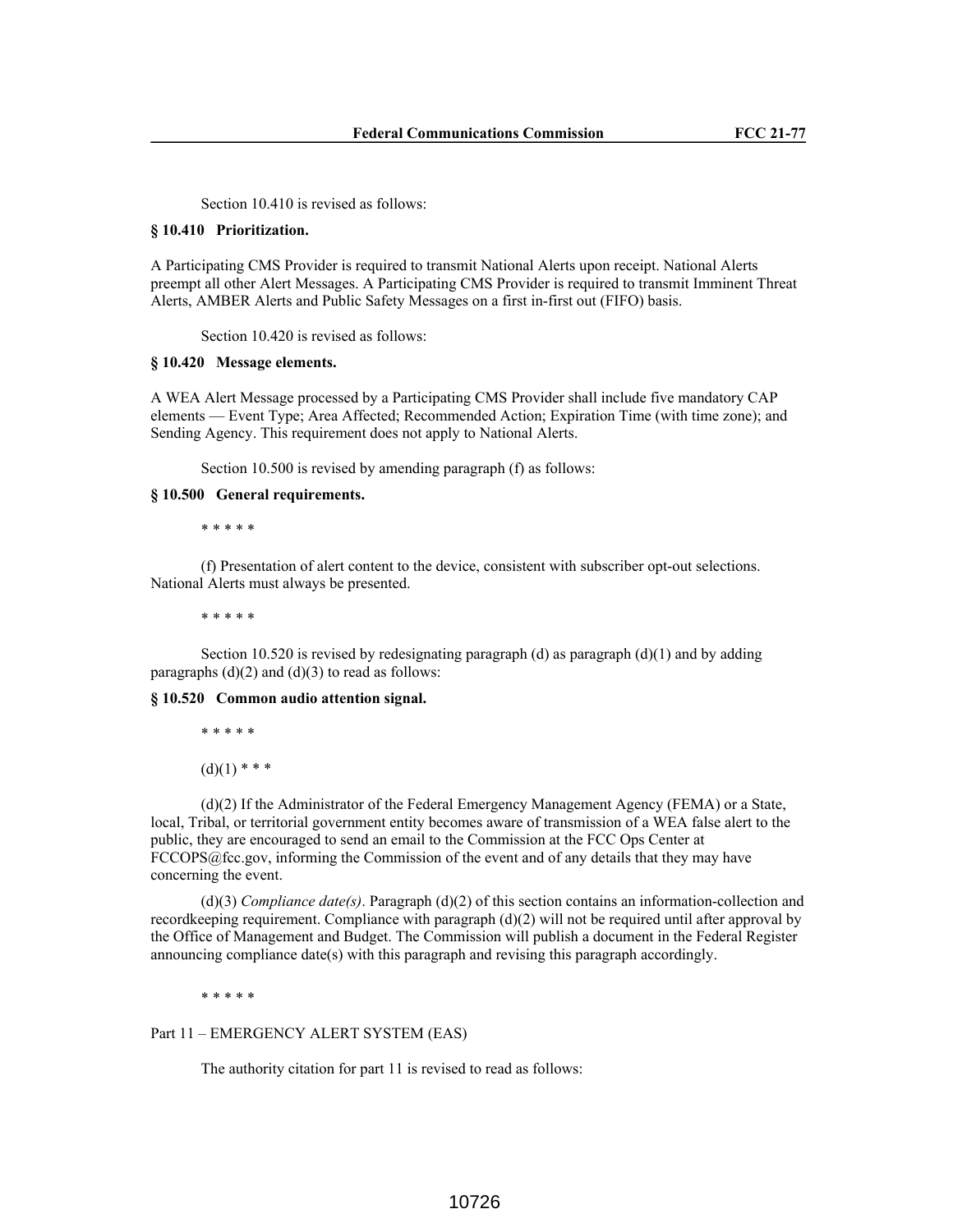Section 10.410 is revised as follows:

## **§ 10.410 Prioritization.**

A Participating CMS Provider is required to transmit National Alerts upon receipt. National Alerts preempt all other Alert Messages. A Participating CMS Provider is required to transmit Imminent Threat Alerts, AMBER Alerts and Public Safety Messages on a first in-first out (FIFO) basis.

Section 10.420 is revised as follows:

#### **§ 10.420 Message elements.**

A WEA Alert Message processed by a Participating CMS Provider shall include five mandatory CAP elements — Event Type; Area Affected; Recommended Action; Expiration Time (with time zone); and Sending Agency. This requirement does not apply to National Alerts.

Section 10.500 is revised by amending paragraph (f) as follows:

## **§ 10.500 General requirements.**

\* \* \* \* \*

(f) Presentation of alert content to the device, consistent with subscriber opt-out selections. National Alerts must always be presented.

\* \* \* \* \*

Section 10.520 is revised by redesignating paragraph (d) as paragraph  $(d)(1)$  and by adding paragraphs  $(d)(2)$  and  $(d)(3)$  to read as follows:

#### **§ 10.520 Common audio attention signal.**

\* \* \* \* \*

 $(d)(1)$  \* \* \*

(d)(2) If the Administrator of the Federal Emergency Management Agency (FEMA) or a State, local, Tribal, or territorial government entity becomes aware of transmission of a WEA false alert to the public, they are encouraged to send an email to the Commission at the FCC Ops Center at  $FCCOPS@fcc.gov$ , informing the Commission of the event and of any details that they may have concerning the event.

(d)(3) *Compliance date(s)*. Paragraph (d)(2) of this section contains an information-collection and record keeping requirement. Compliance with paragraph  $(d)(2)$  will not be required until after approval by the Office of Management and Budget. The Commission will publish a document in the Federal Register announcing compliance date(s) with this paragraph and revising this paragraph accordingly.

\* \* \* \* \*

Part 11 – EMERGENCY ALERT SYSTEM (EAS)

The authority citation for part 11 is revised to read as follows: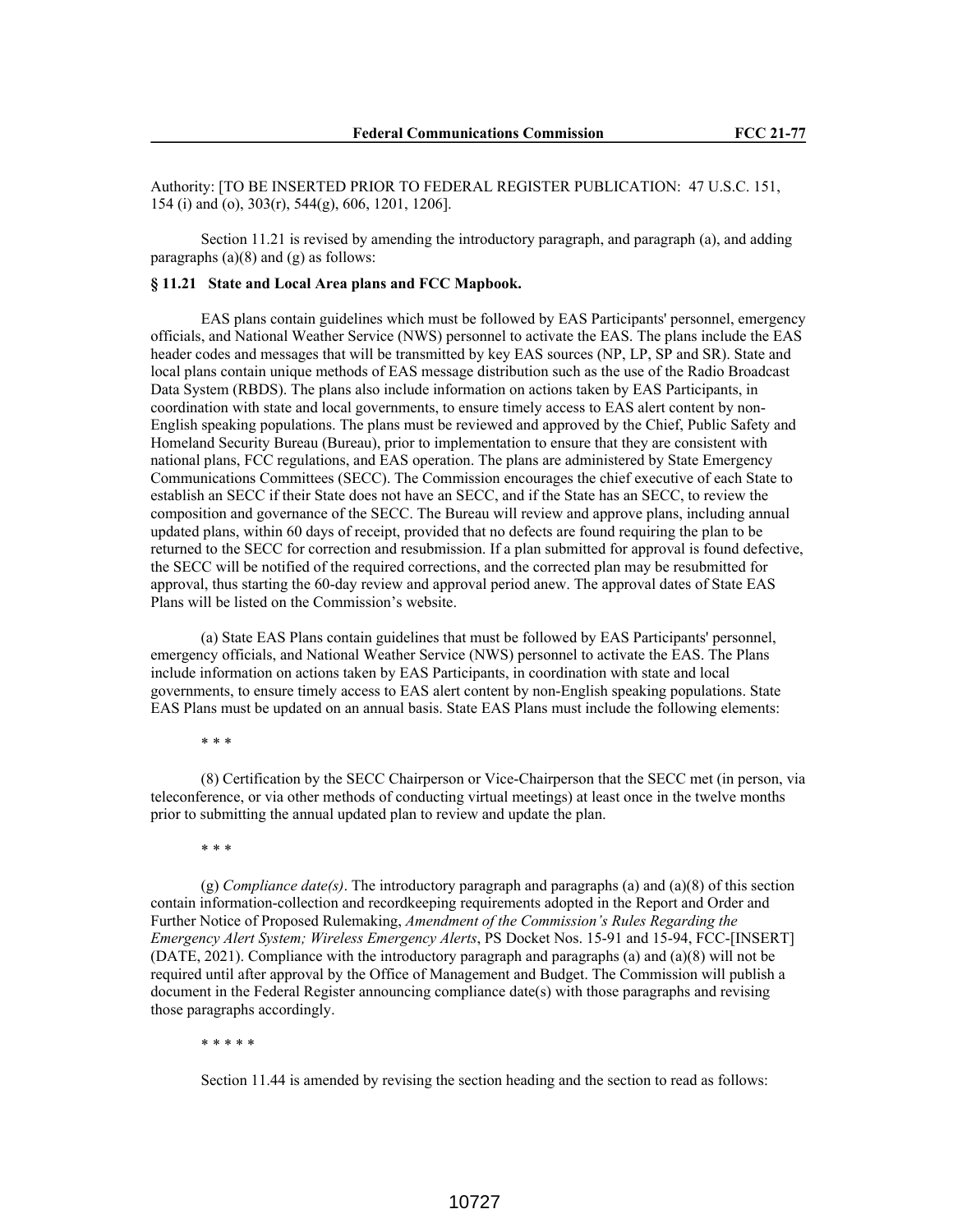Authority: [TO BE INSERTED PRIOR TO FEDERAL REGISTER PUBLICATION: 47 U.S.C. 151, 154 (i) and (o), 303(r), 544(g), 606, 1201, 1206].

Section 11.21 is revised by amending the introductory paragraph, and paragraph (a), and adding paragraphs  $(a)(8)$  and  $(g)$  as follows:

## **§ 11.21 State and Local Area plans and FCC Mapbook.**

EAS plans contain guidelines which must be followed by EAS Participants' personnel, emergency officials, and National Weather Service (NWS) personnel to activate the EAS. The plans include the EAS header codes and messages that will be transmitted by key EAS sources (NP, LP, SP and SR). State and local plans contain unique methods of EAS message distribution such as the use of the Radio Broadcast Data System (RBDS). The plans also include information on actions taken by EAS Participants, in coordination with state and local governments, to ensure timely access to EAS alert content by non-English speaking populations. The plans must be reviewed and approved by the Chief, Public Safety and Homeland Security Bureau (Bureau), prior to implementation to ensure that they are consistent with national plans, FCC regulations, and EAS operation. The plans are administered by State Emergency Communications Committees (SECC). The Commission encourages the chief executive of each State to establish an SECC if their State does not have an SECC, and if the State has an SECC, to review the composition and governance of the SECC. The Bureau will review and approve plans, including annual updated plans, within 60 days of receipt, provided that no defects are found requiring the plan to be returned to the SECC for correction and resubmission. If a plan submitted for approval is found defective, the SECC will be notified of the required corrections, and the corrected plan may be resubmitted for approval, thus starting the 60-day review and approval period anew. The approval dates of State EAS Plans will be listed on the Commission's website.

(a) State EAS Plans contain guidelines that must be followed by EAS Participants' personnel, emergency officials, and National Weather Service (NWS) personnel to activate the EAS. The Plans include information on actions taken by EAS Participants, in coordination with state and local governments, to ensure timely access to EAS alert content by non-English speaking populations. State EAS Plans must be updated on an annual basis. State EAS Plans must include the following elements:

\* \* \*

(8) Certification by the SECC Chairperson or Vice-Chairperson that the SECC met (in person, via teleconference, or via other methods of conducting virtual meetings) at least once in the twelve months prior to submitting the annual updated plan to review and update the plan.

\* \* \*

(g) *Compliance date(s)*. The introductory paragraph and paragraphs (a) and (a)(8) of this section contain information-collection and recordkeeping requirements adopted in the Report and Order and Further Notice of Proposed Rulemaking, *Amendment of the Commission's Rules Regarding the Emergency Alert System; Wireless Emergency Alerts*, PS Docket Nos. 15-91 and 15-94, FCC-[INSERT] (DATE, 2021). Compliance with the introductory paragraph and paragraphs (a) and (a)(8) will not be required until after approval by the Office of Management and Budget. The Commission will publish a document in the Federal Register announcing compliance date(s) with those paragraphs and revising those paragraphs accordingly.

\* \* \* \* \*

Section 11.44 is amended by revising the section heading and the section to read as follows: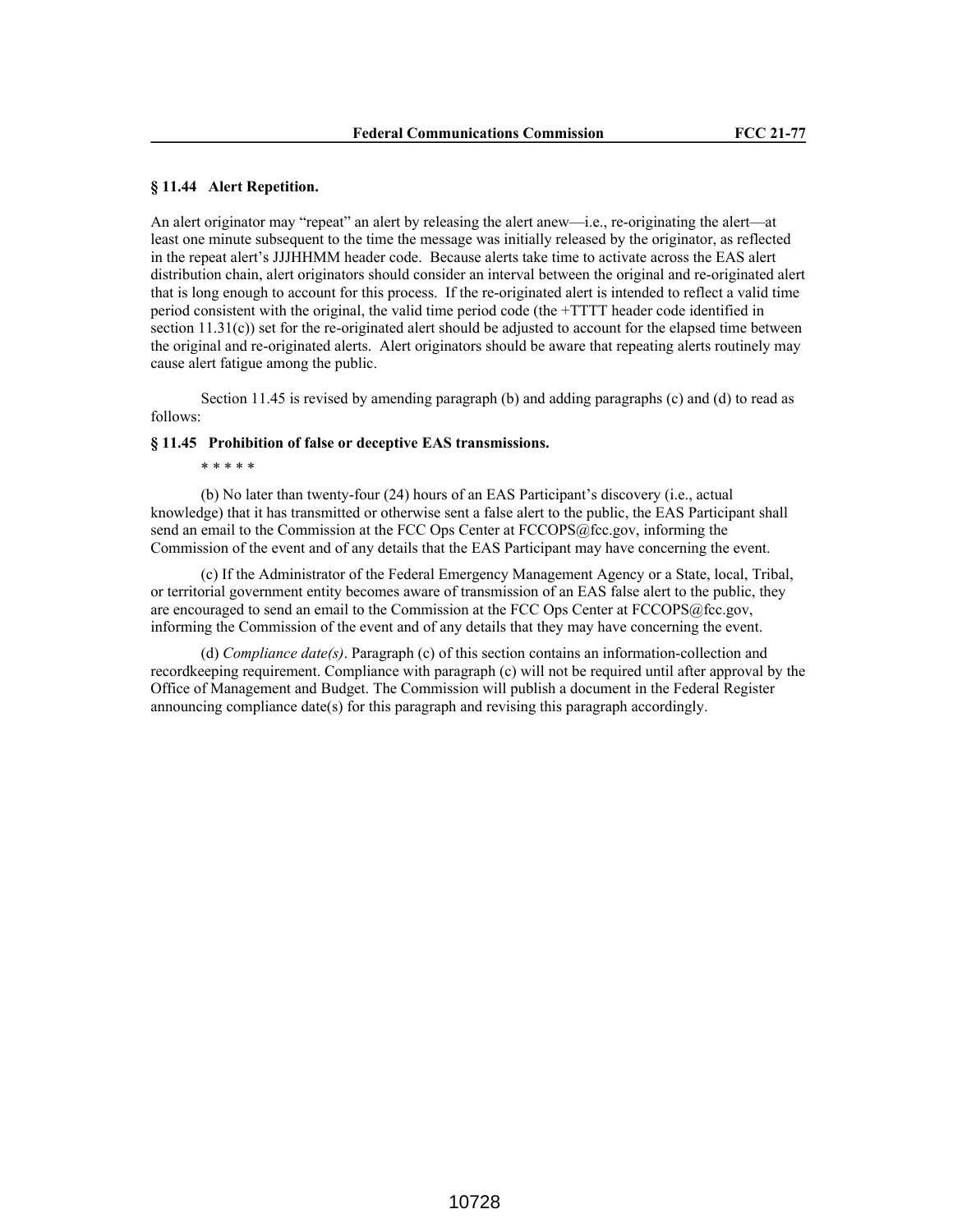# **§ 11.44 Alert Repetition.**

An alert originator may "repeat" an alert by releasing the alert anew—i.e., re-originating the alert—at least one minute subsequent to the time the message was initially released by the originator, as reflected in the repeat alert's JJJHHMM header code. Because alerts take time to activate across the EAS alert distribution chain, alert originators should consider an interval between the original and re-originated alert that is long enough to account for this process. If the re-originated alert is intended to reflect a valid time period consistent with the original, the valid time period code (the +TTTT header code identified in section 11.31(c)) set for the re-originated alert should be adjusted to account for the elapsed time between the original and re-originated alerts. Alert originators should be aware that repeating alerts routinely may cause alert fatigue among the public.

Section 11.45 is revised by amending paragraph (b) and adding paragraphs (c) and (d) to read as follows:

## **§ 11.45 Prohibition of false or deceptive EAS transmissions.**

\* \* \* \* \*

(b) No later than twenty-four (24) hours of an EAS Participant's discovery (i.e., actual knowledge) that it has transmitted or otherwise sent a false alert to the public, the EAS Participant shall send an email to the Commission at the FCC Ops Center at FCCOPS@fcc.gov, informing the Commission of the event and of any details that the EAS Participant may have concerning the event.

(c) If the Administrator of the Federal Emergency Management Agency or a State, local, Tribal, or territorial government entity becomes aware of transmission of an EAS false alert to the public, they are encouraged to send an email to the Commission at the FCC Ops Center at FCCOPS@fcc.gov, informing the Commission of the event and of any details that they may have concerning the event.

(d) *Compliance date(s)*. Paragraph (c) of this section contains an information-collection and recordkeeping requirement. Compliance with paragraph (c) will not be required until after approval by the Office of Management and Budget. The Commission will publish a document in the Federal Register announcing compliance date(s) for this paragraph and revising this paragraph accordingly.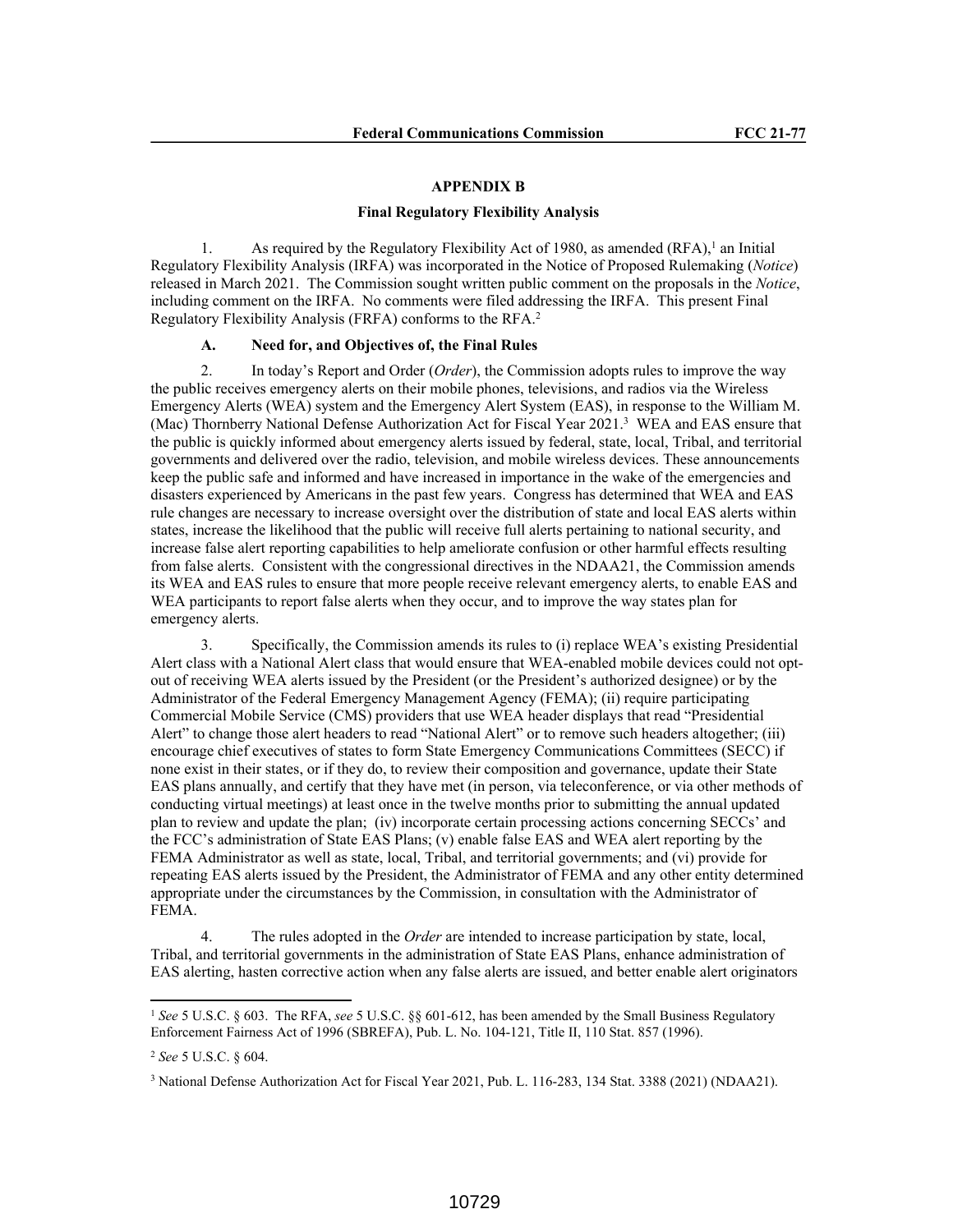# **APPENDIX B**

#### **Final Regulatory Flexibility Analysis**

1. As required by the Regulatory Flexibility Act of 1980, as amended  $(RFA)$ <sup>1</sup> an Initial Regulatory Flexibility Analysis (IRFA) was incorporated in the Notice of Proposed Rulemaking (*Notice*) released in March 2021. The Commission sought written public comment on the proposals in the *Notice*, including comment on the IRFA. No comments were filed addressing the IRFA. This present Final Regulatory Flexibility Analysis (FRFA) conforms to the RFA.<sup>2</sup>

### **A. Need for, and Objectives of, the Final Rules**

2. In today's Report and Order (*Order*), the Commission adopts rules to improve the way the public receives emergency alerts on their mobile phones, televisions, and radios via the Wireless Emergency Alerts (WEA) system and the Emergency Alert System (EAS), in response to the William M. (Mac) Thornberry National Defense Authorization Act for Fiscal Year 2021.<sup>3</sup> WEA and EAS ensure that the public is quickly informed about emergency alerts issued by federal, state, local, Tribal, and territorial governments and delivered over the radio, television, and mobile wireless devices. These announcements keep the public safe and informed and have increased in importance in the wake of the emergencies and disasters experienced by Americans in the past few years. Congress has determined that WEA and EAS rule changes are necessary to increase oversight over the distribution of state and local EAS alerts within states, increase the likelihood that the public will receive full alerts pertaining to national security, and increase false alert reporting capabilities to help ameliorate confusion or other harmful effects resulting from false alerts. Consistent with the congressional directives in the NDAA21, the Commission amends its WEA and EAS rules to ensure that more people receive relevant emergency alerts, to enable EAS and WEA participants to report false alerts when they occur, and to improve the way states plan for emergency alerts.

3. Specifically, the Commission amends its rules to (i) replace WEA's existing Presidential Alert class with a National Alert class that would ensure that WEA-enabled mobile devices could not optout of receiving WEA alerts issued by the President (or the President's authorized designee) or by the Administrator of the Federal Emergency Management Agency (FEMA); (ii) require participating Commercial Mobile Service (CMS) providers that use WEA header displays that read "Presidential Alert" to change those alert headers to read "National Alert" or to remove such headers altogether; (iii) encourage chief executives of states to form State Emergency Communications Committees (SECC) if none exist in their states, or if they do, to review their composition and governance, update their State EAS plans annually, and certify that they have met (in person, via teleconference, or via other methods of conducting virtual meetings) at least once in the twelve months prior to submitting the annual updated plan to review and update the plan; (iv) incorporate certain processing actions concerning SECCs' and the FCC's administration of State EAS Plans; (v) enable false EAS and WEA alert reporting by the FEMA Administrator as well as state, local, Tribal, and territorial governments; and (vi) provide for repeating EAS alerts issued by the President, the Administrator of FEMA and any other entity determined appropriate under the circumstances by the Commission, in consultation with the Administrator of FEMA.

4. The rules adopted in the *Order* are intended to increase participation by state, local, Tribal, and territorial governments in the administration of State EAS Plans, enhance administration of EAS alerting, hasten corrective action when any false alerts are issued, and better enable alert originators

<sup>1</sup> *See* 5 U.S.C. § 603. The RFA, *see* 5 U.S.C. §§ 601-612, has been amended by the Small Business Regulatory Enforcement Fairness Act of 1996 (SBREFA), Pub. L. No. 104-121, Title II, 110 Stat. 857 (1996).

<sup>2</sup> *See* 5 U.S.C. § 604.

<sup>&</sup>lt;sup>3</sup> National Defense Authorization Act for Fiscal Year 2021, Pub. L. 116-283, 134 Stat. 3388 (2021) (NDAA21).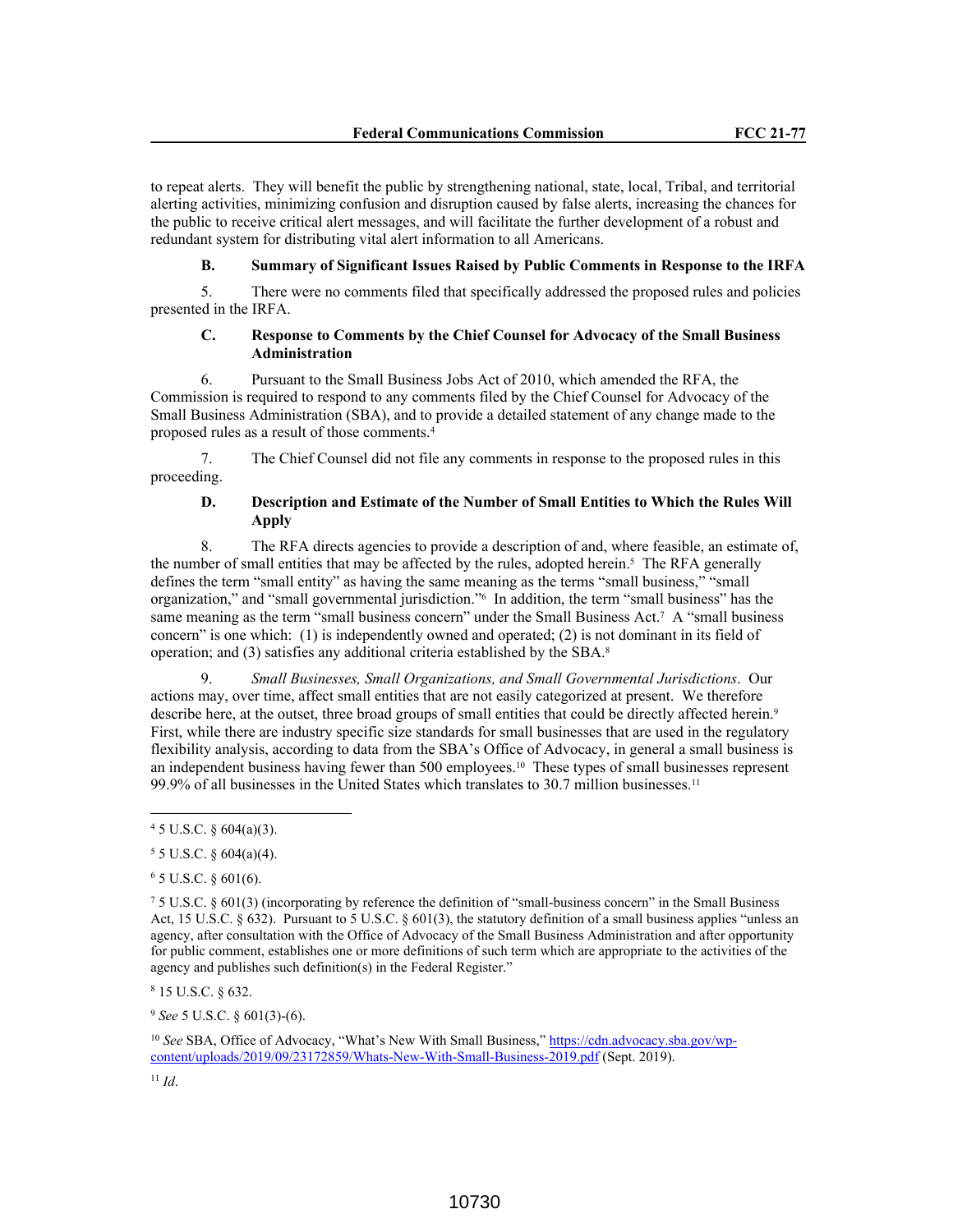to repeat alerts. They will benefit the public by strengthening national, state, local, Tribal, and territorial alerting activities, minimizing confusion and disruption caused by false alerts, increasing the chances for the public to receive critical alert messages, and will facilitate the further development of a robust and redundant system for distributing vital alert information to all Americans.

# **B. Summary of Significant Issues Raised by Public Comments in Response to the IRFA**

5. There were no comments filed that specifically addressed the proposed rules and policies presented in the IRFA.

# **C. Response to Comments by the Chief Counsel for Advocacy of the Small Business Administration**

6. Pursuant to the Small Business Jobs Act of 2010, which amended the RFA, the Commission is required to respond to any comments filed by the Chief Counsel for Advocacy of the Small Business Administration (SBA), and to provide a detailed statement of any change made to the proposed rules as a result of those comments.<sup>4</sup>

7. The Chief Counsel did not file any comments in response to the proposed rules in this proceeding.

# **D. Description and Estimate of the Number of Small Entities to Which the Rules Will Apply**

8. The RFA directs agencies to provide a description of and, where feasible, an estimate of, the number of small entities that may be affected by the rules, adopted herein.<sup>5</sup> The RFA generally defines the term "small entity" as having the same meaning as the terms "small business," "small organization," and "small governmental jurisdiction."<sup>6</sup> In addition, the term "small business" has the same meaning as the term "small business concern" under the Small Business Act.<sup>7</sup> A "small business concern" is one which: (1) is independently owned and operated; (2) is not dominant in its field of operation; and (3) satisfies any additional criteria established by the SBA.<sup>8</sup>

9. *Small Businesses, Small Organizations, and Small Governmental Jurisdictions*. Our actions may, over time, affect small entities that are not easily categorized at present. We therefore describe here, at the outset, three broad groups of small entities that could be directly affected herein.<sup>9</sup> First, while there are industry specific size standards for small businesses that are used in the regulatory flexibility analysis, according to data from the SBA's Office of Advocacy, in general a small business is an independent business having fewer than 500 employees.10 These types of small businesses represent 99.9% of all businesses in the United States which translates to 30.7 million businesses.<sup>11</sup>

<sup>9</sup> *See* 5 U.S.C. § 601(3)-(6).

<sup>10</sup> See SBA, Office of Advocacy, "What's New With Small Business," https://cdn.advocacy.sba.gov/wpcontent/uploads/2019/09/23172859/Whats-New-With-Small-Business-2019.pdf (Sept. 2019).

 $45$  U.S.C. § 604(a)(3).

 $55$  U.S.C. § 604(a)(4).

 $6$  5 U.S.C. § 601(6).

<sup>7</sup> 5 U.S.C. § 601(3) (incorporating by reference the definition of "small-business concern" in the Small Business Act, 15 U.S.C. § 632). Pursuant to 5 U.S.C. § 601(3), the statutory definition of a small business applies "unless an agency, after consultation with the Office of Advocacy of the Small Business Administration and after opportunity for public comment, establishes one or more definitions of such term which are appropriate to the activities of the agency and publishes such definition(s) in the Federal Register."

<sup>8</sup> 15 U.S.C. § 632.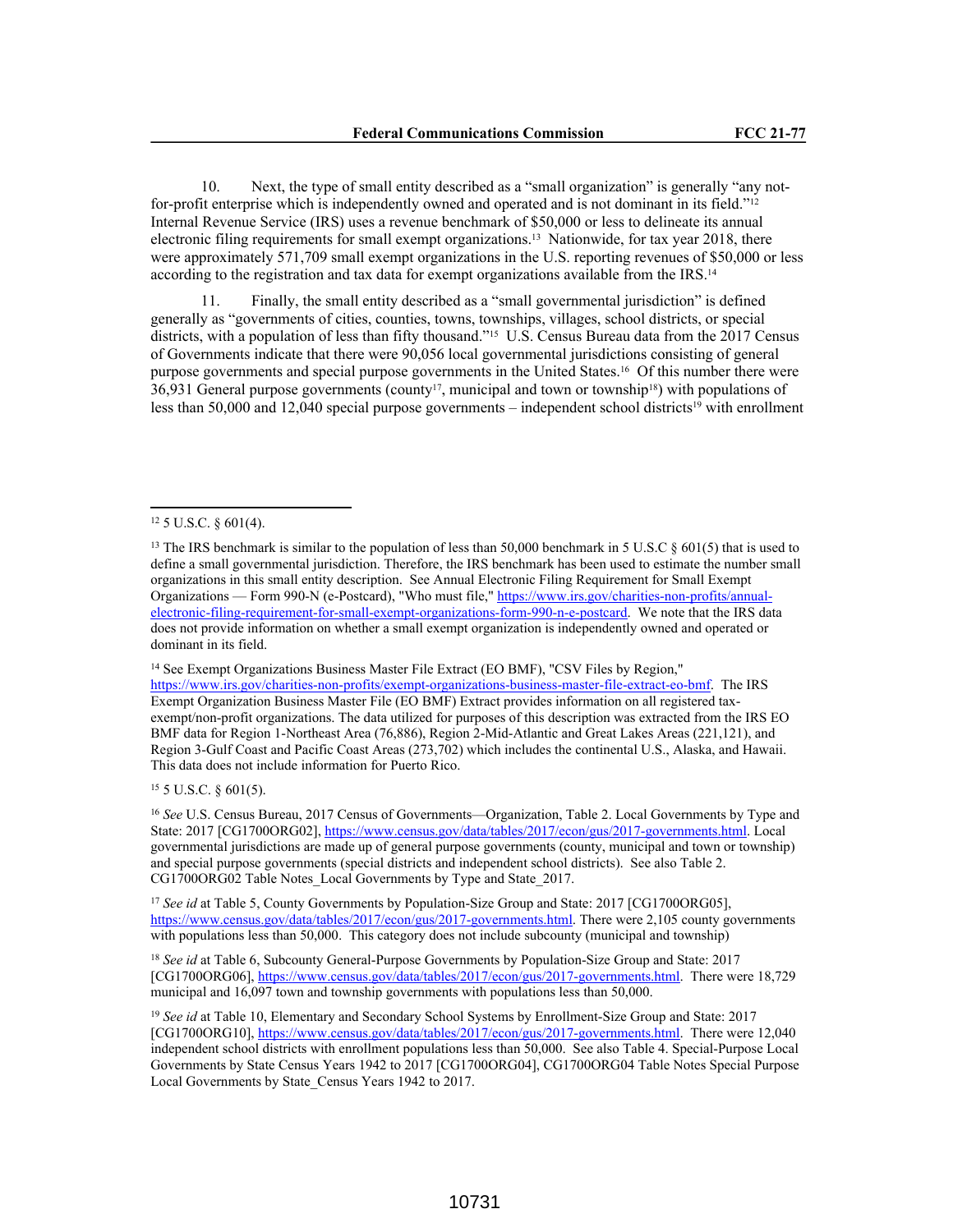10. Next, the type of small entity described as a "small organization" is generally "any notfor-profit enterprise which is independently owned and operated and is not dominant in its field."<sup>12</sup> Internal Revenue Service (IRS) uses a revenue benchmark of \$50,000 or less to delineate its annual electronic filing requirements for small exempt organizations.13 Nationwide, for tax year 2018, there were approximately 571,709 small exempt organizations in the U.S. reporting revenues of \$50,000 or less according to the registration and tax data for exempt organizations available from the IRS.<sup>14</sup>

11. Finally, the small entity described as a "small governmental jurisdiction" is defined generally as "governments of cities, counties, towns, townships, villages, school districts, or special districts, with a population of less than fifty thousand."15 U.S. Census Bureau data from the 2017 Census of Governments indicate that there were 90,056 local governmental jurisdictions consisting of general purpose governments and special purpose governments in the United States.16 Of this number there were 36,931 General purpose governments (county<sup>17</sup>, municipal and town or township<sup>18</sup>) with populations of less than 50,000 and 12,040 special purpose governments – independent school districts<sup>19</sup> with enrollment

<sup>14</sup> See Exempt Organizations Business Master File Extract (EO BMF), "CSV Files by Region,"

https://www.irs.gov/charities-non-profits/exempt-organizations-business-master-file-extract-eo-bmf. The IRS Exempt Organization Business Master File (EO BMF) Extract provides information on all registered taxexempt/non-profit organizations. The data utilized for purposes of this description was extracted from the IRS EO BMF data for Region 1-Northeast Area (76,886), Region 2-Mid-Atlantic and Great Lakes Areas (221,121), and Region 3-Gulf Coast and Pacific Coast Areas (273,702) which includes the continental U.S., Alaska, and Hawaii. This data does not include information for Puerto Rico.

<sup>15</sup> 5 U.S.C. § 601(5).

<sup>16</sup> *See* U.S. Census Bureau, 2017 Census of Governments—Organization, Table 2. Local Governments by Type and State: 2017 [CG1700ORG02], https://www.census.gov/data/tables/2017/econ/gus/2017-governments.html. Local governmental jurisdictions are made up of general purpose governments (county, municipal and town or township) and special purpose governments (special districts and independent school districts). See also Table 2. CG1700ORG02 Table Notes\_Local Governments by Type and State\_2017.

<sup>17</sup> *See id* at Table 5, County Governments by Population-Size Group and State: 2017 [CG1700ORG05], https://www.census.gov/data/tables/2017/econ/gus/2017-governments.html. There were 2,105 county governments with populations less than 50,000. This category does not include subcounty (municipal and township)

<sup>18</sup> *See id* at Table 6, Subcounty General-Purpose Governments by Population-Size Group and State: 2017 [CG1700ORG06], https://www.census.gov/data/tables/2017/econ/gus/2017-governments.html. There were 18,729 municipal and 16,097 town and township governments with populations less than 50,000.

<sup>19</sup> *See id* at Table 10, Elementary and Secondary School Systems by Enrollment-Size Group and State: 2017 [CG1700ORG10], https://www.census.gov/data/tables/2017/econ/gus/2017-governments.html. There were 12,040 independent school districts with enrollment populations less than 50,000. See also Table 4. Special-Purpose Local Governments by State Census Years 1942 to 2017 [CG1700ORG04], CG1700ORG04 Table Notes Special Purpose Local Governments by State\_Census Years 1942 to 2017.

<sup>12</sup> 5 U.S.C. § 601(4).

<sup>&</sup>lt;sup>13</sup> The IRS benchmark is similar to the population of less than 50,000 benchmark in 5 U.S.C § 601(5) that is used to define a small governmental jurisdiction. Therefore, the IRS benchmark has been used to estimate the number small organizations in this small entity description. See Annual Electronic Filing Requirement for Small Exempt Organizations — Form 990-N (e-Postcard), "Who must file," https://www.irs.gov/charities-non-profits/annualelectronic-filing-requirement-for-small-exempt-organizations-form-990-n-e-postcard. We note that the IRS data does not provide information on whether a small exempt organization is independently owned and operated or dominant in its field.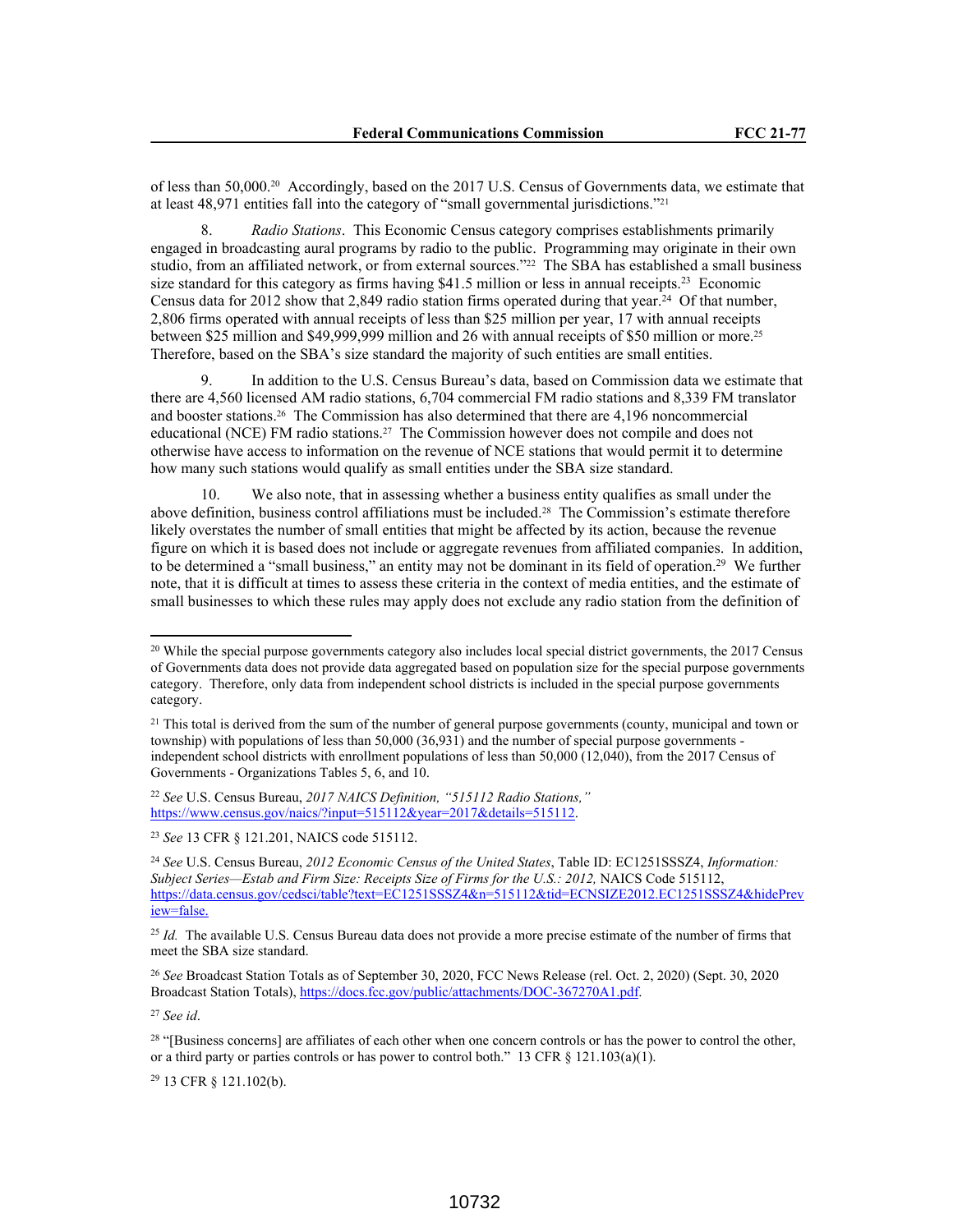of less than 50,000.20 Accordingly, based on the 2017 U.S. Census of Governments data, we estimate that at least 48,971 entities fall into the category of "small governmental jurisdictions."<sup>21</sup>

8. *Radio Stations*. This Economic Census category comprises establishments primarily engaged in broadcasting aural programs by radio to the public. Programming may originate in their own studio, from an affiliated network, or from external sources."<sup>22</sup> The SBA has established a small business size standard for this category as firms having \$41.5 million or less in annual receipts.<sup>23</sup> Economic Census data for 2012 show that 2,849 radio station firms operated during that year.<sup>24</sup> Of that number, 2,806 firms operated with annual receipts of less than \$25 million per year, 17 with annual receipts between \$25 million and \$49,999,999 million and 26 with annual receipts of \$50 million or more.<sup>25</sup> Therefore, based on the SBA's size standard the majority of such entities are small entities.

9. In addition to the U.S. Census Bureau's data, based on Commission data we estimate that there are 4,560 licensed AM radio stations, 6,704 commercial FM radio stations and 8,339 FM translator and booster stations.26 The Commission has also determined that there are 4,196 noncommercial educational (NCE) FM radio stations.27 The Commission however does not compile and does not otherwise have access to information on the revenue of NCE stations that would permit it to determine how many such stations would qualify as small entities under the SBA size standard.

10. We also note, that in assessing whether a business entity qualifies as small under the above definition, business control affiliations must be included.28 The Commission's estimate therefore likely overstates the number of small entities that might be affected by its action, because the revenue figure on which it is based does not include or aggregate revenues from affiliated companies. In addition, to be determined a "small business," an entity may not be dominant in its field of operation.<sup>29</sup> We further note, that it is difficult at times to assess these criteria in the context of media entities, and the estimate of small businesses to which these rules may apply does not exclude any radio station from the definition of

<sup>22</sup> *See* U.S. Census Bureau, *2017 NAICS Definition, "515112 Radio Stations,"* https://www.census.gov/naics/?input=515112&year=2017&details=515112.

<sup>23</sup> *See* 13 CFR § 121.201, NAICS code 515112.

<sup>27</sup> *See id*.

<sup>29</sup> 13 CFR § 121.102(b).

<sup>&</sup>lt;sup>20</sup> While the special purpose governments category also includes local special district governments, the 2017 Census of Governments data does not provide data aggregated based on population size for the special purpose governments category. Therefore, only data from independent school districts is included in the special purpose governments category.

<sup>&</sup>lt;sup>21</sup> This total is derived from the sum of the number of general purpose governments (county, municipal and town or township) with populations of less than 50,000 (36,931) and the number of special purpose governments independent school districts with enrollment populations of less than 50,000 (12,040), from the 2017 Census of Governments - Organizations Tables 5, 6, and 10.

<sup>24</sup> *See* U.S. Census Bureau, *2012 Economic Census of the United States*, Table ID: EC1251SSSZ4, *Information: Subject Series—Estab and Firm Size: Receipts Size of Firms for the U.S.: 2012,* NAICS Code 515112, https://data.census.gov/cedsci/table?text=EC1251SSSZ4&n=515112&tid=ECNSIZE2012.EC1251SSSZ4&hidePrev iew=false.

<sup>&</sup>lt;sup>25</sup> *Id.* The available U.S. Census Bureau data does not provide a more precise estimate of the number of firms that meet the SBA size standard.

<sup>26</sup> *See* Broadcast Station Totals as of September 30, 2020, FCC News Release (rel. Oct. 2, 2020) (Sept. 30, 2020 Broadcast Station Totals), https://docs.fcc.gov/public/attachments/DOC-367270A1.pdf.

<sup>&</sup>lt;sup>28</sup> "[Business concerns] are affiliates of each other when one concern controls or has the power to control the other, or a third party or parties controls or has power to control both." 13 CFR  $\S$  121.103(a)(1).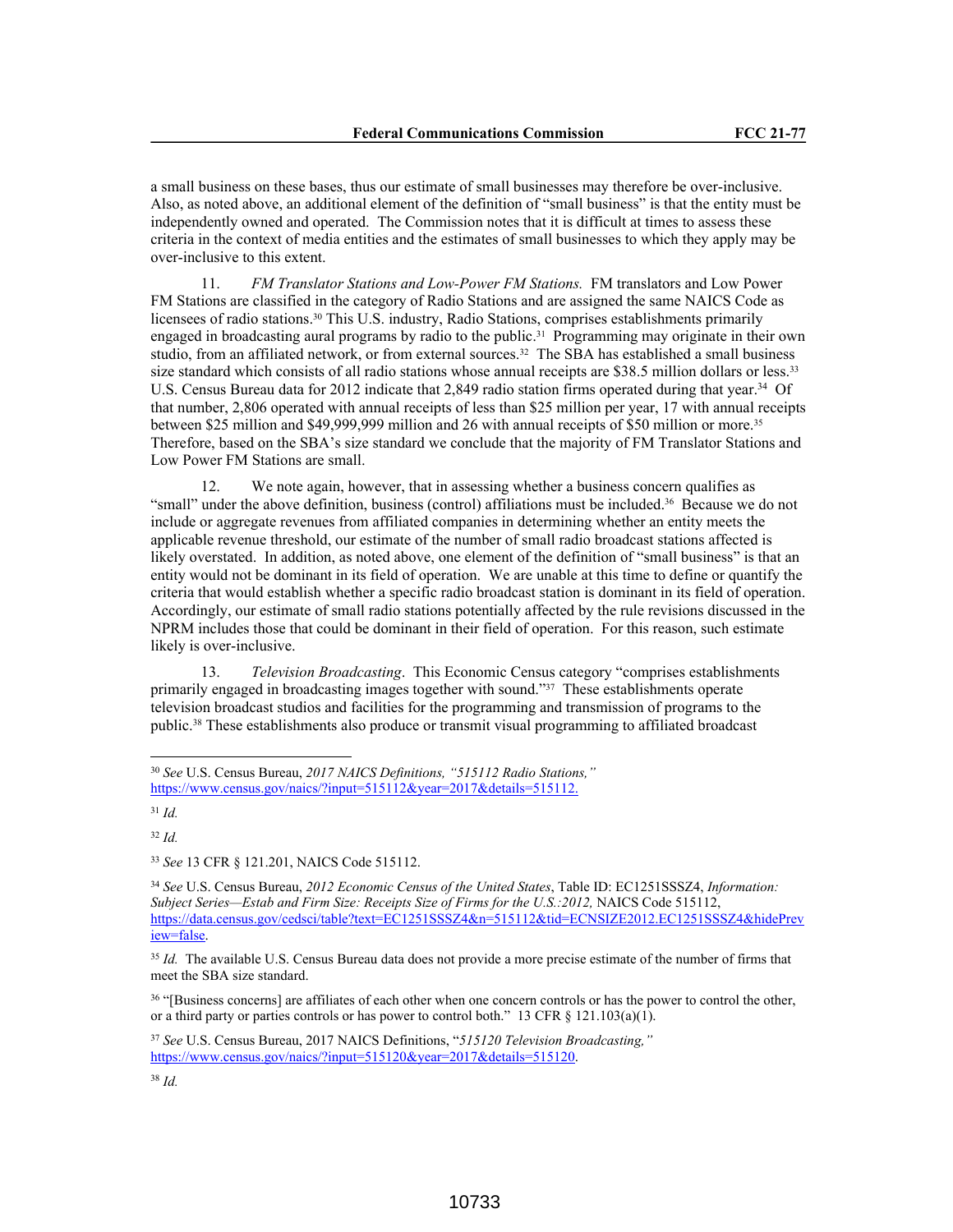a small business on these bases, thus our estimate of small businesses may therefore be over-inclusive. Also, as noted above, an additional element of the definition of "small business" is that the entity must be independently owned and operated. The Commission notes that it is difficult at times to assess these criteria in the context of media entities and the estimates of small businesses to which they apply may be over-inclusive to this extent.

11. *FM Translator Stations and Low-Power FM Stations.* FM translators and Low Power FM Stations are classified in the category of Radio Stations and are assigned the same NAICS Code as licensees of radio stations.30 This U.S. industry, Radio Stations, comprises establishments primarily engaged in broadcasting aural programs by radio to the public.31 Programming may originate in their own studio, from an affiliated network, or from external sources.32 The SBA has established a small business size standard which consists of all radio stations whose annual receipts are \$38.5 million dollars or less.<sup>33</sup> U.S. Census Bureau data for 2012 indicate that 2,849 radio station firms operated during that year.<sup>34</sup> Of that number, 2,806 operated with annual receipts of less than \$25 million per year, 17 with annual receipts between \$25 million and \$49,999,999 million and 26 with annual receipts of \$50 million or more.<sup>35</sup> Therefore, based on the SBA's size standard we conclude that the majority of FM Translator Stations and Low Power FM Stations are small.

12. We note again, however, that in assessing whether a business concern qualifies as "small" under the above definition, business (control) affiliations must be included.36 Because we do not include or aggregate revenues from affiliated companies in determining whether an entity meets the applicable revenue threshold, our estimate of the number of small radio broadcast stations affected is likely overstated. In addition, as noted above, one element of the definition of "small business" is that an entity would not be dominant in its field of operation. We are unable at this time to define or quantify the criteria that would establish whether a specific radio broadcast station is dominant in its field of operation. Accordingly, our estimate of small radio stations potentially affected by the rule revisions discussed in the NPRM includes those that could be dominant in their field of operation. For this reason, such estimate likely is over-inclusive.

13. *Television Broadcasting*. This Economic Census category "comprises establishments primarily engaged in broadcasting images together with sound."37 These establishments operate television broadcast studios and facilities for the programming and transmission of programs to the public.38 These establishments also produce or transmit visual programming to affiliated broadcast

<sup>30</sup> *See* U.S. Census Bureau, *2017 NAICS Definitions, "515112 Radio Stations,"* https://www.census.gov/naics/?input=515112&year=2017&details=515112.

<sup>31</sup> *Id.*

<sup>33</sup> *See* 13 CFR § 121.201, NAICS Code 515112.

<sup>34</sup> *See* U.S. Census Bureau, *2012 Economic Census of the United States*, Table ID: EC1251SSSZ4, *Information: Subject Series—Estab and Firm Size: Receipts Size of Firms for the U.S.:2012,* NAICS Code 515112, https://data.census.gov/cedsci/table?text=EC1251SSSZ4&n=515112&tid=ECNSIZE2012.EC1251SSSZ4&hidePrev iew=false.

<sup>&</sup>lt;sup>35</sup> Id. The available U.S. Census Bureau data does not provide a more precise estimate of the number of firms that meet the SBA size standard.

<sup>36</sup> "[Business concerns] are affiliates of each other when one concern controls or has the power to control the other, or a third party or parties controls or has power to control both." 13 CFR § 121.103(a)(1).

<sup>37</sup> *See* U.S. Census Bureau, 2017 NAICS Definitions, "*515120 Television Broadcasting,"* https://www.census.gov/naics/?input=515120&year=2017&details=515120.

<sup>38</sup> *Id.*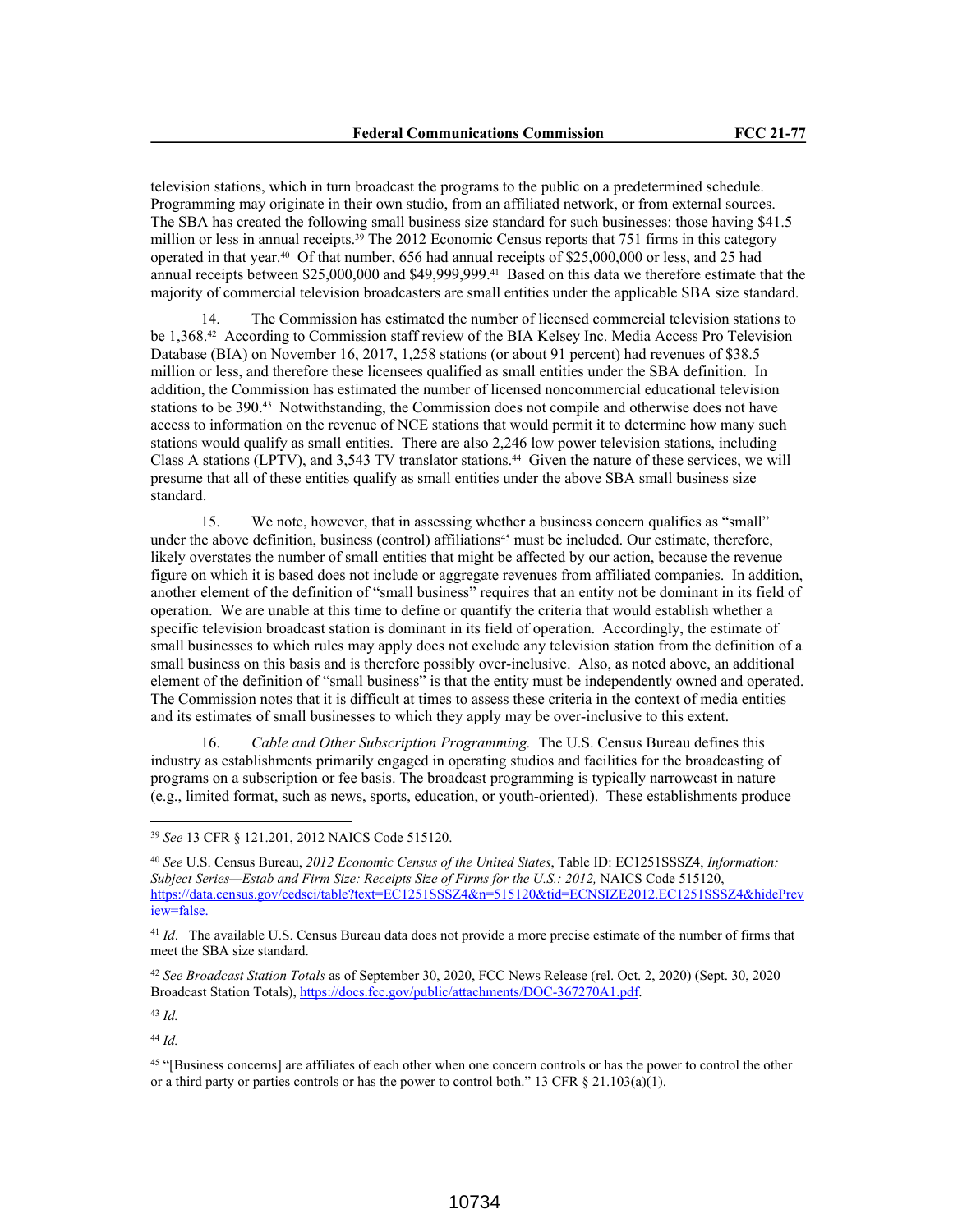television stations, which in turn broadcast the programs to the public on a predetermined schedule. Programming may originate in their own studio, from an affiliated network, or from external sources. The SBA has created the following small business size standard for such businesses: those having \$41.5 million or less in annual receipts.<sup>39</sup> The 2012 Economic Census reports that 751 firms in this category operated in that year.40 Of that number, 656 had annual receipts of \$25,000,000 or less, and 25 had annual receipts between \$25,000,000 and \$49,999,999.41 Based on this data we therefore estimate that the majority of commercial television broadcasters are small entities under the applicable SBA size standard.

14. The Commission has estimated the number of licensed commercial television stations to be 1,368.42 According to Commission staff review of the BIA Kelsey Inc. Media Access Pro Television Database (BIA) on November 16, 2017, 1,258 stations (or about 91 percent) had revenues of \$38.5 million or less, and therefore these licensees qualified as small entities under the SBA definition. In addition, the Commission has estimated the number of licensed noncommercial educational television stations to be 390.43 Notwithstanding, the Commission does not compile and otherwise does not have access to information on the revenue of NCE stations that would permit it to determine how many such stations would qualify as small entities. There are also 2,246 low power television stations, including Class A stations (LPTV), and 3,543 TV translator stations.44 Given the nature of these services, we will presume that all of these entities qualify as small entities under the above SBA small business size standard.

15. We note, however, that in assessing whether a business concern qualifies as "small" under the above definition, business (control) affiliations<sup>45</sup> must be included. Our estimate, therefore, likely overstates the number of small entities that might be affected by our action, because the revenue figure on which it is based does not include or aggregate revenues from affiliated companies. In addition, another element of the definition of "small business" requires that an entity not be dominant in its field of operation. We are unable at this time to define or quantify the criteria that would establish whether a specific television broadcast station is dominant in its field of operation. Accordingly, the estimate of small businesses to which rules may apply does not exclude any television station from the definition of a small business on this basis and is therefore possibly over-inclusive. Also, as noted above, an additional element of the definition of "small business" is that the entity must be independently owned and operated. The Commission notes that it is difficult at times to assess these criteria in the context of media entities and its estimates of small businesses to which they apply may be over-inclusive to this extent.

16. *Cable and Other Subscription Programming.* The U.S. Census Bureau defines this industry as establishments primarily engaged in operating studios and facilities for the broadcasting of programs on a subscription or fee basis. The broadcast programming is typically narrowcast in nature (e.g., limited format, such as news, sports, education, or youth-oriented). These establishments produce

<sup>43</sup> *Id.*

<sup>39</sup> *See* 13 CFR § 121.201, 2012 NAICS Code 515120.

<sup>40</sup> *See* U.S. Census Bureau, *2012 Economic Census of the United States*, Table ID: EC1251SSSZ4, *Information: Subject Series—Estab and Firm Size: Receipts Size of Firms for the U.S.: 2012,* NAICS Code 515120, https://data.census.gov/cedsci/table?text=EC1251SSSZ4&n=515120&tid=ECNSIZE2012.EC1251SSSZ4&hidePrev iew=false.

<sup>41</sup> *Id*. The available U.S. Census Bureau data does not provide a more precise estimate of the number of firms that meet the SBA size standard.

<sup>42</sup> *See Broadcast Station Totals* as of September 30, 2020, FCC News Release (rel. Oct. 2, 2020) (Sept. 30, 2020 Broadcast Station Totals), https://docs.fcc.gov/public/attachments/DOC-367270A1.pdf.

<sup>45</sup> "[Business concerns] are affiliates of each other when one concern controls or has the power to control the other or a third party or parties controls or has the power to control both." 13 CFR  $\S$  21.103(a)(1).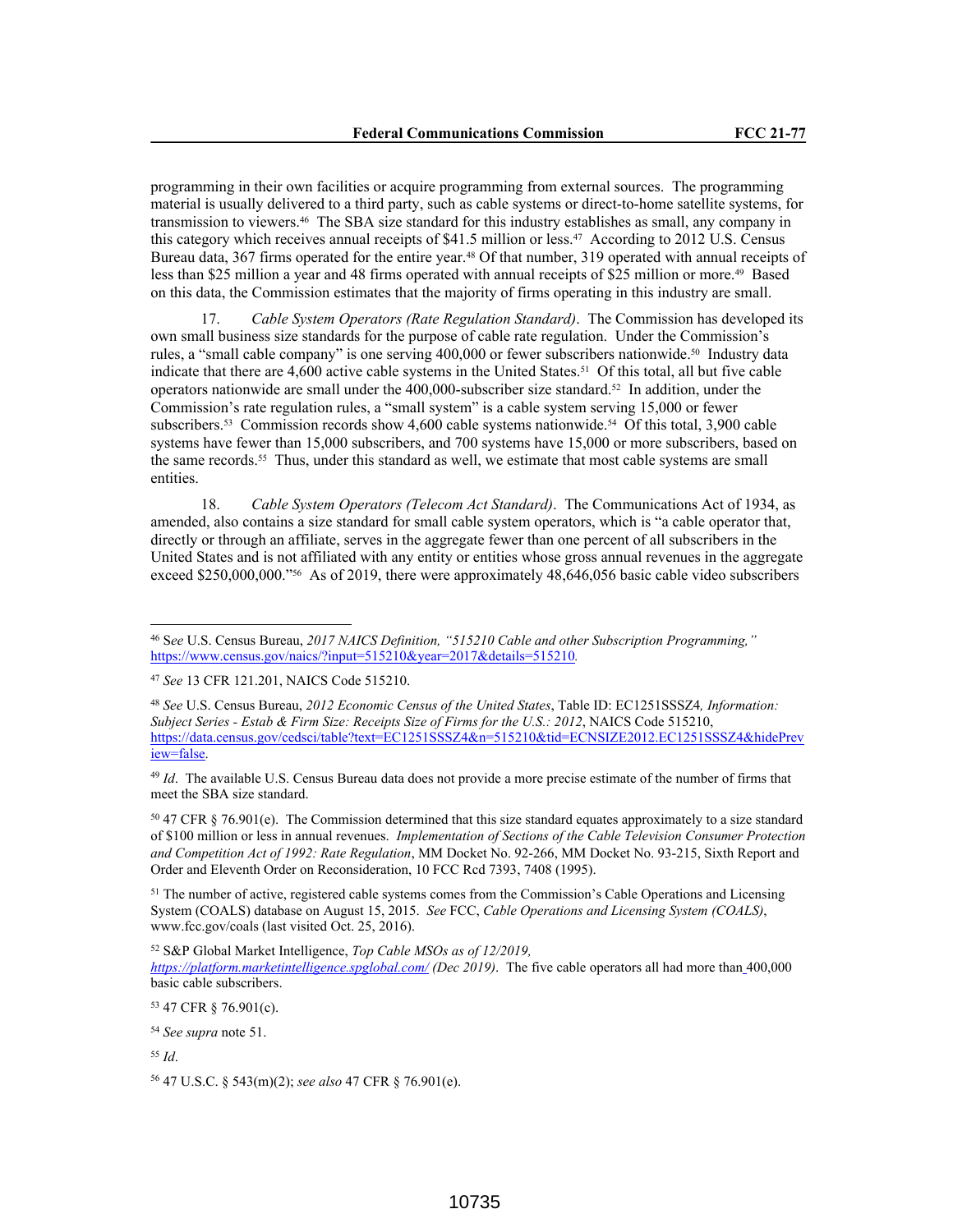programming in their own facilities or acquire programming from external sources. The programming material is usually delivered to a third party, such as cable systems or direct-to-home satellite systems, for transmission to viewers.46 The SBA size standard for this industry establishes as small, any company in this category which receives annual receipts of \$41.5 million or less.47 According to 2012 U.S. Census Bureau data, 367 firms operated for the entire year.<sup>48</sup> Of that number, 319 operated with annual receipts of less than \$25 million a year and 48 firms operated with annual receipts of \$25 million or more.49 Based on this data, the Commission estimates that the majority of firms operating in this industry are small.

17. *Cable System Operators (Rate Regulation Standard)*. The Commission has developed its own small business size standards for the purpose of cable rate regulation. Under the Commission's rules, a "small cable company" is one serving 400,000 or fewer subscribers nationwide.50 Industry data indicate that there are 4,600 active cable systems in the United States.51 Of this total, all but five cable operators nationwide are small under the  $400,000$ -subscriber size standard.<sup>52</sup> In addition, under the Commission's rate regulation rules, a "small system" is a cable system serving 15,000 or fewer subscribers.53 Commission records show 4,600 cable systems nationwide.54 Of this total, 3,900 cable systems have fewer than 15,000 subscribers, and 700 systems have 15,000 or more subscribers, based on the same records.55 Thus, under this standard as well, we estimate that most cable systems are small entities.

18. *Cable System Operators (Telecom Act Standard)*.The Communications Act of 1934, as amended, also contains a size standard for small cable system operators, which is "a cable operator that, directly or through an affiliate, serves in the aggregate fewer than one percent of all subscribers in the United States and is not affiliated with any entity or entities whose gross annual revenues in the aggregate exceed \$250,000,000."<sup>56</sup> As of 2019, there were approximately 48,646,056 basic cable video subscribers

<sup>49</sup> *Id*. The available U.S. Census Bureau data does not provide a more precise estimate of the number of firms that meet the SBA size standard.

<sup>50</sup> 47 CFR § 76.901(e). The Commission determined that this size standard equates approximately to a size standard of \$100 million or less in annual revenues. *Implementation of Sections of the Cable Television Consumer Protection and Competition Act of 1992: Rate Regulation*, MM Docket No. 92-266, MM Docket No. 93-215, Sixth Report and Order and Eleventh Order on Reconsideration, 10 FCC Rcd 7393, 7408 (1995).

<sup>51</sup> The number of active, registered cable systems comes from the Commission's Cable Operations and Licensing System (COALS) database on August 15, 2015. *See* FCC, *Cable Operations and Licensing System (COALS)*, www.fcc.gov/coals (last visited Oct. 25, 2016).

<sup>52</sup> S&P Global Market Intelligence, *Top Cable MSOs as of 12/2019, https://platform.marketintelligence.spglobal.com/ (Dec 2019)*. The five cable operators all had more than 400,000 basic cable subscribers.

<sup>53</sup> 47 CFR § 76.901(c).

<sup>54</sup> *See supra* note 51.

<sup>55</sup> *Id*.

<sup>56</sup> 47 U.S.C. § 543(m)(2); *see also* 47 CFR § 76.901(e).

<sup>46</sup> S*ee* U.S. Census Bureau, *2017 NAICS Definition, "515210 Cable and other Subscription Programming,"*  https://www.census.gov/naics/?input=515210&year=2017&details=515210*.*

<sup>47</sup> *See* 13 CFR 121.201, NAICS Code 515210.

<sup>48</sup> *See* U.S. Census Bureau, *2012 Economic Census of the United States*, Table ID: EC1251SSSZ4*, Information: Subject Series - Estab & Firm Size: Receipts Size of Firms for the U.S.: 2012*, NAICS Code 515210, https://data.census.gov/cedsci/table?text=EC1251SSSZ4&n=515210&tid=ECNSIZE2012.EC1251SSSZ4&hidePrev iew=false.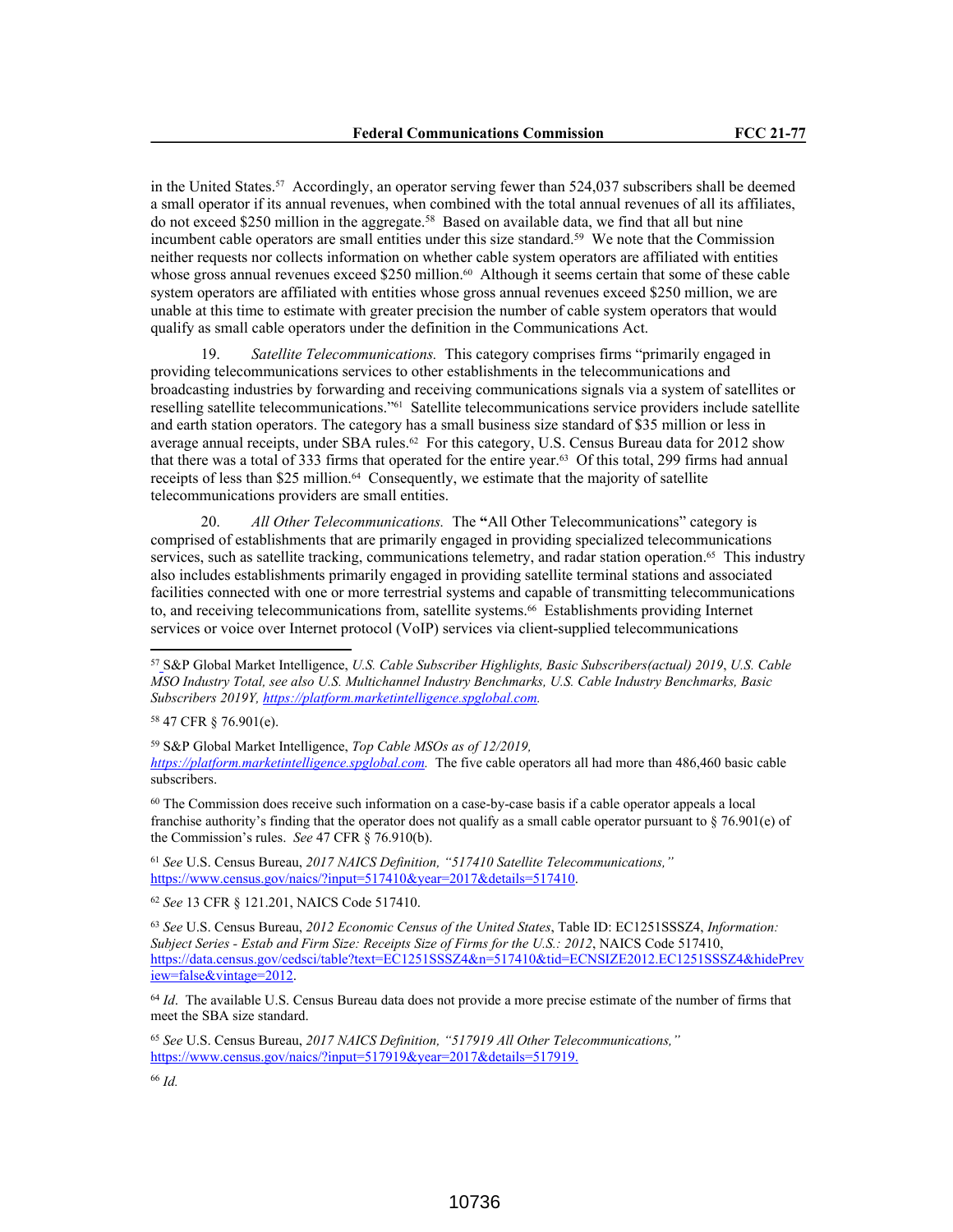in the United States.57 Accordingly, an operator serving fewer than 524,037 subscribers shall be deemed a small operator if its annual revenues, when combined with the total annual revenues of all its affiliates, do not exceed \$250 million in the aggregate.<sup>58</sup> Based on available data, we find that all but nine incumbent cable operators are small entities under this size standard.<sup>59</sup> We note that the Commission neither requests nor collects information on whether cable system operators are affiliated with entities whose gross annual revenues exceed \$250 million.<sup>60</sup> Although it seems certain that some of these cable system operators are affiliated with entities whose gross annual revenues exceed \$250 million, we are unable at this time to estimate with greater precision the number of cable system operators that would qualify as small cable operators under the definition in the Communications Act.

19. *Satellite Telecommunications.* This category comprises firms "primarily engaged in providing telecommunications services to other establishments in the telecommunications and broadcasting industries by forwarding and receiving communications signals via a system of satellites or reselling satellite telecommunications."61 Satellite telecommunications service providers include satellite and earth station operators. The category has a small business size standard of \$35 million or less in average annual receipts, under SBA rules.<sup>62</sup> For this category, U.S. Census Bureau data for 2012 show that there was a total of 333 firms that operated for the entire year.63 Of this total, 299 firms had annual receipts of less than \$25 million.<sup>64</sup> Consequently, we estimate that the majority of satellite telecommunications providers are small entities.

20. *All Other Telecommunications.* The **"**All Other Telecommunications" category is comprised of establishments that are primarily engaged in providing specialized telecommunications services, such as satellite tracking, communications telemetry, and radar station operation.<sup>65</sup> This industry also includes establishments primarily engaged in providing satellite terminal stations and associated facilities connected with one or more terrestrial systems and capable of transmitting telecommunications to, and receiving telecommunications from, satellite systems.66 Establishments providing Internet services or voice over Internet protocol (VoIP) services via client-supplied telecommunications

<sup>58</sup> 47 CFR § 76.901(e).

<sup>59</sup> S&P Global Market Intelligence, *Top Cable MSOs as of 12/2019, https://platform.marketintelligence.spglobal.com.* The five cable operators all had more than 486,460 basic cable subscribers.

<sup>60</sup> The Commission does receive such information on a case-by-case basis if a cable operator appeals a local franchise authority's finding that the operator does not qualify as a small cable operator pursuant to § 76.901(e) of the Commission's rules. *See* 47 CFR § 76.910(b).

<sup>61</sup> *See* U.S. Census Bureau, *2017 NAICS Definition, "517410 Satellite Telecommunications,"* https://www.census.gov/naics/?input=517410&year=2017&details=517410.

<sup>62</sup> *See* 13 CFR § 121.201, NAICS Code 517410.

<sup>63</sup> *See* U.S. Census Bureau, *2012 Economic Census of the United States*, Table ID: EC1251SSSZ4, *Information: Subject Series - Estab and Firm Size: Receipts Size of Firms for the U.S.: 2012*, NAICS Code 517410, https://data.census.gov/cedsci/table?text=EC1251SSSZ4&n=517410&tid=ECNSIZE2012.EC1251SSSZ4&hidePrev iew=false&vintage=2012.

<sup>64</sup> *Id*. The available U.S. Census Bureau data does not provide a more precise estimate of the number of firms that meet the SBA size standard.

<sup>65</sup> *See* U.S. Census Bureau, *2017 NAICS Definition, "517919 All Other Telecommunications,"* https://www.census.gov/naics/?input=517919&year=2017&details=517919.

<sup>57</sup> S&P Global Market Intelligence, *U.S. Cable Subscriber Highlights, Basic Subscribers(actual) 2019*, *U.S. Cable MSO Industry Total, see also U.S. Multichannel Industry Benchmarks, U.S. Cable Industry Benchmarks, Basic Subscribers 2019Y, https://platform.marketintelligence.spglobal.com.*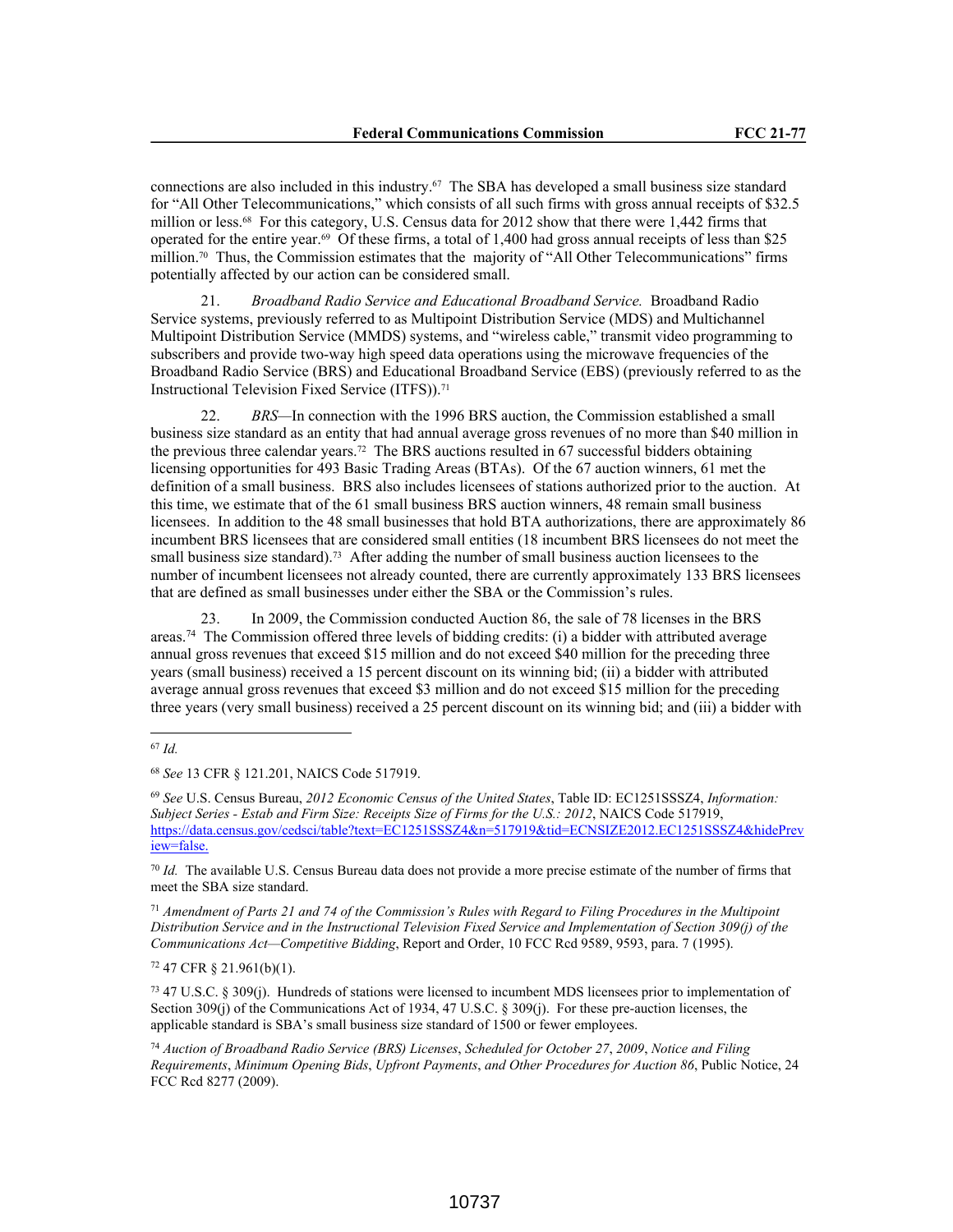connections are also included in this industry.67 The SBA has developed a small business size standard for "All Other Telecommunications," which consists of all such firms with gross annual receipts of \$32.5 million or less.68 For this category, U.S. Census data for 2012 show that there were 1,442 firms that operated for the entire year.69 Of these firms, a total of 1,400 had gross annual receipts of less than \$25 million.<sup>70</sup> Thus, the Commission estimates that the majority of "All Other Telecommunications" firms potentially affected by our action can be considered small.

21. *Broadband Radio Service and Educational Broadband Service.* Broadband Radio Service systems, previously referred to as Multipoint Distribution Service (MDS) and Multichannel Multipoint Distribution Service (MMDS) systems, and "wireless cable," transmit video programming to subscribers and provide two-way high speed data operations using the microwave frequencies of the Broadband Radio Service (BRS) and Educational Broadband Service (EBS) (previously referred to as the Instructional Television Fixed Service (ITFS)).<sup>71</sup>

22. *BRS—*In connection with the 1996 BRS auction, the Commission established a small business size standard as an entity that had annual average gross revenues of no more than \$40 million in the previous three calendar years.72 The BRS auctions resulted in 67 successful bidders obtaining licensing opportunities for 493 Basic Trading Areas (BTAs). Of the 67 auction winners, 61 met the definition of a small business. BRS also includes licensees of stations authorized prior to the auction. At this time, we estimate that of the 61 small business BRS auction winners, 48 remain small business licensees. In addition to the 48 small businesses that hold BTA authorizations, there are approximately 86 incumbent BRS licensees that are considered small entities (18 incumbent BRS licensees do not meet the small business size standard).<sup>73</sup> After adding the number of small business auction licensees to the number of incumbent licensees not already counted, there are currently approximately 133 BRS licensees that are defined as small businesses under either the SBA or the Commission's rules.

23. In 2009, the Commission conducted Auction 86, the sale of 78 licenses in the BRS areas.<sup>74</sup> The Commission offered three levels of bidding credits: (i) a bidder with attributed average annual gross revenues that exceed \$15 million and do not exceed \$40 million for the preceding three years (small business) received a 15 percent discount on its winning bid; (ii) a bidder with attributed average annual gross revenues that exceed \$3 million and do not exceed \$15 million for the preceding three years (very small business) received a 25 percent discount on its winning bid; and (iii) a bidder with

<sup>69</sup> *See* U.S. Census Bureau, *2012 Economic Census of the United States*, Table ID: EC1251SSSZ4, *Information: Subject Series - Estab and Firm Size: Receipts Size of Firms for the U.S.: 2012*, NAICS Code 517919, https://data.census.gov/cedsci/table?text=EC1251SSSZ4&n=517919&tid=ECNSIZE2012.EC1251SSSZ4&hidePrev iew=false.

<sup>70</sup> *Id.* The available U.S. Census Bureau data does not provide a more precise estimate of the number of firms that meet the SBA size standard.

<sup>71</sup> *Amendment of Parts 21 and 74 of the Commission's Rules with Regard to Filing Procedures in the Multipoint Distribution Service and in the Instructional Television Fixed Service and Implementation of Section 309(j) of the Communications Act—Competitive Bidding*, Report and Order, 10 FCC Rcd 9589, 9593, para. 7 (1995).

<sup>72</sup> 47 CFR § 21.961(b)(1).

<sup>73</sup> 47 U.S.C. § 309(j). Hundreds of stations were licensed to incumbent MDS licensees prior to implementation of Section 309(j) of the Communications Act of 1934, 47 U.S.C. § 309(j). For these pre-auction licenses, the applicable standard is SBA's small business size standard of 1500 or fewer employees.

<sup>74</sup> *Auction of Broadband Radio Service (BRS) Licenses*, *Scheduled for October 27*, *2009*, *Notice and Filing Requirements*, *Minimum Opening Bids*, *Upfront Payments*, *and Other Procedures for Auction 86*, Public Notice, 24 FCC Rcd 8277 (2009).

<sup>67</sup> *Id.*

<sup>68</sup> *See* 13 CFR § 121.201, NAICS Code 517919.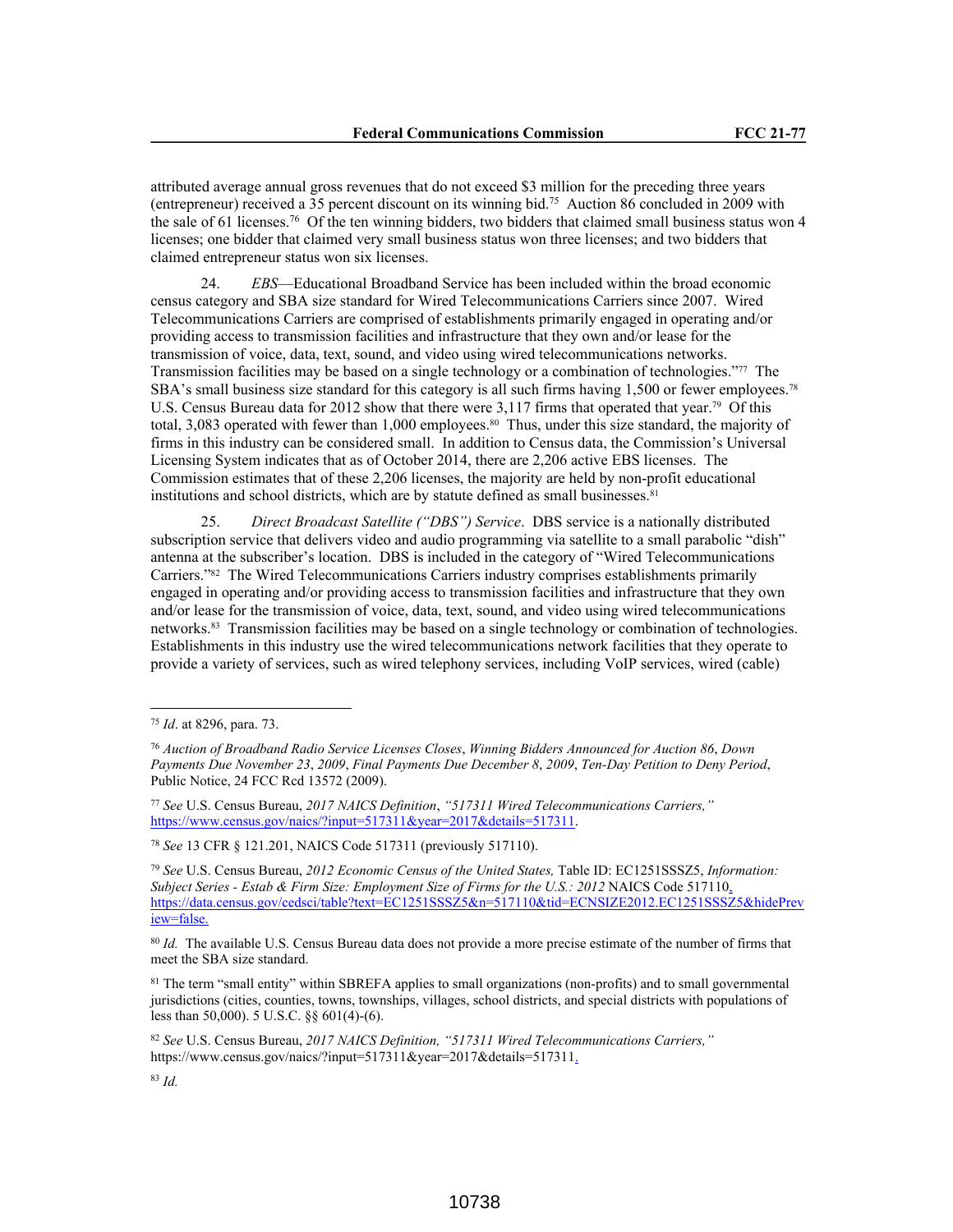attributed average annual gross revenues that do not exceed \$3 million for the preceding three years (entrepreneur) received a 35 percent discount on its winning bid.<sup>75</sup> Auction 86 concluded in 2009 with the sale of 61 licenses.<sup>76</sup> Of the ten winning bidders, two bidders that claimed small business status won 4 licenses; one bidder that claimed very small business status won three licenses; and two bidders that claimed entrepreneur status won six licenses.

24. *EBS*—Educational Broadband Service has been included within the broad economic census category and SBA size standard for Wired Telecommunications Carriers since 2007. Wired Telecommunications Carriers are comprised of establishments primarily engaged in operating and/or providing access to transmission facilities and infrastructure that they own and/or lease for the transmission of voice, data, text, sound, and video using wired telecommunications networks. Transmission facilities may be based on a single technology or a combination of technologies."77 The SBA's small business size standard for this category is all such firms having 1,500 or fewer employees.<sup>78</sup> U.S. Census Bureau data for 2012 show that there were 3,117 firms that operated that year.<sup>79</sup> Of this total, 3,083 operated with fewer than 1,000 employees.<sup>80</sup> Thus, under this size standard, the majority of firms in this industry can be considered small. In addition to Census data, the Commission's Universal Licensing System indicates that as of October 2014, there are 2,206 active EBS licenses. The Commission estimates that of these 2,206 licenses, the majority are held by non-profit educational institutions and school districts, which are by statute defined as small businesses.<sup>81</sup>

25. *Direct Broadcast Satellite ("DBS") Service*. DBS service is a nationally distributed subscription service that delivers video and audio programming via satellite to a small parabolic "dish" antenna at the subscriber's location. DBS is included in the category of "Wired Telecommunications Carriers."82 The Wired Telecommunications Carriers industry comprises establishments primarily engaged in operating and/or providing access to transmission facilities and infrastructure that they own and/or lease for the transmission of voice, data, text, sound, and video using wired telecommunications networks.83 Transmission facilities may be based on a single technology or combination of technologies. Establishments in this industry use the wired telecommunications network facilities that they operate to provide a variety of services, such as wired telephony services, including VoIP services, wired (cable)

<sup>78</sup> *See* 13 CFR § 121.201, NAICS Code 517311 (previously 517110).

<sup>75</sup> *Id*. at 8296, para. 73.

<sup>76</sup> *Auction of Broadband Radio Service Licenses Closes*, *Winning Bidders Announced for Auction 86*, *Down Payments Due November 23*, *2009*, *Final Payments Due December 8*, *2009*, *Ten-Day Petition to Deny Period*, Public Notice, 24 FCC Rcd 13572 (2009).

<sup>77</sup> *See* U.S. Census Bureau, *2017 NAICS Definition*, *"517311 Wired Telecommunications Carriers,"* https://www.census.gov/naics/?input=517311&year=2017&details=517311.

<sup>79</sup> *See* U.S. Census Bureau, *2012 Economic Census of the United States,* Table ID: EC1251SSSZ5, *Information: Subject Series - Estab & Firm Size: Employment Size of Firms for the U.S.: 2012* NAICS Code 517110, https://data.census.gov/cedsci/table?text=EC1251SSSZ5&n=517110&tid=ECNSIZE2012.EC1251SSSZ5&hidePrev iew=false.

<sup>80</sup> *Id.* The available U.S. Census Bureau data does not provide a more precise estimate of the number of firms that meet the SBA size standard.

<sup>81</sup> The term "small entity" within SBREFA applies to small organizations (non-profits) and to small governmental jurisdictions (cities, counties, towns, townships, villages, school districts, and special districts with populations of less than 50,000). 5 U.S.C. §§ 601(4)-(6).

<sup>82</sup> *See* U.S. Census Bureau, *2017 NAICS Definition, "517311 Wired Telecommunications Carriers,"* https://www.census.gov/naics/?input=517311&year=2017&details=517311.

<sup>83</sup> *Id.*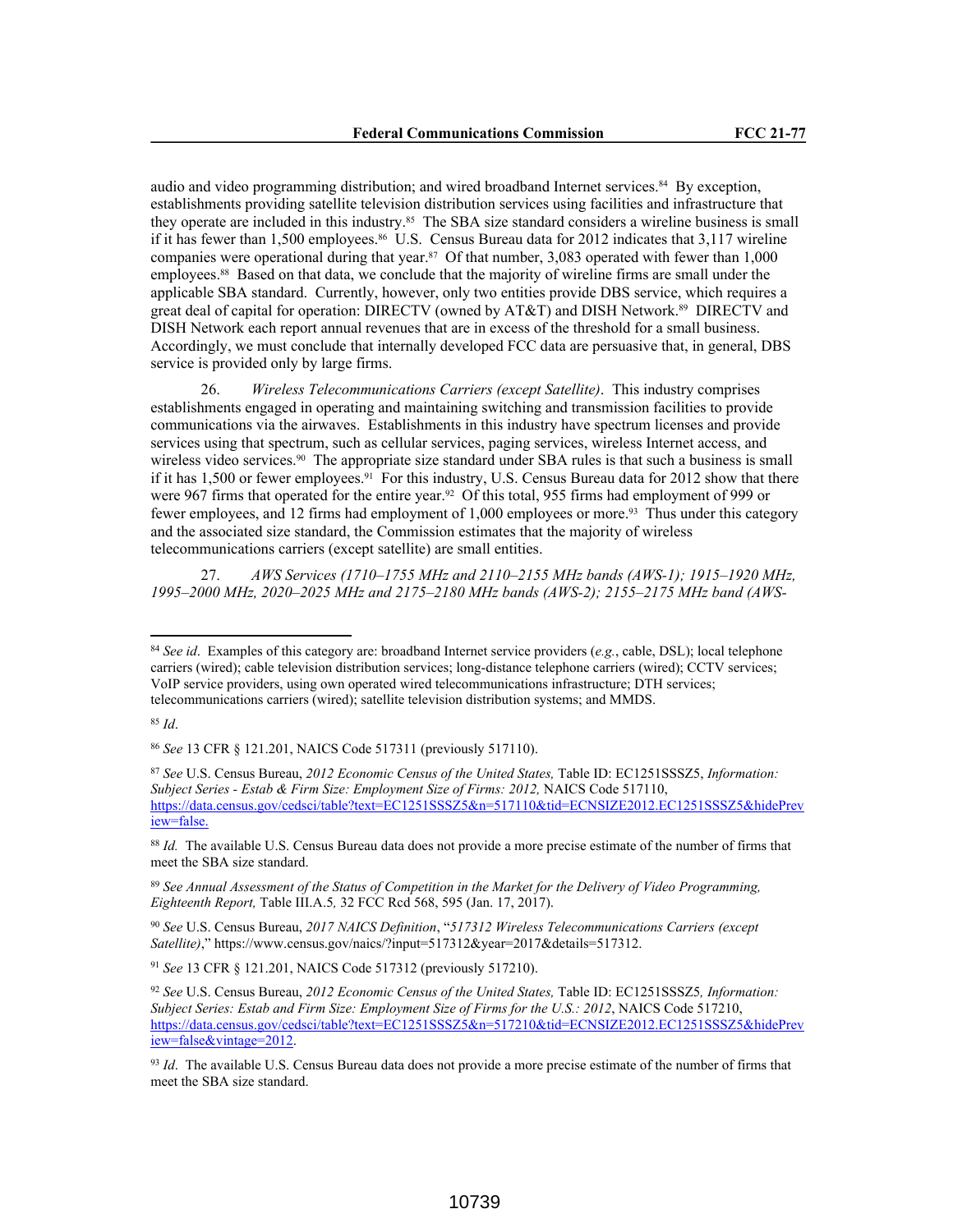audio and video programming distribution; and wired broadband Internet services.84 By exception, establishments providing satellite television distribution services using facilities and infrastructure that they operate are included in this industry.85 The SBA size standard considers a wireline business is small if it has fewer than 1,500 employees.<sup>86</sup> U.S. Census Bureau data for 2012 indicates that 3,117 wireline companies were operational during that year.<sup>87</sup> Of that number, 3,083 operated with fewer than 1,000 employees.<sup>88</sup> Based on that data, we conclude that the majority of wireline firms are small under the applicable SBA standard. Currently, however, only two entities provide DBS service, which requires a great deal of capital for operation: DIRECTV (owned by AT&T) and DISH Network.89 DIRECTV and DISH Network each report annual revenues that are in excess of the threshold for a small business. Accordingly, we must conclude that internally developed FCC data are persuasive that, in general, DBS service is provided only by large firms.

26. *Wireless Telecommunications Carriers (except Satellite)*. This industry comprises establishments engaged in operating and maintaining switching and transmission facilities to provide communications via the airwaves. Establishments in this industry have spectrum licenses and provide services using that spectrum, such as cellular services, paging services, wireless Internet access, and wireless video services.<sup>90</sup> The appropriate size standard under SBA rules is that such a business is small if it has 1,500 or fewer employees.<sup>91</sup> For this industry, U.S. Census Bureau data for 2012 show that there were 967 firms that operated for the entire year.<sup>92</sup> Of this total, 955 firms had employment of 999 or fewer employees, and 12 firms had employment of 1,000 employees or more.<sup>93</sup> Thus under this category and the associated size standard, the Commission estimates that the majority of wireless telecommunications carriers (except satellite) are small entities.

27. *AWS Services (1710–1755 MHz and 2110–2155 MHz bands (AWS-1); 1915–1920 MHz, 1995–2000 MHz, 2020–2025 MHz and 2175–2180 MHz bands (AWS-2); 2155–2175 MHz band (AWS-*

<sup>91</sup> *See* 13 CFR § 121.201, NAICS Code 517312 (previously 517210).

<sup>84</sup> *See id*. Examples of this category are: broadband Internet service providers (*e.g.*, cable, DSL); local telephone carriers (wired); cable television distribution services; long-distance telephone carriers (wired); CCTV services; VoIP service providers, using own operated wired telecommunications infrastructure; DTH services; telecommunications carriers (wired); satellite television distribution systems; and MMDS.

<sup>85</sup> *Id*.

<sup>86</sup> *See* 13 CFR § 121.201, NAICS Code 517311 (previously 517110).

<sup>87</sup> *See* U.S. Census Bureau, *2012 Economic Census of the United States,* Table ID: EC1251SSSZ5, *Information: Subject Series - Estab & Firm Size: Employment Size of Firms: 2012,* NAICS Code 517110, https://data.census.gov/cedsci/table?text=EC1251SSSZ5&n=517110&tid=ECNSIZE2012.EC1251SSSZ5&hidePrev iew=false.

<sup>88</sup> *Id.* The available U.S. Census Bureau data does not provide a more precise estimate of the number of firms that meet the SBA size standard.

<sup>89</sup> *See Annual Assessment of the Status of Competition in the Market for the Delivery of Video Programming, Eighteenth Report,* Table III.A.5*,* 32 FCC Rcd 568, 595 (Jan. 17, 2017).

<sup>90</sup> *See* U.S. Census Bureau, *2017 NAICS Definition*, "*517312 Wireless Telecommunications Carriers (except Satellite)*," https://www.census.gov/naics/?input=517312&year=2017&details=517312.

<sup>92</sup> *See* U.S. Census Bureau, *2012 Economic Census of the United States,* Table ID: EC1251SSSZ5*, Information: Subject Series: Estab and Firm Size: Employment Size of Firms for the U.S.: 2012*, NAICS Code 517210, https://data.census.gov/cedsci/table?text=EC1251SSSZ5&n=517210&tid=ECNSIZE2012.EC1251SSSZ5&hidePrev iew=false&vintage=2012.

<sup>93</sup> *Id*. The available U.S. Census Bureau data does not provide a more precise estimate of the number of firms that meet the SBA size standard.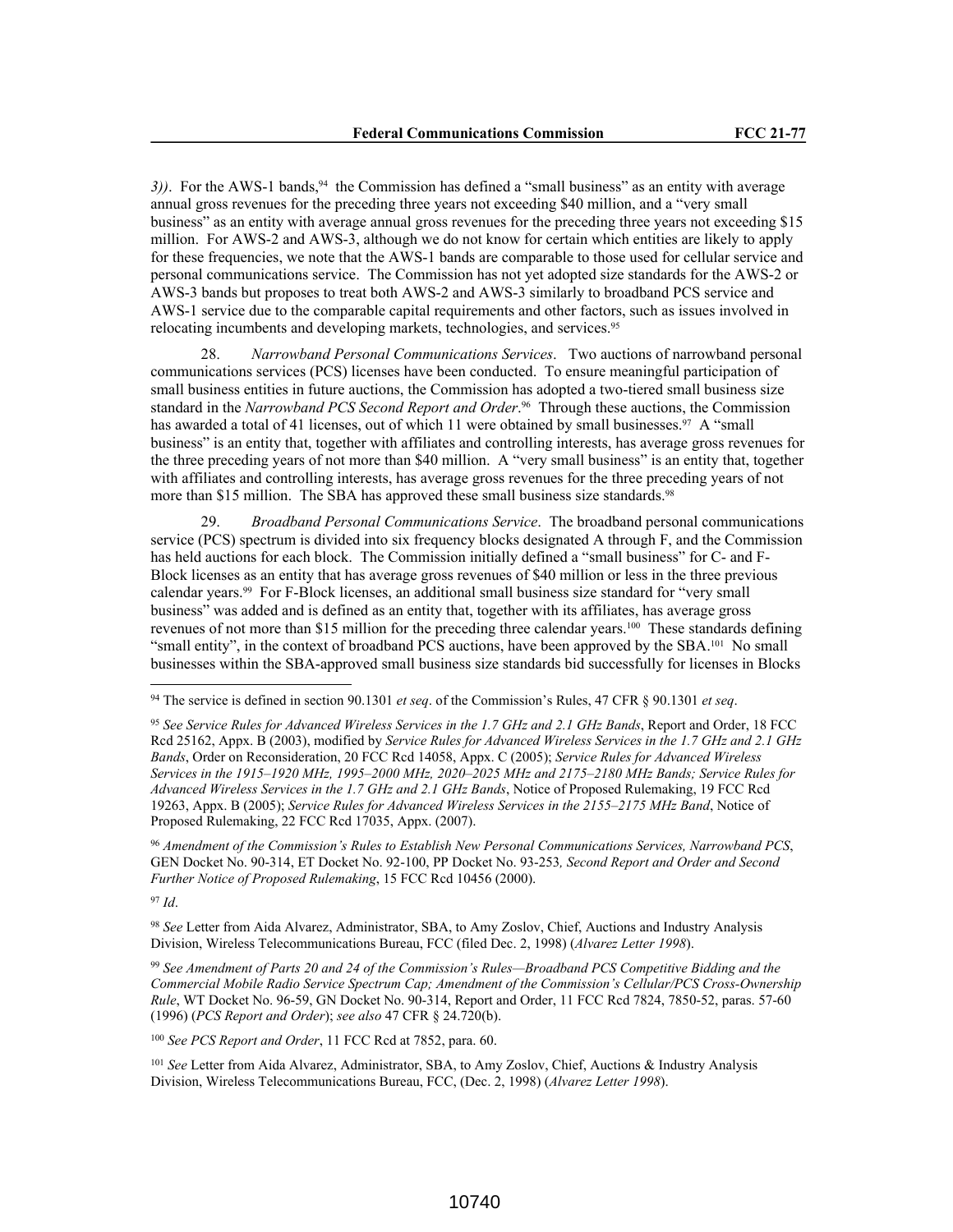3)). For the AWS-1 bands,<sup>94</sup> the Commission has defined a "small business" as an entity with average annual gross revenues for the preceding three years not exceeding \$40 million, and a "very small business" as an entity with average annual gross revenues for the preceding three years not exceeding \$15 million. For AWS-2 and AWS-3, although we do not know for certain which entities are likely to apply for these frequencies, we note that the AWS-1 bands are comparable to those used for cellular service and personal communications service. The Commission has not yet adopted size standards for the AWS-2 or AWS-3 bands but proposes to treat both AWS-2 and AWS-3 similarly to broadband PCS service and AWS-1 service due to the comparable capital requirements and other factors, such as issues involved in relocating incumbents and developing markets, technologies, and services.<sup>95</sup>

28. *Narrowband Personal Communications Services*. Two auctions of narrowband personal communications services (PCS) licenses have been conducted. To ensure meaningful participation of small business entities in future auctions, the Commission has adopted a two-tiered small business size standard in the *Narrowband PCS Second Report and Order*. <sup>96</sup> Through these auctions, the Commission has awarded a total of 41 licenses, out of which 11 were obtained by small businesses.<sup>97</sup> A "small business" is an entity that, together with affiliates and controlling interests, has average gross revenues for the three preceding years of not more than \$40 million. A "very small business" is an entity that, together with affiliates and controlling interests, has average gross revenues for the three preceding years of not more than \$15 million. The SBA has approved these small business size standards.<sup>98</sup>

29. *Broadband Personal Communications Service*. The broadband personal communications service (PCS) spectrum is divided into six frequency blocks designated A through F, and the Commission has held auctions for each block. The Commission initially defined a "small business" for C- and F-Block licenses as an entity that has average gross revenues of \$40 million or less in the three previous calendar years.99 For F-Block licenses, an additional small business size standard for "very small business" was added and is defined as an entity that, together with its affiliates, has average gross revenues of not more than \$15 million for the preceding three calendar years.100 These standards defining "small entity", in the context of broadband PCS auctions, have been approved by the SBA.101 No small businesses within the SBA-approved small business size standards bid successfully for licenses in Blocks

<sup>96</sup> *Amendment of the Commission's Rules to Establish New Personal Communications Services, Narrowband PCS*, GEN Docket No. 90-314, ET Docket No. 92-100, PP Docket No. 93-253*, Second Report and Order and Second Further Notice of Proposed Rulemaking*, 15 FCC Rcd 10456 (2000).

<sup>97</sup> *Id*.

<sup>98</sup> *See* Letter from Aida Alvarez, Administrator, SBA, to Amy Zoslov, Chief, Auctions and Industry Analysis Division, Wireless Telecommunications Bureau, FCC (filed Dec. 2, 1998) (*Alvarez Letter 1998*).

<sup>99</sup> *See Amendment of Parts 20 and 24 of the Commission's Rules—Broadband PCS Competitive Bidding and the Commercial Mobile Radio Service Spectrum Cap; Amendment of the Commission's Cellular/PCS Cross-Ownership Rule*, WT Docket No. 96-59, GN Docket No. 90-314, Report and Order, 11 FCC Rcd 7824, 7850-52, paras. 57-60 (1996) (*PCS Report and Order*); *see also* 47 CFR § 24.720(b).

<sup>100</sup> *See PCS Report and Order*, 11 FCC Rcd at 7852, para. 60.

<sup>101</sup> *See* Letter from Aida Alvarez, Administrator, SBA, to Amy Zoslov, Chief, Auctions & Industry Analysis Division, Wireless Telecommunications Bureau, FCC, (Dec. 2, 1998) (*Alvarez Letter 1998*).

<sup>94</sup> The service is defined in section 90.1301 *et seq*. of the Commission's Rules, 47 CFR § 90.1301 *et seq*.

<sup>95</sup> *See Service Rules for Advanced Wireless Services in the 1.7 GHz and 2.1 GHz Bands*, Report and Order, 18 FCC Rcd 25162, Appx. B (2003), modified by *Service Rules for Advanced Wireless Services in the 1.7 GHz and 2.1 GHz Bands*, Order on Reconsideration, 20 FCC Rcd 14058, Appx. C (2005); *Service Rules for Advanced Wireless Services in the 1915–1920 MHz, 1995–2000 MHz, 2020–2025 MHz and 2175–2180 MHz Bands; Service Rules for Advanced Wireless Services in the 1.7 GHz and 2.1 GHz Bands*, Notice of Proposed Rulemaking, 19 FCC Rcd 19263, Appx. B (2005); *Service Rules for Advanced Wireless Services in the 2155–2175 MHz Band*, Notice of Proposed Rulemaking, 22 FCC Rcd 17035, Appx. (2007).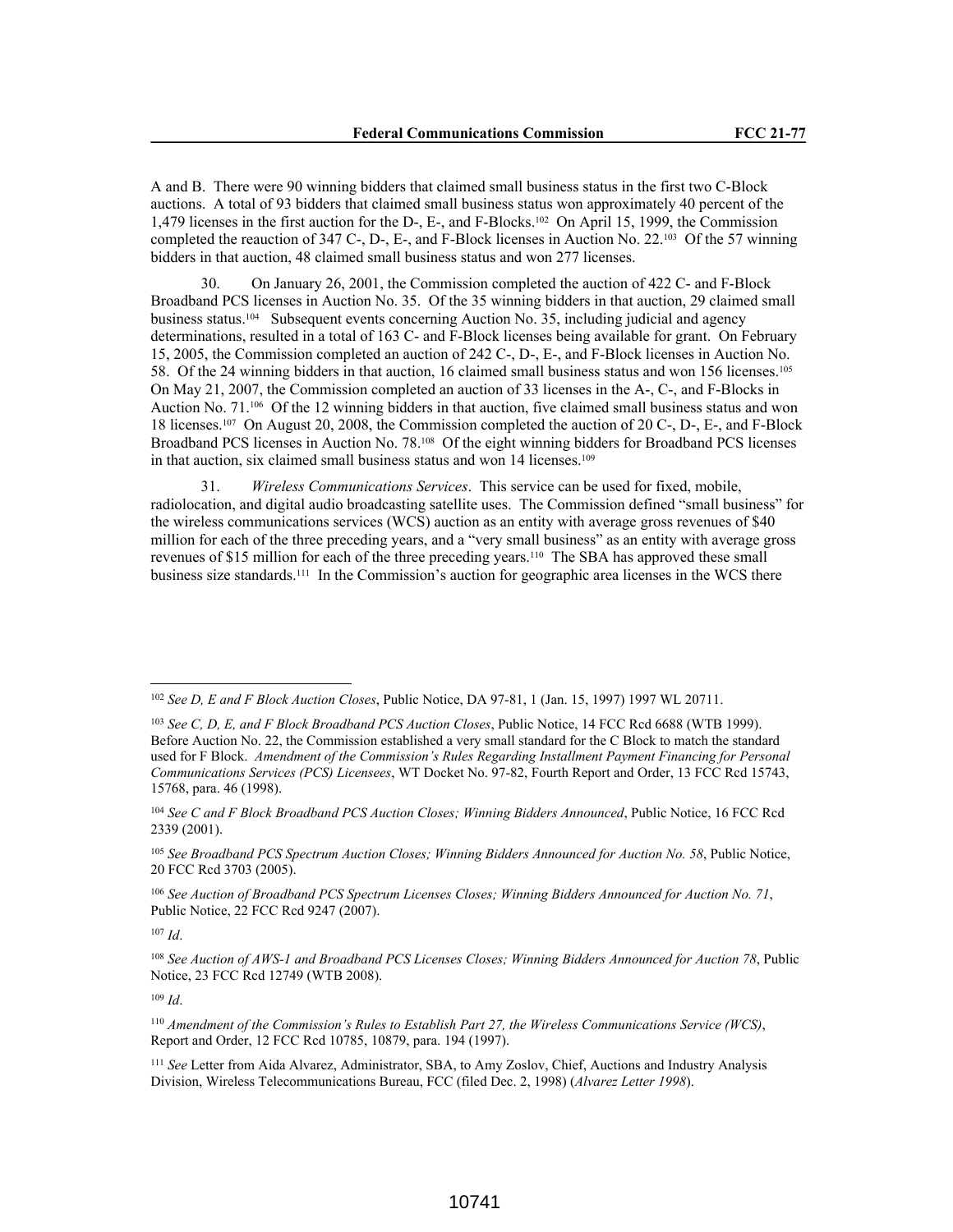A and B. There were 90 winning bidders that claimed small business status in the first two C-Block auctions. A total of 93 bidders that claimed small business status won approximately 40 percent of the 1,479 licenses in the first auction for the D-, E-, and F-Blocks.102 On April 15, 1999, the Commission completed the reauction of 347 C-, D-, E-, and F-Block licenses in Auction No. 22.103 Of the 57 winning bidders in that auction, 48 claimed small business status and won 277 licenses.

30. On January 26, 2001, the Commission completed the auction of 422 C- and F-Block Broadband PCS licenses in Auction No. 35. Of the 35 winning bidders in that auction, 29 claimed small business status.104 Subsequent events concerning Auction No. 35, including judicial and agency determinations, resulted in a total of 163 C- and F-Block licenses being available for grant. On February 15, 2005, the Commission completed an auction of 242 C-, D-, E-, and F-Block licenses in Auction No. 58. Of the 24 winning bidders in that auction, 16 claimed small business status and won 156 licenses.<sup>105</sup> On May 21, 2007, the Commission completed an auction of 33 licenses in the A-, C-, and F-Blocks in Auction No. 71.106 Of the 12 winning bidders in that auction, five claimed small business status and won 18 licenses.107 On August 20, 2008, the Commission completed the auction of 20 C-, D-, E-, and F-Block Broadband PCS licenses in Auction No. 78.108 Of the eight winning bidders for Broadband PCS licenses in that auction, six claimed small business status and won 14 licenses.<sup>109</sup>

31. *Wireless Communications Services*. This service can be used for fixed, mobile, radiolocation, and digital audio broadcasting satellite uses. The Commission defined "small business" for the wireless communications services (WCS) auction as an entity with average gross revenues of \$40 million for each of the three preceding years, and a "very small business" as an entity with average gross revenues of \$15 million for each of the three preceding years.110 The SBA has approved these small business size standards.111 In the Commission's auction for geographic area licenses in the WCS there

<sup>107</sup> *Id*.

<sup>108</sup> *See Auction of AWS-1 and Broadband PCS Licenses Closes; Winning Bidders Announced for Auction 78*, Public Notice, 23 FCC Rcd 12749 (WTB 2008).

<sup>109</sup> *Id*.

<sup>110</sup> *Amendment of the Commission's Rules to Establish Part 27, the Wireless Communications Service (WCS)*, Report and Order, 12 FCC Rcd 10785, 10879, para. 194 (1997).

<sup>111</sup> *See* Letter from Aida Alvarez, Administrator, SBA, to Amy Zoslov, Chief, Auctions and Industry Analysis Division, Wireless Telecommunications Bureau, FCC (filed Dec. 2, 1998) (*Alvarez Letter 1998*).

<sup>102</sup> *See D, E and F Block Auction Closes*, Public Notice, DA 97-81, 1 (Jan. 15, 1997) 1997 WL 20711.

<sup>103</sup> *See C, D, E, and F Block Broadband PCS Auction Closes*, Public Notice, 14 FCC Rcd 6688 (WTB 1999). Before Auction No. 22, the Commission established a very small standard for the C Block to match the standard used for F Block. *Amendment of the Commission's Rules Regarding Installment Payment Financing for Personal Communications Services (PCS) Licensees*, WT Docket No. 97-82, Fourth Report and Order, 13 FCC Rcd 15743, 15768, para. 46 (1998).

<sup>104</sup> *See C and F Block Broadband PCS Auction Closes; Winning Bidders Announced*, Public Notice, 16 FCC Rcd 2339 (2001).

<sup>105</sup> *See Broadband PCS Spectrum Auction Closes; Winning Bidders Announced for Auction No. 58*, Public Notice, 20 FCC Rcd 3703 (2005).

<sup>106</sup> *See Auction of Broadband PCS Spectrum Licenses Closes; Winning Bidders Announced for Auction No. 71*, Public Notice, 22 FCC Rcd 9247 (2007).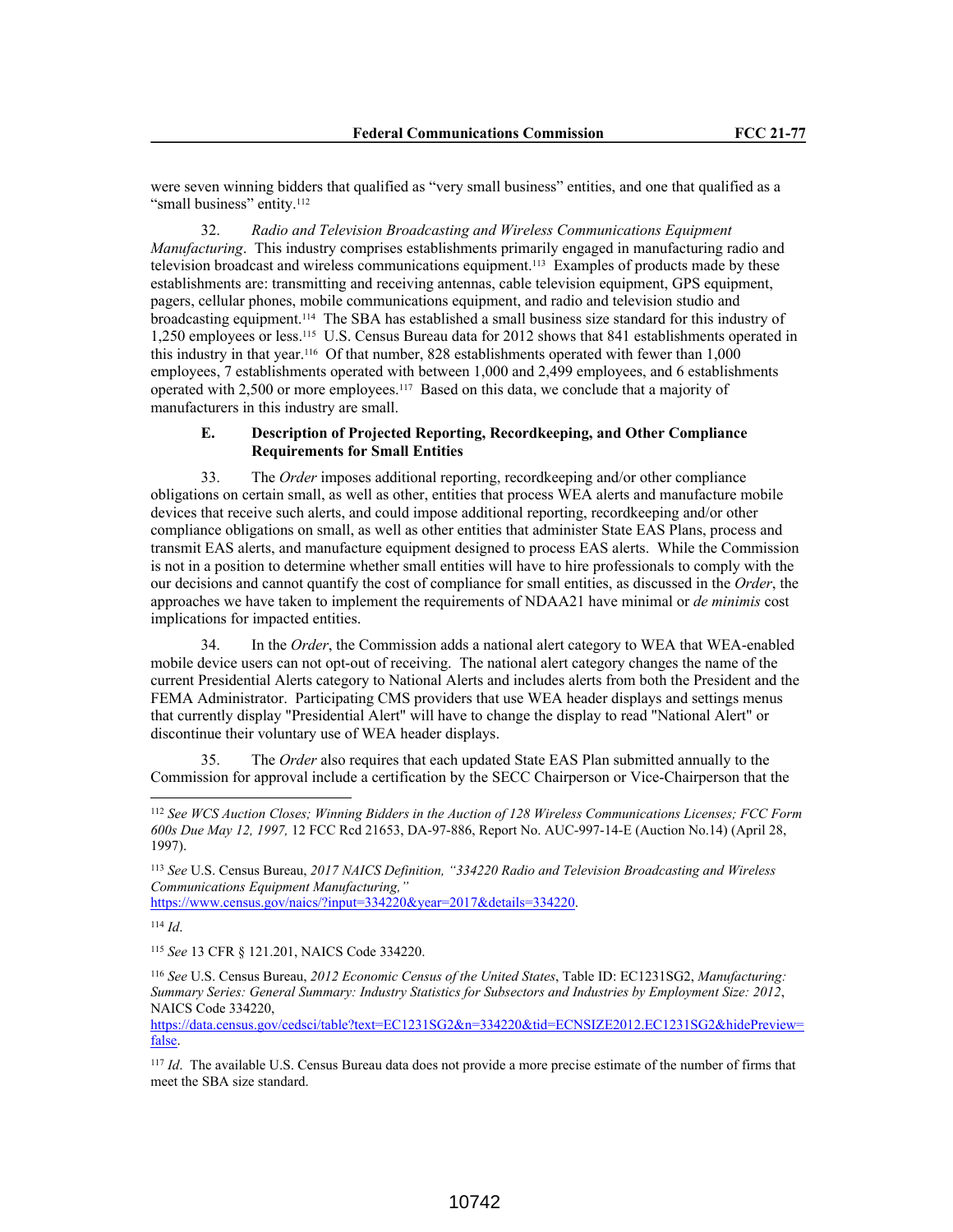were seven winning bidders that qualified as "very small business" entities, and one that qualified as a "small business" entity.<sup>112</sup>

32. *Radio and Television Broadcasting and Wireless Communications Equipment Manufacturing*. This industry comprises establishments primarily engaged in manufacturing radio and television broadcast and wireless communications equipment.113 Examples of products made by these establishments are: transmitting and receiving antennas, cable television equipment, GPS equipment, pagers, cellular phones, mobile communications equipment, and radio and television studio and broadcasting equipment.114 The SBA has established a small business size standard for this industry of 1,250 employees or less.115 U.S. Census Bureau data for 2012 shows that 841 establishments operated in this industry in that year.116 Of that number, 828 establishments operated with fewer than 1,000 employees, 7 establishments operated with between 1,000 and 2,499 employees, and 6 establishments operated with 2,500 or more employees.117 Based on this data, we conclude that a majority of manufacturers in this industry are small.

## **E. Description of Projected Reporting, Recordkeeping, and Other Compliance Requirements for Small Entities**

33. The *Order* imposes additional reporting, recordkeeping and/or other compliance obligations on certain small, as well as other, entities that process WEA alerts and manufacture mobile devices that receive such alerts, and could impose additional reporting, recordkeeping and/or other compliance obligations on small, as well as other entities that administer State EAS Plans, process and transmit EAS alerts, and manufacture equipment designed to process EAS alerts. While the Commission is not in a position to determine whether small entities will have to hire professionals to comply with the our decisions and cannot quantify the cost of compliance for small entities, as discussed in the *Order*, the approaches we have taken to implement the requirements of NDAA21 have minimal or *de minimis* cost implications for impacted entities.

34. In the *Order*, the Commission adds a national alert category to WEA that WEA-enabled mobile device users can not opt-out of receiving. The national alert category changes the name of the current Presidential Alerts category to National Alerts and includes alerts from both the President and the FEMA Administrator. Participating CMS providers that use WEA header displays and settings menus that currently display "Presidential Alert" will have to change the display to read "National Alert" or discontinue their voluntary use of WEA header displays.

35. The *Order* also requires that each updated State EAS Plan submitted annually to the Commission for approval include a certification by the SECC Chairperson or Vice-Chairperson that the

https://www.census.gov/naics/?input=334220&year=2017&details=334220.

<sup>115</sup> *See* 13 CFR § 121.201, NAICS Code 334220.

<sup>112</sup> *See WCS Auction Closes; Winning Bidders in the Auction of 128 Wireless Communications Licenses; FCC Form 600s Due May 12, 1997,* 12 FCC Rcd 21653, DA-97-886, Report No. AUC-997-14-E (Auction No.14) (April 28, 1997).

<sup>113</sup> *See* U.S. Census Bureau, *2017 NAICS Definition, "334220 Radio and Television Broadcasting and Wireless Communications Equipment Manufacturing,"*

<sup>114</sup> *Id*.

<sup>116</sup> *See* U.S. Census Bureau, *2012 Economic Census of the United States*, Table ID: EC1231SG2, *Manufacturing: Summary Series: General Summary: Industry Statistics for Subsectors and Industries by Employment Size: 2012*, NAICS Code 334220,

https://data.census.gov/cedsci/table?text=EC1231SG2&n=334220&tid=ECNSIZE2012.EC1231SG2&hidePreview= false.

<sup>117</sup> *Id*. The available U.S. Census Bureau data does not provide a more precise estimate of the number of firms that meet the SBA size standard.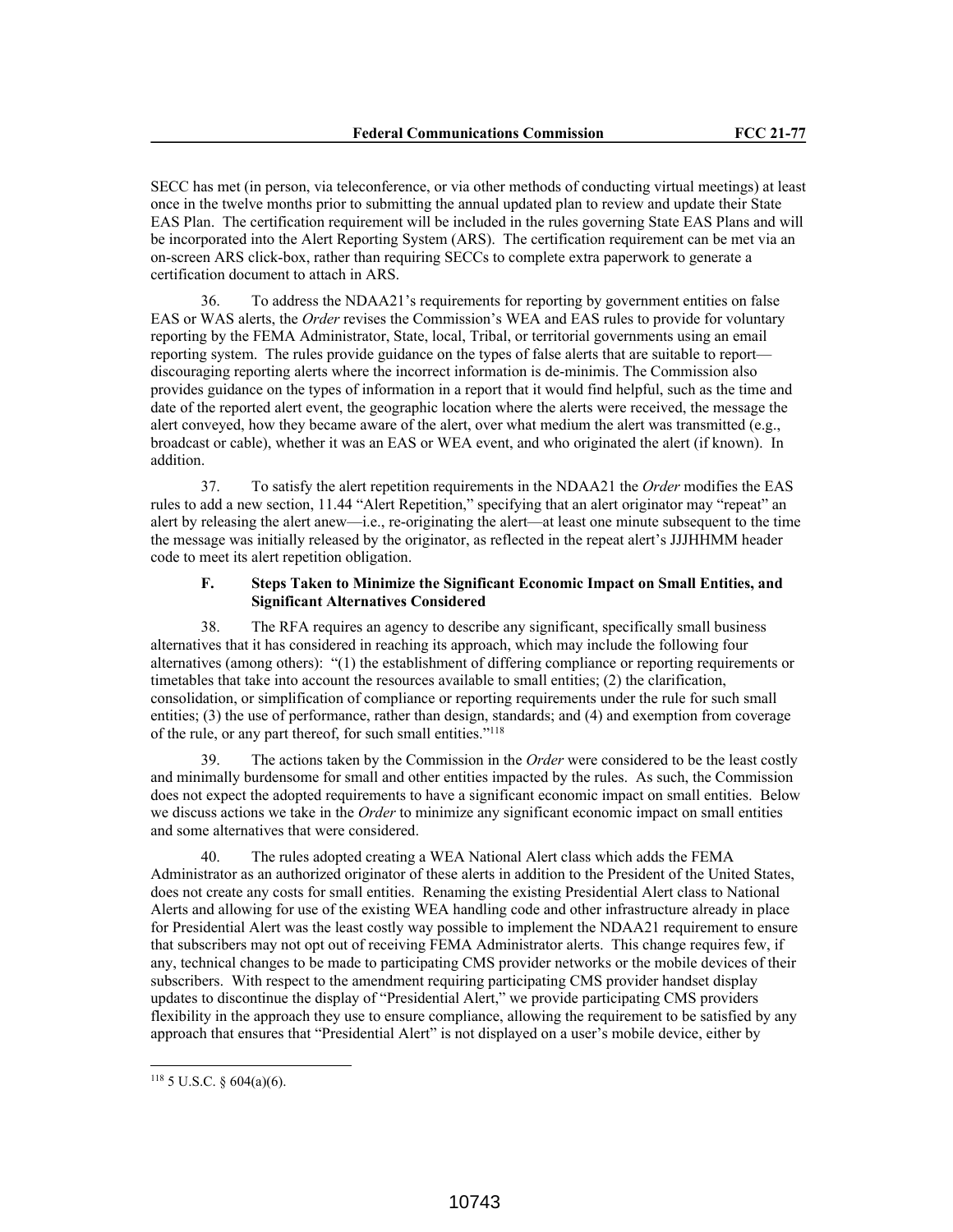SECC has met (in person, via teleconference, or via other methods of conducting virtual meetings) at least once in the twelve months prior to submitting the annual updated plan to review and update their State EAS Plan. The certification requirement will be included in the rules governing State EAS Plans and will be incorporated into the Alert Reporting System (ARS). The certification requirement can be met via an on-screen ARS click-box, rather than requiring SECCs to complete extra paperwork to generate a certification document to attach in ARS.

36. To address the NDAA21's requirements for reporting by government entities on false EAS or WAS alerts, the *Order* revises the Commission's WEA and EAS rules to provide for voluntary reporting by the FEMA Administrator, State, local, Tribal, or territorial governments using an email reporting system. The rules provide guidance on the types of false alerts that are suitable to report discouraging reporting alerts where the incorrect information is de-minimis. The Commission also provides guidance on the types of information in a report that it would find helpful, such as the time and date of the reported alert event, the geographic location where the alerts were received, the message the alert conveyed, how they became aware of the alert, over what medium the alert was transmitted (e.g., broadcast or cable), whether it was an EAS or WEA event, and who originated the alert (if known). In addition.

37. To satisfy the alert repetition requirements in the NDAA21 the *Order* modifies the EAS rules to add a new section, 11.44 "Alert Repetition," specifying that an alert originator may "repeat" an alert by releasing the alert anew—i.e., re-originating the alert—at least one minute subsequent to the time the message was initially released by the originator, as reflected in the repeat alert's JJJHHMM header code to meet its alert repetition obligation.

# **F. Steps Taken to Minimize the Significant Economic Impact on Small Entities, and Significant Alternatives Considered**

38. The RFA requires an agency to describe any significant, specifically small business alternatives that it has considered in reaching its approach, which may include the following four alternatives (among others): "(1) the establishment of differing compliance or reporting requirements or timetables that take into account the resources available to small entities; (2) the clarification, consolidation, or simplification of compliance or reporting requirements under the rule for such small entities; (3) the use of performance, rather than design, standards; and (4) and exemption from coverage of the rule, or any part thereof, for such small entities."<sup>118</sup>

39. The actions taken by the Commission in the *Order* were considered to be the least costly and minimally burdensome for small and other entities impacted by the rules. As such, the Commission does not expect the adopted requirements to have a significant economic impact on small entities. Below we discuss actions we take in the *Order* to minimize any significant economic impact on small entities and some alternatives that were considered.

40. The rules adopted creating a WEA National Alert class which adds the FEMA Administrator as an authorized originator of these alerts in addition to the President of the United States, does not create any costs for small entities. Renaming the existing Presidential Alert class to National Alerts and allowing for use of the existing WEA handling code and other infrastructure already in place for Presidential Alert was the least costly way possible to implement the NDAA21 requirement to ensure that subscribers may not opt out of receiving FEMA Administrator alerts. This change requires few, if any, technical changes to be made to participating CMS provider networks or the mobile devices of their subscribers. With respect to the amendment requiring participating CMS provider handset display updates to discontinue the display of "Presidential Alert," we provide participating CMS providers flexibility in the approach they use to ensure compliance, allowing the requirement to be satisfied by any approach that ensures that "Presidential Alert" is not displayed on a user's mobile device, either by

 $118$  5 U.S.C. § 604(a)(6).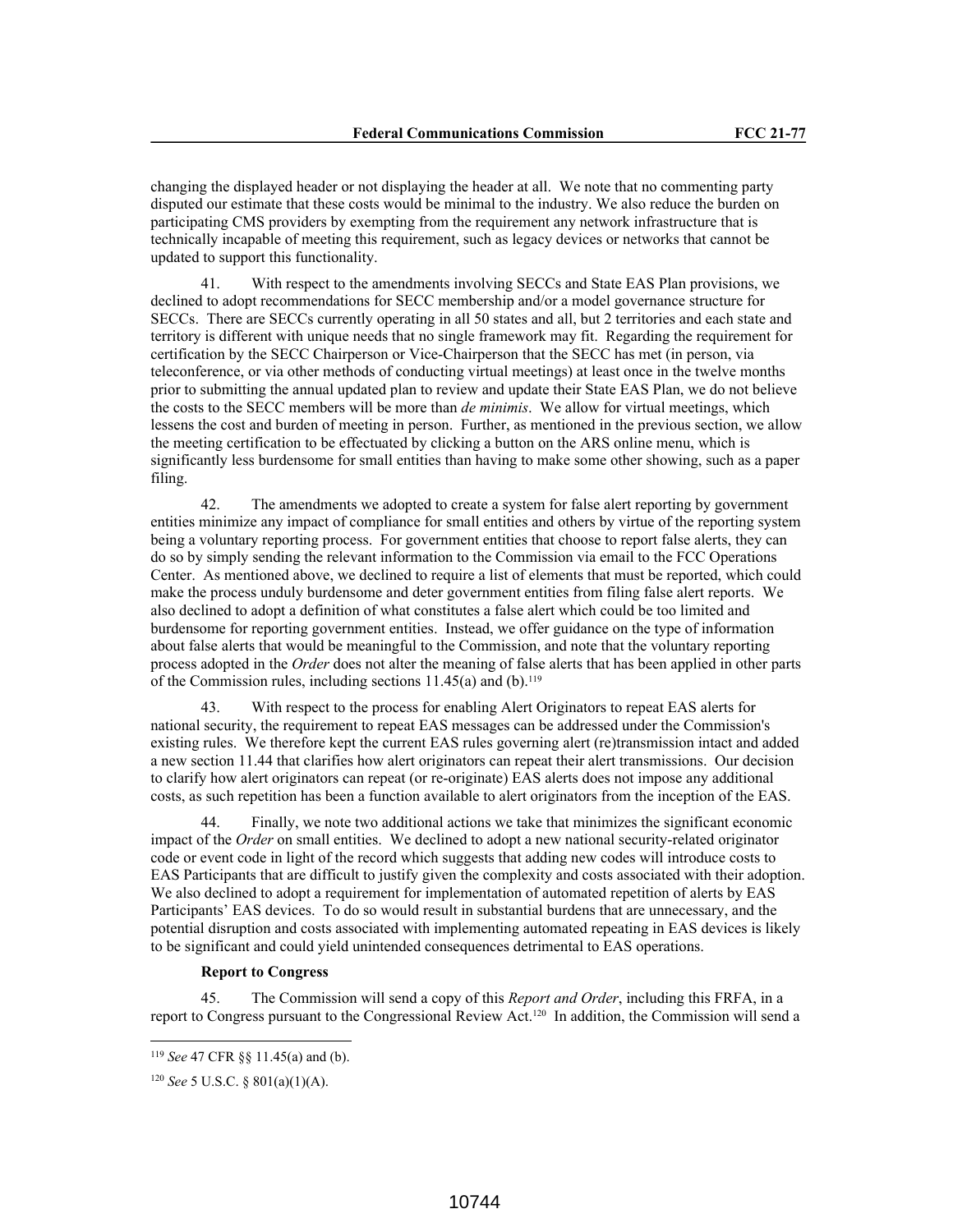changing the displayed header or not displaying the header at all. We note that no commenting party disputed our estimate that these costs would be minimal to the industry. We also reduce the burden on participating CMS providers by exempting from the requirement any network infrastructure that is technically incapable of meeting this requirement, such as legacy devices or networks that cannot be updated to support this functionality.

41. With respect to the amendments involving SECCs and State EAS Plan provisions, we declined to adopt recommendations for SECC membership and/or a model governance structure for SECCs. There are SECCs currently operating in all 50 states and all, but 2 territories and each state and territory is different with unique needs that no single framework may fit. Regarding the requirement for certification by the SECC Chairperson or Vice-Chairperson that the SECC has met (in person, via teleconference, or via other methods of conducting virtual meetings) at least once in the twelve months prior to submitting the annual updated plan to review and update their State EAS Plan, we do not believe the costs to the SECC members will be more than *de minimis*. We allow for virtual meetings, which lessens the cost and burden of meeting in person. Further, as mentioned in the previous section, we allow the meeting certification to be effectuated by clicking a button on the ARS online menu, which is significantly less burdensome for small entities than having to make some other showing, such as a paper filing.

42. The amendments we adopted to create a system for false alert reporting by government entities minimize any impact of compliance for small entities and others by virtue of the reporting system being a voluntary reporting process. For government entities that choose to report false alerts, they can do so by simply sending the relevant information to the Commission via email to the FCC Operations Center. As mentioned above, we declined to require a list of elements that must be reported, which could make the process unduly burdensome and deter government entities from filing false alert reports. We also declined to adopt a definition of what constitutes a false alert which could be too limited and burdensome for reporting government entities. Instead, we offer guidance on the type of information about false alerts that would be meaningful to the Commission, and note that the voluntary reporting process adopted in the *Order* does not alter the meaning of false alerts that has been applied in other parts of the Commission rules, including sections  $11.45(a)$  and  $(b)$ .<sup>119</sup>

43. With respect to the process for enabling Alert Originators to repeat EAS alerts for national security, the requirement to repeat EAS messages can be addressed under the Commission's existing rules. We therefore kept the current EAS rules governing alert (re)transmission intact and added a new section 11.44 that clarifies how alert originators can repeat their alert transmissions. Our decision to clarify how alert originators can repeat (or re-originate) EAS alerts does not impose any additional costs, as such repetition has been a function available to alert originators from the inception of the EAS.

44. Finally, we note two additional actions we take that minimizes the significant economic impact of the *Order* on small entities. We declined to adopt a new national security-related originator code or event code in light of the record which suggests that adding new codes will introduce costs to EAS Participants that are difficult to justify given the complexity and costs associated with their adoption. We also declined to adopt a requirement for implementation of automated repetition of alerts by EAS Participants' EAS devices. To do so would result in substantial burdens that are unnecessary, and the potential disruption and costs associated with implementing automated repeating in EAS devices is likely to be significant and could yield unintended consequences detrimental to EAS operations.

# **Report to Congress**

45. The Commission will send a copy of this *Report and Order*, including this FRFA, in a report to Congress pursuant to the Congressional Review Act.120 In addition, the Commission will send a

<sup>119</sup> *See* 47 CFR §§ 11.45(a) and (b).

<sup>120</sup> *See* 5 U.S.C. § 801(a)(1)(A).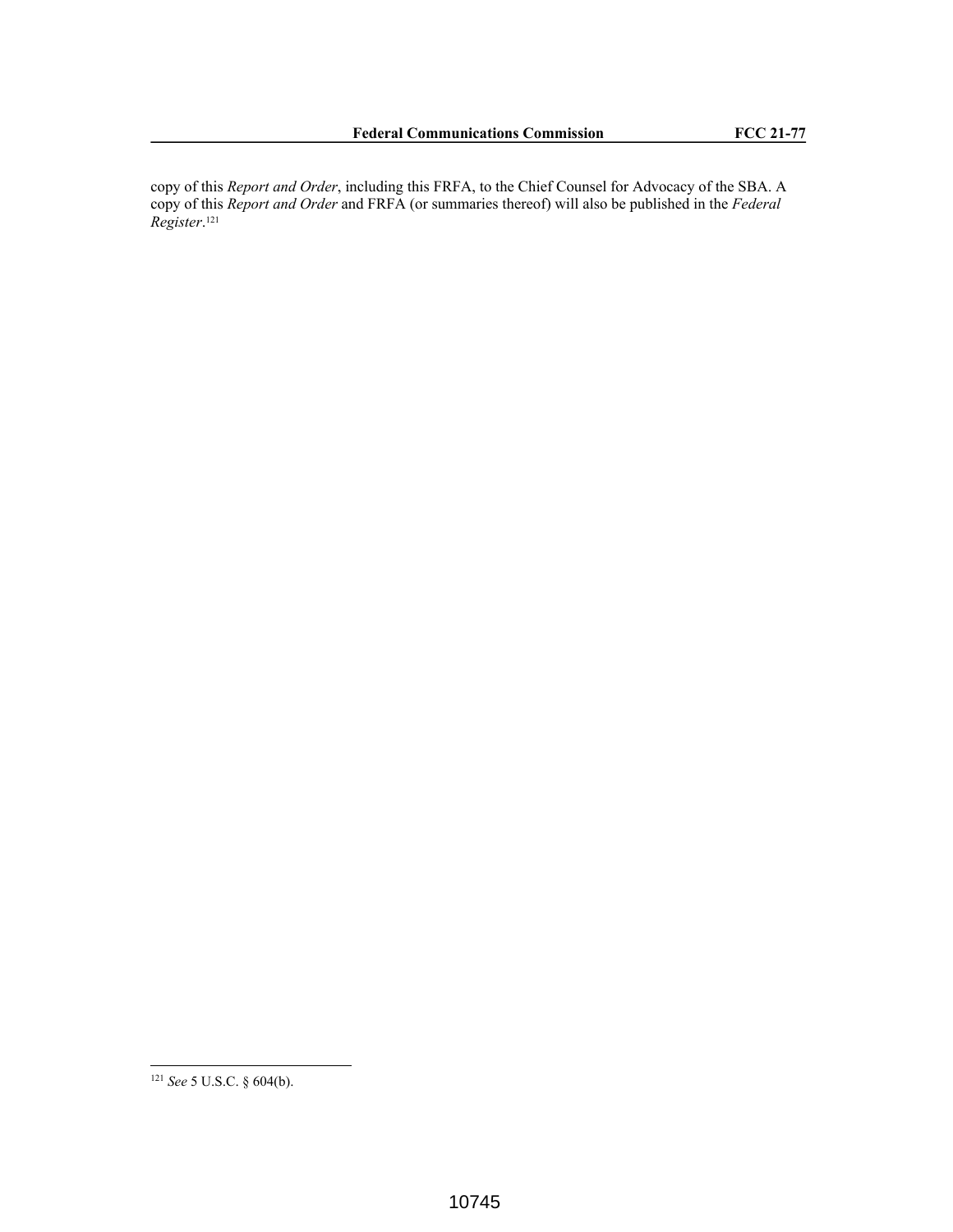copy of this *Report and Order*, including this FRFA, to the Chief Counsel for Advocacy of the SBA. A copy of this *Report and Order* and FRFA (or summaries thereof) will also be published in the *Federal Register*. 121

<sup>121</sup> *See* 5 U.S.C. § 604(b).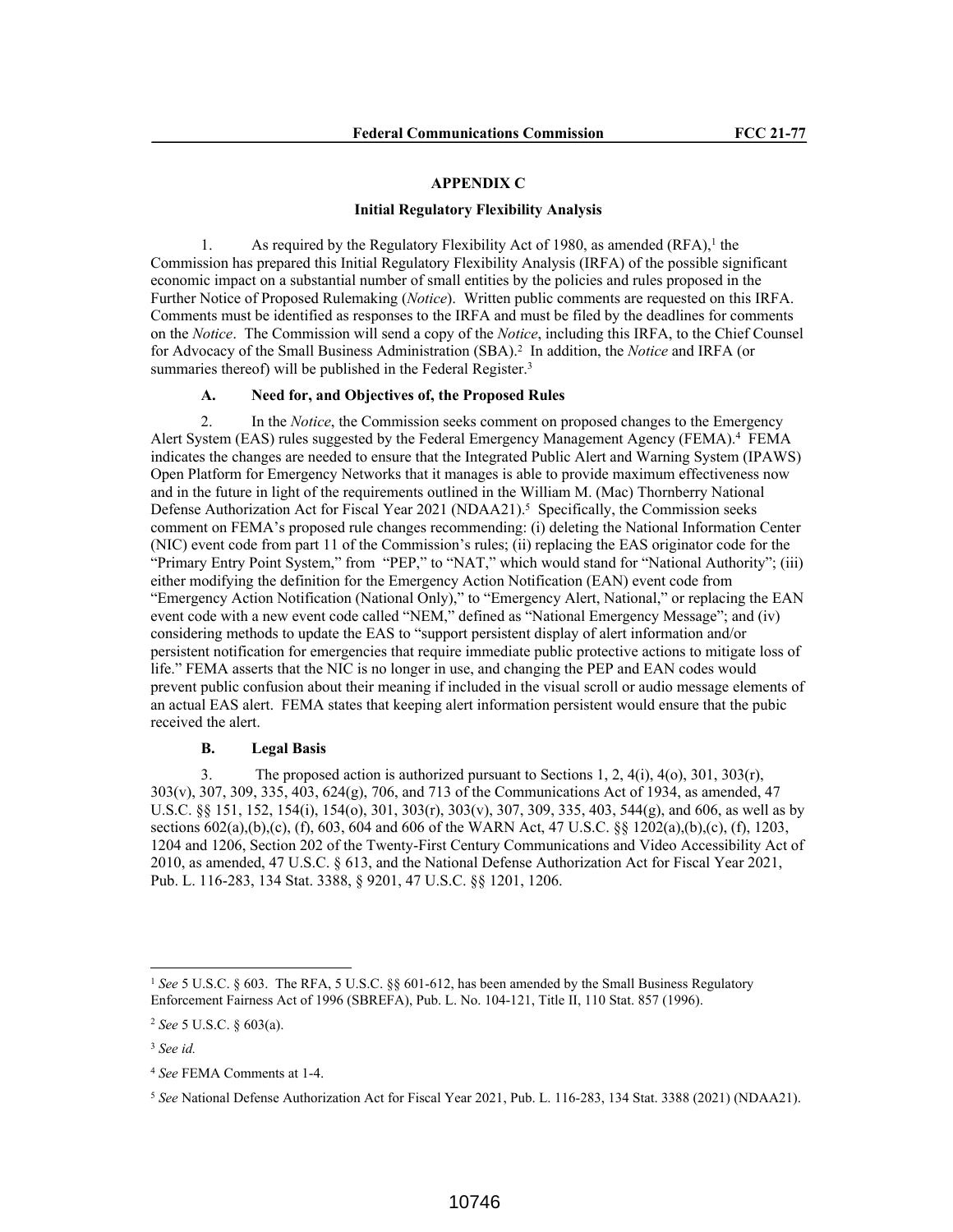#### **APPENDIX C**

#### **Initial Regulatory Flexibility Analysis**

1. As required by the Regulatory Flexibility Act of 1980, as amended  $(RFA)$ ,<sup>1</sup> the Commission has prepared this Initial Regulatory Flexibility Analysis (IRFA) of the possible significant economic impact on a substantial number of small entities by the policies and rules proposed in the Further Notice of Proposed Rulemaking (*Notice*). Written public comments are requested on this IRFA. Comments must be identified as responses to the IRFA and must be filed by the deadlines for comments on the *Notice*. The Commission will send a copy of the *Notice*, including this IRFA, to the Chief Counsel for Advocacy of the Small Business Administration (SBA).<sup>2</sup> In addition, the *Notice* and IRFA (or summaries thereof) will be published in the Federal Register.<sup>3</sup>

# **A. Need for, and Objectives of, the Proposed Rules**

2. In the *Notice*, the Commission seeks comment on proposed changes to the Emergency Alert System (EAS) rules suggested by the Federal Emergency Management Agency (FEMA).<sup>4</sup> FEMA indicates the changes are needed to ensure that the Integrated Public Alert and Warning System (IPAWS) Open Platform for Emergency Networks that it manages is able to provide maximum effectiveness now and in the future in light of the requirements outlined in the William M. (Mac) Thornberry National Defense Authorization Act for Fiscal Year 2021 (NDAA21).<sup>5</sup> Specifically, the Commission seeks comment on FEMA's proposed rule changes recommending: (i) deleting the National Information Center (NIC) event code from part 11 of the Commission's rules; (ii) replacing the EAS originator code for the "Primary Entry Point System," from "PEP," to "NAT," which would stand for "National Authority"; (iii) either modifying the definition for the Emergency Action Notification (EAN) event code from "Emergency Action Notification (National Only)," to "Emergency Alert, National," or replacing the EAN event code with a new event code called "NEM," defined as "National Emergency Message"; and (iv) considering methods to update the EAS to "support persistent display of alert information and/or persistent notification for emergencies that require immediate public protective actions to mitigate loss of life." FEMA asserts that the NIC is no longer in use, and changing the PEP and EAN codes would prevent public confusion about their meaning if included in the visual scroll or audio message elements of an actual EAS alert. FEMA states that keeping alert information persistent would ensure that the pubic received the alert.

#### **B. Legal Basis**

3. The proposed action is authorized pursuant to Sections 1, 2, 4(i), 4(o), 301, 303(r), 303(v), 307, 309, 335, 403, 624(g), 706, and 713 of the Communications Act of 1934, as amended, 47 U.S.C. §§ 151, 152, 154(i), 154(o), 301, 303(r), 303(v), 307, 309, 335, 403, 544(g), and 606, as well as by sections 602(a),(b),(c), (f), 603, 604 and 606 of the WARN Act, 47 U.S.C. §§ 1202(a),(b),(c), (f), 1203, 1204 and 1206, Section 202 of the Twenty-First Century Communications and Video Accessibility Act of 2010, as amended, 47 U.S.C. § 613, and the National Defense Authorization Act for Fiscal Year 2021, Pub. L. 116-283, 134 Stat. 3388, § 9201, 47 U.S.C. §§ 1201, 1206.

<sup>1</sup> *See* 5 U.S.C. § 603. The RFA, 5 U.S.C. §§ 601-612, has been amended by the Small Business Regulatory Enforcement Fairness Act of 1996 (SBREFA), Pub. L. No. 104-121, Title II, 110 Stat. 857 (1996).

<sup>2</sup> *See* 5 U.S.C. § 603(a).

<sup>3</sup> *See id.*

<sup>4</sup> *See* FEMA Comments at 1-4.

<sup>5</sup> *See* National Defense Authorization Act for Fiscal Year 2021, Pub. L. 116-283, 134 Stat. 3388 (2021) (NDAA21).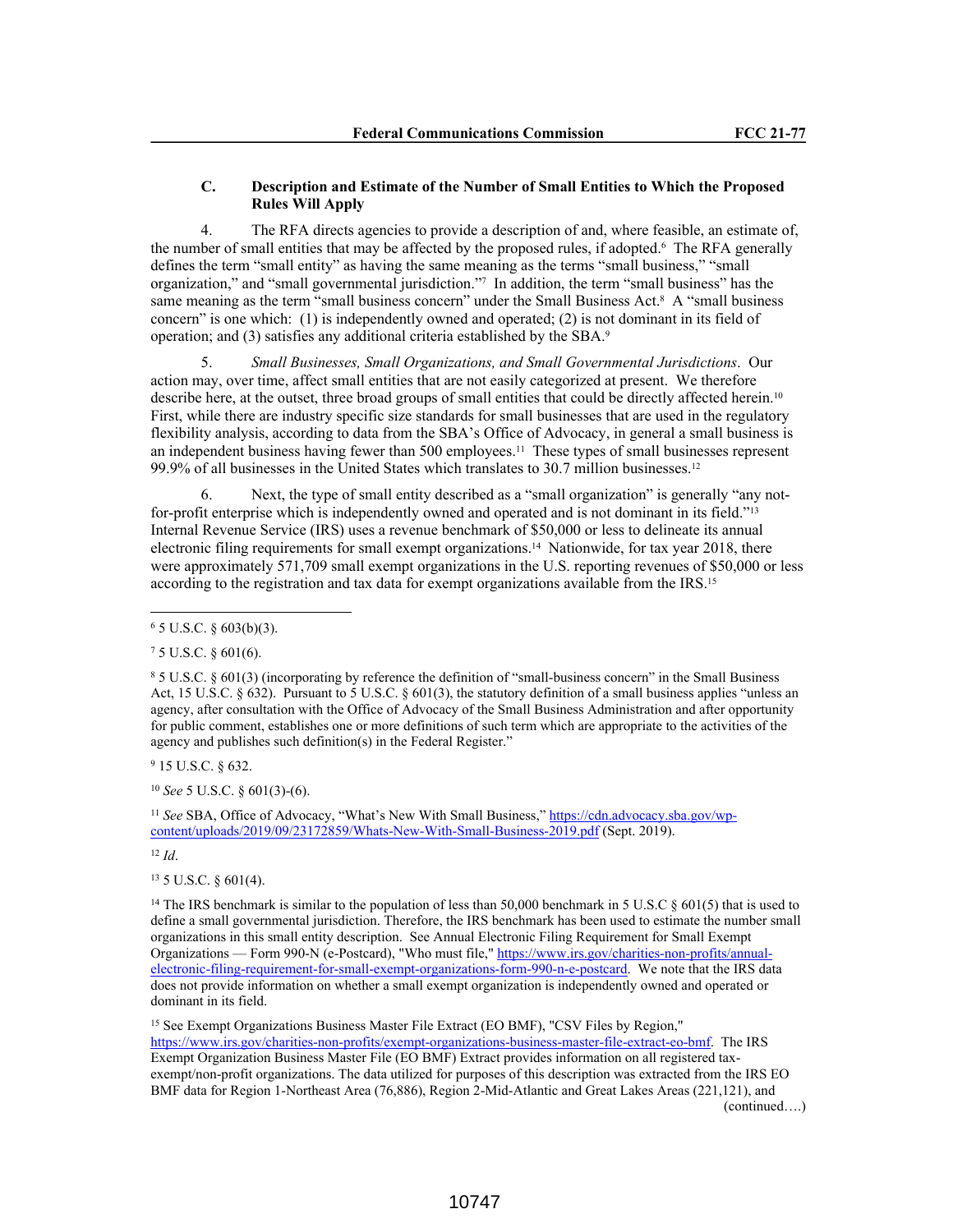# **C. Description and Estimate of the Number of Small Entities to Which the Proposed Rules Will Apply**

4. The RFA directs agencies to provide a description of and, where feasible, an estimate of, the number of small entities that may be affected by the proposed rules, if adopted.<sup>6</sup> The RFA generally defines the term "small entity" as having the same meaning as the terms "small business," "small organization," and "small governmental jurisdiction."<sup>7</sup> In addition, the term "small business" has the same meaning as the term "small business concern" under the Small Business Act.<sup>8</sup> A "small business concern" is one which: (1) is independently owned and operated; (2) is not dominant in its field of operation; and (3) satisfies any additional criteria established by the SBA.<sup>9</sup>

5. *Small Businesses, Small Organizations, and Small Governmental Jurisdictions*. Our action may, over time, affect small entities that are not easily categorized at present. We therefore describe here, at the outset, three broad groups of small entities that could be directly affected herein.<sup>10</sup> First, while there are industry specific size standards for small businesses that are used in the regulatory flexibility analysis, according to data from the SBA's Office of Advocacy, in general a small business is an independent business having fewer than 500 employees.<sup>11</sup> These types of small businesses represent 99.9% of all businesses in the United States which translates to 30.7 million businesses.<sup>12</sup>

6. Next, the type of small entity described as a "small organization" is generally "any notfor-profit enterprise which is independently owned and operated and is not dominant in its field."<sup>13</sup> Internal Revenue Service (IRS) uses a revenue benchmark of \$50,000 or less to delineate its annual electronic filing requirements for small exempt organizations.14 Nationwide, for tax year 2018, there were approximately 571,709 small exempt organizations in the U.S. reporting revenues of \$50,000 or less according to the registration and tax data for exempt organizations available from the IRS.<sup>15</sup>

<sup>9</sup> 15 U.S.C. § 632.

<sup>10</sup> *See* 5 U.S.C. § 601(3)-(6).

<sup>11</sup> *See* SBA, Office of Advocacy, "What's New With Small Business," https://cdn.advocacy.sba.gov/wpcontent/uploads/2019/09/23172859/Whats-New-With-Small-Business-2019.pdf (Sept. 2019).

<sup>12</sup> *Id*.

<sup>13</sup> 5 U.S.C. § 601(4).

<sup>15</sup> See Exempt Organizations Business Master File Extract (EO BMF), "CSV Files by Region," https://www.irs.gov/charities-non-profits/exempt-organizations-business-master-file-extract-eo-bmf. The IRS Exempt Organization Business Master File (EO BMF) Extract provides information on all registered taxexempt/non-profit organizations. The data utilized for purposes of this description was extracted from the IRS EO BMF data for Region 1-Northeast Area (76,886), Region 2-Mid-Atlantic and Great Lakes Areas (221,121), and (continued….)

 $6$  5 U.S.C. § 603(b)(3).

<sup>7</sup> 5 U.S.C. § 601(6).

<sup>8</sup> 5 U.S.C. § 601(3) (incorporating by reference the definition of "small-business concern" in the Small Business Act, 15 U.S.C. § 632). Pursuant to 5 U.S.C. § 601(3), the statutory definition of a small business applies "unless an agency, after consultation with the Office of Advocacy of the Small Business Administration and after opportunity for public comment, establishes one or more definitions of such term which are appropriate to the activities of the agency and publishes such definition(s) in the Federal Register."

<sup>&</sup>lt;sup>14</sup> The IRS benchmark is similar to the population of less than 50,000 benchmark in 5 U.S.C § 601(5) that is used to define a small governmental jurisdiction. Therefore, the IRS benchmark has been used to estimate the number small organizations in this small entity description. See Annual Electronic Filing Requirement for Small Exempt Organizations — Form 990-N (e-Postcard), "Who must file," https://www.irs.gov/charities-non-profits/annualelectronic-filing-requirement-for-small-exempt-organizations-form-990-n-e-postcard. We note that the IRS data does not provide information on whether a small exempt organization is independently owned and operated or dominant in its field.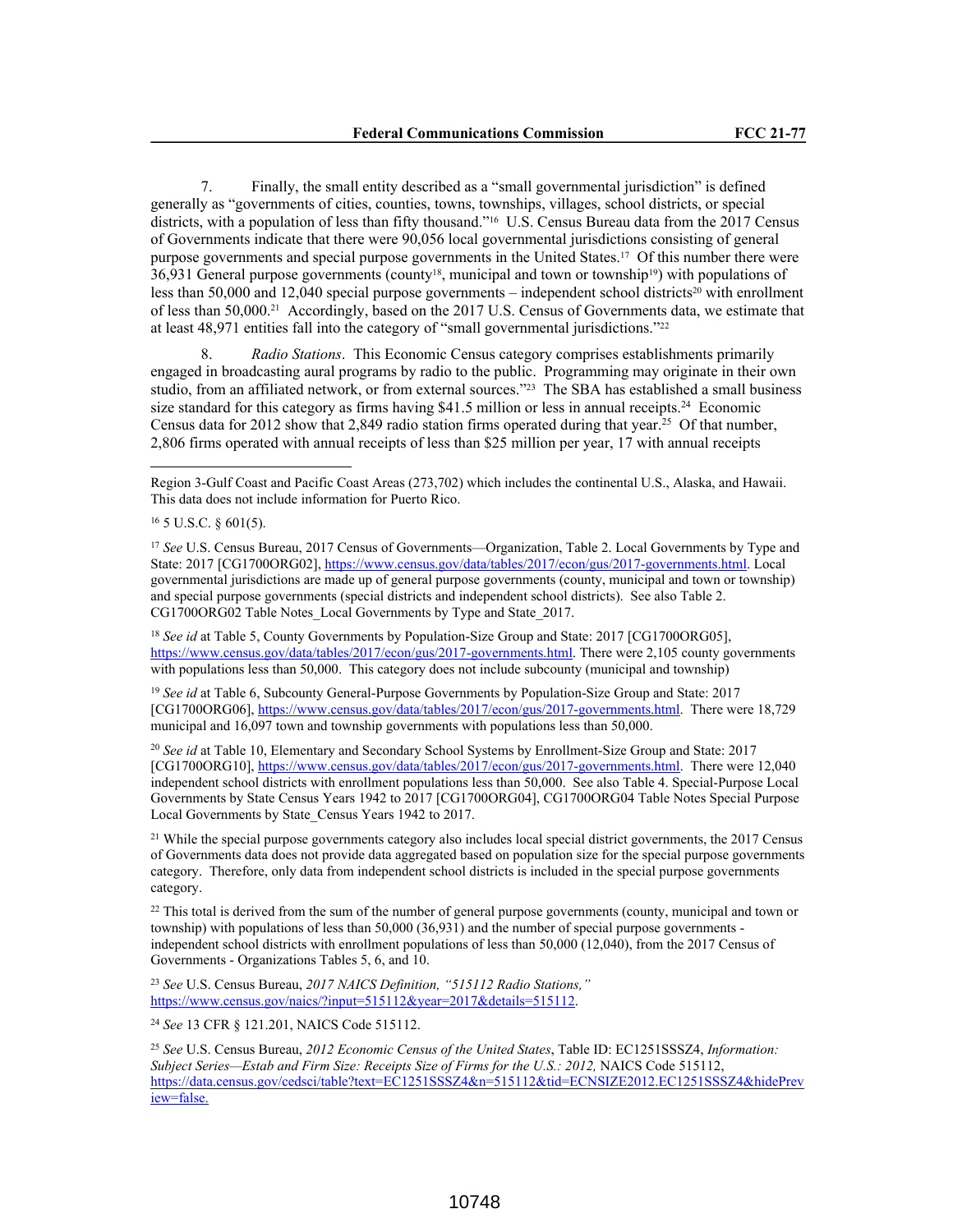7. Finally, the small entity described as a "small governmental jurisdiction" is defined generally as "governments of cities, counties, towns, townships, villages, school districts, or special districts, with a population of less than fifty thousand."16 U.S. Census Bureau data from the 2017 Census of Governments indicate that there were 90,056 local governmental jurisdictions consisting of general purpose governments and special purpose governments in the United States.17 Of this number there were 36,931 General purpose governments (county18, municipal and town or township19) with populations of less than 50,000 and 12,040 special purpose governments – independent school districts<sup>20</sup> with enrollment of less than 50,000.21 Accordingly, based on the 2017 U.S. Census of Governments data, we estimate that at least 48,971 entities fall into the category of "small governmental jurisdictions."<sup>22</sup>

8. *Radio Stations*. This Economic Census category comprises establishments primarily engaged in broadcasting aural programs by radio to the public. Programming may originate in their own studio, from an affiliated network, or from external sources."23 The SBA has established a small business size standard for this category as firms having  $$41.5$  million or less in annual receipts.<sup>24</sup> Economic Census data for 2012 show that 2,849 radio station firms operated during that year.<sup>25</sup> Of that number, 2,806 firms operated with annual receipts of less than \$25 million per year, 17 with annual receipts

<sup>18</sup> *See id* at Table 5, County Governments by Population-Size Group and State: 2017 [CG1700ORG05], https://www.census.gov/data/tables/2017/econ/gus/2017-governments.html. There were 2,105 county governments with populations less than 50,000. This category does not include subcounty (municipal and township)

<sup>19</sup> *See id* at Table 6, Subcounty General-Purpose Governments by Population-Size Group and State: 2017 [CG1700ORG06], https://www.census.gov/data/tables/2017/econ/gus/2017-governments.html. There were 18,729 municipal and 16,097 town and township governments with populations less than 50,000.

<sup>20</sup> *See id* at Table 10, Elementary and Secondary School Systems by Enrollment-Size Group and State: 2017 [CG1700ORG10], https://www.census.gov/data/tables/2017/econ/gus/2017-governments.html. There were 12,040 independent school districts with enrollment populations less than 50,000. See also Table 4. Special-Purpose Local Governments by State Census Years 1942 to 2017 [CG1700ORG04], CG1700ORG04 Table Notes Special Purpose Local Governments by State\_Census Years 1942 to 2017.

<sup>21</sup> While the special purpose governments category also includes local special district governments, the 2017 Census of Governments data does not provide data aggregated based on population size for the special purpose governments category. Therefore, only data from independent school districts is included in the special purpose governments category.

<sup>22</sup> This total is derived from the sum of the number of general purpose governments (county, municipal and town or township) with populations of less than 50,000 (36,931) and the number of special purpose governments independent school districts with enrollment populations of less than 50,000 (12,040), from the 2017 Census of Governments - Organizations Tables 5, 6, and 10.

<sup>23</sup> *See* U.S. Census Bureau, *2017 NAICS Definition, "515112 Radio Stations,"* https://www.census.gov/naics/?input=515112&year=2017&details=515112.

<sup>24</sup> *See* 13 CFR § 121.201, NAICS Code 515112.

<sup>25</sup> *See* U.S. Census Bureau, *2012 Economic Census of the United States*, Table ID: EC1251SSSZ4, *Information: Subject Series—Estab and Firm Size: Receipts Size of Firms for the U.S.: 2012,* NAICS Code 515112, https://data.census.gov/cedsci/table?text=EC1251SSSZ4&n=515112&tid=ECNSIZE2012.EC1251SSSZ4&hidePrev iew=false.

Region 3-Gulf Coast and Pacific Coast Areas (273,702) which includes the continental U.S., Alaska, and Hawaii. This data does not include information for Puerto Rico.

<sup>16</sup> 5 U.S.C. § 601(5).

<sup>&</sup>lt;sup>17</sup> See U.S. Census Bureau, 2017 Census of Governments—Organization, Table 2. Local Governments by Type and State: 2017 [CG1700ORG02], https://www.census.gov/data/tables/2017/econ/gus/2017-governments.html. Local governmental jurisdictions are made up of general purpose governments (county, municipal and town or township) and special purpose governments (special districts and independent school districts). See also Table 2. CG1700ORG02 Table Notes\_Local Governments by Type and State\_2017.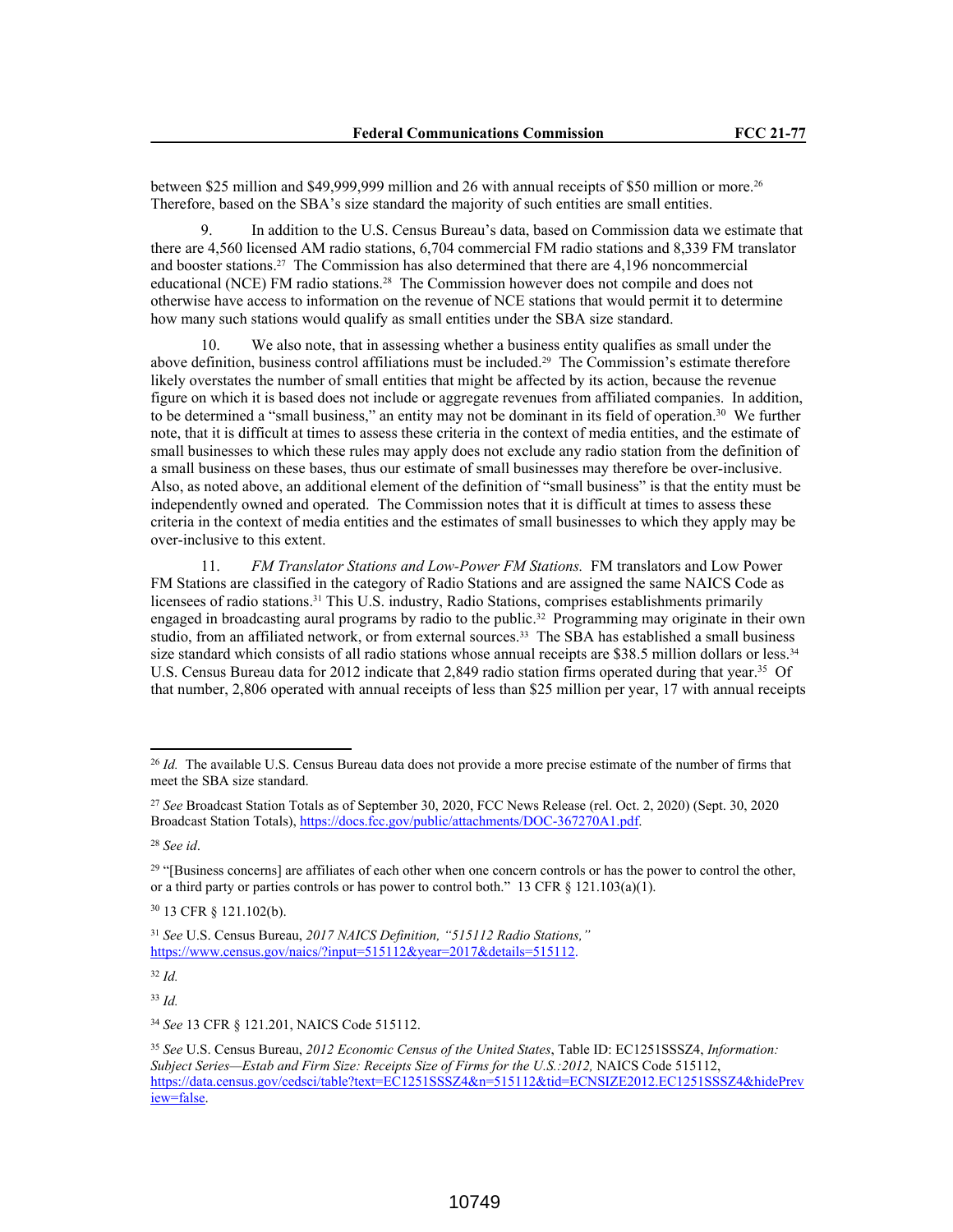between \$25 million and \$49,999,999 million and 26 with annual receipts of \$50 million or more.<sup>26</sup> Therefore, based on the SBA's size standard the majority of such entities are small entities.

9. In addition to the U.S. Census Bureau's data, based on Commission data we estimate that there are 4,560 licensed AM radio stations, 6,704 commercial FM radio stations and 8,339 FM translator and booster stations.27 The Commission has also determined that there are 4,196 noncommercial educational (NCE) FM radio stations.28 The Commission however does not compile and does not otherwise have access to information on the revenue of NCE stations that would permit it to determine how many such stations would qualify as small entities under the SBA size standard.

10. We also note, that in assessing whether a business entity qualifies as small under the above definition, business control affiliations must be included.29 The Commission's estimate therefore likely overstates the number of small entities that might be affected by its action, because the revenue figure on which it is based does not include or aggregate revenues from affiliated companies. In addition, to be determined a "small business," an entity may not be dominant in its field of operation.<sup>30</sup> We further note, that it is difficult at times to assess these criteria in the context of media entities, and the estimate of small businesses to which these rules may apply does not exclude any radio station from the definition of a small business on these bases, thus our estimate of small businesses may therefore be over-inclusive. Also, as noted above, an additional element of the definition of "small business" is that the entity must be independently owned and operated. The Commission notes that it is difficult at times to assess these criteria in the context of media entities and the estimates of small businesses to which they apply may be over-inclusive to this extent.

11. *FM Translator Stations and Low-Power FM Stations.* FM translators and Low Power FM Stations are classified in the category of Radio Stations and are assigned the same NAICS Code as licensees of radio stations.31 This U.S. industry, Radio Stations, comprises establishments primarily engaged in broadcasting aural programs by radio to the public.32 Programming may originate in their own studio, from an affiliated network, or from external sources.33 The SBA has established a small business size standard which consists of all radio stations whose annual receipts are \$38.5 million dollars or less.<sup>34</sup> U.S. Census Bureau data for 2012 indicate that 2,849 radio station firms operated during that year.<sup>35</sup> Of that number, 2,806 operated with annual receipts of less than \$25 million per year, 17 with annual receipts

<sup>32</sup> *Id.*

<sup>33</sup> *Id.*

<sup>34</sup> *See* 13 CFR § 121.201, NAICS Code 515112.

<sup>&</sup>lt;sup>26</sup> *Id.* The available U.S. Census Bureau data does not provide a more precise estimate of the number of firms that meet the SBA size standard.

<sup>27</sup> *See* Broadcast Station Totals as of September 30, 2020, FCC News Release (rel. Oct. 2, 2020) (Sept. 30, 2020 Broadcast Station Totals), https://docs.fcc.gov/public/attachments/DOC-367270A1.pdf.

<sup>28</sup> *See id*.

<sup>&</sup>lt;sup>29</sup> "[Business concerns] are affiliates of each other when one concern controls or has the power to control the other, or a third party or parties controls or has power to control both." 13 CFR  $\S$  121.103(a)(1).

<sup>30</sup> 13 CFR § 121.102(b).

<sup>31</sup> *See* U.S. Census Bureau, *2017 NAICS Definition, "515112 Radio Stations,"* https://www.census.gov/naics/?input=515112&year=2017&details=515112.

<sup>35</sup> *See* U.S. Census Bureau, *2012 Economic Census of the United States*, Table ID: EC1251SSSZ4, *Information: Subject Series—Estab and Firm Size: Receipts Size of Firms for the U.S.:2012,* NAICS Code 515112, https://data.census.gov/cedsci/table?text=EC1251SSSZ4&n=515112&tid=ECNSIZE2012.EC1251SSSZ4&hidePrev iew=false.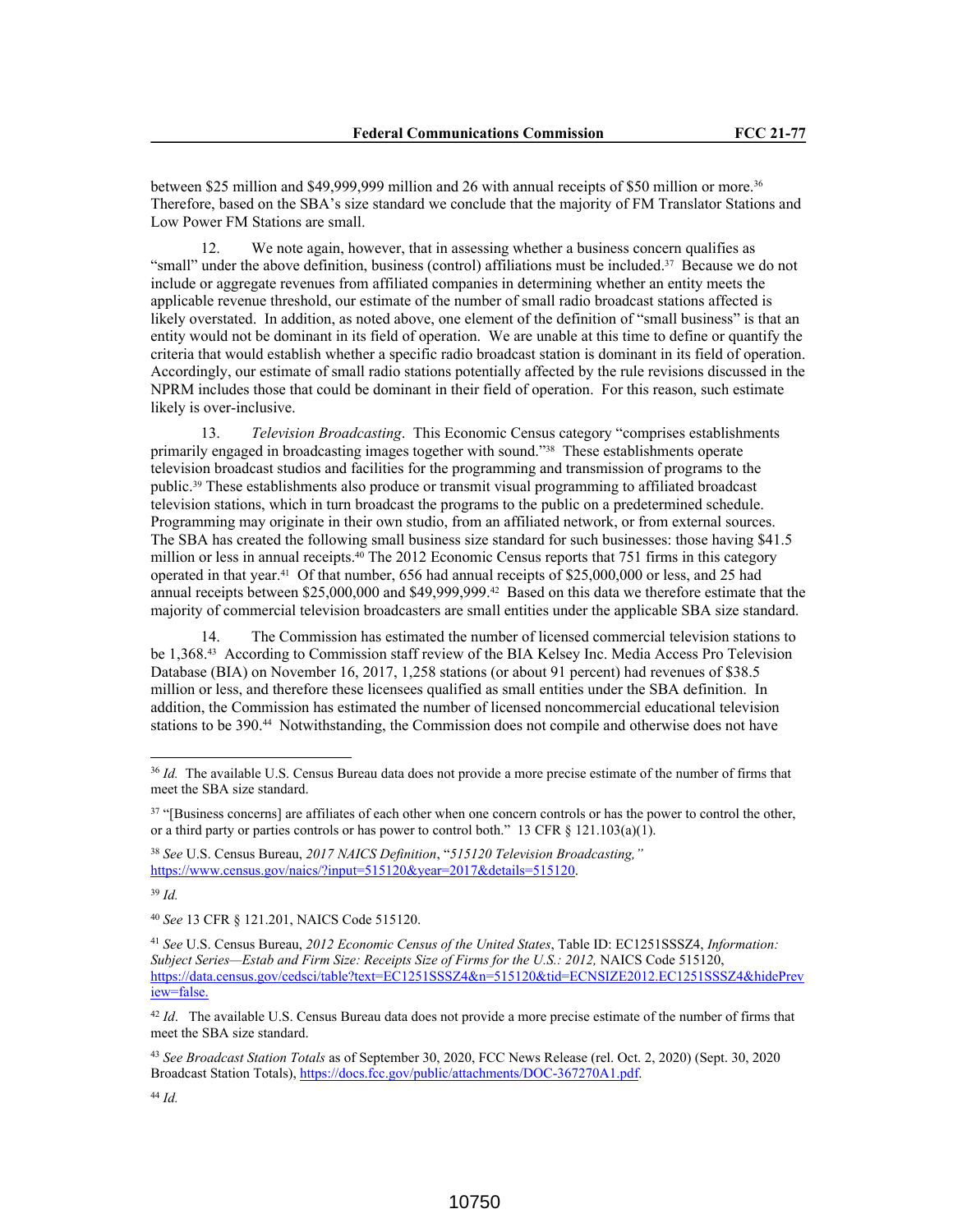between \$25 million and \$49,999,999 million and 26 with annual receipts of \$50 million or more.<sup>36</sup> Therefore, based on the SBA's size standard we conclude that the majority of FM Translator Stations and Low Power FM Stations are small.

12. We note again, however, that in assessing whether a business concern qualifies as "small" under the above definition, business (control) affiliations must be included.37 Because we do not include or aggregate revenues from affiliated companies in determining whether an entity meets the applicable revenue threshold, our estimate of the number of small radio broadcast stations affected is likely overstated. In addition, as noted above, one element of the definition of "small business" is that an entity would not be dominant in its field of operation. We are unable at this time to define or quantify the criteria that would establish whether a specific radio broadcast station is dominant in its field of operation. Accordingly, our estimate of small radio stations potentially affected by the rule revisions discussed in the NPRM includes those that could be dominant in their field of operation. For this reason, such estimate likely is over-inclusive.

13. *Television Broadcasting*. This Economic Census category "comprises establishments primarily engaged in broadcasting images together with sound."38 These establishments operate television broadcast studios and facilities for the programming and transmission of programs to the public.39 These establishments also produce or transmit visual programming to affiliated broadcast television stations, which in turn broadcast the programs to the public on a predetermined schedule. Programming may originate in their own studio, from an affiliated network, or from external sources. The SBA has created the following small business size standard for such businesses: those having \$41.5 million or less in annual receipts.<sup>40</sup> The 2012 Economic Census reports that 751 firms in this category operated in that year.41 Of that number, 656 had annual receipts of \$25,000,000 or less, and 25 had annual receipts between \$25,000,000 and \$49,999,999.42 Based on this data we therefore estimate that the majority of commercial television broadcasters are small entities under the applicable SBA size standard.

14. The Commission has estimated the number of licensed commercial television stations to be 1,368.43 According to Commission staff review of the BIA Kelsey Inc. Media Access Pro Television Database (BIA) on November 16, 2017, 1,258 stations (or about 91 percent) had revenues of \$38.5 million or less, and therefore these licensees qualified as small entities under the SBA definition. In addition, the Commission has estimated the number of licensed noncommercial educational television stations to be 390.44 Notwithstanding, the Commission does not compile and otherwise does not have

<sup>39</sup> *Id.*

<sup>40</sup> *See* 13 CFR § 121.201, NAICS Code 515120.

<sup>36</sup> *Id.* The available U.S. Census Bureau data does not provide a more precise estimate of the number of firms that meet the SBA size standard.

<sup>&</sup>lt;sup>37</sup> "[Business concerns] are affiliates of each other when one concern controls or has the power to control the other, or a third party or parties controls or has power to control both." 13 CFR  $\S$  121.103(a)(1).

<sup>38</sup> *See* U.S. Census Bureau, *2017 NAICS Definition*, "*515120 Television Broadcasting,"* https://www.census.gov/naics/?input=515120&year=2017&details=515120.

<sup>41</sup> *See* U.S. Census Bureau, *2012 Economic Census of the United States*, Table ID: EC1251SSSZ4, *Information: Subject Series—Estab and Firm Size: Receipts Size of Firms for the U.S.: 2012,* NAICS Code 515120, https://data.census.gov/cedsci/table?text=EC1251SSSZ4&n=515120&tid=ECNSIZE2012.EC1251SSSZ4&hidePrev iew=false.

<sup>&</sup>lt;sup>42</sup> *Id.* The available U.S. Census Bureau data does not provide a more precise estimate of the number of firms that meet the SBA size standard.

<sup>43</sup> *See Broadcast Station Totals* as of September 30, 2020, FCC News Release (rel. Oct. 2, 2020) (Sept. 30, 2020 Broadcast Station Totals), https://docs.fcc.gov/public/attachments/DOC-367270A1.pdf.

<sup>44</sup> *Id.*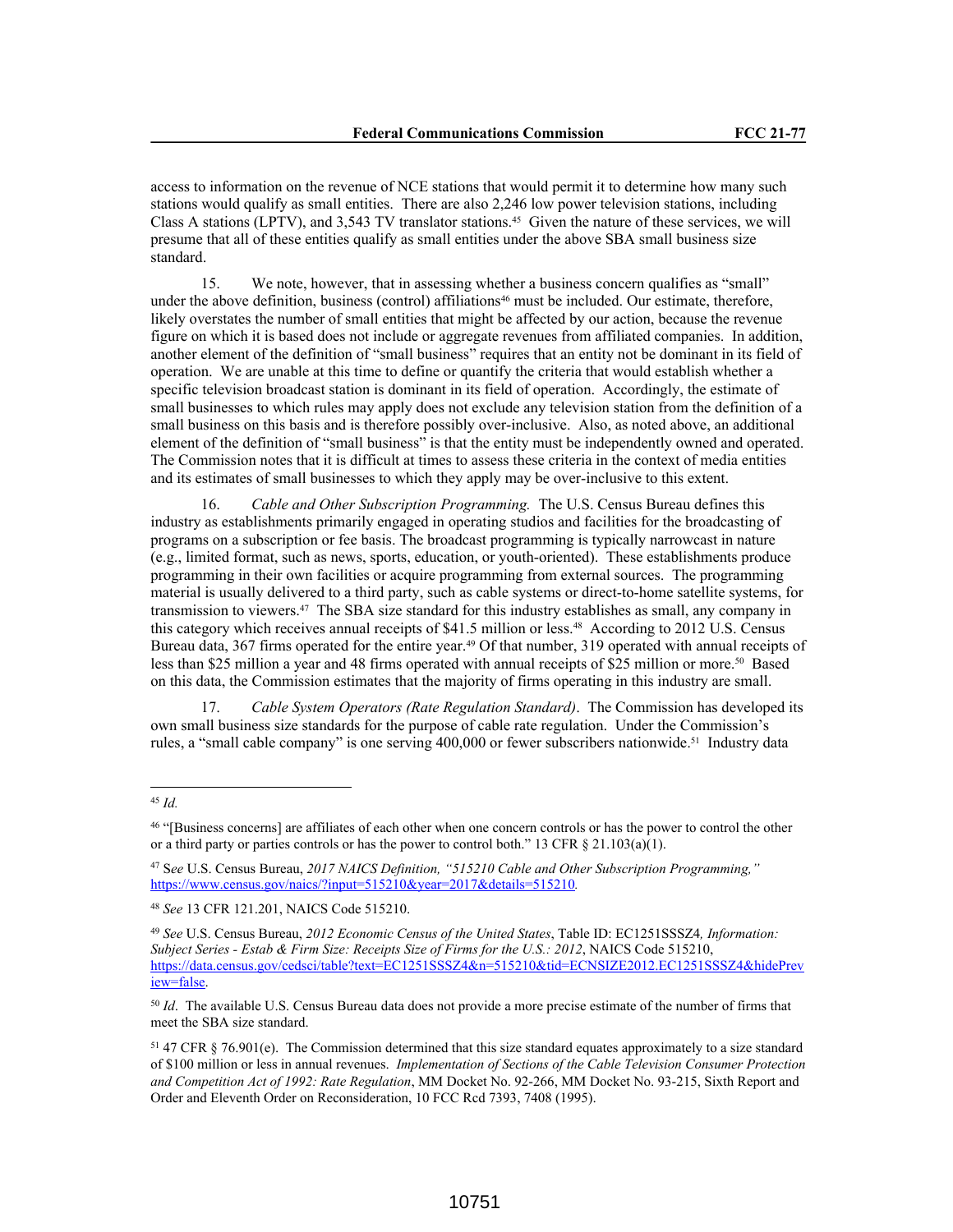access to information on the revenue of NCE stations that would permit it to determine how many such stations would qualify as small entities. There are also 2,246 low power television stations, including Class A stations (LPTV), and 3,543 TV translator stations.45 Given the nature of these services, we will presume that all of these entities qualify as small entities under the above SBA small business size standard.

15. We note, however, that in assessing whether a business concern qualifies as "small" under the above definition, business (control) affiliations<sup>46</sup> must be included. Our estimate, therefore, likely overstates the number of small entities that might be affected by our action, because the revenue figure on which it is based does not include or aggregate revenues from affiliated companies. In addition, another element of the definition of "small business" requires that an entity not be dominant in its field of operation. We are unable at this time to define or quantify the criteria that would establish whether a specific television broadcast station is dominant in its field of operation. Accordingly, the estimate of small businesses to which rules may apply does not exclude any television station from the definition of a small business on this basis and is therefore possibly over-inclusive. Also, as noted above, an additional element of the definition of "small business" is that the entity must be independently owned and operated. The Commission notes that it is difficult at times to assess these criteria in the context of media entities and its estimates of small businesses to which they apply may be over-inclusive to this extent.

16. *Cable and Other Subscription Programming.* The U.S. Census Bureau defines this industry as establishments primarily engaged in operating studios and facilities for the broadcasting of programs on a subscription or fee basis. The broadcast programming is typically narrowcast in nature (e.g., limited format, such as news, sports, education, or youth-oriented). These establishments produce programming in their own facilities or acquire programming from external sources. The programming material is usually delivered to a third party, such as cable systems or direct-to-home satellite systems, for transmission to viewers.47 The SBA size standard for this industry establishes as small, any company in this category which receives annual receipts of \$41.5 million or less.48 According to 2012 U.S. Census Bureau data, 367 firms operated for the entire year.49 Of that number, 319 operated with annual receipts of less than \$25 million a year and 48 firms operated with annual receipts of \$25 million or more.50 Based on this data, the Commission estimates that the majority of firms operating in this industry are small.

17. *Cable System Operators (Rate Regulation Standard)*. The Commission has developed its own small business size standards for the purpose of cable rate regulation. Under the Commission's rules, a "small cable company" is one serving 400,000 or fewer subscribers nationwide.51 Industry data

<sup>45</sup> *Id.*

<sup>46</sup> "[Business concerns] are affiliates of each other when one concern controls or has the power to control the other or a third party or parties controls or has the power to control both." 13 CFR § 21.103(a)(1).

<sup>47</sup> S*ee* U.S. Census Bureau, *2017 NAICS Definition, "515210 Cable and Other Subscription Programming,"* https://www.census.gov/naics/?input=515210&year=2017&details=515210*.* 

<sup>48</sup> *See* 13 CFR 121.201, NAICS Code 515210.

<sup>49</sup> *See* U.S. Census Bureau, *2012 Economic Census of the United States*, Table ID: EC1251SSSZ4*, Information: Subject Series - Estab & Firm Size: Receipts Size of Firms for the U.S.: 2012*, NAICS Code 515210, https://data.census.gov/cedsci/table?text=EC1251SSSZ4&n=515210&tid=ECNSIZE2012.EC1251SSSZ4&hidePrev iew=false.

<sup>50</sup> *Id*. The available U.S. Census Bureau data does not provide a more precise estimate of the number of firms that meet the SBA size standard.

<sup>51</sup> 47 CFR § 76.901(e). The Commission determined that this size standard equates approximately to a size standard of \$100 million or less in annual revenues. *Implementation of Sections of the Cable Television Consumer Protection and Competition Act of 1992: Rate Regulation*, MM Docket No. 92-266, MM Docket No. 93-215, Sixth Report and Order and Eleventh Order on Reconsideration, 10 FCC Rcd 7393, 7408 (1995).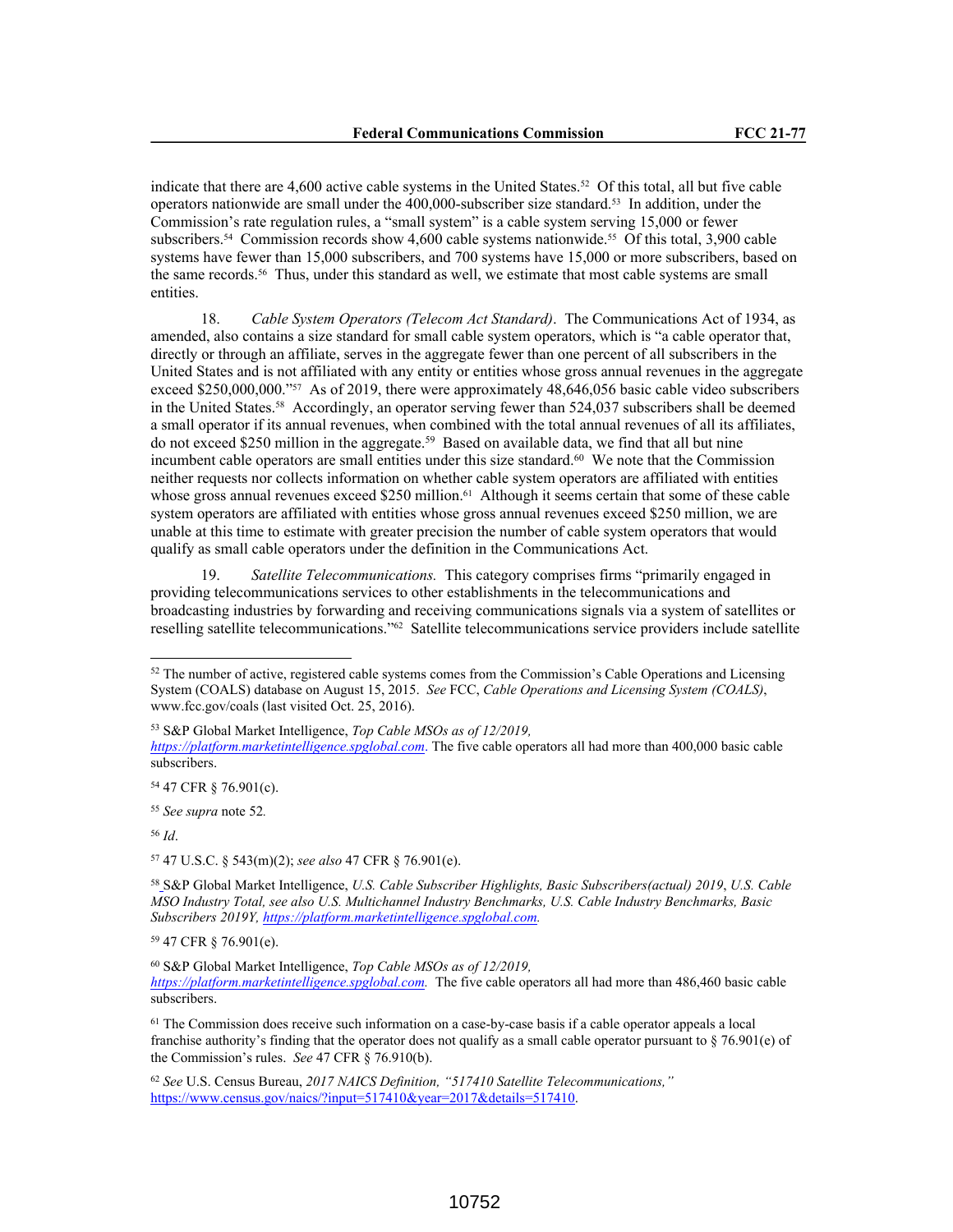indicate that there are 4,600 active cable systems in the United States.52 Of this total, all but five cable operators nationwide are small under the 400,000-subscriber size standard.53 In addition, under the Commission's rate regulation rules, a "small system" is a cable system serving 15,000 or fewer subscribers.54 Commission records show 4,600 cable systems nationwide.55 Of this total, 3,900 cable systems have fewer than 15,000 subscribers, and 700 systems have 15,000 or more subscribers, based on the same records.56 Thus, under this standard as well, we estimate that most cable systems are small entities.

18. *Cable System Operators (Telecom Act Standard)*.The Communications Act of 1934, as amended, also contains a size standard for small cable system operators, which is "a cable operator that, directly or through an affiliate, serves in the aggregate fewer than one percent of all subscribers in the United States and is not affiliated with any entity or entities whose gross annual revenues in the aggregate exceed \$250,000,000."<sup>57</sup> As of 2019, there were approximately 48,646,056 basic cable video subscribers in the United States.58 Accordingly, an operator serving fewer than 524,037 subscribers shall be deemed a small operator if its annual revenues, when combined with the total annual revenues of all its affiliates, do not exceed \$250 million in the aggregate.<sup>59</sup> Based on available data, we find that all but nine incumbent cable operators are small entities under this size standard.<sup>60</sup> We note that the Commission neither requests nor collects information on whether cable system operators are affiliated with entities whose gross annual revenues exceed \$250 million.<sup>61</sup> Although it seems certain that some of these cable system operators are affiliated with entities whose gross annual revenues exceed \$250 million, we are unable at this time to estimate with greater precision the number of cable system operators that would qualify as small cable operators under the definition in the Communications Act.

19. *Satellite Telecommunications.* This category comprises firms "primarily engaged in providing telecommunications services to other establishments in the telecommunications and broadcasting industries by forwarding and receiving communications signals via a system of satellites or reselling satellite telecommunications."62 Satellite telecommunications service providers include satellite

<sup>56</sup> *Id*.

<sup>57</sup> 47 U.S.C. § 543(m)(2); *see also* 47 CFR § 76.901(e).

<sup>58</sup> S&P Global Market Intelligence, *U.S. Cable Subscriber Highlights, Basic Subscribers(actual) 2019*, *U.S. Cable MSO Industry Total, see also U.S. Multichannel Industry Benchmarks, U.S. Cable Industry Benchmarks, Basic Subscribers 2019Y, https://platform.marketintelligence.spglobal.com.* 

<sup>59</sup> 47 CFR § 76.901(e).

<sup>52</sup> The number of active, registered cable systems comes from the Commission's Cable Operations and Licensing System (COALS) database on August 15, 2015. *See* FCC, *Cable Operations and Licensing System (COALS)*, www.fcc.gov/coals (last visited Oct. 25, 2016).

<sup>53</sup> S&P Global Market Intelligence, *Top Cable MSOs as of 12/2019,* 

*https://platform.marketintelligence.spglobal.com*. The five cable operators all had more than 400,000 basic cable subscribers.

<sup>54</sup> 47 CFR § 76.901(c).

<sup>55</sup> *See supra* note 52*.*

<sup>60</sup> S&P Global Market Intelligence, *Top Cable MSOs as of 12/2019, https://platform.marketintelligence.spglobal.com.* The five cable operators all had more than 486,460 basic cable subscribers.

<sup>&</sup>lt;sup>61</sup> The Commission does receive such information on a case-by-case basis if a cable operator appeals a local franchise authority's finding that the operator does not qualify as a small cable operator pursuant to § 76.901(e) of the Commission's rules. *See* 47 CFR § 76.910(b).

<sup>62</sup> *See* U.S. Census Bureau, *2017 NAICS Definition, "517410 Satellite Telecommunications,"* https://www.census.gov/naics/?input=517410&year=2017&details=517410.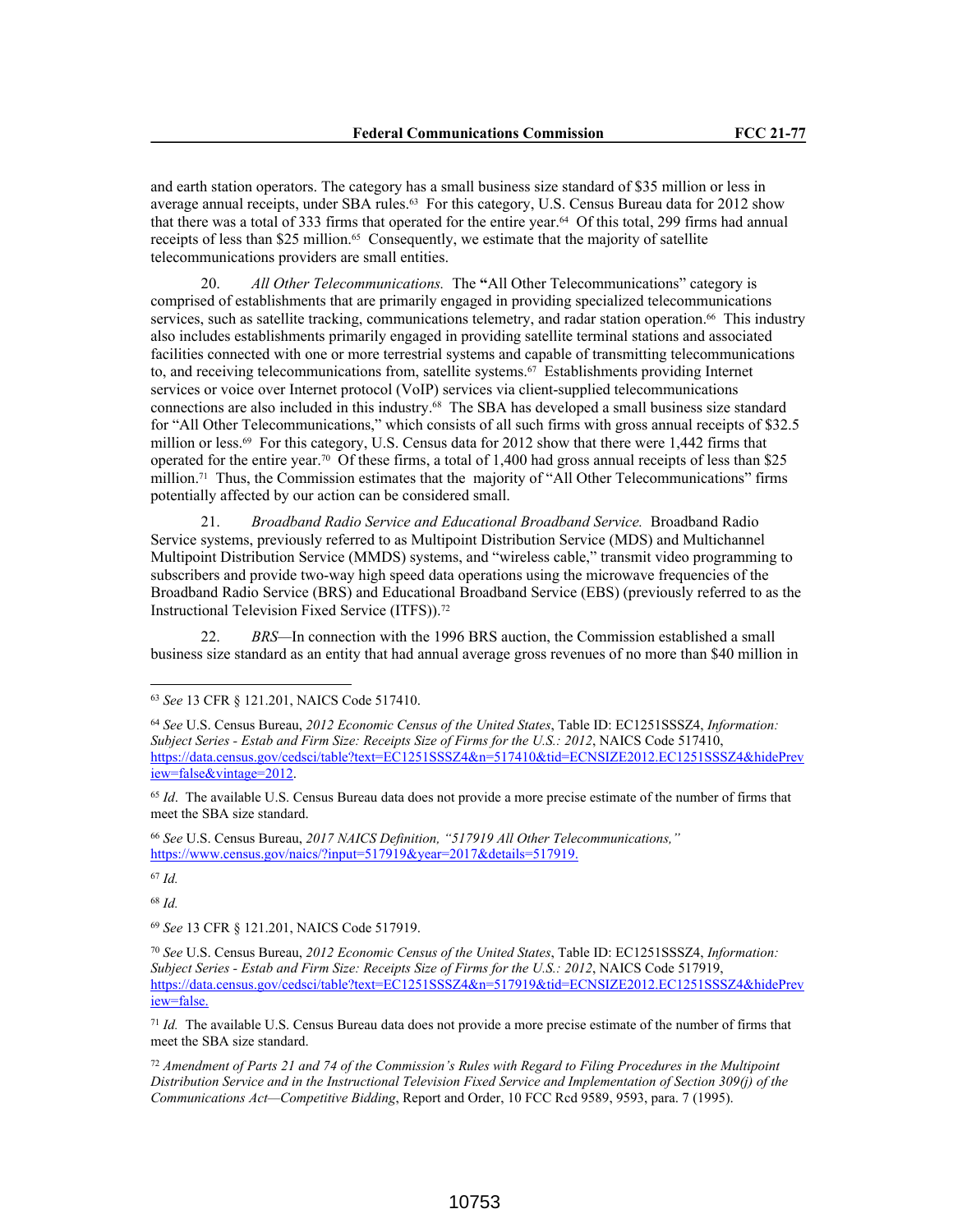and earth station operators. The category has a small business size standard of \$35 million or less in average annual receipts, under SBA rules.<sup>63</sup> For this category, U.S. Census Bureau data for 2012 show that there was a total of 333 firms that operated for the entire year.64 Of this total, 299 firms had annual receipts of less than \$25 million.<sup>65</sup> Consequently, we estimate that the majority of satellite telecommunications providers are small entities.

20. *All Other Telecommunications.* The **"**All Other Telecommunications" category is comprised of establishments that are primarily engaged in providing specialized telecommunications services, such as satellite tracking, communications telemetry, and radar station operation.<sup>66</sup> This industry also includes establishments primarily engaged in providing satellite terminal stations and associated facilities connected with one or more terrestrial systems and capable of transmitting telecommunications to, and receiving telecommunications from, satellite systems.67 Establishments providing Internet services or voice over Internet protocol (VoIP) services via client-supplied telecommunications connections are also included in this industry.68 The SBA has developed a small business size standard for "All Other Telecommunications," which consists of all such firms with gross annual receipts of \$32.5 million or less.<sup>69</sup> For this category, U.S. Census data for 2012 show that there were 1,442 firms that operated for the entire year.70 Of these firms, a total of 1,400 had gross annual receipts of less than \$25 million.<sup>71</sup> Thus, the Commission estimates that the majority of "All Other Telecommunications" firms potentially affected by our action can be considered small.

21. *Broadband Radio Service and Educational Broadband Service.* Broadband Radio Service systems, previously referred to as Multipoint Distribution Service (MDS) and Multichannel Multipoint Distribution Service (MMDS) systems, and "wireless cable," transmit video programming to subscribers and provide two-way high speed data operations using the microwave frequencies of the Broadband Radio Service (BRS) and Educational Broadband Service (EBS) (previously referred to as the Instructional Television Fixed Service (ITFS)).<sup>72</sup>

22. *BRS—*In connection with the 1996 BRS auction, the Commission established a small business size standard as an entity that had annual average gross revenues of no more than \$40 million in

<sup>67</sup> *Id.*

<sup>68</sup> *Id.*

<sup>69</sup> *See* 13 CFR § 121.201, NAICS Code 517919.

<sup>70</sup> *See* U.S. Census Bureau, *2012 Economic Census of the United States*, Table ID: EC1251SSSZ4, *Information: Subject Series - Estab and Firm Size: Receipts Size of Firms for the U.S.: 2012*, NAICS Code 517919, https://data.census.gov/cedsci/table?text=EC1251SSSZ4&n=517919&tid=ECNSIZE2012.EC1251SSSZ4&hidePrev iew=false.

<sup>71</sup> *Id.* The available U.S. Census Bureau data does not provide a more precise estimate of the number of firms that meet the SBA size standard.

<sup>72</sup> *Amendment of Parts 21 and 74 of the Commission's Rules with Regard to Filing Procedures in the Multipoint Distribution Service and in the Instructional Television Fixed Service and Implementation of Section 309(j) of the Communications Act—Competitive Bidding*, Report and Order, 10 FCC Rcd 9589, 9593, para. 7 (1995).

<sup>63</sup> *See* 13 CFR § 121.201, NAICS Code 517410.

<sup>64</sup> *See* U.S. Census Bureau, *2012 Economic Census of the United States*, Table ID: EC1251SSSZ4, *Information: Subject Series - Estab and Firm Size: Receipts Size of Firms for the U.S.: 2012*, NAICS Code 517410, https://data.census.gov/cedsci/table?text=EC1251SSSZ4&n=517410&tid=ECNSIZE2012.EC1251SSSZ4&hidePrev iew=false&vintage=2012.

<sup>&</sup>lt;sup>65</sup> *Id.* The available U.S. Census Bureau data does not provide a more precise estimate of the number of firms that meet the SBA size standard.

<sup>66</sup> *See* U.S. Census Bureau, *2017 NAICS Definition, "517919 All Other Telecommunications,"* https://www.census.gov/naics/?input=517919&year=2017&details=517919.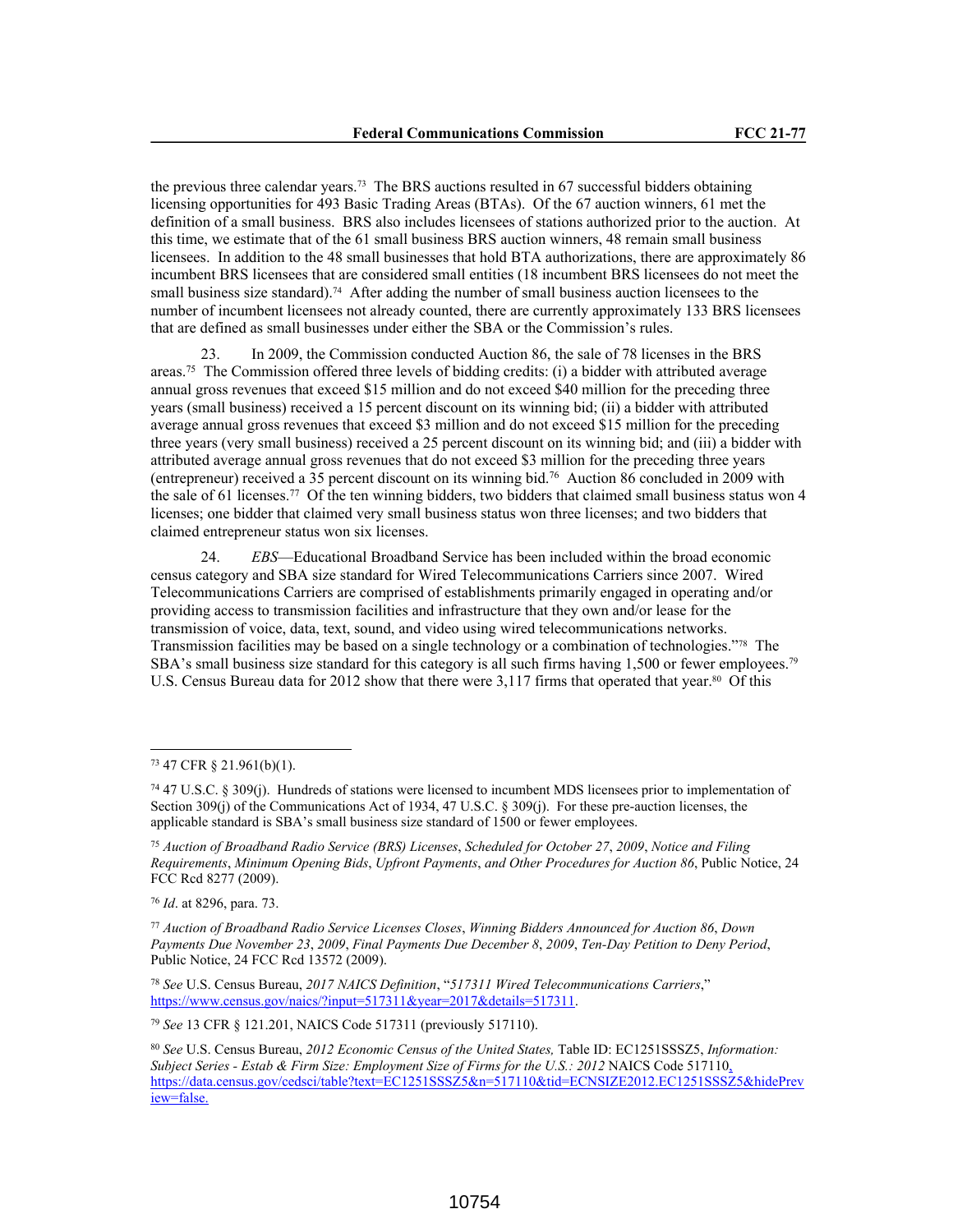the previous three calendar years.73 The BRS auctions resulted in 67 successful bidders obtaining licensing opportunities for 493 Basic Trading Areas (BTAs). Of the 67 auction winners, 61 met the definition of a small business. BRS also includes licensees of stations authorized prior to the auction. At this time, we estimate that of the 61 small business BRS auction winners, 48 remain small business licensees. In addition to the 48 small businesses that hold BTA authorizations, there are approximately 86 incumbent BRS licensees that are considered small entities (18 incumbent BRS licensees do not meet the small business size standard).<sup>74</sup> After adding the number of small business auction licensees to the number of incumbent licensees not already counted, there are currently approximately 133 BRS licensees that are defined as small businesses under either the SBA or the Commission's rules.

23. In 2009, the Commission conducted Auction 86, the sale of 78 licenses in the BRS areas.<sup>75</sup> The Commission offered three levels of bidding credits: (i) a bidder with attributed average annual gross revenues that exceed \$15 million and do not exceed \$40 million for the preceding three years (small business) received a 15 percent discount on its winning bid; (ii) a bidder with attributed average annual gross revenues that exceed \$3 million and do not exceed \$15 million for the preceding three years (very small business) received a 25 percent discount on its winning bid; and (iii) a bidder with attributed average annual gross revenues that do not exceed \$3 million for the preceding three years (entrepreneur) received a 35 percent discount on its winning bid.<sup>76</sup> Auction 86 concluded in 2009 with the sale of 61 licenses.<sup>77</sup> Of the ten winning bidders, two bidders that claimed small business status won 4 licenses; one bidder that claimed very small business status won three licenses; and two bidders that claimed entrepreneur status won six licenses.

24. *EBS*—Educational Broadband Service has been included within the broad economic census category and SBA size standard for Wired Telecommunications Carriers since 2007. Wired Telecommunications Carriers are comprised of establishments primarily engaged in operating and/or providing access to transmission facilities and infrastructure that they own and/or lease for the transmission of voice, data, text, sound, and video using wired telecommunications networks. Transmission facilities may be based on a single technology or a combination of technologies."78 The SBA's small business size standard for this category is all such firms having  $1,500$  or fewer employees.<sup>79</sup> U.S. Census Bureau data for 2012 show that there were 3,117 firms that operated that year.<sup>80</sup> Of this

<sup>76</sup> *Id*. at 8296, para. 73.

<sup>77</sup> *Auction of Broadband Radio Service Licenses Closes*, *Winning Bidders Announced for Auction 86*, *Down Payments Due November 23*, *2009*, *Final Payments Due December 8*, *2009*, *Ten-Day Petition to Deny Period*, Public Notice, 24 FCC Rcd 13572 (2009).

<sup>78</sup> *See* U.S. Census Bureau, *2017 NAICS Definition*, "*517311 Wired Telecommunications Carriers*," https://www.census.gov/naics/?input=517311&year=2017&details=517311.

<sup>79</sup> *See* 13 CFR § 121.201, NAICS Code 517311 (previously 517110).

<sup>73</sup> 47 CFR § 21.961(b)(1).

<sup>74</sup> 47 U.S.C. § 309(j). Hundreds of stations were licensed to incumbent MDS licensees prior to implementation of Section 309(j) of the Communications Act of 1934, 47 U.S.C. § 309(j). For these pre-auction licenses, the applicable standard is SBA's small business size standard of 1500 or fewer employees.

<sup>75</sup> *Auction of Broadband Radio Service (BRS) Licenses*, *Scheduled for October 27*, *2009*, *Notice and Filing Requirements*, *Minimum Opening Bids*, *Upfront Payments*, *and Other Procedures for Auction 86*, Public Notice, 24 FCC Rcd 8277 (2009).

<sup>80</sup> *See* U.S. Census Bureau, *2012 Economic Census of the United States,* Table ID: EC1251SSSZ5, *Information: Subject Series - Estab & Firm Size: Employment Size of Firms for the U.S.: 2012* NAICS Code 517110, https://data.census.gov/cedsci/table?text=EC1251SSSZ5&n=517110&tid=ECNSIZE2012.EC1251SSSZ5&hidePrev iew=false.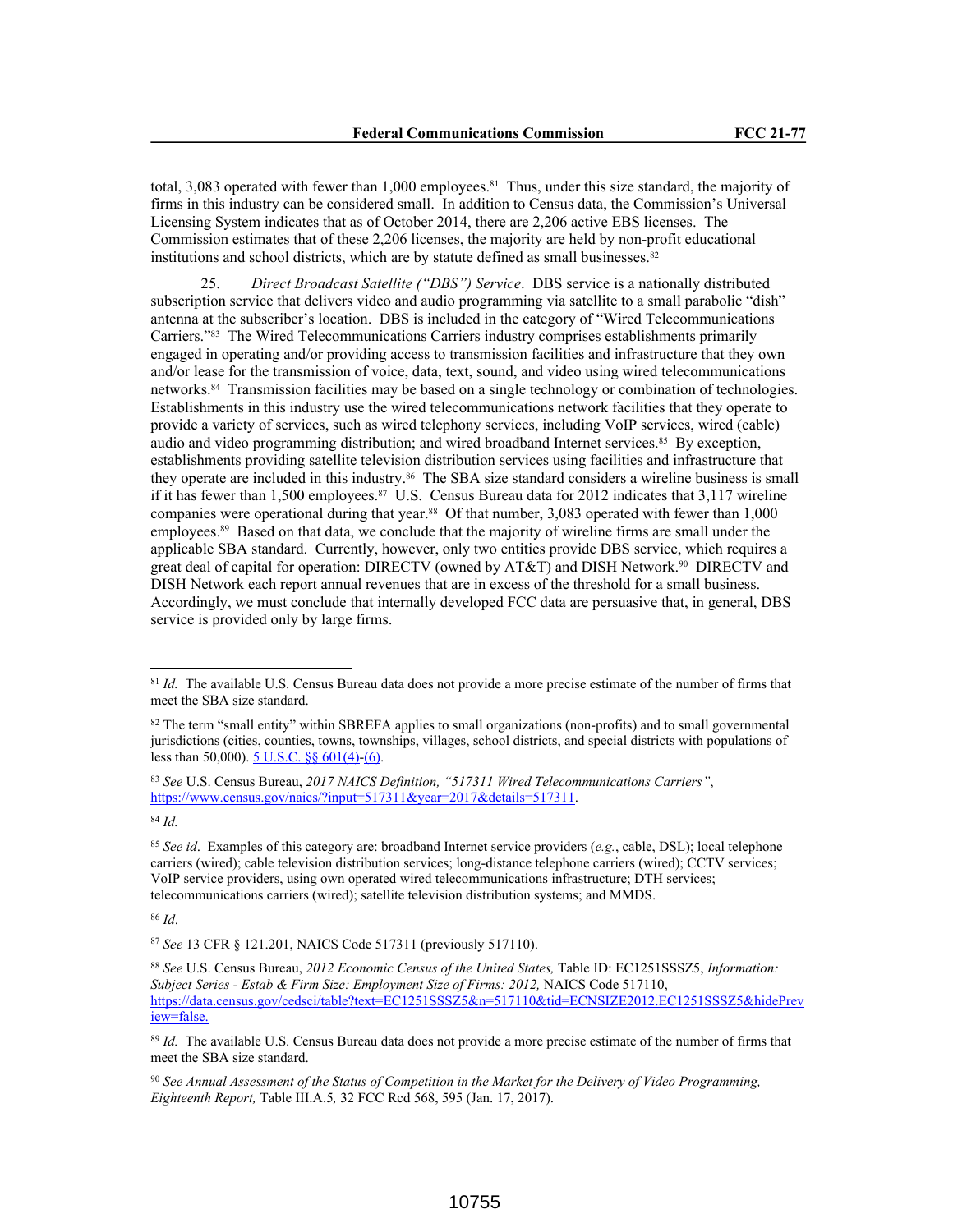total, 3,083 operated with fewer than 1,000 employees.<sup>81</sup> Thus, under this size standard, the majority of firms in this industry can be considered small. In addition to Census data, the Commission's Universal Licensing System indicates that as of October 2014, there are 2,206 active EBS licenses. The Commission estimates that of these 2,206 licenses, the majority are held by non-profit educational institutions and school districts, which are by statute defined as small businesses.<sup>82</sup>

25. *Direct Broadcast Satellite ("DBS") Service*. DBS service is a nationally distributed subscription service that delivers video and audio programming via satellite to a small parabolic "dish" antenna at the subscriber's location. DBS is included in the category of "Wired Telecommunications Carriers."83 The Wired Telecommunications Carriers industry comprises establishments primarily engaged in operating and/or providing access to transmission facilities and infrastructure that they own and/or lease for the transmission of voice, data, text, sound, and video using wired telecommunications networks.84 Transmission facilities may be based on a single technology or combination of technologies. Establishments in this industry use the wired telecommunications network facilities that they operate to provide a variety of services, such as wired telephony services, including VoIP services, wired (cable) audio and video programming distribution; and wired broadband Internet services.<sup>85</sup> By exception, establishments providing satellite television distribution services using facilities and infrastructure that they operate are included in this industry.<sup>86</sup> The SBA size standard considers a wireline business is small if it has fewer than 1,500 employees.<sup>87</sup> U.S. Census Bureau data for 2012 indicates that 3,117 wireline companies were operational during that year.88 Of that number, 3,083 operated with fewer than 1,000 employees.<sup>89</sup> Based on that data, we conclude that the majority of wireline firms are small under the applicable SBA standard. Currently, however, only two entities provide DBS service, which requires a great deal of capital for operation: DIRECTV (owned by AT&T) and DISH Network.90 DIRECTV and DISH Network each report annual revenues that are in excess of the threshold for a small business. Accordingly, we must conclude that internally developed FCC data are persuasive that, in general, DBS service is provided only by large firms.

<sup>84</sup> *Id.*

<sup>&</sup>lt;sup>81</sup> *Id.* The available U.S. Census Bureau data does not provide a more precise estimate of the number of firms that meet the SBA size standard.

<sup>&</sup>lt;sup>82</sup> The term "small entity" within SBREFA applies to small organizations (non-profits) and to small governmental jurisdictions (cities, counties, towns, townships, villages, school districts, and special districts with populations of less than 50,000). 5 U.S.C. §§ 601(4)-(6).

<sup>83</sup> *See* U.S. Census Bureau, *2017 NAICS Definition, "517311 Wired Telecommunications Carriers"*, https://www.census.gov/naics/?input=517311&year=2017&details=517311.

<sup>85</sup> *See id*. Examples of this category are: broadband Internet service providers (*e.g.*, cable, DSL); local telephone carriers (wired); cable television distribution services; long-distance telephone carriers (wired); CCTV services; VoIP service providers, using own operated wired telecommunications infrastructure; DTH services; telecommunications carriers (wired); satellite television distribution systems; and MMDS.

<sup>87</sup> *See* 13 CFR § 121.201, NAICS Code 517311 (previously 517110).

<sup>88</sup> *See* U.S. Census Bureau, *2012 Economic Census of the United States,* Table ID: EC1251SSSZ5, *Information: Subject Series - Estab & Firm Size: Employment Size of Firms: 2012,* NAICS Code 517110, https://data.census.gov/cedsci/table?text=EC1251SSSZ5&n=517110&tid=ECNSIZE2012.EC1251SSSZ5&hidePrev iew=false.

<sup>&</sup>lt;sup>89</sup> Id. The available U.S. Census Bureau data does not provide a more precise estimate of the number of firms that meet the SBA size standard.

<sup>90</sup> *See Annual Assessment of the Status of Competition in the Market for the Delivery of Video Programming, Eighteenth Report,* Table III.A.5*,* 32 FCC Rcd 568, 595 (Jan. 17, 2017).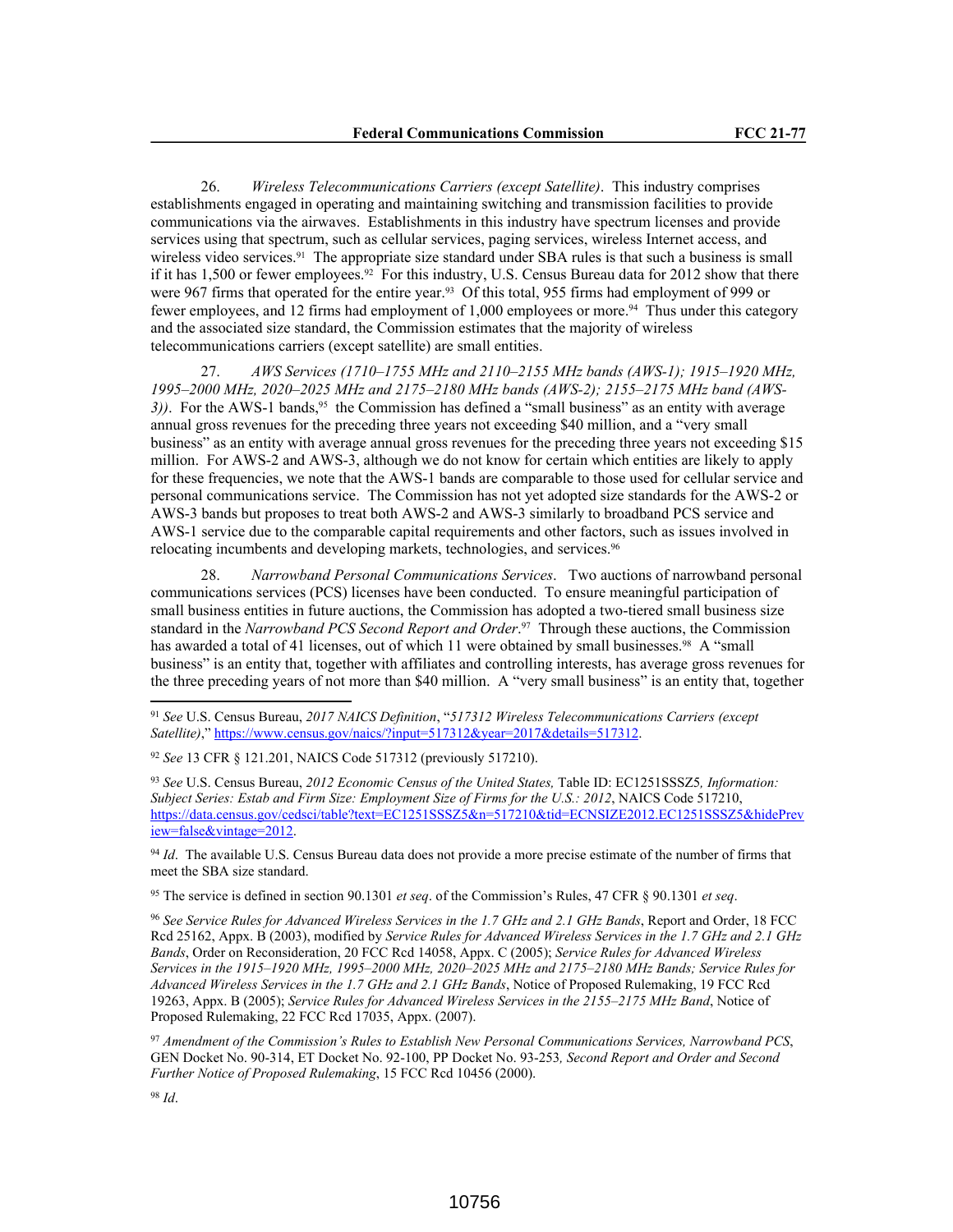26. *Wireless Telecommunications Carriers (except Satellite)*. This industry comprises establishments engaged in operating and maintaining switching and transmission facilities to provide communications via the airwaves. Establishments in this industry have spectrum licenses and provide services using that spectrum, such as cellular services, paging services, wireless Internet access, and wireless video services.<sup>91</sup> The appropriate size standard under SBA rules is that such a business is small if it has 1,500 or fewer employees.<sup>92</sup> For this industry, U.S. Census Bureau data for 2012 show that there were 967 firms that operated for the entire year.<sup>93</sup> Of this total, 955 firms had employment of 999 or fewer employees, and 12 firms had employment of 1,000 employees or more.<sup>94</sup> Thus under this category and the associated size standard, the Commission estimates that the majority of wireless telecommunications carriers (except satellite) are small entities.

27. *AWS Services (1710–1755 MHz and 2110–2155 MHz bands (AWS-1); 1915–1920 MHz, 1995–2000 MHz, 2020–2025 MHz and 2175–2180 MHz bands (AWS-2); 2155–2175 MHz band (AWS-3)*. For the AWS-1 bands,<sup>95</sup> the Commission has defined a "small business" as an entity with average annual gross revenues for the preceding three years not exceeding \$40 million, and a "very small business" as an entity with average annual gross revenues for the preceding three years not exceeding \$15 million. For AWS-2 and AWS-3, although we do not know for certain which entities are likely to apply for these frequencies, we note that the AWS-1 bands are comparable to those used for cellular service and personal communications service. The Commission has not yet adopted size standards for the AWS-2 or AWS-3 bands but proposes to treat both AWS-2 and AWS-3 similarly to broadband PCS service and AWS-1 service due to the comparable capital requirements and other factors, such as issues involved in relocating incumbents and developing markets, technologies, and services.<sup>96</sup>

28. *Narrowband Personal Communications Services*. Two auctions of narrowband personal communications services (PCS) licenses have been conducted. To ensure meaningful participation of small business entities in future auctions, the Commission has adopted a two-tiered small business size standard in the *Narrowband PCS Second Report and Order*. <sup>97</sup> Through these auctions, the Commission has awarded a total of 41 licenses, out of which 11 were obtained by small businesses.<sup>98</sup> A "small business" is an entity that, together with affiliates and controlling interests, has average gross revenues for the three preceding years of not more than \$40 million. A "very small business" is an entity that, together

<sup>94</sup> *Id*. The available U.S. Census Bureau data does not provide a more precise estimate of the number of firms that meet the SBA size standard.

<sup>95</sup> The service is defined in section 90.1301 *et seq*. of the Commission's Rules, 47 CFR § 90.1301 *et seq*.

<sup>96</sup> *See Service Rules for Advanced Wireless Services in the 1.7 GHz and 2.1 GHz Bands*, Report and Order, 18 FCC Rcd 25162, Appx. B (2003), modified by *Service Rules for Advanced Wireless Services in the 1.7 GHz and 2.1 GHz Bands*, Order on Reconsideration, 20 FCC Rcd 14058, Appx. C (2005); *Service Rules for Advanced Wireless Services in the 1915–1920 MHz, 1995–2000 MHz, 2020–2025 MHz and 2175–2180 MHz Bands; Service Rules for Advanced Wireless Services in the 1.7 GHz and 2.1 GHz Bands*, Notice of Proposed Rulemaking, 19 FCC Rcd 19263, Appx. B (2005); *Service Rules for Advanced Wireless Services in the 2155–2175 MHz Band*, Notice of Proposed Rulemaking, 22 FCC Rcd 17035, Appx. (2007).

<sup>97</sup> *Amendment of the Commission's Rules to Establish New Personal Communications Services, Narrowband PCS*, GEN Docket No. 90-314, ET Docket No. 92-100, PP Docket No. 93-253*, Second Report and Order and Second Further Notice of Proposed Rulemaking*, 15 FCC Rcd 10456 (2000).

<sup>91</sup> *See* U.S. Census Bureau, *2017 NAICS Definition*, "*517312 Wireless Telecommunications Carriers (except Satellite)*," https://www.census.gov/naics/?input=517312&year=2017&details=517312.

<sup>92</sup> *See* 13 CFR § 121.201, NAICS Code 517312 (previously 517210).

<sup>93</sup> *See* U.S. Census Bureau, *2012 Economic Census of the United States,* Table ID: EC1251SSSZ5*, Information: Subject Series: Estab and Firm Size: Employment Size of Firms for the U.S.: 2012*, NAICS Code 517210, https://data.census.gov/cedsci/table?text=EC1251SSSZ5&n=517210&tid=ECNSIZE2012.EC1251SSSZ5&hidePrev iew=false&vintage=2012.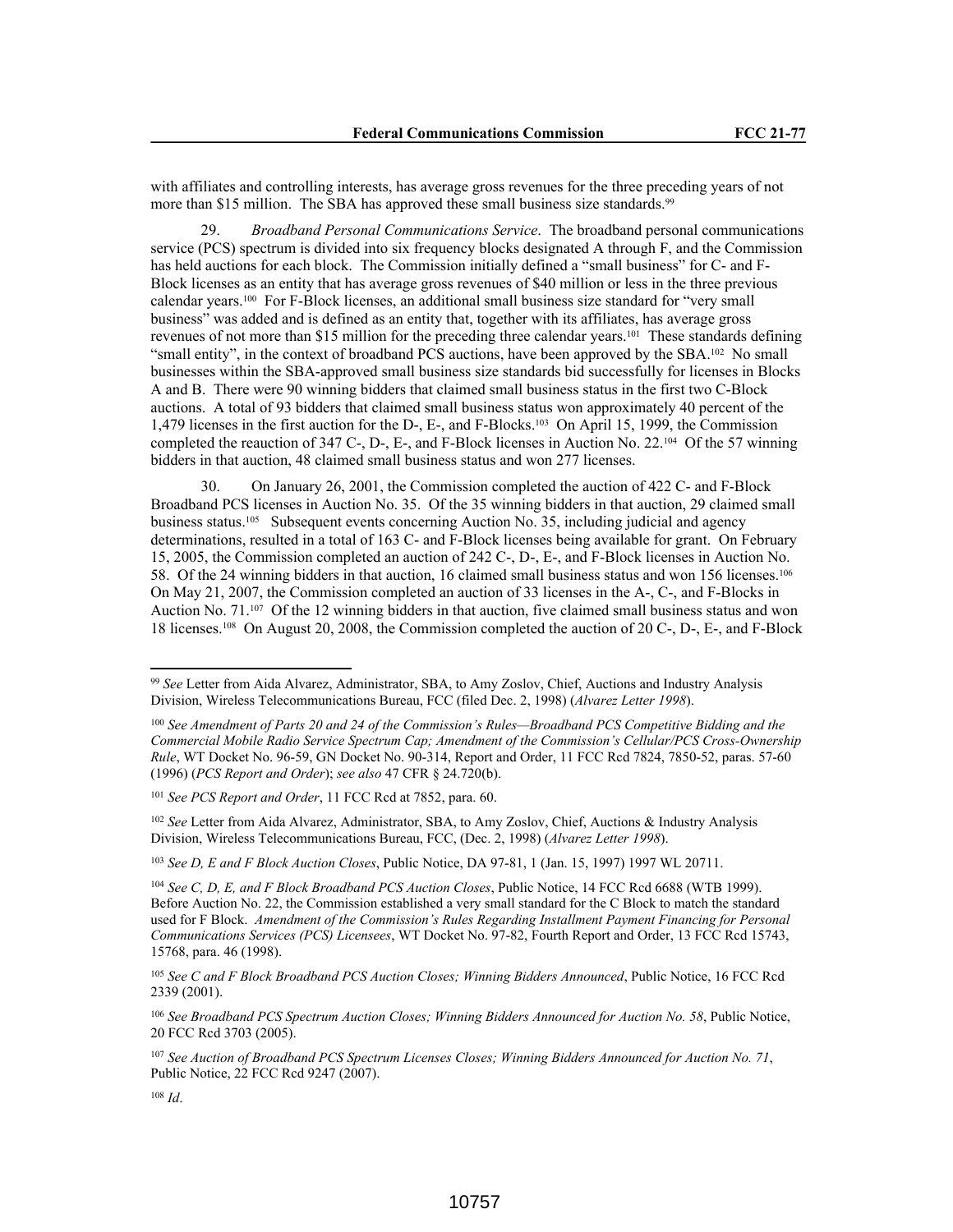with affiliates and controlling interests, has average gross revenues for the three preceding years of not more than \$15 million. The SBA has approved these small business size standards.<sup>99</sup>

29. *Broadband Personal Communications Service*. The broadband personal communications service (PCS) spectrum is divided into six frequency blocks designated A through F, and the Commission has held auctions for each block. The Commission initially defined a "small business" for C- and F-Block licenses as an entity that has average gross revenues of \$40 million or less in the three previous calendar years.100 For F-Block licenses, an additional small business size standard for "very small business" was added and is defined as an entity that, together with its affiliates, has average gross revenues of not more than \$15 million for the preceding three calendar years.101 These standards defining "small entity", in the context of broadband PCS auctions, have been approved by the SBA.102 No small businesses within the SBA-approved small business size standards bid successfully for licenses in Blocks A and B. There were 90 winning bidders that claimed small business status in the first two C-Block auctions. A total of 93 bidders that claimed small business status won approximately 40 percent of the 1,479 licenses in the first auction for the D-, E-, and F-Blocks.103 On April 15, 1999, the Commission completed the reauction of 347 C-, D-, E-, and F-Block licenses in Auction No. 22.104 Of the 57 winning bidders in that auction, 48 claimed small business status and won 277 licenses.

30. On January 26, 2001, the Commission completed the auction of 422 C- and F-Block Broadband PCS licenses in Auction No. 35. Of the 35 winning bidders in that auction, 29 claimed small business status.105 Subsequent events concerning Auction No. 35, including judicial and agency determinations, resulted in a total of 163 C- and F-Block licenses being available for grant. On February 15, 2005, the Commission completed an auction of 242 C-, D-, E-, and F-Block licenses in Auction No. 58. Of the 24 winning bidders in that auction, 16 claimed small business status and won 156 licenses.<sup>106</sup> On May 21, 2007, the Commission completed an auction of 33 licenses in the A-, C-, and F-Blocks in Auction No. 71.107 Of the 12 winning bidders in that auction, five claimed small business status and won 18 licenses.108 On August 20, 2008, the Commission completed the auction of 20 C-, D-, E-, and F-Block

<sup>101</sup> *See PCS Report and Order*, 11 FCC Rcd at 7852, para. 60.

<sup>102</sup> *See* Letter from Aida Alvarez, Administrator, SBA, to Amy Zoslov, Chief, Auctions & Industry Analysis Division, Wireless Telecommunications Bureau, FCC, (Dec. 2, 1998) (*Alvarez Letter 1998*).

<sup>103</sup> *See D, E and F Block Auction Closes*, Public Notice, DA 97-81, 1 (Jan. 15, 1997) 1997 WL 20711.

<sup>106</sup> *See Broadband PCS Spectrum Auction Closes; Winning Bidders Announced for Auction No. 58*, Public Notice, 20 FCC Rcd 3703 (2005).

<sup>107</sup> *See Auction of Broadband PCS Spectrum Licenses Closes; Winning Bidders Announced for Auction No. 71*, Public Notice, 22 FCC Rcd 9247 (2007).

<sup>99</sup> *See* Letter from Aida Alvarez, Administrator, SBA, to Amy Zoslov, Chief, Auctions and Industry Analysis Division, Wireless Telecommunications Bureau, FCC (filed Dec. 2, 1998) (*Alvarez Letter 1998*).

<sup>100</sup> *See Amendment of Parts 20 and 24 of the Commission's Rules—Broadband PCS Competitive Bidding and the Commercial Mobile Radio Service Spectrum Cap; Amendment of the Commission's Cellular/PCS Cross-Ownership Rule*, WT Docket No. 96-59, GN Docket No. 90-314, Report and Order, 11 FCC Rcd 7824, 7850-52, paras. 57-60 (1996) (*PCS Report and Order*); *see also* 47 CFR § 24.720(b).

<sup>104</sup> *See C, D, E, and F Block Broadband PCS Auction Closes*, Public Notice, 14 FCC Rcd 6688 (WTB 1999). Before Auction No. 22, the Commission established a very small standard for the C Block to match the standard used for F Block. *Amendment of the Commission's Rules Regarding Installment Payment Financing for Personal Communications Services (PCS) Licensees*, WT Docket No. 97-82, Fourth Report and Order, 13 FCC Rcd 15743, 15768, para. 46 (1998).

<sup>105</sup> *See C and F Block Broadband PCS Auction Closes; Winning Bidders Announced*, Public Notice, 16 FCC Rcd 2339 (2001).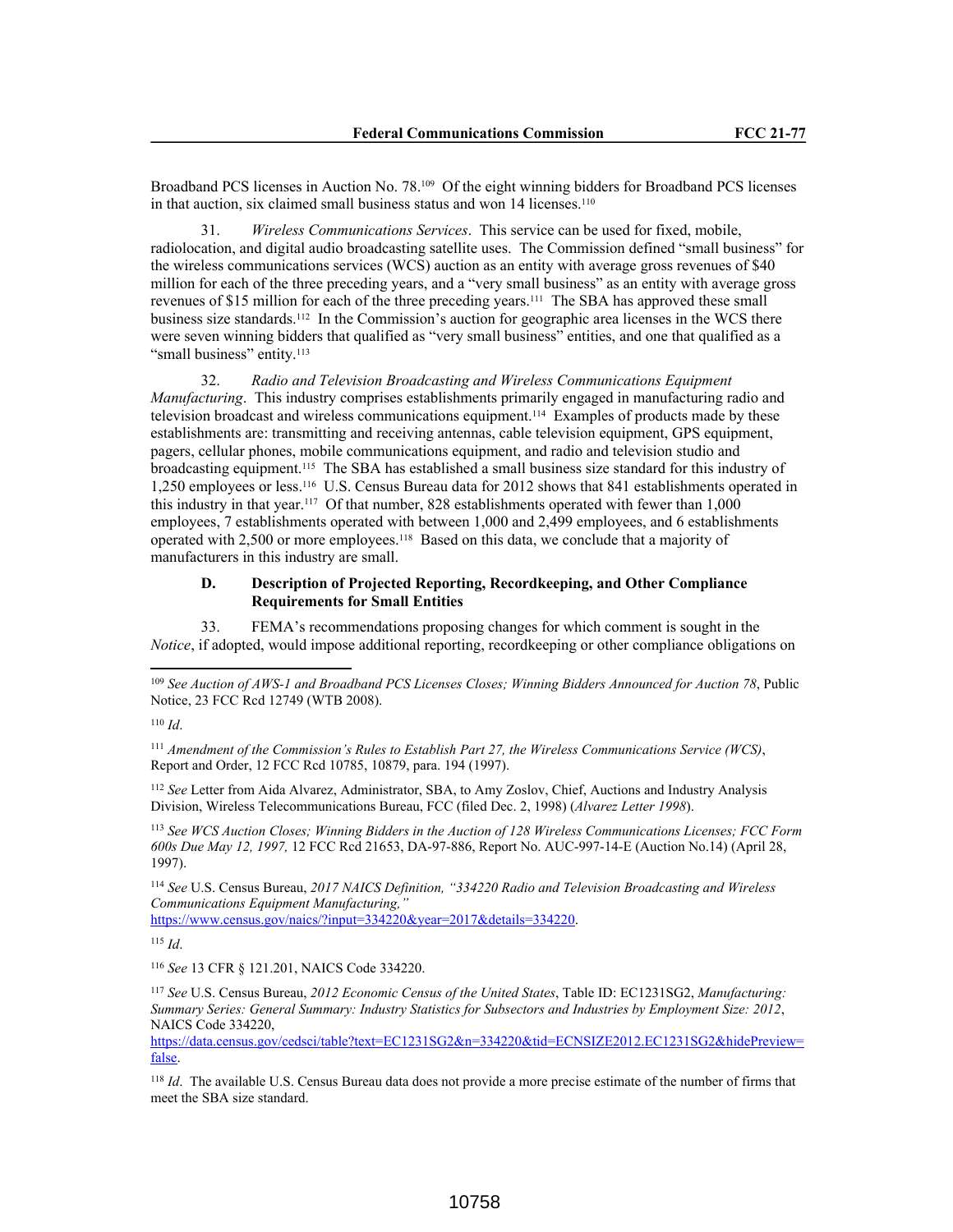Broadband PCS licenses in Auction No. 78.109 Of the eight winning bidders for Broadband PCS licenses in that auction, six claimed small business status and won 14 licenses.<sup>110</sup>

31. *Wireless Communications Services*. This service can be used for fixed, mobile, radiolocation, and digital audio broadcasting satellite uses. The Commission defined "small business" for the wireless communications services (WCS) auction as an entity with average gross revenues of \$40 million for each of the three preceding years, and a "very small business" as an entity with average gross revenues of \$15 million for each of the three preceding years.111 The SBA has approved these small business size standards.<sup>112</sup> In the Commission's auction for geographic area licenses in the WCS there were seven winning bidders that qualified as "very small business" entities, and one that qualified as a "small business" entity.<sup>113</sup>

32. *Radio and Television Broadcasting and Wireless Communications Equipment Manufacturing*. This industry comprises establishments primarily engaged in manufacturing radio and television broadcast and wireless communications equipment.114 Examples of products made by these establishments are: transmitting and receiving antennas, cable television equipment, GPS equipment, pagers, cellular phones, mobile communications equipment, and radio and television studio and broadcasting equipment.115 The SBA has established a small business size standard for this industry of 1,250 employees or less.116 U.S. Census Bureau data for 2012 shows that 841 establishments operated in this industry in that year.117 Of that number, 828 establishments operated with fewer than 1,000 employees, 7 establishments operated with between 1,000 and 2,499 employees, and 6 establishments operated with 2,500 or more employees.118 Based on this data, we conclude that a majority of manufacturers in this industry are small.

# **D. Description of Projected Reporting, Recordkeeping, and Other Compliance Requirements for Small Entities**

33. FEMA's recommendations proposing changes for which comment is sought in the *Notice*, if adopted, would impose additional reporting, recordkeeping or other compliance obligations on

<sup>111</sup> *Amendment of the Commission's Rules to Establish Part 27, the Wireless Communications Service (WCS)*, Report and Order, 12 FCC Rcd 10785, 10879, para. 194 (1997).

<sup>112</sup> *See* Letter from Aida Alvarez, Administrator, SBA, to Amy Zoslov, Chief, Auctions and Industry Analysis Division, Wireless Telecommunications Bureau, FCC (filed Dec. 2, 1998) (*Alvarez Letter 1998*).

<sup>113</sup> *See WCS Auction Closes; Winning Bidders in the Auction of 128 Wireless Communications Licenses; FCC Form 600s Due May 12, 1997,* 12 FCC Rcd 21653, DA-97-886, Report No. AUC-997-14-E (Auction No.14) (April 28, 1997).

<sup>114</sup> *See* U.S. Census Bureau, *2017 NAICS Definition, "334220 Radio and Television Broadcasting and Wireless Communications Equipment Manufacturing,"*

https://www.census.gov/naics/?input=334220&year=2017&details=334220.

<sup>115</sup> *Id*.

<sup>116</sup> *See* 13 CFR § 121.201, NAICS Code 334220.

<sup>117</sup> *See* U.S. Census Bureau, *2012 Economic Census of the United States*, Table ID: EC1231SG2, *Manufacturing: Summary Series: General Summary: Industry Statistics for Subsectors and Industries by Employment Size: 2012*, NAICS Code 334220,

https://data.census.gov/cedsci/table?text=EC1231SG2&n=334220&tid=ECNSIZE2012.EC1231SG2&hidePreview= false.

<sup>118</sup> *Id*. The available U.S. Census Bureau data does not provide a more precise estimate of the number of firms that meet the SBA size standard.

<sup>109</sup> *See Auction of AWS-1 and Broadband PCS Licenses Closes; Winning Bidders Announced for Auction 78*, Public Notice, 23 FCC Rcd 12749 (WTB 2008).

<sup>110</sup> *Id*.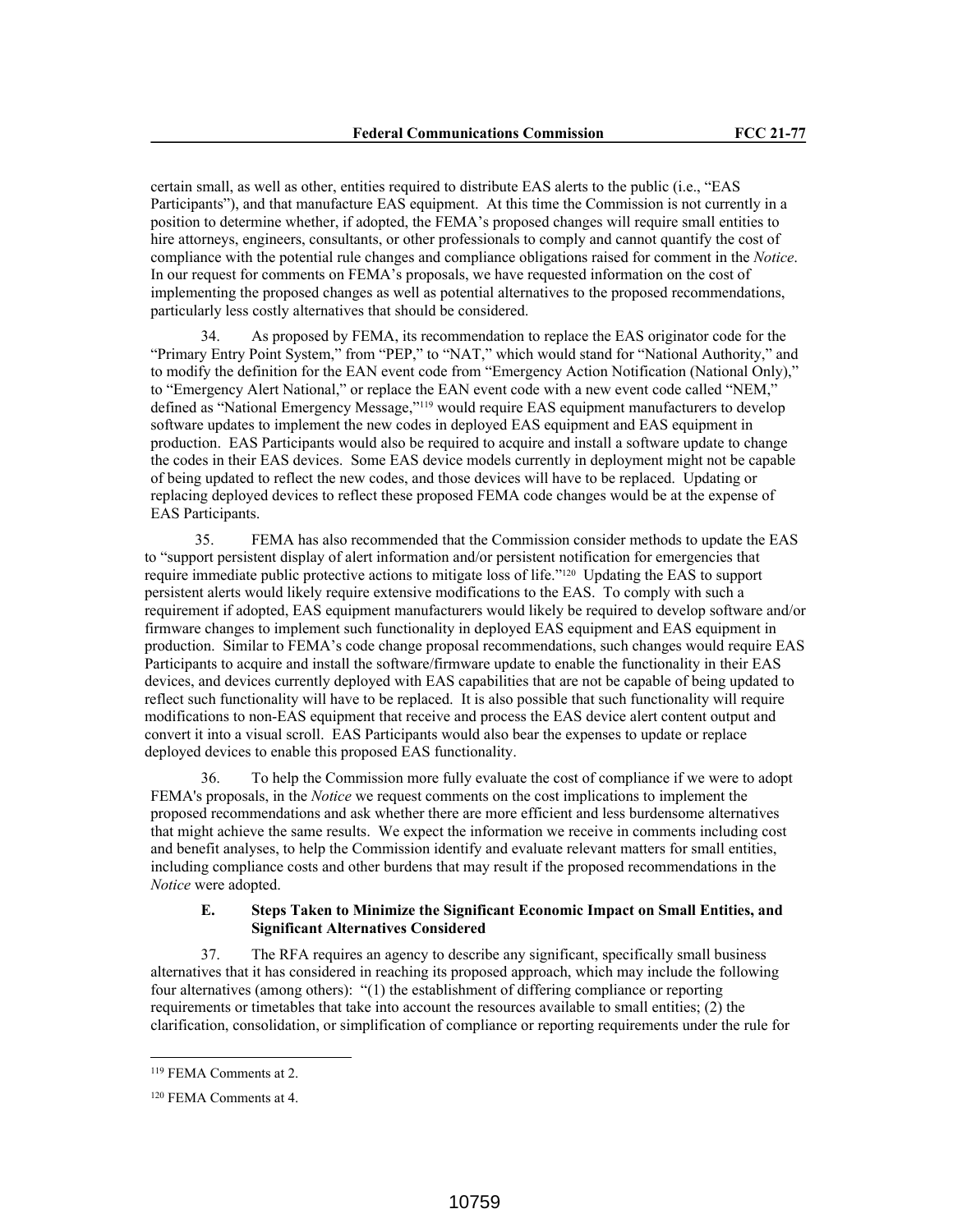certain small, as well as other, entities required to distribute EAS alerts to the public (i.e., "EAS Participants"), and that manufacture EAS equipment. At this time the Commission is not currently in a position to determine whether, if adopted, the FEMA's proposed changes will require small entities to hire attorneys, engineers, consultants, or other professionals to comply and cannot quantify the cost of compliance with the potential rule changes and compliance obligations raised for comment in the *Notice*. In our request for comments on FEMA's proposals, we have requested information on the cost of implementing the proposed changes as well as potential alternatives to the proposed recommendations, particularly less costly alternatives that should be considered.

34. As proposed by FEMA, its recommendation to replace the EAS originator code for the "Primary Entry Point System," from "PEP," to "NAT," which would stand for "National Authority," and to modify the definition for the EAN event code from "Emergency Action Notification (National Only)," to "Emergency Alert National," or replace the EAN event code with a new event code called "NEM," defined as "National Emergency Message,"119 would require EAS equipment manufacturers to develop software updates to implement the new codes in deployed EAS equipment and EAS equipment in production. EAS Participants would also be required to acquire and install a software update to change the codes in their EAS devices. Some EAS device models currently in deployment might not be capable of being updated to reflect the new codes, and those devices will have to be replaced. Updating or replacing deployed devices to reflect these proposed FEMA code changes would be at the expense of EAS Participants.

35. FEMA has also recommended that the Commission consider methods to update the EAS to "support persistent display of alert information and/or persistent notification for emergencies that require immediate public protective actions to mitigate loss of life."120 Updating the EAS to support persistent alerts would likely require extensive modifications to the EAS. To comply with such a requirement if adopted, EAS equipment manufacturers would likely be required to develop software and/or firmware changes to implement such functionality in deployed EAS equipment and EAS equipment in production. Similar to FEMA's code change proposal recommendations, such changes would require EAS Participants to acquire and install the software/firmware update to enable the functionality in their EAS devices, and devices currently deployed with EAS capabilities that are not be capable of being updated to reflect such functionality will have to be replaced. It is also possible that such functionality will require modifications to non-EAS equipment that receive and process the EAS device alert content output and convert it into a visual scroll. EAS Participants would also bear the expenses to update or replace deployed devices to enable this proposed EAS functionality.

36. To help the Commission more fully evaluate the cost of compliance if we were to adopt FEMA's proposals, in the *Notice* we request comments on the cost implications to implement the proposed recommendations and ask whether there are more efficient and less burdensome alternatives that might achieve the same results. We expect the information we receive in comments including cost and benefit analyses, to help the Commission identify and evaluate relevant matters for small entities, including compliance costs and other burdens that may result if the proposed recommendations in the *Notice* were adopted.

# **E. Steps Taken to Minimize the Significant Economic Impact on Small Entities, and Significant Alternatives Considered**

37. The RFA requires an agency to describe any significant, specifically small business alternatives that it has considered in reaching its proposed approach, which may include the following four alternatives (among others): "(1) the establishment of differing compliance or reporting requirements or timetables that take into account the resources available to small entities; (2) the clarification, consolidation, or simplification of compliance or reporting requirements under the rule for

<sup>119</sup> FEMA Comments at 2.

<sup>120</sup> FEMA Comments at 4.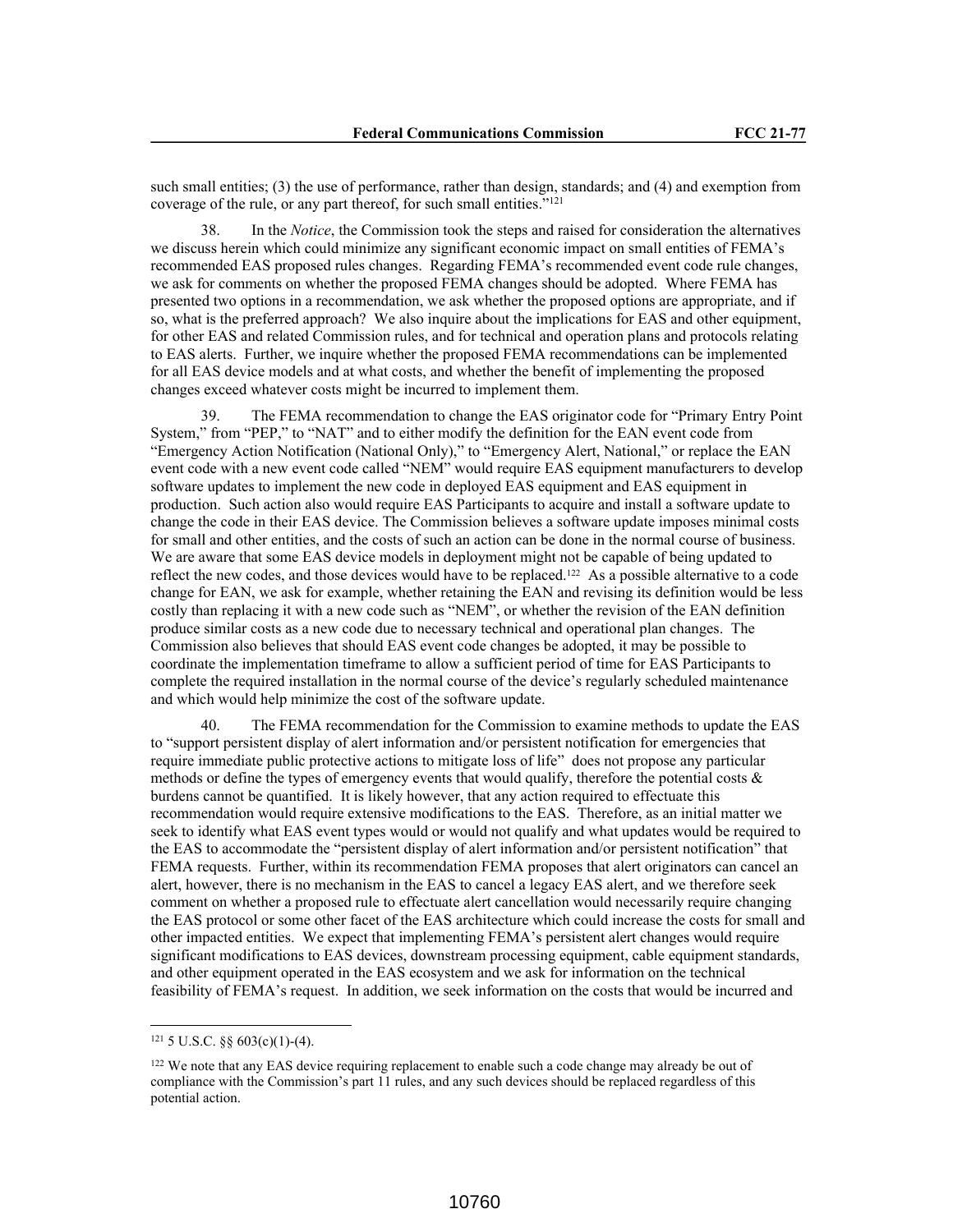such small entities; (3) the use of performance, rather than design, standards; and (4) and exemption from coverage of the rule, or any part thereof, for such small entities."<sup>121</sup>

38. In the *Notice*, the Commission took the steps and raised for consideration the alternatives we discuss herein which could minimize any significant economic impact on small entities of FEMA's recommended EAS proposed rules changes. Regarding FEMA's recommended event code rule changes, we ask for comments on whether the proposed FEMA changes should be adopted. Where FEMA has presented two options in a recommendation, we ask whether the proposed options are appropriate, and if so, what is the preferred approach? We also inquire about the implications for EAS and other equipment, for other EAS and related Commission rules, and for technical and operation plans and protocols relating to EAS alerts. Further, we inquire whether the proposed FEMA recommendations can be implemented for all EAS device models and at what costs, and whether the benefit of implementing the proposed changes exceed whatever costs might be incurred to implement them.

The FEMA recommendation to change the EAS originator code for "Primary Entry Point" System," from "PEP," to "NAT" and to either modify the definition for the EAN event code from "Emergency Action Notification (National Only)," to "Emergency Alert, National," or replace the EAN event code with a new event code called "NEM" would require EAS equipment manufacturers to develop software updates to implement the new code in deployed EAS equipment and EAS equipment in production. Such action also would require EAS Participants to acquire and install a software update to change the code in their EAS device. The Commission believes a software update imposes minimal costs for small and other entities, and the costs of such an action can be done in the normal course of business. We are aware that some EAS device models in deployment might not be capable of being updated to reflect the new codes, and those devices would have to be replaced.122 As a possible alternative to a code change for EAN, we ask for example, whether retaining the EAN and revising its definition would be less costly than replacing it with a new code such as "NEM", or whether the revision of the EAN definition produce similar costs as a new code due to necessary technical and operational plan changes. The Commission also believes that should EAS event code changes be adopted, it may be possible to coordinate the implementation timeframe to allow a sufficient period of time for EAS Participants to complete the required installation in the normal course of the device's regularly scheduled maintenance and which would help minimize the cost of the software update.

40. The FEMA recommendation for the Commission to examine methods to update the EAS to "support persistent display of alert information and/or persistent notification for emergencies that require immediate public protective actions to mitigate loss of life" does not propose any particular methods or define the types of emergency events that would qualify, therefore the potential costs  $\&$ burdens cannot be quantified. It is likely however, that any action required to effectuate this recommendation would require extensive modifications to the EAS. Therefore, as an initial matter we seek to identify what EAS event types would or would not qualify and what updates would be required to the EAS to accommodate the "persistent display of alert information and/or persistent notification" that FEMA requests. Further, within its recommendation FEMA proposes that alert originators can cancel an alert, however, there is no mechanism in the EAS to cancel a legacy EAS alert, and we therefore seek comment on whether a proposed rule to effectuate alert cancellation would necessarily require changing the EAS protocol or some other facet of the EAS architecture which could increase the costs for small and other impacted entities. We expect that implementing FEMA's persistent alert changes would require significant modifications to EAS devices, downstream processing equipment, cable equipment standards, and other equipment operated in the EAS ecosystem and we ask for information on the technical feasibility of FEMA's request. In addition, we seek information on the costs that would be incurred and

<sup>121</sup> 5 U.S.C. §§ 603(c)(1)-(4).

<sup>&</sup>lt;sup>122</sup> We note that any EAS device requiring replacement to enable such a code change may already be out of compliance with the Commission's part 11 rules, and any such devices should be replaced regardless of this potential action.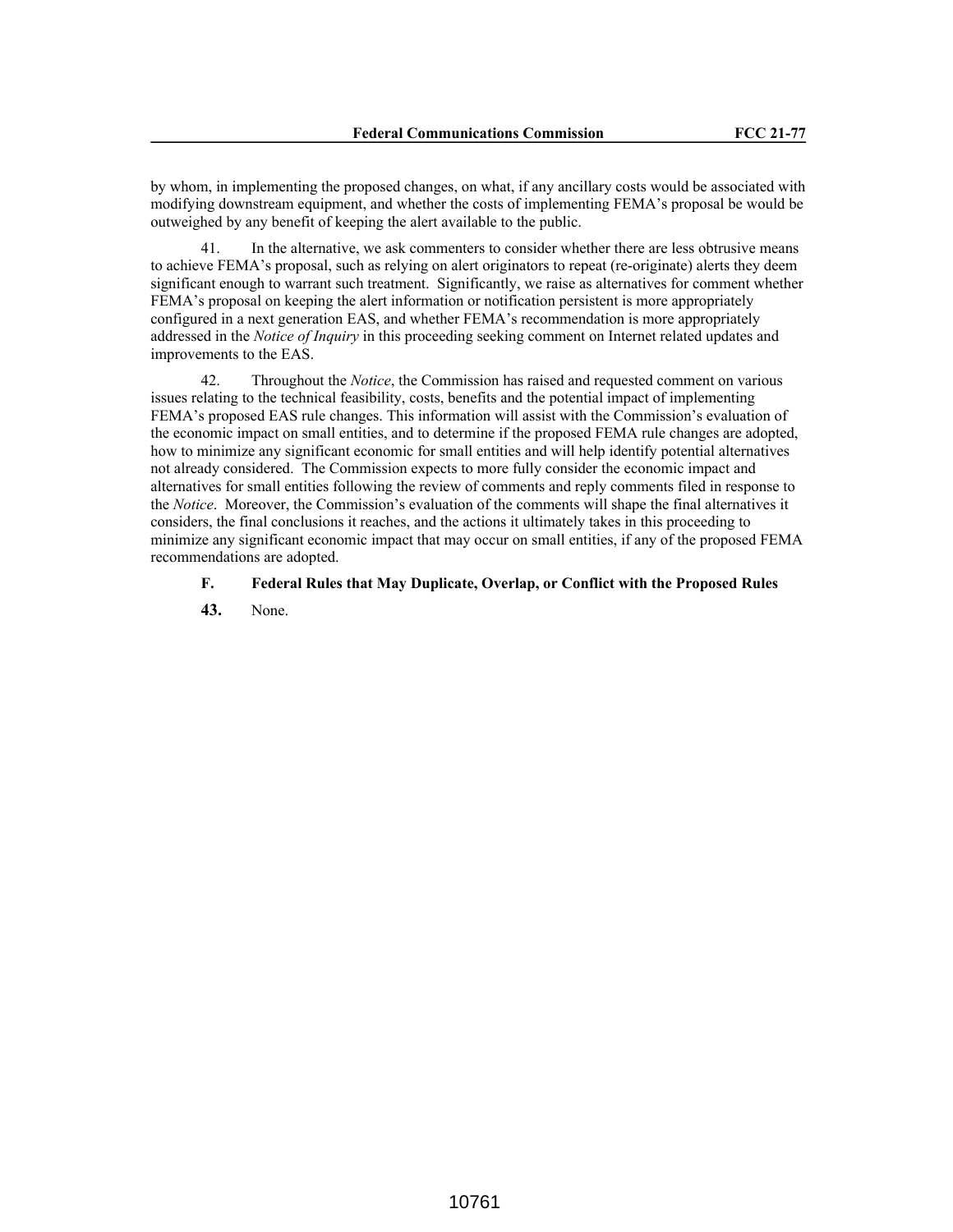by whom, in implementing the proposed changes, on what, if any ancillary costs would be associated with modifying downstream equipment, and whether the costs of implementing FEMA's proposal be would be outweighed by any benefit of keeping the alert available to the public.

41. In the alternative, we ask commenters to consider whether there are less obtrusive means to achieve FEMA's proposal, such as relying on alert originators to repeat (re-originate) alerts they deem significant enough to warrant such treatment. Significantly, we raise as alternatives for comment whether FEMA's proposal on keeping the alert information or notification persistent is more appropriately configured in a next generation EAS, and whether FEMA's recommendation is more appropriately addressed in the *Notice of Inquiry* in this proceeding seeking comment on Internet related updates and improvements to the EAS.

42. Throughout the *Notice*, the Commission has raised and requested comment on various issues relating to the technical feasibility, costs, benefits and the potential impact of implementing FEMA's proposed EAS rule changes. This information will assist with the Commission's evaluation of the economic impact on small entities, and to determine if the proposed FEMA rule changes are adopted, how to minimize any significant economic for small entities and will help identify potential alternatives not already considered. The Commission expects to more fully consider the economic impact and alternatives for small entities following the review of comments and reply comments filed in response to the *Notice*. Moreover, the Commission's evaluation of the comments will shape the final alternatives it considers, the final conclusions it reaches, and the actions it ultimately takes in this proceeding to minimize any significant economic impact that may occur on small entities, if any of the proposed FEMA recommendations are adopted.

# **F. Federal Rules that May Duplicate, Overlap, or Conflict with the Proposed Rules**

**43.** None.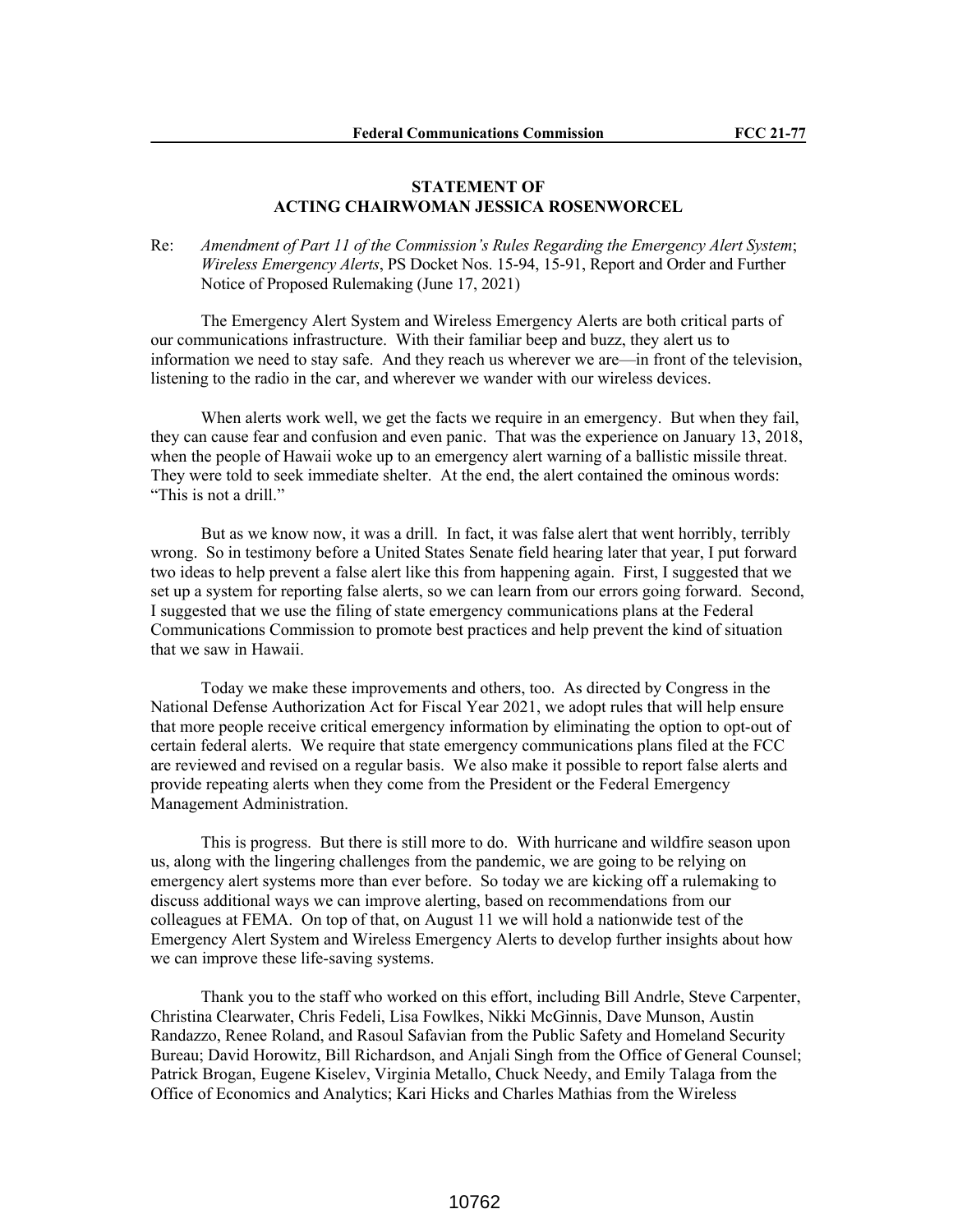# **STATEMENT OF ACTING CHAIRWOMAN JESSICA ROSENWORCEL**

Re: *Amendment of Part 11 of the Commission's Rules Regarding the Emergency Alert System*; *Wireless Emergency Alerts*, PS Docket Nos. 15-94, 15-91, Report and Order and Further Notice of Proposed Rulemaking (June 17, 2021)

The Emergency Alert System and Wireless Emergency Alerts are both critical parts of our communications infrastructure. With their familiar beep and buzz, they alert us to information we need to stay safe. And they reach us wherever we are—in front of the television, listening to the radio in the car, and wherever we wander with our wireless devices.

When alerts work well, we get the facts we require in an emergency. But when they fail, they can cause fear and confusion and even panic. That was the experience on January 13, 2018, when the people of Hawaii woke up to an emergency alert warning of a ballistic missile threat. They were told to seek immediate shelter. At the end, the alert contained the ominous words: "This is not a drill."

But as we know now, it was a drill. In fact, it was false alert that went horribly, terribly wrong. So in testimony before a United States Senate field hearing later that year, I put forward two ideas to help prevent a false alert like this from happening again. First, I suggested that we set up a system for reporting false alerts, so we can learn from our errors going forward. Second, I suggested that we use the filing of state emergency communications plans at the Federal Communications Commission to promote best practices and help prevent the kind of situation that we saw in Hawaii.

Today we make these improvements and others, too. As directed by Congress in the National Defense Authorization Act for Fiscal Year 2021, we adopt rules that will help ensure that more people receive critical emergency information by eliminating the option to opt-out of certain federal alerts. We require that state emergency communications plans filed at the FCC are reviewed and revised on a regular basis. We also make it possible to report false alerts and provide repeating alerts when they come from the President or the Federal Emergency Management Administration.

This is progress. But there is still more to do. With hurricane and wildfire season upon us, along with the lingering challenges from the pandemic, we are going to be relying on emergency alert systems more than ever before. So today we are kicking off a rulemaking to discuss additional ways we can improve alerting, based on recommendations from our colleagues at FEMA. On top of that, on August 11 we will hold a nationwide test of the Emergency Alert System and Wireless Emergency Alerts to develop further insights about how we can improve these life-saving systems.

Thank you to the staff who worked on this effort, including Bill Andrle, Steve Carpenter, Christina Clearwater, Chris Fedeli, Lisa Fowlkes, Nikki McGinnis, Dave Munson, Austin Randazzo, Renee Roland, and Rasoul Safavian from the Public Safety and Homeland Security Bureau; David Horowitz, Bill Richardson, and Anjali Singh from the Office of General Counsel; Patrick Brogan, Eugene Kiselev, Virginia Metallo, Chuck Needy, and Emily Talaga from the Office of Economics and Analytics; Kari Hicks and Charles Mathias from the Wireless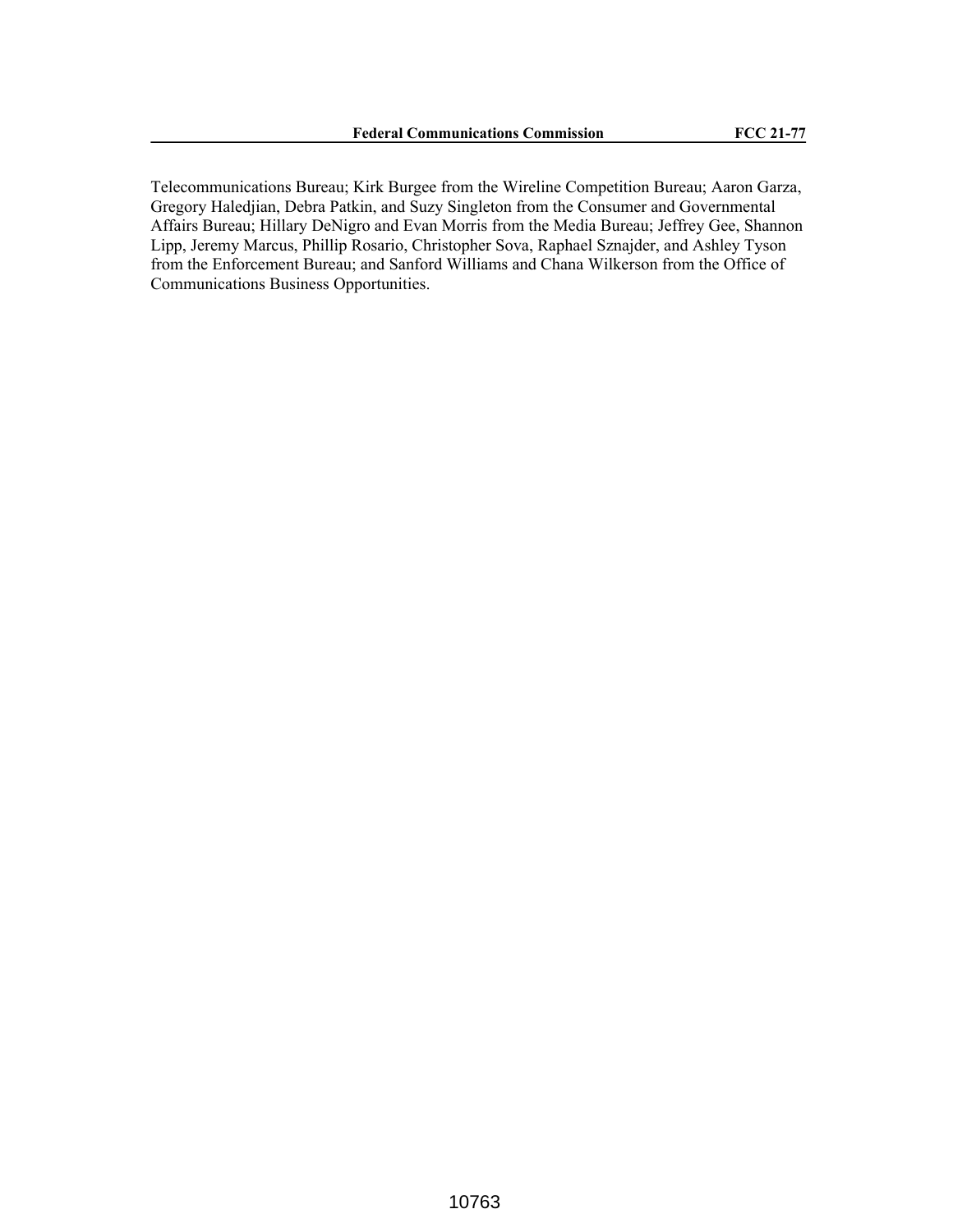Telecommunications Bureau; Kirk Burgee from the Wireline Competition Bureau; Aaron Garza, Gregory Haledjian, Debra Patkin, and Suzy Singleton from the Consumer and Governmental Affairs Bureau; Hillary DeNigro and Evan Morris from the Media Bureau; Jeffrey Gee, Shannon Lipp, Jeremy Marcus, Phillip Rosario, Christopher Sova, Raphael Sznajder, and Ashley Tyson from the Enforcement Bureau; and Sanford Williams and Chana Wilkerson from the Office of Communications Business Opportunities.